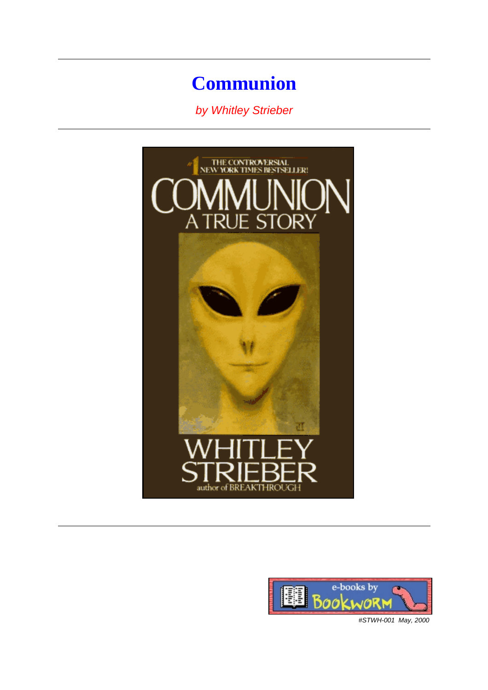# **Communion**

*by Whitley Strieber* 





*#STWH-001 May, 2000*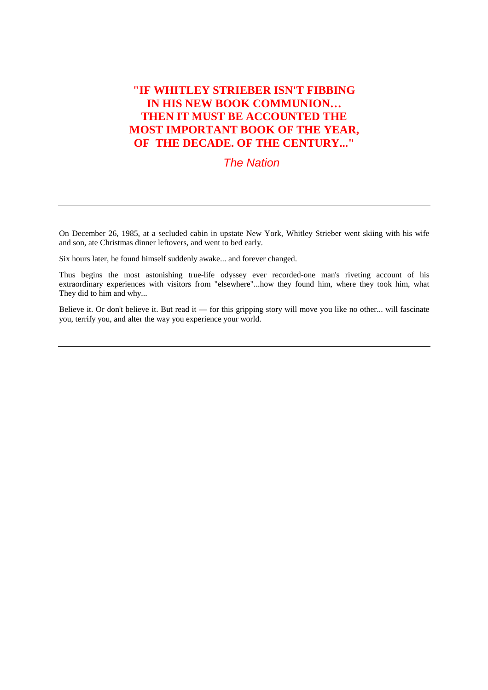#### **"IF WHITLEY STRIEBER ISN'T FIBBING IN HIS NEW BOOK COMMUNION… THEN IT MUST BE ACCOUNTED THE MOST IMPORTANT BOOK OF THE YEAR, OF THE DECADE. OF THE CENTURY..."**

#### *The Nation*

On December 26, 1985, at a secluded cabin in upstate New York, Whitley Strieber went skiing with his wife and son, ate Christmas dinner leftovers, and went to bed early.

Six hours later, he found himself suddenly awake... and forever changed.

Thus begins the most astonishing true-life odyssey ever recorded-one man's riveting account of his extraordinary experiences with visitors from "elsewhere"...how they found him, where they took him, what They did to him and why...

Believe it. Or don't believe it. But read it — for this gripping story will move you like no other... will fascinate you, terrify you, and alter the way you experience your world.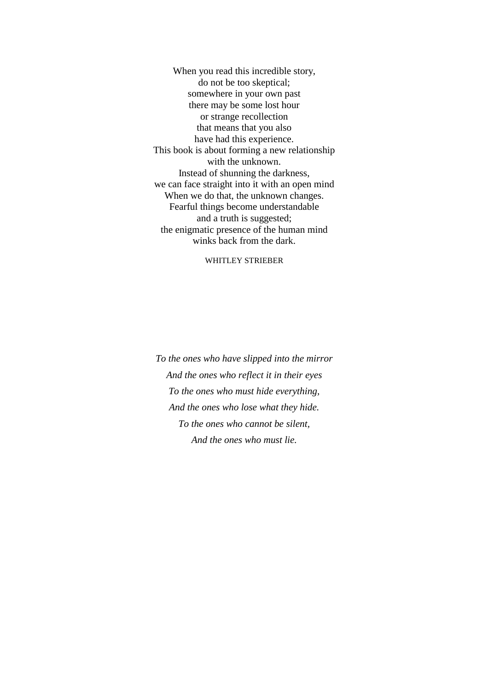When you read this incredible story, do not be too skeptical; somewhere in your own past there may be some lost hour or strange recollection that means that you also have had this experience. This book is about forming a new relationship with the unknown. Instead of shunning the darkness, we can face straight into it with an open mind When we do that, the unknown changes. Fearful things become understandable and a truth is suggested; the enigmatic presence of the human mind winks back from the dark.

#### WHITLEY STRIEBER

*To the ones who have slipped into the mirror And the ones who reflect it in their eyes To the ones who must hide everything, And the ones who lose what they hide. To the ones who cannot be silent, And the ones who must lie.*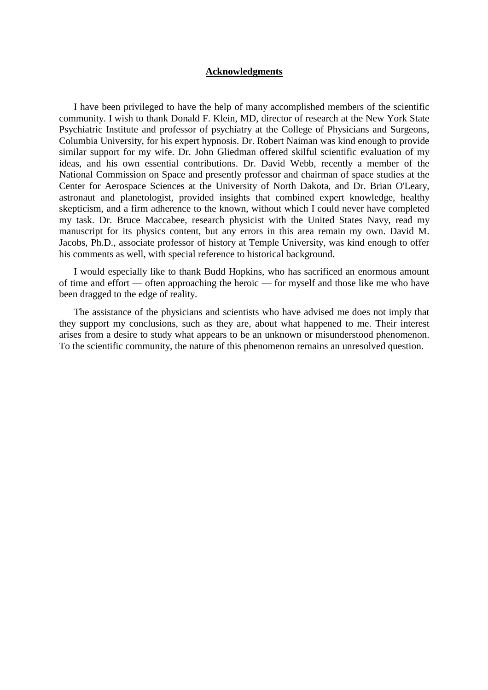#### **Acknowledgments**

I have been privileged to have the help of many accomplished members of the scientific community. I wish to thank Donald F. Klein, MD, director of research at the New York State Psychiatric Institute and professor of psychiatry at the College of Physicians and Surgeons, Columbia University, for his expert hypnosis. Dr. Robert Naiman was kind enough to provide similar support for my wife. Dr. John Gliedman offered skilful scientific evaluation of my ideas, and his own essential contributions. Dr. David Webb, recently a member of the National Commission on Space and presently professor and chairman of space studies at the Center for Aerospace Sciences at the University of North Dakota, and Dr. Brian O'Leary, astronaut and planetologist, provided insights that combined expert knowledge, healthy skepticism, and a firm adherence to the known, without which I could never have completed my task. Dr. Bruce Maccabee, research physicist with the United States Navy, read my manuscript for its physics content, but any errors in this area remain my own. David M. Jacobs, Ph.D., associate professor of history at Temple University, was kind enough to offer his comments as well, with special reference to historical background.

I would especially like to thank Budd Hopkins, who has sacrificed an enormous amount of time and effort — often approaching the heroic — for myself and those like me who have been dragged to the edge of reality.

The assistance of the physicians and scientists who have advised me does not imply that they support my conclusions, such as they are, about what happened to me. Their interest arises from a desire to study what appears to be an unknown or misunderstood phenomenon. To the scientific community, the nature of this phenomenon remains an unresolved question.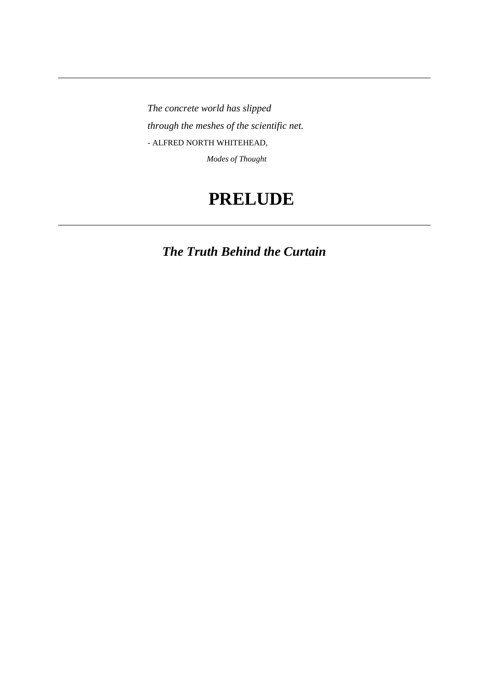*The concrete world has slipped through the meshes of the scientific net. -* ALFRED NORTH WHITEHEAD*, Modes of Thought* 

# **PRELUDE**

*The Truth Behind the Curtain*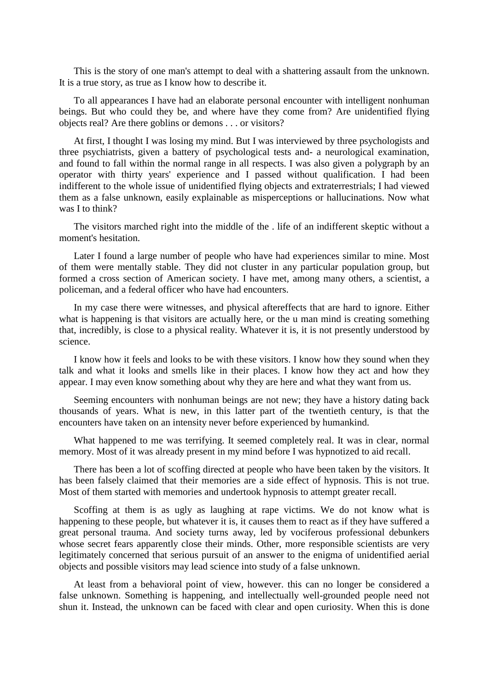This is the story of one man's attempt to deal with a shattering assault from the unknown. It is a true story, as true as I know how to describe it.

To all appearances I have had an elaborate personal encounter with intelligent nonhuman beings. But who could they be, and where have they come from? Are unidentified flying objects real? Are there goblins or demons . . . or visitors?

At first, I thought I was losing my mind. But I was interviewed by three psychologists and three psychiatrists, given a battery of psychological tests and- a neurological examination, and found to fall within the normal range in all respects. I was also given a polygraph by an operator with thirty years' experience and I passed without qualification. I had been indifferent to the whole issue of unidentified flying objects and extraterrestrials; I had viewed them as a false unknown, easily explainable as misperceptions or hallucinations. Now what was I to think?

The visitors marched right into the middle of the . life of an indifferent skeptic without a moment's hesitation.

Later I found a large number of people who have had experiences similar to mine. Most of them were mentally stable. They did not cluster in any particular population group, but formed a cross section of American society. I have met, among many others, a scientist, a policeman, and a federal officer who have had encounters.

In my case there were witnesses, and physical aftereffects that are hard to ignore. Either what is happening is that visitors are actually here, or the u man mind is creating something that, incredibly, is close to a physical reality. Whatever it is, it is not presently understood by science.

I know how it feels and looks to be with these visitors. I know how they sound when they talk and what it looks and smells like in their places. I know how they act and how they appear. I may even know something about why they are here and what they want from us.

Seeming encounters with nonhuman beings are not new; they have a history dating back thousands of years. What is new, in this latter part of the twentieth century, is that the encounters have taken on an intensity never before experienced by humankind.

What happened to me was terrifying. It seemed completely real. It was in clear, normal memory. Most of it was already present in my mind before I was hypnotized to aid recall.

There has been a lot of scoffing directed at people who have been taken by the visitors. It has been falsely claimed that their memories are a side effect of hypnosis. This is not true. Most of them started with memories and undertook hypnosis to attempt greater recall.

Scoffing at them is as ugly as laughing at rape victims. We do not know what is happening to these people, but whatever it is, it causes them to react as if they have suffered a great personal trauma. And society turns away, led by vociferous professional debunkers whose secret fears apparently close their minds. Other, more responsible scientists are very legitimately concerned that serious pursuit of an answer to the enigma of unidentified aerial objects and possible visitors may lead science into study of a false unknown.

At least from a behavioral point of view, however. this can no longer be considered a false unknown. Something is happening, and intellectually well-grounded people need not shun it. Instead, the unknown can be faced with clear and open curiosity. When this is done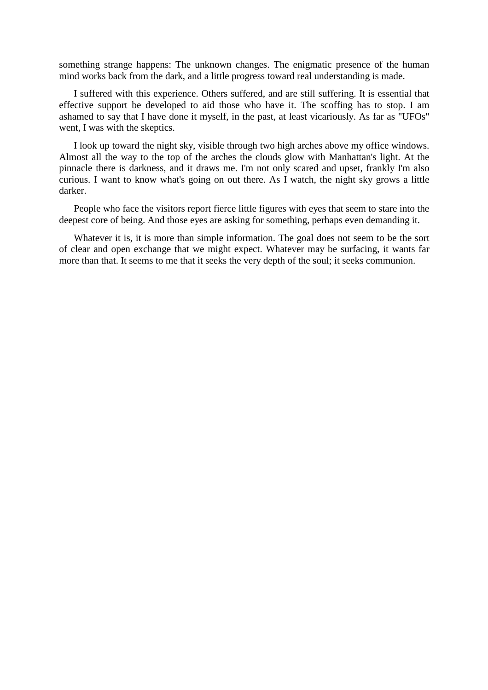something strange happens: The unknown changes. The enigmatic presence of the human mind works back from the dark, and a little progress toward real understanding is made.

I suffered with this experience. Others suffered, and are still suffering. It is essential that effective support be developed to aid those who have it. The scoffing has to stop. I am ashamed to say that I have done it myself, in the past, at least vicariously. As far as "UFOs" went, I was with the skeptics.

I look up toward the night sky, visible through two high arches above my office windows. Almost all the way to the top of the arches the clouds glow with Manhattan's light. At the pinnacle there is darkness, and it draws me. I'm not only scared and upset, frankly I'm also curious. I want to know what's going on out there. As I watch, the night sky grows a little darker.

People who face the visitors report fierce little figures with eyes that seem to stare into the deepest core of being. And those eyes are asking for something, perhaps even demanding it.

Whatever it is, it is more than simple information. The goal does not seem to be the sort of clear and open exchange that we might expect. Whatever may be surfacing, it wants far more than that. It seems to me that it seeks the very depth of the soul; it seeks communion.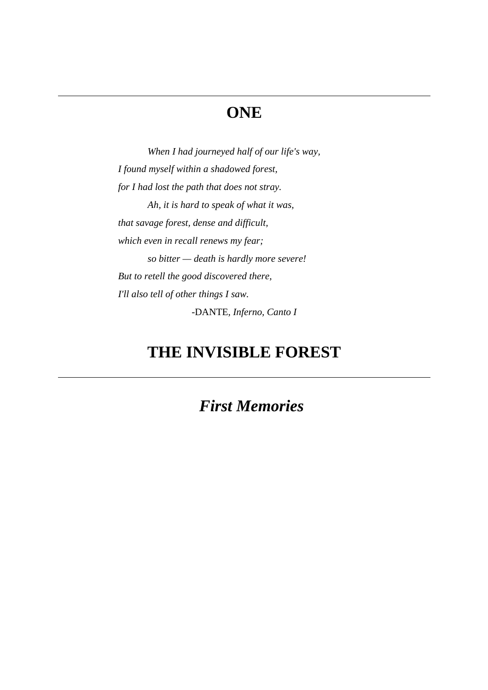### **ONE**

*When I had journeyed half of our life's way, I found myself within a shadowed forest, for I had lost the path that does not stray. Ah, it is hard to speak of what it was, that savage forest, dense and difficult, which even in recall renews my fear; so bitter — death is hardly more severe! But to retell the good discovered there, I'll also tell of other things I saw. -*DANTE*, Inferno, Canto I* 

### **THE INVISIBLE FOREST**

#### *First Memories*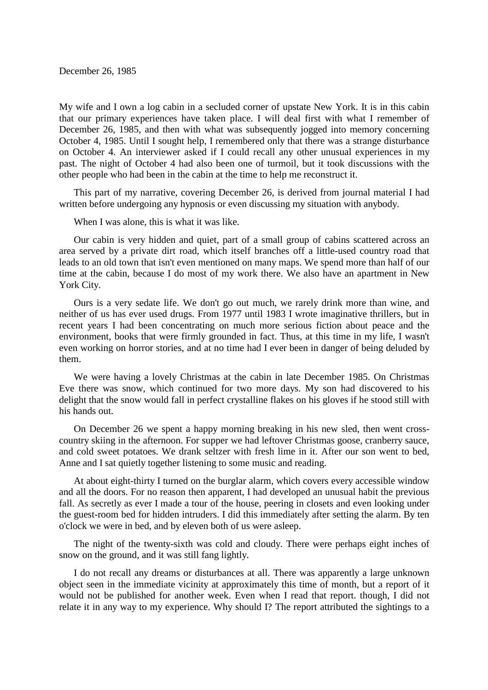My wife and I own a log cabin in a secluded corner of upstate New York. It is in this cabin that our primary experiences have taken place. I will deal first with what I remember of December 26, 1985, and then with what was subsequently jogged into memory concerning October 4, 1985. Until I sought help, I remembered only that there was a strange disturbance on October 4. An interviewer asked if I could recall any other unusual experiences in my past. The night of October 4 had also been one of turmoil, but it took discussions with the other people who had been in the cabin at the time to help me reconstruct it.

This part of my narrative, covering December 26, is derived from journal material I had written before undergoing any hypnosis or even discussing my situation with anybody.

When I was alone, this is what it was like.

Our cabin is very hidden and quiet, part of a small group of cabins scattered across an area served by a private dirt road, which itself branches off a little-used country road that leads to an old town that isn't even mentioned on many maps. We spend more than half of our time at the cabin, because I do most of my work there. We also have an apartment in New York City.

Ours is a very sedate life. We don't go out much, we rarely drink more than wine, and neither of us has ever used drugs. From 1977 until 1983 I wrote imaginative thrillers, but in recent years I had been concentrating on much more serious fiction about peace and the environment, books that were firmly grounded in fact. Thus, at this time in my life, I wasn't even working on horror stories, and at no time had I ever been in danger of being deluded by them.

We were having a lovely Christmas at the cabin in late December 1985. On Christmas Eve there was snow, which continued for two more days. My son had discovered to his delight that the snow would fall in perfect crystalline flakes on his gloves if he stood still with his hands out.

On December 26 we spent a happy morning breaking in his new sled, then went crosscountry skiing in the afternoon. For supper we had leftover Christmas goose, cranberry sauce, and cold sweet potatoes. We drank seltzer with fresh lime in it. After our son went to bed, Anne and I sat quietly together listening to some music and reading.

At about eight-thirty I turned on the burglar alarm, which covers every accessible window and all the doors. For no reason then apparent, I had developed an unusual habit the previous fall. As secretly as ever I made a tour of the house, peering in closets and even looking under the guest-room bed for hidden intruders. I did this immediately after setting the alarm. By ten o'clock we were in bed, and by eleven both of us were asleep.

The night of the twenty-sixth was cold and cloudy. There were perhaps eight inches of snow on the ground, and it was still fang lightly.

I do not recall any dreams or disturbances at all. There was apparently a large unknown object seen in the immediate vicinity at approximately this time of month, but a report of it would not be published for another week. Even when I read that report. though, I did not relate it in any way to my experience. Why should I? The report attributed the sightings to a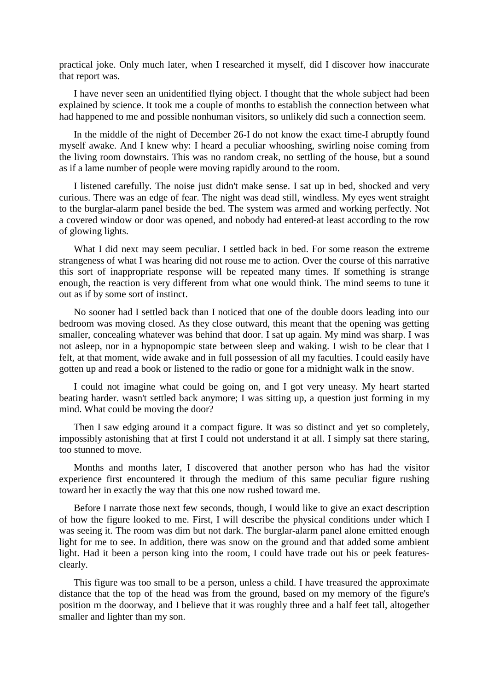practical joke. Only much later, when I researched it myself, did I discover how inaccurate that report was.

I have never seen an unidentified flying object. I thought that the whole subject had been explained by science. It took me a couple of months to establish the connection between what had happened to me and possible nonhuman visitors, so unlikely did such a connection seem.

In the middle of the night of December 26-I do not know the exact time-I abruptly found myself awake. And I knew why: I heard a peculiar whooshing, swirling noise coming from the living room downstairs. This was no random creak, no settling of the house, but a sound as if a lame number of people were moving rapidly around to the room.

I listened carefully. The noise just didn't make sense. I sat up in bed, shocked and very curious. There was an edge of fear. The night was dead still, windless. My eyes went straight to the burglar-alarm panel beside the bed. The system was armed and working perfectly. Not a covered window or door was opened, and nobody had entered-at least according to the row of glowing lights.

What I did next may seem peculiar. I settled back in bed. For some reason the extreme strangeness of what I was hearing did not rouse me to action. Over the course of this narrative this sort of inappropriate response will be repeated many times. If something is strange enough, the reaction is very different from what one would think. The mind seems to tune it out as if by some sort of instinct.

No sooner had I settled back than I noticed that one of the double doors leading into our bedroom was moving closed. As they close outward, this meant that the opening was getting smaller, concealing whatever was behind that door. I sat up again. My mind was sharp. I was not asleep, nor in a hypnopompic state between sleep and waking. I wish to be clear that I felt, at that moment, wide awake and in full possession of all my faculties. I could easily have gotten up and read a book or listened to the radio or gone for a midnight walk in the snow.

I could not imagine what could be going on, and I got very uneasy. My heart started beating harder. wasn't settled back anymore; I was sitting up, a question just forming in my mind. What could be moving the door?

Then I saw edging around it a compact figure. It was so distinct and yet so completely, impossibly astonishing that at first I could not understand it at all. I simply sat there staring, too stunned to move.

Months and months later, I discovered that another person who has had the visitor experience first encountered it through the medium of this same peculiar figure rushing toward her in exactly the way that this one now rushed toward me.

Before I narrate those next few seconds, though, I would like to give an exact description of how the figure looked to me. First, I will describe the physical conditions under which I was seeing it. The room was dim but not dark. The burglar-alarm panel alone emitted enough light for me to see. In addition, there was snow on the ground and that added some ambient light. Had it been a person king into the room, I could have trade out his or peek featuresclearly.

This figure was too small to be a person, unless a child. I have treasured the approximate distance that the top of the head was from the ground, based on my memory of the figure's position m the doorway, and I believe that it was roughly three and a half feet tall, altogether smaller and lighter than my son.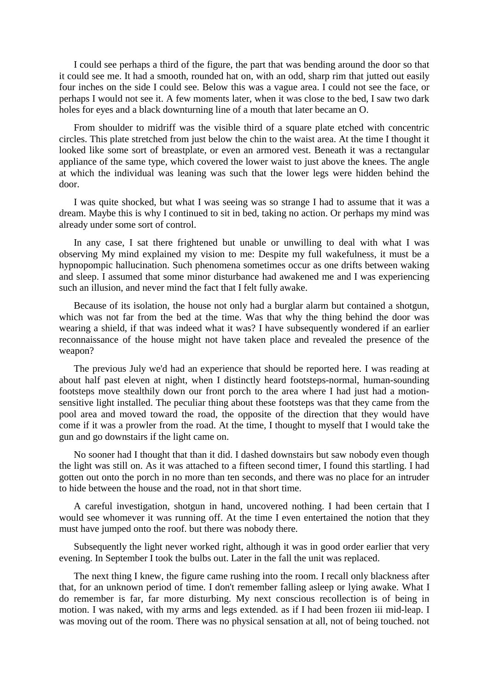I could see perhaps a third of the figure, the part that was bending around the door so that it could see me. It had a smooth, rounded hat on, with an odd, sharp rim that jutted out easily four inches on the side I could see. Below this was a vague area. I could not see the face, or perhaps I would not see it. A few moments later, when it was close to the bed, I saw two dark holes for eyes and a black downturning line of a mouth that later became an O.

From shoulder to midriff was the visible third of a square plate etched with concentric circles. This plate stretched from just below the chin to the waist area. At the time I thought it looked like some sort of breastplate, or even an armored vest. Beneath it was a rectangular appliance of the same type, which covered the lower waist to just above the knees. The angle at which the individual was leaning was such that the lower legs were hidden behind the door.

I was quite shocked, but what I was seeing was so strange I had to assume that it was a dream. Maybe this is why I continued to sit in bed, taking no action. Or perhaps my mind was already under some sort of control.

In any case, I sat there frightened but unable or unwilling to deal with what I was observing My mind explained my vision to me: Despite my full wakefulness, it must be a hypnopompic hallucination. Such phenomena sometimes occur as one drifts between waking and sleep. I assumed that some minor disturbance had awakened me and I was experiencing such an illusion, and never mind the fact that I felt fully awake.

Because of its isolation, the house not only had a burglar alarm but contained a shotgun, which was not far from the bed at the time. Was that why the thing behind the door was wearing a shield, if that was indeed what it was? I have subsequently wondered if an earlier reconnaissance of the house might not have taken place and revealed the presence of the weapon?

The previous July we'd had an experience that should be reported here. I was reading at about half past eleven at night, when I distinctly heard footsteps-normal, human-sounding footsteps move stealthily down our front porch to the area where I had just had a motionsensitive light installed. The peculiar thing about these footsteps was that they came from the pool area and moved toward the road, the opposite of the direction that they would have come if it was a prowler from the road. At the time, I thought to myself that I would take the gun and go downstairs if the light came on.

No sooner had I thought that than it did. I dashed downstairs but saw nobody even though the light was still on. As it was attached to a fifteen second timer, I found this startling. I had gotten out onto the porch in no more than ten seconds, and there was no place for an intruder to hide between the house and the road, not in that short time.

A careful investigation, shotgun in hand, uncovered nothing. I had been certain that I would see whomever it was running off. At the time I even entertained the notion that they must have jumped onto the roof. but there was nobody there.

Subsequently the light never worked right, although it was in good order earlier that very evening. In September I took the bulbs out. Later in the fall the unit was replaced.

The next thing I knew, the figure came rushing into the room. I recall only blackness after that, for an unknown period of time. I don't remember falling asleep or lying awake. What I do remember is far, far more disturbing. My next conscious recollection is of being in motion. I was naked, with my arms and legs extended. as if I had been frozen iii mid-leap. I was moving out of the room. There was no physical sensation at all, not of being touched. not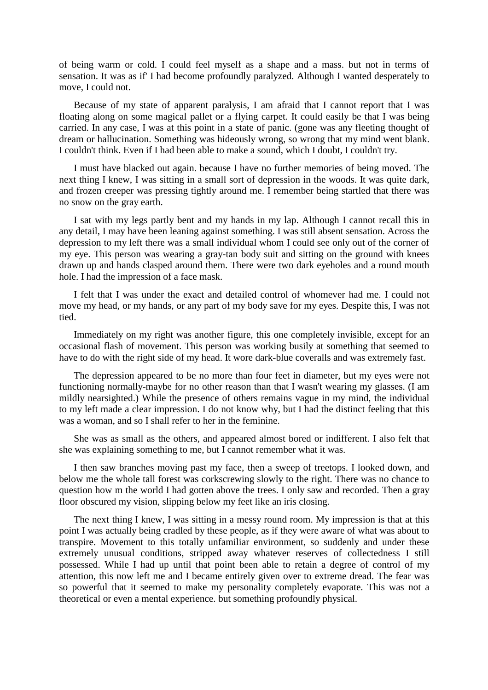of being warm or cold. I could feel myself as a shape and a mass. but not in terms of sensation. It was as if' I had become profoundly paralyzed. Although I wanted desperately to move, I could not.

Because of my state of apparent paralysis, I am afraid that I cannot report that I was floating along on some magical pallet or a flying carpet. It could easily be that I was being carried. In any case, I was at this point in a state of panic. (gone was any fleeting thought of dream or hallucination. Something was hideously wrong, so wrong that my mind went blank. I couldn't think. Even if I had been able to make a sound, which I doubt, I couldn't try.

I must have blacked out again. because I have no further memories of being moved. The next thing I knew, I was sitting in a small sort of depression in the woods. It was quite dark, and frozen creeper was pressing tightly around me. I remember being startled that there was no snow on the gray earth.

I sat with my legs partly bent and my hands in my lap. Although I cannot recall this in any detail, I may have been leaning against something. I was still absent sensation. Across the depression to my left there was a small individual whom I could see only out of the corner of my eye. This person was wearing a gray-tan body suit and sitting on the ground with knees drawn up and hands clasped around them. There were two dark eyeholes and a round mouth hole. I had the impression of a face mask.

I felt that I was under the exact and detailed control of whomever had me. I could not move my head, or my hands, or any part of my body save for my eyes. Despite this, I was not tied.

Immediately on my right was another figure, this one completely invisible, except for an occasional flash of movement. This person was working busily at something that seemed to have to do with the right side of my head. It wore dark-blue coveralls and was extremely fast.

The depression appeared to be no more than four feet in diameter, but my eyes were not functioning normally-maybe for no other reason than that I wasn't wearing my glasses. (I am mildly nearsighted.) While the presence of others remains vague in my mind, the individual to my left made a clear impression. I do not know why, but I had the distinct feeling that this was a woman, and so I shall refer to her in the feminine.

She was as small as the others, and appeared almost bored or indifferent. I also felt that she was explaining something to me, but I cannot remember what it was.

I then saw branches moving past my face, then a sweep of treetops. I looked down, and below me the whole tall forest was corkscrewing slowly to the right. There was no chance to question how m the world I had gotten above the trees. I only saw and recorded. Then a gray floor obscured my vision, slipping below my feet like an iris closing.

The next thing I knew, I was sitting in a messy round room. My impression is that at this point I was actually being cradled by these people, as if they were aware of what was about to transpire. Movement to this totally unfamiliar environment, so suddenly and under these extremely unusual conditions, stripped away whatever reserves of collectedness I still possessed. While I had up until that point been able to retain a degree of control of my attention, this now left me and I became entirely given over to extreme dread. The fear was so powerful that it seemed to make my personality completely evaporate. This was not a theoretical or even a mental experience. but something profoundly physical.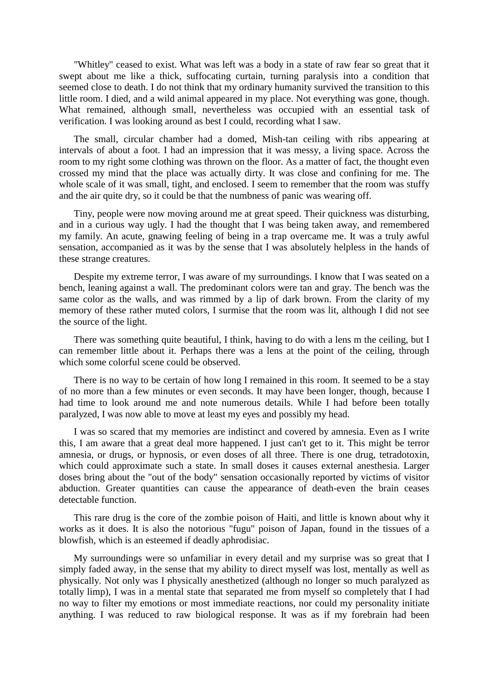"Whitley" ceased to exist. What was left was a body in a state of raw fear so great that it swept about me like a thick, suffocating curtain, turning paralysis into a condition that seemed close to death. I do not think that my ordinary humanity survived the transition to this little room. I died, and a wild animal appeared in my place. Not everything was gone, though. What remained, although small, nevertheless was occupied with an essential task of verification. I was looking around as best I could, recording what I saw.

The small, circular chamber had a domed, Mish-tan ceiling with ribs appearing at intervals of about a foot. I had an impression that it was messy, a living space. Across the room to my right some clothing was thrown on the floor. As a matter of fact, the thought even crossed my mind that the place was actually dirty. It was close and confining for me. The whole scale of it was small, tight, and enclosed. I seem to remember that the room was stuffy and the air quite dry, so it could be that the numbness of panic was wearing off.

Tiny, people were now moving around me at great speed. Their quickness was disturbing, and in a curious way ugly. I had the thought that I was being taken away, and remembered my family. An acute, gnawing feeling of being in a trap overcame me. It was a truly awful sensation, accompanied as it was by the sense that I was absolutely helpless in the hands of these strange creatures.

Despite my extreme terror, I was aware of my surroundings. I know that I was seated on a bench, leaning against a wall. The predominant colors were tan and gray. The bench was the same color as the walls, and was rimmed by a lip of dark brown. From the clarity of my memory of these rather muted colors, I surmise that the room was lit, although I did not see the source of the light.

There was something quite beautiful, I think, having to do with a lens m the ceiling, but I can remember little about it. Perhaps there was a lens at the point of the ceiling, through which some colorful scene could be observed.

There is no way to be certain of how long I remained in this room. It seemed to be a stay of no more than a few minutes or even seconds. It may have been longer, though, because I had time to look around me and note numerous details. While I had before been totally paralyzed, I was now able to move at least my eyes and possibly my head.

I was so scared that my memories are indistinct and covered by amnesia. Even as I write this, I am aware that a great deal more happened. I just can't get to it. This might be terror amnesia, or drugs, or hypnosis, or even doses of all three. There is one drug, tetradotoxin, which could approximate such a state. In small doses it causes external anesthesia. Larger doses bring about the "out of the body" sensation occasionally reported by victims of visitor abduction. Greater quantities can cause the appearance of death-even the brain ceases detectable function.

This rare drug is the core of the zombie poison of Haiti, and little is known about why it works as it does. It is also the notorious "fugu" poison of Japan, found in the tissues of a blowfish, which is an esteemed if deadly aphrodisiac.

My surroundings were so unfamiliar in every detail and my surprise was so great that I simply faded away, in the sense that my ability to direct myself was lost, mentally as well as physically. Not only was I physically anesthetized (although no longer so much paralyzed as totally limp), I was in a mental state that separated me from myself so completely that I had no way to filter my emotions or most immediate reactions, nor could my personality initiate anything. I was reduced to raw biological response. It was as if my forebrain had been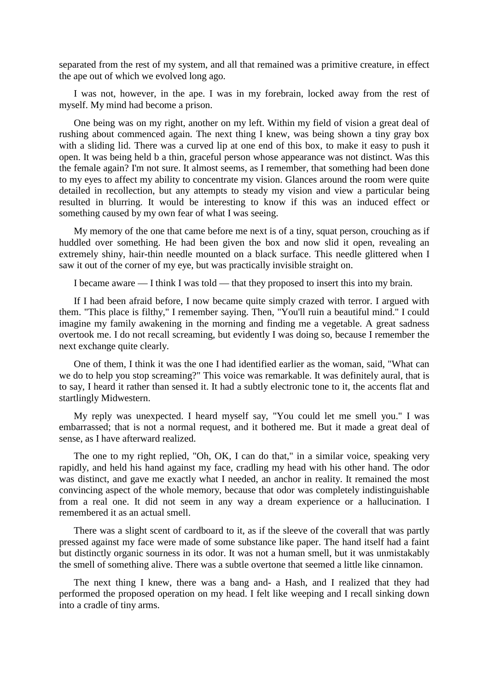separated from the rest of my system, and all that remained was a primitive creature, in effect the ape out of which we evolved long ago.

I was not, however, in the ape. I was in my forebrain, locked away from the rest of myself. My mind had become a prison.

One being was on my right, another on my left. Within my field of vision a great deal of rushing about commenced again. The next thing I knew, was being shown a tiny gray box with a sliding lid. There was a curved lip at one end of this box, to make it easy to push it open. It was being held b a thin, graceful person whose appearance was not distinct. Was this the female again? I'm not sure. It almost seems, as I remember, that something had been done to my eyes to affect my ability to concentrate my vision. Glances around the room were quite detailed in recollection, but any attempts to steady my vision and view a particular being resulted in blurring. It would be interesting to know if this was an induced effect or something caused by my own fear of what I was seeing.

My memory of the one that came before me next is of a tiny, squat person, crouching as if huddled over something. He had been given the box and now slid it open, revealing an extremely shiny, hair-thin needle mounted on a black surface. This needle glittered when I saw it out of the corner of my eye, but was practically invisible straight on.

I became aware — I think I was told — that they proposed to insert this into my brain.

If I had been afraid before, I now became quite simply crazed with terror. I argued with them. "This place is filthy," I remember saying. Then, "You'll ruin a beautiful mind." I could imagine my family awakening in the morning and finding me a vegetable. A great sadness overtook me. I do not recall screaming, but evidently I was doing so, because I remember the next exchange quite clearly.

One of them, I think it was the one I had identified earlier as the woman, said, "What can we do to help you stop screaming?" This voice was remarkable. It was definitely aural, that is to say, I heard it rather than sensed it. It had a subtly electronic tone to it, the accents flat and startlingly Midwestern.

My reply was unexpected. I heard myself say, "You could let me smell you." I was embarrassed; that is not a normal request, and it bothered me. But it made a great deal of sense, as I have afterward realized.

The one to my right replied, "Oh, OK, I can do that," in a similar voice, speaking very rapidly, and held his hand against my face, cradling my head with his other hand. The odor was distinct, and gave me exactly what I needed, an anchor in reality. It remained the most convincing aspect of the whole memory, because that odor was completely indistinguishable from a real one. It did not seem in any way a dream experience or a hallucination. I remembered it as an actual smell.

There was a slight scent of cardboard to it, as if the sleeve of the coverall that was partly pressed against my face were made of some substance like paper. The hand itself had a faint but distinctly organic sourness in its odor. It was not a human smell, but it was unmistakably the smell of something alive. There was a subtle overtone that seemed a little like cinnamon.

The next thing I knew, there was a bang and- a Hash, and I realized that they had performed the proposed operation on my head. I felt like weeping and I recall sinking down into a cradle of tiny arms.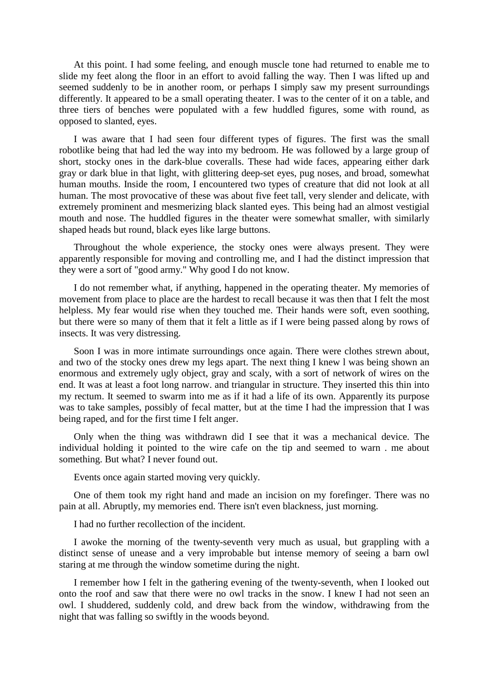At this point. I had some feeling, and enough muscle tone had returned to enable me to slide my feet along the floor in an effort to avoid falling the way. Then I was lifted up and seemed suddenly to be in another room, or perhaps I simply saw my present surroundings differently. It appeared to be a small operating theater. I was to the center of it on a table, and three tiers of benches were populated with a few huddled figures, some with round, as opposed to slanted, eyes.

I was aware that I had seen four different types of figures. The first was the small robotlike being that had led the way into my bedroom. He was followed by a large group of short, stocky ones in the dark-blue coveralls. These had wide faces, appearing either dark gray or dark blue in that light, with glittering deep-set eyes, pug noses, and broad, somewhat human mouths. Inside the room, I encountered two types of creature that did not look at all human. The most provocative of these was about five feet tall, very slender and delicate, with extremely prominent and mesmerizing black slanted eyes. This being had an almost vestigial mouth and nose. The huddled figures in the theater were somewhat smaller, with similarly shaped heads but round, black eyes like large buttons.

Throughout the whole experience, the stocky ones were always present. They were apparently responsible for moving and controlling me, and I had the distinct impression that they were a sort of "good army." Why good I do not know.

I do not remember what, if anything, happened in the operating theater. My memories of movement from place to place are the hardest to recall because it was then that I felt the most helpless. My fear would rise when they touched me. Their hands were soft, even soothing, but there were so many of them that it felt a little as if I were being passed along by rows of insects. It was very distressing.

Soon I was in more intimate surroundings once again. There were clothes strewn about, and two of the stocky ones drew my legs apart. The next thing I knew l was being shown an enormous and extremely ugly object, gray and scaly, with a sort of network of wires on the end. It was at least a foot long narrow. and triangular in structure. They inserted this thin into my rectum. It seemed to swarm into me as if it had a life of its own. Apparently its purpose was to take samples, possibly of fecal matter, but at the time I had the impression that I was being raped, and for the first time I felt anger.

Only when the thing was withdrawn did I see that it was a mechanical device. The individual holding it pointed to the wire cafe on the tip and seemed to warn . me about something. But what? I never found out.

Events once again started moving very quickly.

One of them took my right hand and made an incision on my forefinger. There was no pain at all. Abruptly, my memories end. There isn't even blackness, just morning.

I had no further recollection of the incident.

I awoke the morning of the twenty-seventh very much as usual, but grappling with a distinct sense of unease and a very improbable but intense memory of seeing a barn owl staring at me through the window sometime during the night.

I remember how I felt in the gathering evening of the twenty-seventh, when I looked out onto the roof and saw that there were no owl tracks in the snow. I knew I had not seen an owl. I shuddered, suddenly cold, and drew back from the window, withdrawing from the night that was falling so swiftly in the woods beyond.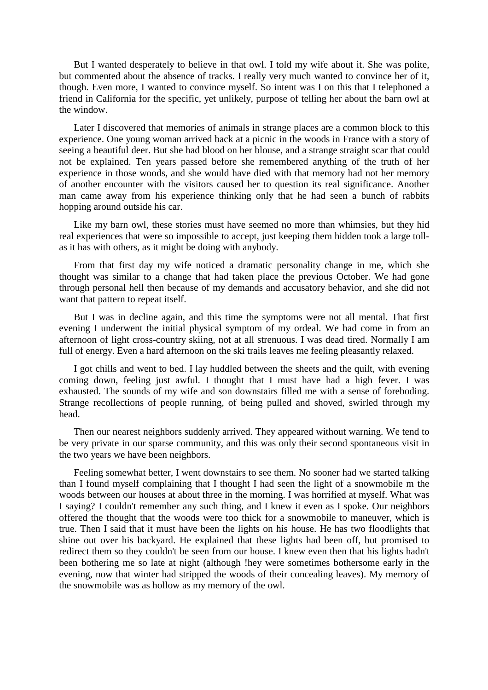But I wanted desperately to believe in that owl. I told my wife about it. She was polite, but commented about the absence of tracks. I really very much wanted to convince her of it, though. Even more, I wanted to convince myself. So intent was I on this that I telephoned a friend in California for the specific, yet unlikely, purpose of telling her about the barn owl at the window.

Later I discovered that memories of animals in strange places are a common block to this experience. One young woman arrived back at a picnic in the woods in France with a story of seeing a beautiful deer. But she had blood on her blouse, and a strange straight scar that could not be explained. Ten years passed before she remembered anything of the truth of her experience in those woods, and she would have died with that memory had not her memory of another encounter with the visitors caused her to question its real significance. Another man came away from his experience thinking only that he had seen a bunch of rabbits hopping around outside his car.

Like my barn owl, these stories must have seemed no more than whimsies, but they hid real experiences that were so impossible to accept, just keeping them hidden took a large tollas it has with others, as it might be doing with anybody.

From that first day my wife noticed a dramatic personality change in me, which she thought was similar to a change that had taken place the previous October. We had gone through personal hell then because of my demands and accusatory behavior, and she did not want that pattern to repeat itself.

But I was in decline again, and this time the symptoms were not all mental. That first evening I underwent the initial physical symptom of my ordeal. We had come in from an afternoon of light cross-country skiing, not at all strenuous. I was dead tired. Normally I am full of energy. Even a hard afternoon on the ski trails leaves me feeling pleasantly relaxed.

I got chills and went to bed. I lay huddled between the sheets and the quilt, with evening coming down, feeling just awful. I thought that I must have had a high fever. I was exhausted. The sounds of my wife and son downstairs filled me with a sense of foreboding. Strange recollections of people running, of being pulled and shoved, swirled through my head.

Then our nearest neighbors suddenly arrived. They appeared without warning. We tend to be very private in our sparse community, and this was only their second spontaneous visit in the two years we have been neighbors.

Feeling somewhat better, I went downstairs to see them. No sooner had we started talking than I found myself complaining that I thought I had seen the light of a snowmobile m the woods between our houses at about three in the morning. I was horrified at myself. What was I saying? I couldn't remember any such thing, and I knew it even as I spoke. Our neighbors offered the thought that the woods were too thick for a snowmobile to maneuver, which is true. Then I said that it must have been the lights on his house. He has two floodlights that shine out over his backyard. He explained that these lights had been off, but promised to redirect them so they couldn't be seen from our house. I knew even then that his lights hadn't been bothering me so late at night (although !hey were sometimes bothersome early in the evening, now that winter had stripped the woods of their concealing leaves). My memory of the snowmobile was as hollow as my memory of the owl.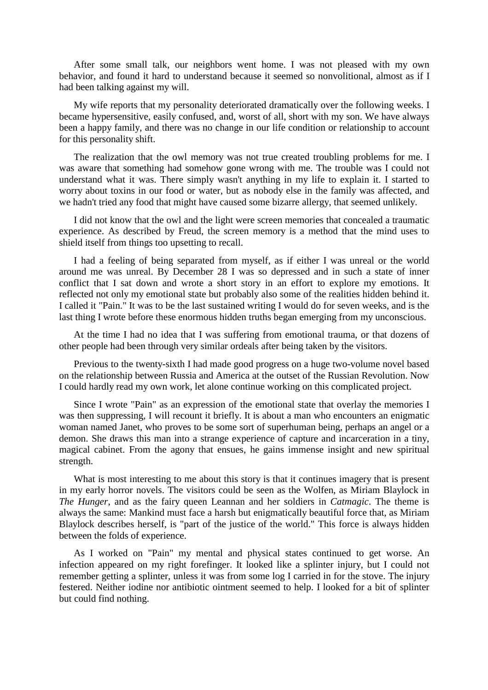After some small talk, our neighbors went home. I was not pleased with my own behavior, and found it hard to understand because it seemed so nonvolitional, almost as if I had been talking against my will.

My wife reports that my personality deteriorated dramatically over the following weeks. I became hypersensitive, easily confused, and, worst of all, short with my son. We have always been a happy family, and there was no change in our life condition or relationship to account for this personality shift.

The realization that the owl memory was not true created troubling problems for me. I was aware that something had somehow gone wrong with me. The trouble was I could not understand what it was. There simply wasn't anything in my life to explain it. I started to worry about toxins in our food or water, but as nobody else in the family was affected, and we hadn't tried any food that might have caused some bizarre allergy, that seemed unlikely.

I did not know that the owl and the light were screen memories that concealed a traumatic experience. As described by Freud, the screen memory is a method that the mind uses to shield itself from things too upsetting to recall.

I had a feeling of being separated from myself, as if either I was unreal or the world around me was unreal. By December 28 I was so depressed and in such a state of inner conflict that I sat down and wrote a short story in an effort to explore my emotions. It reflected not only my emotional state but probably also some of the realities hidden behind it. I called it "Pain." It was to be the last sustained writing I would do for seven weeks, and is the last thing I wrote before these enormous hidden truths began emerging from my unconscious.

At the time I had no idea that I was suffering from emotional trauma, or that dozens of other people had been through very similar ordeals after being taken by the visitors.

Previous to the twenty-sixth I had made good progress on a huge two-volume novel based on the relationship between Russia and America at the outset of the Russian Revolution. Now I could hardly read my own work, let alone continue working on this complicated project.

Since I wrote "Pain" as an expression of the emotional state that overlay the memories I was then suppressing, I will recount it briefly. It is about a man who encounters an enigmatic woman named Janet, who proves to be some sort of superhuman being, perhaps an angel or a demon. She draws this man into a strange experience of capture and incarceration in a tiny, magical cabinet. From the agony that ensues, he gains immense insight and new spiritual strength.

What is most interesting to me about this story is that it continues imagery that is present in my early horror novels. The visitors could be seen as the Wolfen, as Miriam Blaylock in *The Hunger*, and as the fairy queen Leannan and her soldiers in *Catmagic*. The theme is always the same: Mankind must face a harsh but enigmatically beautiful force that, as Miriam Blaylock describes herself, is "part of the justice of the world." This force is always hidden between the folds of experience.

As I worked on "Pain" my mental and physical states continued to get worse. An infection appeared on my right forefinger. It looked like a splinter injury, but I could not remember getting a splinter, unless it was from some log I carried in for the stove. The injury festered. Neither iodine nor antibiotic ointment seemed to help. I looked for a bit of splinter but could find nothing.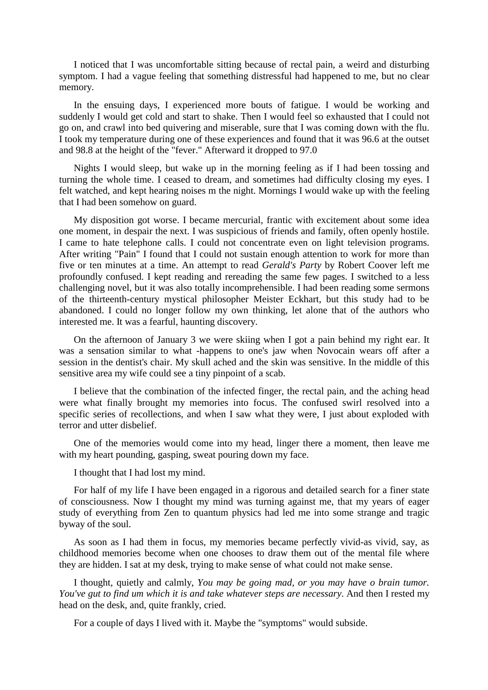I noticed that I was uncomfortable sitting because of rectal pain, a weird and disturbing symptom. I had a vague feeling that something distressful had happened to me, but no clear memory.

In the ensuing days, I experienced more bouts of fatigue. I would be working and suddenly I would get cold and start to shake. Then I would feel so exhausted that I could not go on, and crawl into bed quivering and miserable, sure that I was coming down with the flu. I took my temperature during one of these experiences and found that it was 96.6 at the outset and 98.8 at the height of the "fever." Afterward it dropped to 97.0

Nights I would sleep, but wake up in the morning feeling as if I had been tossing and turning the whole time. I ceased to dream, and sometimes had difficulty closing my eyes. I felt watched, and kept hearing noises m the night. Mornings I would wake up with the feeling that I had been somehow on guard.

My disposition got worse. I became mercurial, frantic with excitement about some idea one moment, in despair the next. I was suspicious of friends and family, often openly hostile. I came to hate telephone calls. I could not concentrate even on light television programs. After writing "Pain" I found that I could not sustain enough attention to work for more than five or ten minutes at a time. An attempt to read *Gerald's Party* by Robert Coover left me profoundly confused. I kept reading and rereading the same few pages. I switched to a less challenging novel, but it was also totally incomprehensible. I had been reading some sermons of the thirteenth-century mystical philosopher Meister Eckhart, but this study had to be abandoned. I could no longer follow my own thinking, let alone that of the authors who interested me. It was a fearful, haunting discovery.

On the afternoon of January 3 we were skiing when I got a pain behind my right ear. It was a sensation similar to what -happens to one's jaw when Novocain wears off after a session in the dentist's chair. My skull ached and the skin was sensitive. In the middle of this sensitive area my wife could see a tiny pinpoint of a scab.

I believe that the combination of the infected finger, the rectal pain, and the aching head were what finally brought my memories into focus. The confused swirl resolved into a specific series of recollections, and when I saw what they were, I just about exploded with terror and utter disbelief.

One of the memories would come into my head, linger there a moment, then leave me with my heart pounding, gasping, sweat pouring down my face.

I thought that I had lost my mind.

For half of my life I have been engaged in a rigorous and detailed search for a finer state of consciousness. Now I thought my mind was turning against me, that my years of eager study of everything from Zen to quantum physics had led me into some strange and tragic byway of the soul.

As soon as I had them in focus, my memories became perfectly vivid-as vivid, say, as childhood memories become when one chooses to draw them out of the mental file where they are hidden. I sat at my desk, trying to make sense of what could not make sense.

I thought, quietly and calmly, *You may be going mad, or you may have o brain tumor. You've gut to find um which it is and take whatever steps are necessary*. And then I rested my head on the desk, and, quite frankly, cried.

For a couple of days I lived with it. Maybe the "symptoms" would subside.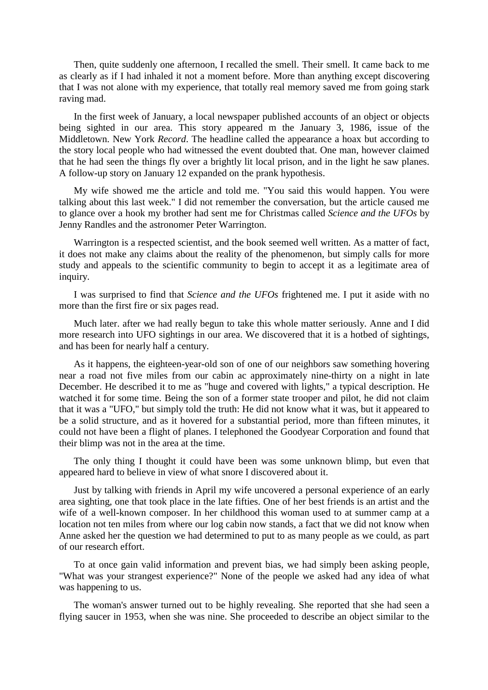Then, quite suddenly one afternoon, I recalled the smell. Their smell. It came back to me as clearly as if I had inhaled it not a moment before. More than anything except discovering that I was not alone with my experience, that totally real memory saved me from going stark raving mad.

In the first week of January, a local newspaper published accounts of an object or objects being sighted in our area. This story appeared m the January 3, 1986, issue of the Middletown. New York *Record*. The headline called the appearance a hoax but according to the story local people who had witnessed the event doubted that. One man, however claimed that he had seen the things fly over a brightly lit local prison, and in the light he saw planes. A follow-up story on January 12 expanded on the prank hypothesis.

My wife showed me the article and told me. "You said this would happen. You were talking about this last week." I did not remember the conversation, but the article caused me to glance over a hook my brother had sent me for Christmas called *Science and the UFOs* by Jenny Randles and the astronomer Peter Warrington.

Warrington is a respected scientist, and the book seemed well written. As a matter of fact, it does not make any claims about the reality of the phenomenon, but simply calls for more study and appeals to the scientific community to begin to accept it as a legitimate area of inquiry.

I was surprised to find that *Science and the UFOs* frightened me. I put it aside with no more than the first fire or six pages read.

Much later. after we had really begun to take this whole matter seriously. Anne and I did more research into UFO sightings in our area. We discovered that it is a hotbed of sightings, and has been for nearly half a century.

As it happens, the eighteen-year-old son of one of our neighbors saw something hovering near a road not five miles from our cabin ac approximately nine-thirty on a night in late December. He described it to me as "huge and covered with lights," a typical description. He watched it for some time. Being the son of a former state trooper and pilot, he did not claim that it was a "UFO," but simply told the truth: He did not know what it was, but it appeared to be a solid structure, and as it hovered for a substantial period, more than fifteen minutes, it could not have been a flight of planes. I telephoned the Goodyear Corporation and found that their blimp was not in the area at the time.

The only thing I thought it could have been was some unknown blimp, but even that appeared hard to believe in view of what snore I discovered about it.

Just by talking with friends in April my wife uncovered a personal experience of an early area sighting, one that took place in the late fifties. One of her best friends is an artist and the wife of a well-known composer. In her childhood this woman used to at summer camp at a location not ten miles from where our log cabin now stands, a fact that we did not know when Anne asked her the question we had determined to put to as many people as we could, as part of our research effort.

To at once gain valid information and prevent bias, we had simply been asking people, "What was your strangest experience?" None of the people we asked had any idea of what was happening to us.

The woman's answer turned out to be highly revealing. She reported that she had seen a flying saucer in 1953, when she was nine. She proceeded to describe an object similar to the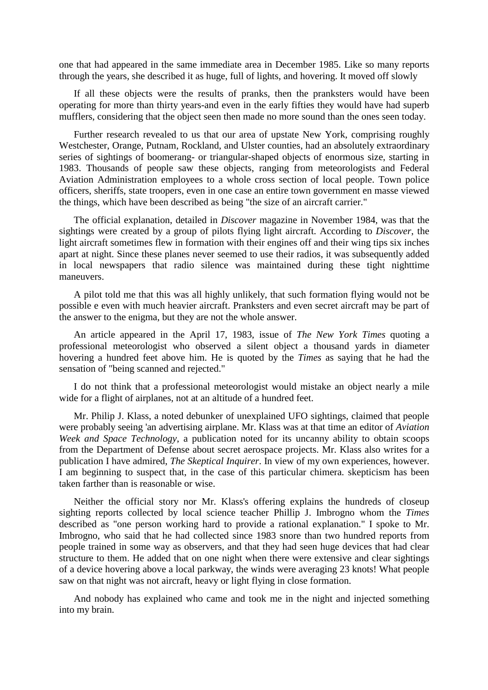one that had appeared in the same immediate area in December 1985. Like so many reports through the years, she described it as huge, full of lights, and hovering. It moved off slowly

If all these objects were the results of pranks, then the pranksters would have been operating for more than thirty years-and even in the early fifties they would have had superb mufflers, considering that the object seen then made no more sound than the ones seen today.

Further research revealed to us that our area of upstate New York, comprising roughly Westchester, Orange, Putnam, Rockland, and Ulster counties, had an absolutely extraordinary series of sightings of boomerang- or triangular-shaped objects of enormous size, starting in 1983. Thousands of people saw these objects, ranging from meteorologists and Federal Aviation Administration employees to a whole cross section of local people. Town police officers, sheriffs, state troopers, even in one case an entire town government en masse viewed the things, which have been described as being "the size of an aircraft carrier."

The official explanation, detailed in *Discover* magazine in November 1984, was that the sightings were created by a group of pilots flying light aircraft. According to *Discover*, the light aircraft sometimes flew in formation with their engines off and their wing tips six inches apart at night. Since these planes never seemed to use their radios, it was subsequently added in local newspapers that radio silence was maintained during these tight nighttime maneuvers.

A pilot told me that this was all highly unlikely, that such formation flying would not be possible e even with much heavier aircraft. Pranksters and even secret aircraft may be part of the answer to the enigma, but they are not the whole answer.

An article appeared in the April 17, 1983, issue of *The New York Times* quoting a professional meteorologist who observed a silent object a thousand yards in diameter hovering a hundred feet above him. He is quoted by the *Times* as saying that he had the sensation of "being scanned and rejected."

I do not think that a professional meteorologist would mistake an object nearly a mile wide for a flight of airplanes, not at an altitude of a hundred feet.

Mr. Philip J. Klass, a noted debunker of unexplained UFO sightings, claimed that people were probably seeing 'an advertising airplane. Mr. Klass was at that time an editor of *Aviation Week and Space Technology*, a publication noted for its uncanny ability to obtain scoops from the Department of Defense about secret aerospace projects. Mr. Klass also writes for a publication I have admired, *The Skeptical Inquirer*. In view of my own experiences, however. I am beginning to suspect that, in the case of this particular chimera. skepticism has been taken farther than is reasonable or wise.

Neither the official story nor Mr. Klass's offering explains the hundreds of closeup sighting reports collected by local science teacher Phillip J. Imbrogno whom the *Times* described as "one person working hard to provide a rational explanation." I spoke to Mr. Imbrogno, who said that he had collected since 1983 snore than two hundred reports from people trained in some way as observers, and that they had seen huge devices that had clear structure to them. He added that on one night when there were extensive and clear sightings of a device hovering above a local parkway, the winds were averaging 23 knots! What people saw on that night was not aircraft, heavy or light flying in close formation.

And nobody has explained who came and took me in the night and injected something into my brain.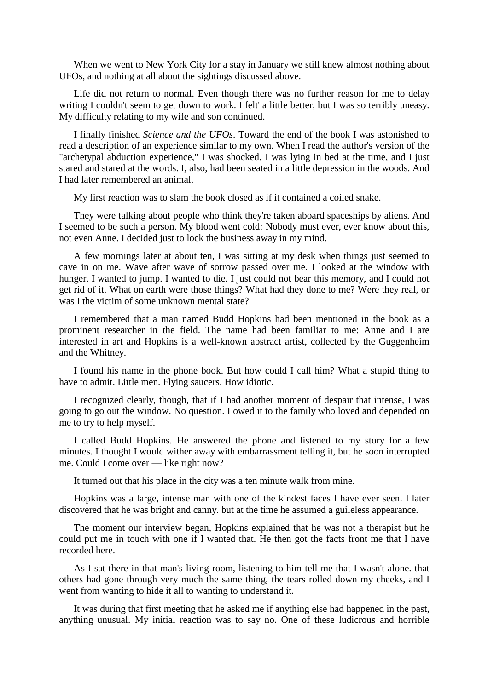When we went to New York City for a stay in January we still knew almost nothing about UFOs, and nothing at all about the sightings discussed above.

Life did not return to normal. Even though there was no further reason for me to delay writing I couldn't seem to get down to work. I felt' a little better, but I was so terribly uneasy. My difficulty relating to my wife and son continued.

I finally finished *Science and the UFOs*. Toward the end of the book I was astonished to read a description of an experience similar to my own. When I read the author's version of the "archetypal abduction experience," I was shocked. I was lying in bed at the time, and I just stared and stared at the words. I, also, had been seated in a little depression in the woods. And I had later remembered an animal.

My first reaction was to slam the book closed as if it contained a coiled snake.

They were talking about people who think they're taken aboard spaceships by aliens. And I seemed to be such a person. My blood went cold: Nobody must ever, ever know about this, not even Anne. I decided just to lock the business away in my mind.

A few mornings later at about ten, I was sitting at my desk when things just seemed to cave in on me. Wave after wave of sorrow passed over me. I looked at the window with hunger. I wanted to jump. I wanted to die. I just could not bear this memory, and I could not get rid of it. What on earth were those things? What had they done to me? Were they real, or was I the victim of some unknown mental state?

I remembered that a man named Budd Hopkins had been mentioned in the book as a prominent researcher in the field. The name had been familiar to me: Anne and I are interested in art and Hopkins is a well-known abstract artist, collected by the Guggenheim and the Whitney.

I found his name in the phone book. But how could I call him? What a stupid thing to have to admit. Little men. Flying saucers. How idiotic.

I recognized clearly, though, that if I had another moment of despair that intense, I was going to go out the window. No question. I owed it to the family who loved and depended on me to try to help myself.

I called Budd Hopkins. He answered the phone and listened to my story for a few minutes. I thought I would wither away with embarrassment telling it, but he soon interrupted me. Could I come over — like right now?

It turned out that his place in the city was a ten minute walk from mine.

Hopkins was a large, intense man with one of the kindest faces I have ever seen. I later discovered that he was bright and canny. but at the time he assumed a guileless appearance.

The moment our interview began, Hopkins explained that he was not a therapist but he could put me in touch with one if I wanted that. He then got the facts front me that I have recorded here.

As I sat there in that man's living room, listening to him tell me that I wasn't alone. that others had gone through very much the same thing, the tears rolled down my cheeks, and I went from wanting to hide it all to wanting to understand it.

It was during that first meeting that he asked me if anything else had happened in the past, anything unusual. My initial reaction was to say no. One of these ludicrous and horrible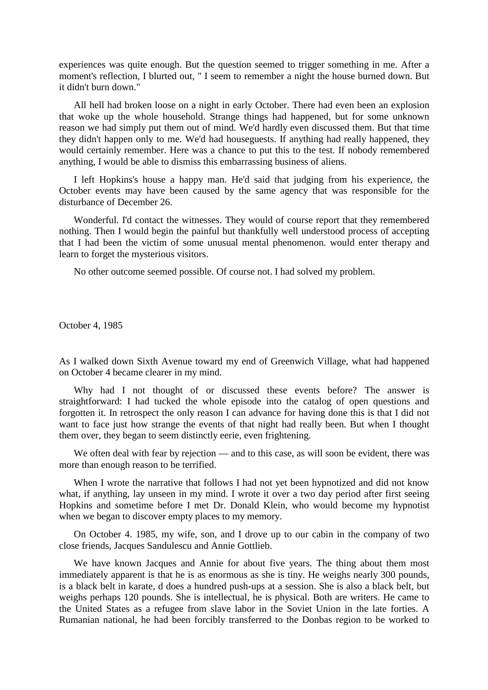experiences was quite enough. But the question seemed to trigger something in me. After a moment's reflection, I blurted out, " I seem to remember a night the house burned down. But it didn't burn down."

All hell had broken loose on a night in early October. There had even been an explosion that woke up the whole household. Strange things had happened, but for some unknown reason we had simply put them out of mind. We'd hardly even discussed them. But that time they didn't happen only to me. We'd had houseguests. If anything had really happened, they would certainly remember. Here was a chance to put this to the test. If nobody remembered anything, I would be able to dismiss this embarrassing business of aliens.

I left Hopkins's house a happy man. He'd said that judging from his experience, the October events may have been caused by the same agency that was responsible for the disturbance of December 26.

Wonderful. I'd contact the witnesses. They would of course report that they remembered nothing. Then I would begin the painful but thankfully well understood process of accepting that I had been the victim of some unusual mental phenomenon. would enter therapy and learn to forget the mysterious visitors.

No other outcome seemed possible. Of course not. I had solved my problem.

October 4, 1985

As I walked down Sixth Avenue toward my end of Greenwich Village, what had happened on October 4 became clearer in my mind.

Why had I not thought of or discussed these events before? The answer is straightforward: I had tucked the whole episode into the catalog of open questions and forgotten it. In retrospect the only reason I can advance for having done this is that I did not want to face just how strange the events of that night had really been. But when I thought them over, they began to seem distinctly eerie, even frightening.

We often deal with fear by rejection — and to this case, as will soon be evident, there was more than enough reason to be terrified.

When I wrote the narrative that follows I had not yet been hypnotized and did not know what, if anything, lay unseen in my mind. I wrote it over a two day period after first seeing Hopkins and sometime before I met Dr. Donald Klein, who would become my hypnotist when we began to discover empty places to my memory.

On October 4. 1985, my wife, son, and I drove up to our cabin in the company of two close friends, Jacques Sandulescu and Annie Gottlieb.

We have known Jacques and Annie for about five years. The thing about them most immediately apparent is that he is as enormous as she is tiny. He weighs nearly 300 pounds, is a black belt in karate, d does a hundred push-ups at a session. She is also a black belt, but weighs perhaps 120 pounds. She is intellectual, he is physical. Both are writers. He came to the United States as a refugee from slave labor in the Soviet Union in the late forties. A Rumanian national, he had been forcibly transferred to the Donbas region to be worked to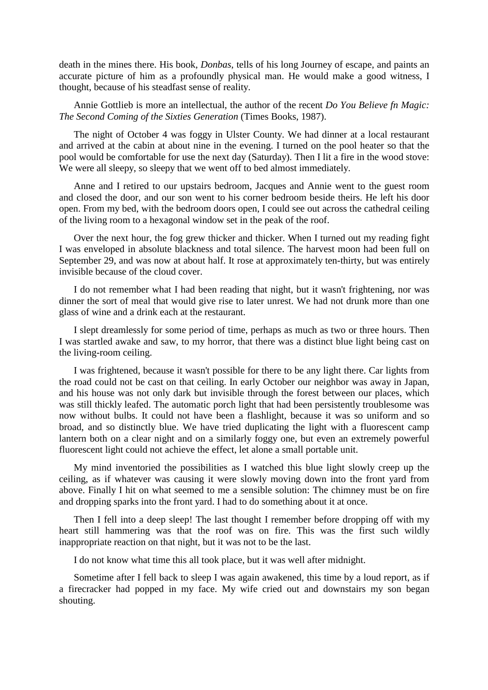death in the mines there. His book, *Donbas*, tells of his long Journey of escape, and paints an accurate picture of him as a profoundly physical man. He would make a good witness, I thought, because of his steadfast sense of reality.

Annie Gottlieb is more an intellectual, the author of the recent *Do You Believe fn Magic: The Second Coming of the Sixties Generation* (Times Books, 1987).

The night of October 4 was foggy in Ulster County. We had dinner at a local restaurant and arrived at the cabin at about nine in the evening. I turned on the pool heater so that the pool would be comfortable for use the next day (Saturday). Then I lit a fire in the wood stove: We were all sleepy, so sleepy that we went off to bed almost immediately.

Anne and I retired to our upstairs bedroom, Jacques and Annie went to the guest room and closed the door, and our son went to his corner bedroom beside theirs. He left his door open. From my bed, with the bedroom doors open, I could see out across the cathedral ceiling of the living room to a hexagonal window set in the peak of the roof.

Over the next hour, the fog grew thicker and thicker. When I turned out my reading fight I was enveloped in absolute blackness and total silence. The harvest moon had been full on September 29, and was now at about half. It rose at approximately ten-thirty, but was entirely invisible because of the cloud cover.

I do not remember what I had been reading that night, but it wasn't frightening, nor was dinner the sort of meal that would give rise to later unrest. We had not drunk more than one glass of wine and a drink each at the restaurant.

I slept dreamlessly for some period of time, perhaps as much as two or three hours. Then I was startled awake and saw, to my horror, that there was a distinct blue light being cast on the living-room ceiling.

I was frightened, because it wasn't possible for there to be any light there. Car lights from the road could not be cast on that ceiling. In early October our neighbor was away in Japan, and his house was not only dark but invisible through the forest between our places, which was still thickly leafed. The automatic porch light that had been persistently troublesome was now without bulbs. It could not have been a flashlight, because it was so uniform and so broad, and so distinctly blue. We have tried duplicating the light with a fluorescent camp lantern both on a clear night and on a similarly foggy one, but even an extremely powerful fluorescent light could not achieve the effect, let alone a small portable unit.

My mind inventoried the possibilities as I watched this blue light slowly creep up the ceiling, as if whatever was causing it were slowly moving down into the front yard from above. Finally I hit on what seemed to me a sensible solution: The chimney must be on fire and dropping sparks into the front yard. I had to do something about it at once.

Then I fell into a deep sleep! The last thought I remember before dropping off with my heart still hammering was that the roof was on fire. This was the first such wildly inappropriate reaction on that night, but it was not to be the last.

I do not know what time this all took place, but it was well after midnight.

Sometime after I fell back to sleep I was again awakened, this time by a loud report, as if a firecracker had popped in my face. My wife cried out and downstairs my son began shouting.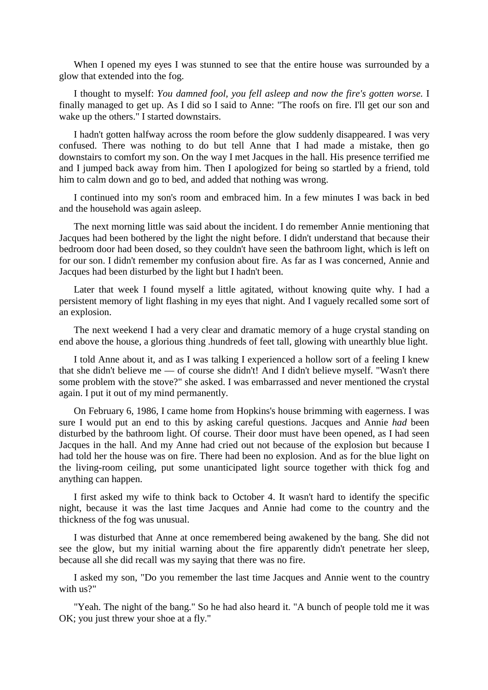When I opened my eyes I was stunned to see that the entire house was surrounded by a glow that extended into the fog.

I thought to myself: *You damned fool, you fell asleep and now the fire's gotten worse.* I finally managed to get up. As I did so I said to Anne: "The roofs on fire. I'll get our son and wake up the others." I started downstairs.

I hadn't gotten halfway across the room before the glow suddenly disappeared. I was very confused. There was nothing to do but tell Anne that I had made a mistake, then go downstairs to comfort my son. On the way I met Jacques in the hall. His presence terrified me and I jumped back away from him. Then I apologized for being so startled by a friend, told him to calm down and go to bed, and added that nothing was wrong.

I continued into my son's room and embraced him. In a few minutes I was back in bed and the household was again asleep.

The next morning little was said about the incident. I do remember Annie mentioning that Jacques had been bothered by the light the night before. I didn't understand that because their bedroom door had been dosed, so they couldn't have seen the bathroom light, which is left on for our son. I didn't remember my confusion about fire. As far as I was concerned, Annie and Jacques had been disturbed by the light but I hadn't been.

Later that week I found myself a little agitated, without knowing quite why. I had a persistent memory of light flashing in my eyes that night. And I vaguely recalled some sort of an explosion.

The next weekend I had a very clear and dramatic memory of a huge crystal standing on end above the house, a glorious thing .hundreds of feet tall, glowing with unearthly blue light.

I told Anne about it, and as I was talking I experienced a hollow sort of a feeling I knew that she didn't believe me — of course she didn't! And I didn't believe myself. "Wasn't there some problem with the stove?" she asked. I was embarrassed and never mentioned the crystal again. I put it out of my mind permanently.

On February 6, 1986, I came home from Hopkins's house brimming with eagerness. I was sure I would put an end to this by asking careful questions. Jacques and Annie *had* been disturbed by the bathroom light. Of course. Their door must have been opened, as I had seen Jacques in the hall. And my Anne had cried out not because of the explosion but because I had told her the house was on fire. There had been no explosion. And as for the blue light on the living-room ceiling, put some unanticipated light source together with thick fog and anything can happen.

I first asked my wife to think back to October 4. It wasn't hard to identify the specific night, because it was the last time Jacques and Annie had come to the country and the thickness of the fog was unusual.

I was disturbed that Anne at once remembered being awakened by the bang. She did not see the glow, but my initial warning about the fire apparently didn't penetrate her sleep, because all she did recall was my saying that there was no fire.

I asked my son, "Do you remember the last time Jacques and Annie went to the country with us?"

"Yeah. The night of the bang." So he had also heard it. "A bunch of people told me it was OK; you just threw your shoe at a fly."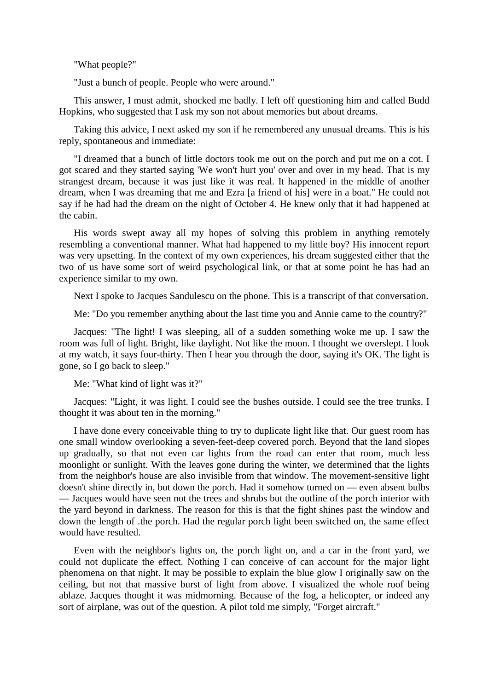"What people?"

"Just a bunch of people. People who were around."

This answer, I must admit, shocked me badly. I left off questioning him and called Budd Hopkins, who suggested that I ask my son not about memories but about dreams.

Taking this advice, I next asked my son if he remembered any unusual dreams. This is his reply, spontaneous and immediate:

"I dreamed that a bunch of little doctors took me out on the porch and put me on a cot. I got scared and they started saying 'We won't hurt you' over and over in my head. That is my strangest dream, because it was just like it was real. It happened in the middle of another dream, when I was dreaming that me and Ezra [a friend of his] were in a boat." He could not say if he had had the dream on the night of October 4. He knew only that it had happened at the cabin.

His words swept away all my hopes of solving this problem in anything remotely resembling a conventional manner. What had happened to my little boy? His innocent report was very upsetting. In the context of my own experiences, his dream suggested either that the two of us have some sort of weird psychological link, or that at some point he has had an experience similar to my own.

Next I spoke to Jacques Sandulescu on the phone. This is a transcript of that conversation.

Me: "Do you remember anything about the last time you and Annie came to the country?"

Jacques: "The light! I was sleeping, all of a sudden something woke me up. I saw the room was full of light. Bright, like daylight. Not like the moon. I thought we overslept. I look at my watch, it says four-thirty. Then I hear you through the door, saying it's OK. The light is gone, so I go back to sleep."

Me: "What kind of light was it?"

Jacques: "Light, it was light. I could see the bushes outside. I could see the tree trunks. I thought it was about ten in the morning."

I have done every conceivable thing to try to duplicate light like that. Our guest room has one small window overlooking a seven-feet-deep covered porch. Beyond that the land slopes up gradually, so that not even car lights from the road can enter that room, much less moonlight or sunlight. With the leaves gone during the winter, we determined that the lights from the neighbor's house are also invisible from that window. The movement-sensitive light doesn't shine directly in, but down the porch. Had it somehow turned on — even absent bulbs — Jacques would have seen not the trees and shrubs but the outline of the porch interior with the yard beyond in darkness. The reason for this is that the fight shines past the window and down the length of .the porch. Had the regular porch light been switched on, the same effect would have resulted.

Even with the neighbor's lights on, the porch light on, and a car in the front yard, we could not duplicate the effect. Nothing I can conceive of can account for the major light phenomena on that night. It may be possible to explain the blue glow I originally saw on the ceiling, but not that massive burst of light from above. I visualized the whole roof being ablaze. Jacques thought it was midmorning. Because of the fog, a helicopter, or indeed any sort of airplane, was out of the question. A pilot told me simply, "Forget aircraft."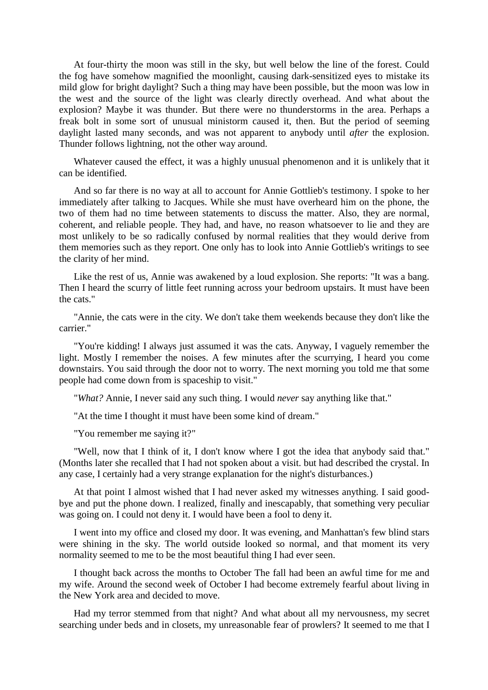At four-thirty the moon was still in the sky, but well below the line of the forest. Could the fog have somehow magnified the moonlight, causing dark-sensitized eyes to mistake its mild glow for bright daylight? Such a thing may have been possible, but the moon was low in the west and the source of the light was clearly directly overhead. And what about the explosion? Maybe it was thunder. But there were no thunderstorms in the area. Perhaps a freak bolt in some sort of unusual ministorm caused it, then. But the period of seeming daylight lasted many seconds, and was not apparent to anybody until *after* the explosion. Thunder follows lightning, not the other way around.

Whatever caused the effect, it was a highly unusual phenomenon and it is unlikely that it can be identified.

And so far there is no way at all to account for Annie Gottlieb's testimony. I spoke to her immediately after talking to Jacques. While she must have overheard him on the phone, the two of them had no time between statements to discuss the matter. Also, they are normal, coherent, and reliable people. They had, and have, no reason whatsoever to lie and they are most unlikely to be so radically confused by normal realities that they would derive from them memories such as they report. One only has to look into Annie Gottlieb's writings to see the clarity of her mind.

Like the rest of us, Annie was awakened by a loud explosion. She reports: "It was a bang. Then I heard the scurry of little feet running across your bedroom upstairs. It must have been the cats."

"Annie, the cats were in the city. We don't take them weekends because they don't like the carrier."

"You're kidding! I always just assumed it was the cats. Anyway, I vaguely remember the light. Mostly I remember the noises. A few minutes after the scurrying, I heard you come downstairs. You said through the door not to worry. The next morning you told me that some people had come down from is spaceship to visit."

"*What?* Annie, I never said any such thing. I would *never* say anything like that."

"At the time I thought it must have been some kind of dream."

"You remember me saying it?"

"Well, now that I think of it, I don't know where I got the idea that anybody said that." (Months later she recalled that I had not spoken about a visit. but had described the crystal. In any case, I certainly had a very strange explanation for the night's disturbances.)

At that point I almost wished that I had never asked my witnesses anything. I said goodbye and put the phone down. I realized, finally and inescapably, that something very peculiar was going on. I could not deny it. I would have been a fool to deny it.

I went into my office and closed my door. It was evening, and Manhattan's few blind stars were shining in the sky. The world outside looked so normal, and that moment its very normality seemed to me to be the most beautiful thing I had ever seen.

I thought back across the months to October The fall had been an awful time for me and my wife. Around the second week of October I had become extremely fearful about living in the New York area and decided to move.

Had my terror stemmed from that night? And what about all my nervousness, my secret searching under beds and in closets, my unreasonable fear of prowlers? It seemed to me that I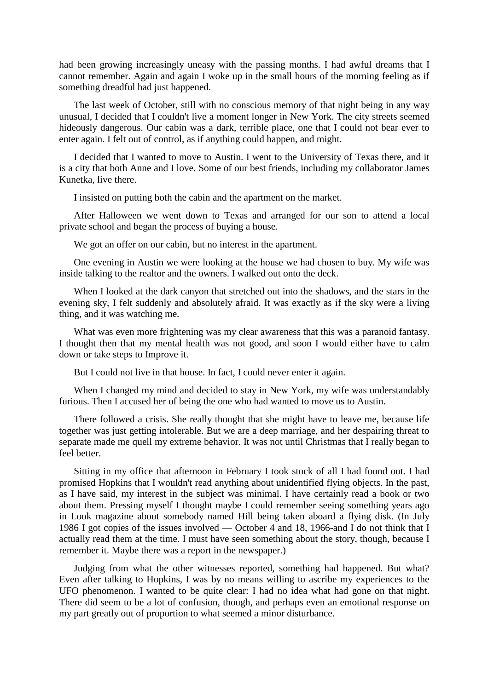had been growing increasingly uneasy with the passing months. I had awful dreams that I cannot remember. Again and again I woke up in the small hours of the morning feeling as if something dreadful had just happened.

The last week of October, still with no conscious memory of that night being in any way unusual, I decided that I couldn't live a moment longer in New York. The city streets seemed hideously dangerous. Our cabin was a dark, terrible place, one that I could not bear ever to enter again. I felt out of control, as if anything could happen, and might.

I decided that I wanted to move to Austin. I went to the University of Texas there, and it is a city that both Anne and I love. Some of our best friends, including my collaborator James Kunetka, live there.

I insisted on putting both the cabin and the apartment on the market.

After Halloween we went down to Texas and arranged for our son to attend a local private school and began the process of buying a house.

We got an offer on our cabin, but no interest in the apartment.

One evening in Austin we were looking at the house we had chosen to buy. My wife was inside talking to the realtor and the owners. I walked out onto the deck.

When I looked at the dark canyon that stretched out into the shadows, and the stars in the evening sky, I felt suddenly and absolutely afraid. It was exactly as if the sky were a living thing, and it was watching me.

What was even more frightening was my clear awareness that this was a paranoid fantasy. I thought then that my mental health was not good, and soon I would either have to calm down or take steps to Improve it.

But I could not live in that house. In fact, I could never enter it again.

When I changed my mind and decided to stay in New York, my wife was understandably furious. Then I accused her of being the one who had wanted to move us to Austin.

There followed a crisis. She really thought that she might have to leave me, because life together was just getting intolerable. But we are a deep marriage, and her despairing threat to separate made me quell my extreme behavior. It was not until Christmas that I really began to feel better.

Sitting in my office that afternoon in February I took stock of all I had found out. I had promised Hopkins that I wouldn't read anything about unidentified flying objects. In the past, as I have said, my interest in the subject was minimal. I have certainly read a book or two about them. Pressing myself I thought maybe I could remember seeing something years ago in Look magazine about somebody named Hill being taken aboard a flying disk. (In July 1986 I got copies of the issues involved — October 4 and 18, 1966-and I do not think that I actually read them at the time. I must have seen something about the story, though, because I remember it. Maybe there was a report in the newspaper.)

Judging from what the other witnesses reported, something had happened. But what? Even after talking to Hopkins, I was by no means willing to ascribe my experiences to the UFO phenomenon. I wanted to be quite clear: I had no idea what had gone on that night. There did seem to be a lot of confusion, though, and perhaps even an emotional response on my part greatly out of proportion to what seemed a minor disturbance.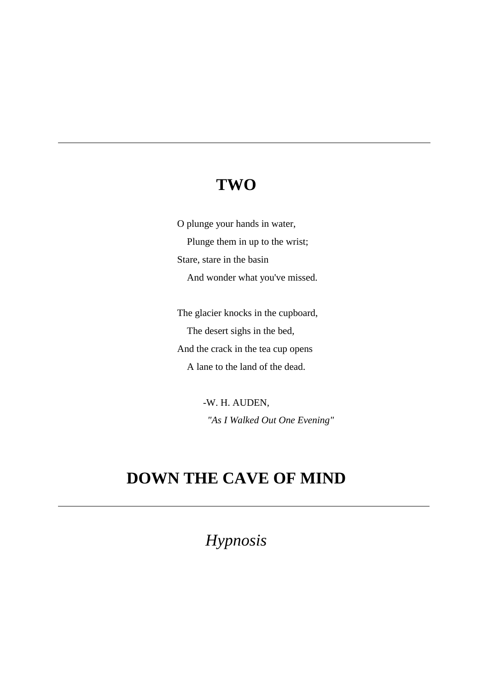### **TWO**

O plunge your hands in water, Plunge them in up to the wrist; Stare, stare in the basin And wonder what you've missed.

The glacier knocks in the cupboard, The desert sighs in the bed, And the crack in the tea cup opens A lane to the land of the dead.

> *-*W. H. AUDEN*, "As I Walked Out One Evening"*

## **DOWN THE CAVE OF MIND**

## *Hypnosis*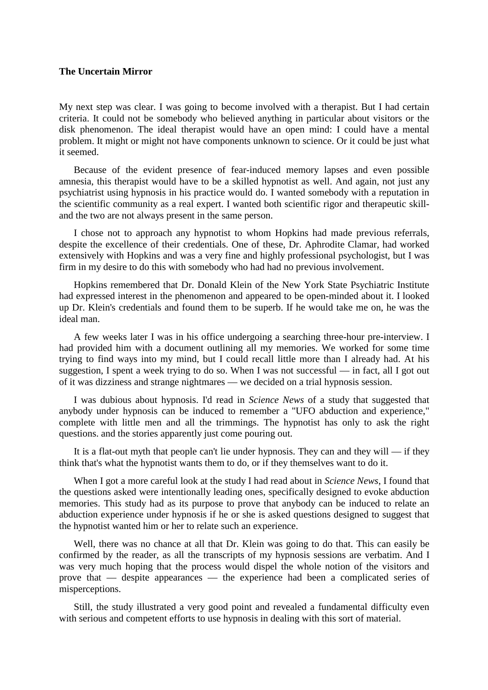#### **The Uncertain Mirror**

My next step was clear. I was going to become involved with a therapist. But I had certain criteria. It could not be somebody who believed anything in particular about visitors or the disk phenomenon. The ideal therapist would have an open mind: I could have a mental problem. It might or might not have components unknown to science. Or it could be just what it seemed.

Because of the evident presence of fear-induced memory lapses and even possible amnesia, this therapist would have to be a skilled hypnotist as well. And again, not just any psychiatrist using hypnosis in his practice would do. I wanted somebody with a reputation in the scientific community as a real expert. I wanted both scientific rigor and therapeutic skilland the two are not always present in the same person.

I chose not to approach any hypnotist to whom Hopkins had made previous referrals, despite the excellence of their credentials. One of these, Dr. Aphrodite Clamar, had worked extensively with Hopkins and was a very fine and highly professional psychologist, but I was firm in my desire to do this with somebody who had had no previous involvement.

Hopkins remembered that Dr. Donald Klein of the New York State Psychiatric Institute had expressed interest in the phenomenon and appeared to be open-minded about it. I looked up Dr. Klein's credentials and found them to be superb. If he would take me on, he was the ideal man.

A few weeks later I was in his office undergoing a searching three-hour pre-interview. I had provided him with a document outlining all my memories. We worked for some time trying to find ways into my mind, but I could recall little more than I already had. At his suggestion, I spent a week trying to do so. When I was not successful — in fact, all I got out of it was dizziness and strange nightmares — we decided on a trial hypnosis session.

I was dubious about hypnosis. I'd read in *Science News* of a study that suggested that anybody under hypnosis can be induced to remember a "UFO abduction and experience," complete with little men and all the trimmings. The hypnotist has only to ask the right questions. and the stories apparently just come pouring out.

It is a flat-out myth that people can't lie under hypnosis. They can and they will — if they think that's what the hypnotist wants them to do, or if they themselves want to do it.

When I got a more careful look at the study I had read about in *Science News*, I found that the questions asked were intentionally leading ones, specifically designed to evoke abduction memories. This study had as its purpose to prove that anybody can be induced to relate an abduction experience under hypnosis if he or she is asked questions designed to suggest that the hypnotist wanted him or her to relate such an experience.

Well, there was no chance at all that Dr. Klein was going to do that. This can easily be confirmed by the reader, as all the transcripts of my hypnosis sessions are verbatim. And I was very much hoping that the process would dispel the whole notion of the visitors and prove that — despite appearances — the experience had been a complicated series of misperceptions.

Still, the study illustrated a very good point and revealed a fundamental difficulty even with serious and competent efforts to use hypnosis in dealing with this sort of material.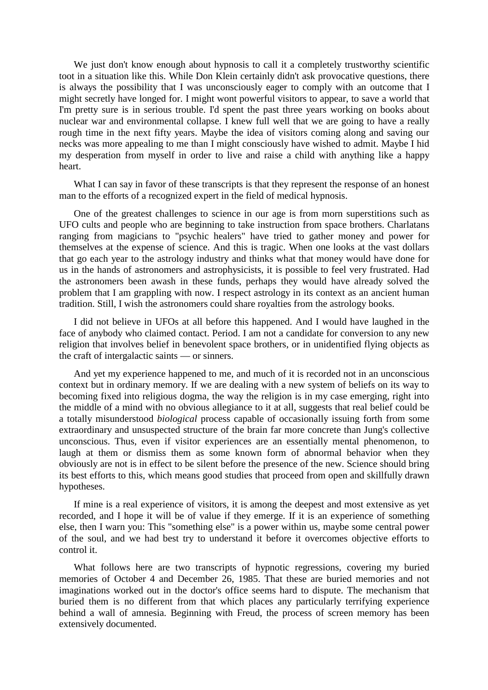We just don't know enough about hypnosis to call it a completely trustworthy scientific toot in a situation like this. While Don Klein certainly didn't ask provocative questions, there is always the possibility that I was unconsciously eager to comply with an outcome that I might secretly have longed for. I might wont powerful visitors to appear, to save a world that I'm pretty sure is in serious trouble. I'd spent the past three years working on books about nuclear war and environmental collapse. I knew full well that we are going to have a really rough time in the next fifty years. Maybe the idea of visitors coming along and saving our necks was more appealing to me than I might consciously have wished to admit. Maybe I hid my desperation from myself in order to live and raise a child with anything like a happy heart.

What I can say in favor of these transcripts is that they represent the response of an honest man to the efforts of a recognized expert in the field of medical hypnosis.

One of the greatest challenges to science in our age is from morn superstitions such as UFO cults and people who are beginning to take instruction from space brothers. Charlatans ranging from magicians to "psychic healers" have tried to gather money and power for themselves at the expense of science. And this is tragic. When one looks at the vast dollars that go each year to the astrology industry and thinks what that money would have done for us in the hands of astronomers and astrophysicists, it is possible to feel very frustrated. Had the astronomers been awash in these funds, perhaps they would have already solved the problem that I am grappling with now. I respect astrology in its context as an ancient human tradition. Still, I wish the astronomers could share royalties from the astrology books.

I did not believe in UFOs at all before this happened. And I would have laughed in the face of anybody who claimed contact. Period. I am not a candidate for conversion to any new religion that involves belief in benevolent space brothers, or in unidentified flying objects as the craft of intergalactic saints — or sinners.

And yet my experience happened to me, and much of it is recorded not in an unconscious context but in ordinary memory. If we are dealing with a new system of beliefs on its way to becoming fixed into religious dogma, the way the religion is in my case emerging, right into the middle of a mind with no obvious allegiance to it at all, suggests that real belief could be a totally misunderstood *biological* process capable of occasionally issuing forth from some extraordinary and unsuspected structure of the brain far more concrete than Jung's collective unconscious. Thus, even if visitor experiences are an essentially mental phenomenon, to laugh at them or dismiss them as some known form of abnormal behavior when they obviously are not is in effect to be silent before the presence of the new. Science should bring its best efforts to this, which means good studies that proceed from open and skillfully drawn hypotheses.

If mine is a real experience of visitors, it is among the deepest and most extensive as yet recorded, and I hope it will be of value if they emerge. If it is an experience of something else, then I warn you: This "something else" is a power within us, maybe some central power of the soul, and we had best try to understand it before it overcomes objective efforts to control it.

What follows here are two transcripts of hypnotic regressions, covering my buried memories of October 4 and December 26, 1985. That these are buried memories and not imaginations worked out in the doctor's office seems hard to dispute. The mechanism that buried them is no different from that which places any particularly terrifying experience behind a wall of amnesia. Beginning with Freud, the process of screen memory has been extensively documented.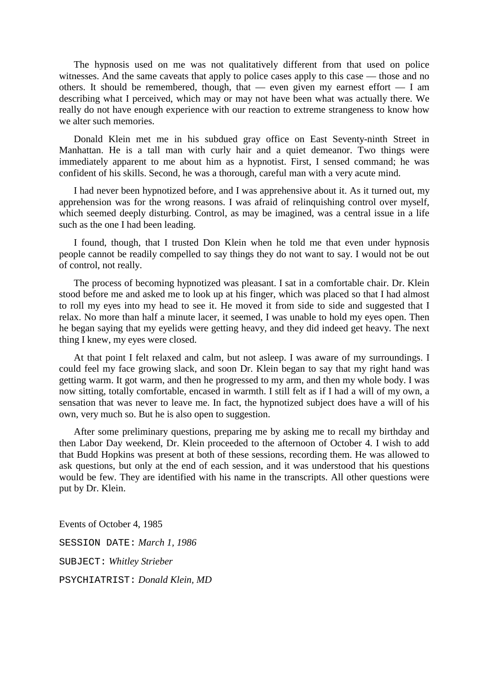The hypnosis used on me was not qualitatively different from that used on police witnesses. And the same caveats that apply to police cases apply to this case — those and no others. It should be remembered, though, that — even given my earnest effort — I am describing what I perceived, which may or may not have been what was actually there. We really do not have enough experience with our reaction to extreme strangeness to know how we alter such memories.

Donald Klein met me in his subdued gray office on East Seventy-ninth Street in Manhattan. He is a tall man with curly hair and a quiet demeanor. Two things were immediately apparent to me about him as a hypnotist. First, I sensed command; he was confident of his skills. Second, he was a thorough, careful man with a very acute mind.

I had never been hypnotized before, and I was apprehensive about it. As it turned out, my apprehension was for the wrong reasons. I was afraid of relinquishing control over myself, which seemed deeply disturbing. Control, as may be imagined, was a central issue in a life such as the one I had been leading.

I found, though, that I trusted Don Klein when he told me that even under hypnosis people cannot be readily compelled to say things they do not want to say. I would not be out of control, not really.

The process of becoming hypnotized was pleasant. I sat in a comfortable chair. Dr. Klein stood before me and asked me to look up at his finger, which was placed so that I had almost to roll my eyes into my head to see it. He moved it from side to side and suggested that I relax. No more than half a minute lacer, it seemed, I was unable to hold my eyes open. Then he began saying that my eyelids were getting heavy, and they did indeed get heavy. The next thing I knew, my eyes were closed.

At that point I felt relaxed and calm, but not asleep. I was aware of my surroundings. I could feel my face growing slack, and soon Dr. Klein began to say that my right hand was getting warm. It got warm, and then he progressed to my arm, and then my whole body. I was now sitting, totally comfortable, encased in warmth. I still felt as if I had a will of my own, a sensation that was never to leave me. In fact, the hypnotized subject does have a will of his own, very much so. But he is also open to suggestion.

After some preliminary questions, preparing me by asking me to recall my birthday and then Labor Day weekend, Dr. Klein proceeded to the afternoon of October 4. I wish to add that Budd Hopkins was present at both of these sessions, recording them. He was allowed to ask questions, but only at the end of each session, and it was understood that his questions would be few. They are identified with his name in the transcripts. All other questions were put by Dr. Klein.

Events of October 4, 1985 SESSION DATE: *March 1, 1986* SUBJECT: *Whitley Strieber* PSYCHIATRIST: *Donald Klein, MD*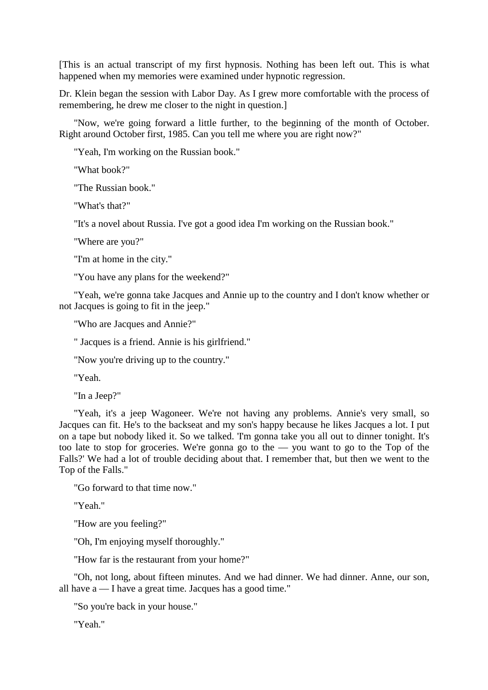[This is an actual transcript of my first hypnosis. Nothing has been left out. This is what happened when my memories were examined under hypnotic regression.

Dr. Klein began the session with Labor Day. As I grew more comfortable with the process of remembering, he drew me closer to the night in question.]

"Now, we're going forward a little further, to the beginning of the month of October. Right around October first, 1985. Can you tell me where you are right now?"

"Yeah, I'm working on the Russian book."

"What book?"

"The Russian book."

"What's that?"

"It's a novel about Russia. I've got a good idea I'm working on the Russian book."

"Where are you?"

"I'm at home in the city."

"You have any plans for the weekend?"

"Yeah, we're gonna take Jacques and Annie up to the country and I don't know whether or not Jacques is going to fit in the jeep."

"Who are Jacques and Annie?"

" Jacques is a friend. Annie is his girlfriend."

"Now you're driving up to the country."

"Yeah.

"In a Jeep?"

"Yeah, it's a jeep Wagoneer. We're not having any problems. Annie's very small, so Jacques can fit. He's to the backseat and my son's happy because he likes Jacques a lot. I put on a tape but nobody liked it. So we talked. 'I'm gonna take you all out to dinner tonight. It's too late to stop for groceries. We're gonna go to the — you want to go to the Top of the Falls?' We had a lot of trouble deciding about that. I remember that, but then we went to the Top of the Falls."

"Go forward to that time now."

"Yeah."

"How are you feeling?"

"Oh, I'm enjoying myself thoroughly."

"How far is the restaurant from your home?"

"Oh, not long, about fifteen minutes. And we had dinner. We had dinner. Anne, our son, all have a — I have a great time. Jacques has a good time."

"So you're back in your house."

"Yeah."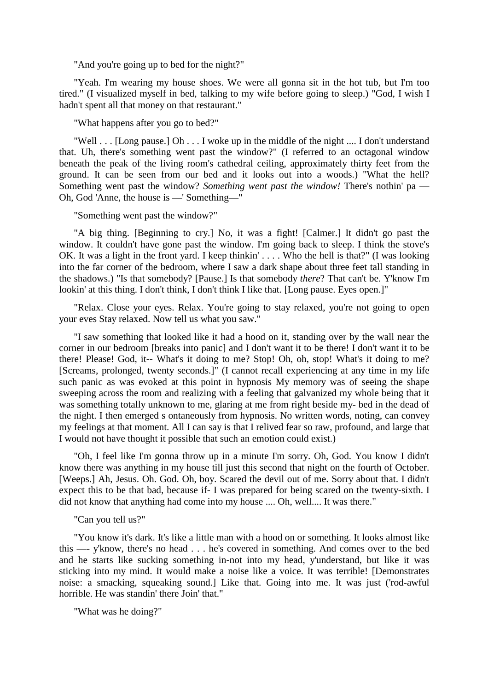"And you're going up to bed for the night?"

"Yeah. I'm wearing my house shoes. We were all gonna sit in the hot tub, but I'm too tired." (I visualized myself in bed, talking to my wife before going to sleep.) "God, I wish I hadn't spent all that money on that restaurant."

"What happens after you go to bed?"

"Well . . . [Long pause.] Oh . . . I woke up in the middle of the night .... I don't understand that. Uh, there's something went past the window?" (I referred to an octagonal window beneath the peak of the living room's cathedral ceiling, approximately thirty feet from the ground. It can be seen from our bed and it looks out into a woods.) "What the hell? Something went past the window? *Something went past the window!* There's nothin' pa — Oh, God 'Anne, the house is —' Something—"

"Something went past the window?"

"A big thing. [Beginning to cry.] No, it was a fight! [Calmer.] It didn't go past the window. It couldn't have gone past the window. I'm going back to sleep. I think the stove's OK. It was a light in the front yard. I keep thinkin' . . . . Who the hell is that?" (I was looking into the far corner of the bedroom, where I saw a dark shape about three feet tall standing in the shadows.) "Is that somebody? [Pause.] Is that somebody *there*? That can't be. Y'know I'm lookin' at this thing. I don't think, I don't think I like that. [Long pause. Eyes open.]"

"Relax. Close your eyes. Relax. You're going to stay relaxed, you're not going to open your eves Stay relaxed. Now tell us what you saw."

"I saw something that looked like it had a hood on it, standing over by the wall near the corner in our bedroom [breaks into panic] and I don't want it to be there! I don't want it to be there! Please! God, it-- What's it doing to me? Stop! Oh, oh, stop! What's it doing to me? [Screams, prolonged, twenty seconds.]" (I cannot recall experiencing at any time in my life such panic as was evoked at this point in hypnosis My memory was of seeing the shape sweeping across the room and realizing with a feeling that galvanized my whole being that it was something totally unknown to me, glaring at me from right beside my- bed in the dead of the night. I then emerged s ontaneously from hypnosis. No written words, noting, can convey my feelings at that moment. All I can say is that I relived fear so raw, profound, and large that I would not have thought it possible that such an emotion could exist.)

"Oh, I feel like I'm gonna throw up in a minute I'm sorry. Oh, God. You know I didn't know there was anything in my house till just this second that night on the fourth of October. [Weeps.] Ah, Jesus. Oh. God. Oh, boy. Scared the devil out of me. Sorry about that. I didn't expect this to be that bad, because if- I was prepared for being scared on the twenty-sixth. I did not know that anything had come into my house .... Oh, well.... It was there."

"Can you tell us?"

"You know it's dark. It's like a little man with a hood on or something. It looks almost like this —- y'know, there's no head . . . he's covered in something. And comes over to the bed and he starts like sucking something in-not into my head, y'understand, but like it was sticking into my mind. It would make a noise like a voice. It was terrible! [Demonstrates noise: a smacking, squeaking sound.] Like that. Going into me. It was just ('rod-awful horrible. He was standin' there Join' that."

"What was he doing?"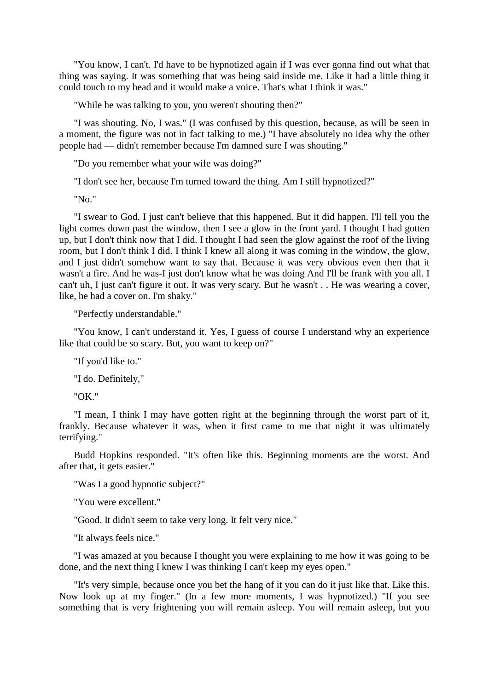"You know, I can't. I'd have to be hypnotized again if I was ever gonna find out what that thing was saying. It was something that was being said inside me. Like it had a little thing it could touch to my head and it would make a voice. That's what I think it was."

"While he was talking to you, you weren't shouting then?"

"I was shouting. No, I was." (I was confused by this question, because, as will be seen in a moment, the figure was not in fact talking to me.) "I have absolutely no idea why the other people had — didn't remember because I'm damned sure I was shouting."

"Do you remember what your wife was doing?"

"I don't see her, because I'm turned toward the thing. Am I still hypnotized?"

"No."

"I swear to God. I just can't believe that this happened. But it did happen. I'll tell you the light comes down past the window, then I see a glow in the front yard. I thought I had gotten up, but I don't think now that I did. I thought I had seen the glow against the roof of the living room, but I don't think I did. I think I knew all along it was coming in the window, the glow, and I just didn't somehow want to say that. Because it was very obvious even then that it wasn't a fire. And he was-I just don't know what he was doing And I'll be frank with you all. I can't uh, I just can't figure it out. It was very scary. But he wasn't . . He was wearing a cover, like, he had a cover on. I'm shaky."

"Perfectly understandable."

"You know, I can't understand it. Yes, I guess of course I understand why an experience like that could be so scary. But, you want to keep on?"

"If you'd like to."

"I do. Definitely,"

"OK."

"I mean, I think I may have gotten right at the beginning through the worst part of it, frankly. Because whatever it was, when it first came to me that night it was ultimately terrifying."

Budd Hopkins responded. "It's often like this. Beginning moments are the worst. And after that, it gets easier."

"Was I a good hypnotic subject?"

"You were excellent."

"Good. It didn't seem to take very long. It felt very nice."

"It always feels nice."

"I was amazed at you because I thought you were explaining to me how it was going to be done, and the next thing I knew I was thinking I can't keep my eyes open."

"It's very simple, because once you bet the hang of it you can do it just like that. Like this. Now look up at my finger." (In a few more moments, I was hypnotized.) "If you see something that is very frightening you will remain asleep. You will remain asleep, but you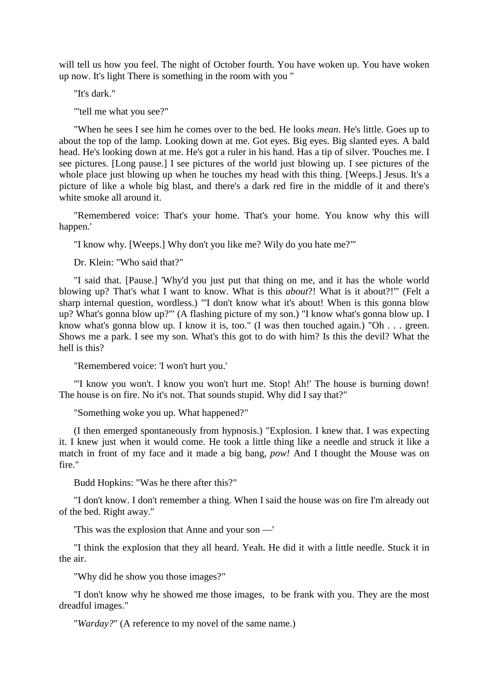will tell us how you feel. The night of October fourth. You have woken up. You have woken up now. It's light There is something in the room with you "

"It's dark."

"'tell me what you see?"

"When he sees I see him he comes over to the bed. He looks *mean*. He's little. Goes up to about the top of the lamp. Looking down at me. Got eyes. Big eyes. Big slanted eyes. A bald head. He's looking down at me. He's got a ruler in his hand. Has a tip of silver. 'Pouches me. I see pictures. [Long pause.] I see pictures of the world just blowing up. I see pictures of the whole place just blowing up when he touches my head with this thing. [Weeps.] Jesus. It's a picture of like a whole big blast, and there's a dark red fire in the middle of it and there's white smoke all around it.

"Remembered voice: That's your home. That's your home. You know why this will happen.'

"I know why. [Weeps.] Why don't you like me? Wily do you hate me?"'

Dr. Klein: "Who said that?"

"I said that. [Pause.] 'Why'd you just put that thing on me, and it has the whole world blowing up? That's what I want to know. What is this *about*?! What is it about?!'" (Felt a sharp internal question, wordless.) "'I don't know what it's about! When is this gonna blow up? What's gonna blow up?"' (A flashing picture of my son.) "I know what's gonna blow up. I know what's gonna blow up. I know it is, too." (I was then touched again.) "Oh . . . green. Shows me a park. I see my son. What's this got to do with him? Is this the devil? What the hell is this?

"Remembered voice: 'I won't hurt you.'

"'I know you won't. I know you won't hurt me. Stop! Ah!' The house is burning down! The house is on fire. No it's not. That sounds stupid. Why did I say that?"

"Something woke you up. What happened?"

(I then emerged spontaneously from hypnosis.) "Explosion. I knew that. I was expecting it. I knew just when it would come. He took a little thing like a needle and struck it like a match in front of my face and it made a big bang, *pow!* And I thought the Mouse was on fire."

Budd Hopkins: "Was he there after this?"

"I don't know. I don't remember a thing. When I said the house was on fire I'm already out of the bed. Right away."

'This was the explosion that Anne and your son —'

"I think the explosion that they all heard. Yeah. He did it with a little needle. Stuck it in the air.

"Why did he show you those images?"

"I don't know why he showed me those images, to be frank with you. They are the most dreadful images."

"*Warday?*" (A reference to my novel of the same name.)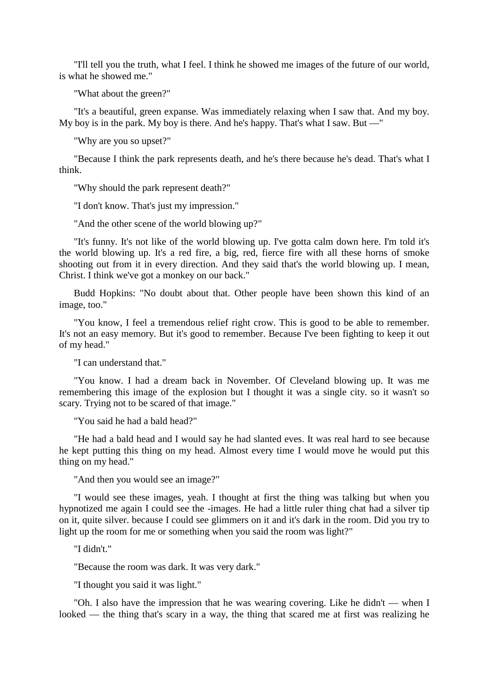"I'll tell you the truth, what I feel. I think he showed me images of the future of our world, is what he showed me."

"What about the green?"

"It's a beautiful, green expanse. Was immediately relaxing when I saw that. And my boy. My boy is in the park. My boy is there. And he's happy. That's what I saw. But —"

"Why are you so upset?"

"Because I think the park represents death, and he's there because he's dead. That's what I think.

"Why should the park represent death?"

"I don't know. That's just my impression."

"And the other scene of the world blowing up?"

"It's funny. It's not like of the world blowing up. I've gotta calm down here. I'm told it's the world blowing up. It's a red fire, a big, red, fierce fire with all these horns of smoke shooting out from it in every direction. And they said that's the world blowing up. I mean, Christ. I think we've got a monkey on our back."

Budd Hopkins: "No doubt about that. Other people have been shown this kind of an image, too."

"You know, I feel a tremendous relief right crow. This is good to be able to remember. It's not an easy memory. But it's good to remember. Because I've been fighting to keep it out of my head."

"I can understand that."

"You know. I had a dream back in November. Of Cleveland blowing up. It was me remembering this image of the explosion but I thought it was a single city. so it wasn't so scary. Trying not to be scared of that image."

"You said he had a bald head?"

"He had a bald head and I would say he had slanted eves. It was real hard to see because he kept putting this thing on my head. Almost every time I would move he would put this thing on my head."

"And then you would see an image?"

"I would see these images, yeah. I thought at first the thing was talking but when you hypnotized me again I could see the -images. He had a little ruler thing chat had a silver tip on it, quite silver. because I could see glimmers on it and it's dark in the room. Did you try to light up the room for me or something when you said the room was light?"

"I didn't."

"Because the room was dark. It was very dark."

"I thought you said it was light."

"Oh. I also have the impression that he was wearing covering. Like he didn't — when I looked — the thing that's scary in a way, the thing that scared me at first was realizing he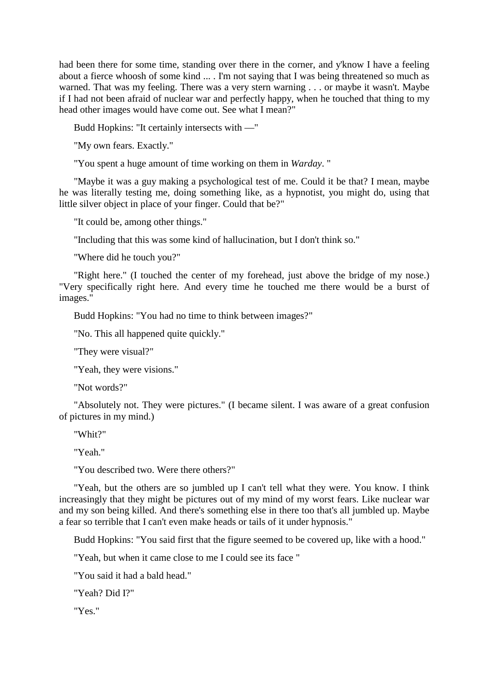had been there for some time, standing over there in the corner, and y'know I have a feeling about a fierce whoosh of some kind ... . I'm not saying that I was being threatened so much as warned. That was my feeling. There was a very stern warning . . . or maybe it wasn't. Maybe if I had not been afraid of nuclear war and perfectly happy, when he touched that thing to my head other images would have come out. See what I mean?"

Budd Hopkins: "It certainly intersects with —"

"My own fears. Exactly."

"You spent a huge amount of time working on them in *Warday*. "

"Maybe it was a guy making a psychological test of me. Could it be that? I mean, maybe he was literally testing me, doing something like, as a hypnotist, you might do, using that little silver object in place of your finger. Could that be?"

"It could be, among other things."

"Including that this was some kind of hallucination, but I don't think so."

"Where did he touch you?"

"Right here." (I touched the center of my forehead, just above the bridge of my nose.) "Very specifically right here. And every time he touched me there would be a burst of images."

Budd Hopkins: "You had no time to think between images?"

"No. This all happened quite quickly."

"They were visual?"

"Yeah, they were visions."

"Not words?"

"Absolutely not. They were pictures." (I became silent. I was aware of a great confusion of pictures in my mind.)

"Whit?"

"Yeah."

"You described two. Were there others?"

"Yeah, but the others are so jumbled up I can't tell what they were. You know. I think increasingly that they might be pictures out of my mind of my worst fears. Like nuclear war and my son being killed. And there's something else in there too that's all jumbled up. Maybe a fear so terrible that I can't even make heads or tails of it under hypnosis."

Budd Hopkins: "You said first that the figure seemed to be covered up, like with a hood."

"Yeah, but when it came close to me I could see its face "

"You said it had a bald head."

"Yeah? Did I?"

"Yes."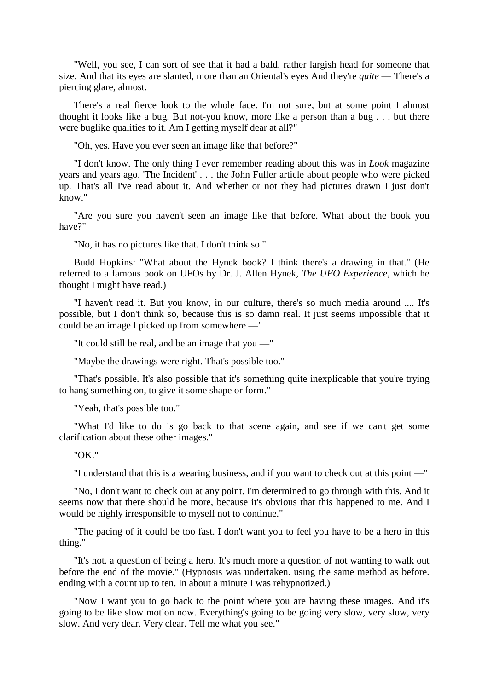"Well, you see, I can sort of see that it had a bald, rather largish head for someone that size. And that its eyes are slanted, more than an Oriental's eyes And they're *quite* — There's a piercing glare, almost.

There's a real fierce look to the whole face. I'm not sure, but at some point I almost thought it looks like a bug. But not-you know, more like a person than a bug . . . but there were buglike qualities to it. Am I getting myself dear at all?"

"Oh, yes. Have you ever seen an image like that before?"

"I don't know. The only thing I ever remember reading about this was in *Look* magazine years and years ago. 'The Incident' . . . the John Fuller article about people who were picked up. That's all I've read about it. And whether or not they had pictures drawn I just don't know."

"Are you sure you haven't seen an image like that before. What about the book you have?"

"No, it has no pictures like that. I don't think so."

Budd Hopkins: "What about the Hynek book? I think there's a drawing in that." (He referred to a famous book on UFOs by Dr. J. Allen Hynek, *The UFO Experience*, which he thought I might have read.)

"I haven't read it. But you know, in our culture, there's so much media around .... It's possible, but I don't think so, because this is so damn real. It just seems impossible that it could be an image I picked up from somewhere —"

"It could still be real, and be an image that you —"

"Maybe the drawings were right. That's possible too."

"That's possible. It's also possible that it's something quite inexplicable that you're trying to hang something on, to give it some shape or form."

"Yeah, that's possible too."

"What I'd like to do is go back to that scene again, and see if we can't get some clarification about these other images."

#### "OK."

"I understand that this is a wearing business, and if you want to check out at this point —"

"No, I don't want to check out at any point. I'm determined to go through with this. And it seems now that there should be more, because it's obvious that this happened to me. And I would be highly irresponsible to myself not to continue."

"The pacing of it could be too fast. I don't want you to feel you have to be a hero in this thing."

"It's not. a question of being a hero. It's much more a question of not wanting to walk out before the end of the movie." (Hypnosis was undertaken. using the same method as before. ending with a count up to ten. In about a minute I was rehypnotized.)

"Now I want you to go back to the point where you are having these images. And it's going to be like slow motion now. Everything's going to be going very slow, very slow, very slow. And very dear. Very clear. Tell me what you see."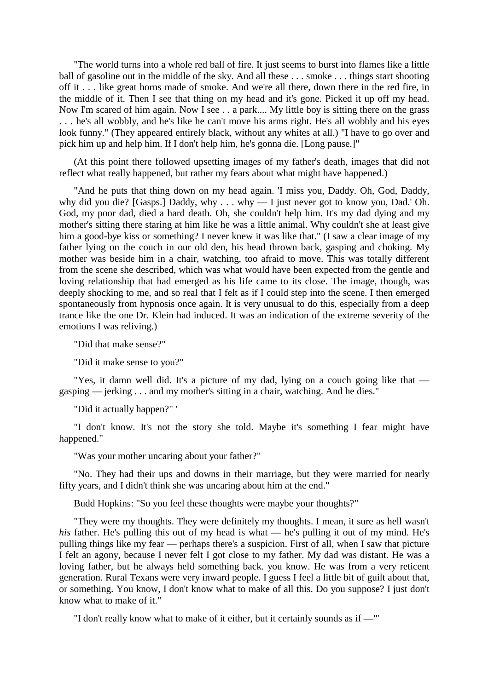"The world turns into a whole red ball of fire. It just seems to burst into flames like a little ball of gasoline out in the middle of the sky. And all these . . . smoke . . . things start shooting off it . . . like great horns made of smoke. And we're all there, down there in the red fire, in the middle of it. Then I see that thing on my head and it's gone. Picked it up off my head. Now I'm scared of him again. Now I see . . a park.... My little boy is sitting there on the grass . . . he's all wobbly, and he's like he can't move his arms right. He's all wobbly and his eyes look funny." (They appeared entirely black, without any whites at all.) "I have to go over and pick him up and help him. If I don't help him, he's gonna die. [Long pause.]"

(At this point there followed upsetting images of my father's death, images that did not reflect what really happened, but rather my fears about what might have happened.)

"And he puts that thing down on my head again. 'I miss you, Daddy. Oh, God, Daddy, why did you die? [Gasps.] Daddy, why . . . why — I just never got to know you, Dad.' Oh. God, my poor dad, died a hard death. Oh, she couldn't help him. It's my dad dying and my mother's sitting there staring at him like he was a little animal. Why couldn't she at least give him a good-bye kiss or something? I never knew it was like that." (I saw a clear image of my father lying on the couch in our old den, his head thrown back, gasping and choking. My mother was beside him in a chair, watching, too afraid to move. This was totally different from the scene she described, which was what would have been expected from the gentle and loving relationship that had emerged as his life came to its close. The image, though, was deeply shocking to me, and so real that I felt as if I could step into the scene. I then emerged spontaneously from hypnosis once again. It is very unusual to do this, especially from a deep trance like the one Dr. Klein had induced. It was an indication of the extreme severity of the emotions I was reliving.)

"Did that make sense?"

"Did it make sense to you?"

"Yes, it damn well did. It's a picture of my dad, lying on a couch going like that gasping — jerking . . . and my mother's sitting in a chair, watching. And he dies."

"Did it actually happen?" '

"I don't know. It's not the story she told. Maybe it's something I fear might have happened."

"Was your mother uncaring about your father?"

"No. They had their ups and downs in their marriage, but they were married for nearly fifty years, and I didn't think she was uncaring about him at the end."

Budd Hopkins: "So you feel these thoughts were maybe your thoughts?"

"They were my thoughts. They were definitely my thoughts. I mean, it sure as hell wasn't *his* father. He's pulling this out of my head is what — he's pulling it out of my mind. He's pulling things like my fear — perhaps there's a suspicion. First of all, when I saw that picture I felt an agony, because I never felt I got close to my father. My dad was distant. He was a loving father, but he always held something back. you know. He was from a very reticent generation. Rural Texans were very inward people. I guess I feel a little bit of guilt about that, or something. You know, I don't know what to make of all this. Do you suppose? I just don't know what to make of it."

"I don't really know what to make of it either, but it certainly sounds as if —"'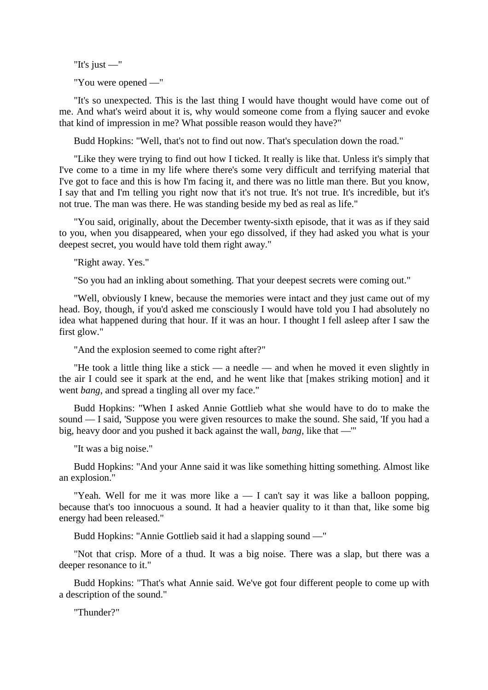"It's just —"

"You were opened —"

"It's so unexpected. This is the last thing I would have thought would have come out of me. And what's weird about it is, why would someone come from a flying saucer and evoke that kind of impression in me? What possible reason would they have?"

Budd Hopkins: "Well, that's not to find out now. That's speculation down the road."

"Like they were trying to find out how I ticked. It really is like that. Unless it's simply that I've come to a time in my life where there's some very difficult and terrifying material that I've got to face and this is how I'm facing it, and there was no little man there. But you know, I say that and I'm telling you right now that it's not true. It's not true. It's incredible, but it's not true. The man was there. He was standing beside my bed as real as life."

"You said, originally, about the December twenty-sixth episode, that it was as if they said to you, when you disappeared, when your ego dissolved, if they had asked you what is your deepest secret, you would have told them right away."

"Right away. Yes."

"So you had an inkling about something. That your deepest secrets were coming out."

"Well, obviously I knew, because the memories were intact and they just came out of my head. Boy, though, if you'd asked me consciously I would have told you I had absolutely no idea what happened during that hour. If it was an hour. I thought I fell asleep after I saw the first glow."

"And the explosion seemed to come right after?"

"He took a little thing like a stick — a needle — and when he moved it even slightly in the air I could see it spark at the end, and he went like that [makes striking motion] and it went *bang*, and spread a tingling all over my face."

Budd Hopkins: "When I asked Annie Gottlieb what she would have to do to make the sound — I said, 'Suppose you were given resources to make the sound. She said, 'If you had a big, heavy door and you pushed it back against the wall, *bang*, like that —'"

"It was a big noise."

Budd Hopkins: "And your Anne said it was like something hitting something. Almost like an explosion."

"Yeah. Well for me it was more like  $a - I$  can't say it was like a balloon popping, because that's too innocuous a sound. It had a heavier quality to it than that, like some big energy had been released."

Budd Hopkins: "Annie Gottlieb said it had a slapping sound —"

"Not that crisp. More of a thud. It was a big noise. There was a slap, but there was a deeper resonance to it."

Budd Hopkins: "That's what Annie said. We've got four different people to come up with a description of the sound."

"Thunder?"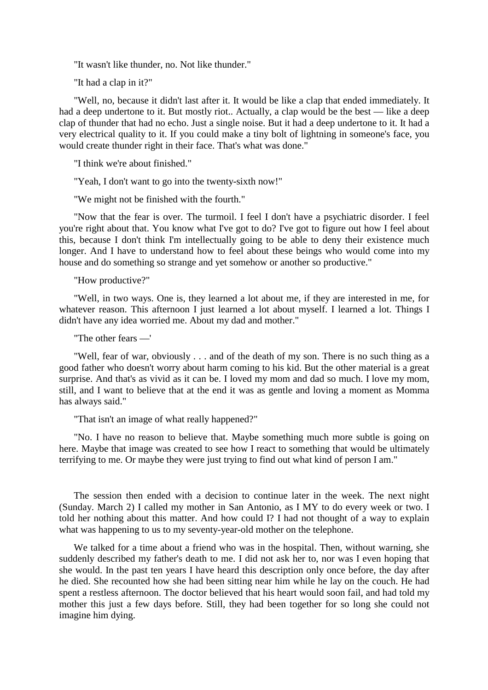"It wasn't like thunder, no. Not like thunder."

"It had a clap in it?"

"Well, no, because it didn't last after it. It would be like a clap that ended immediately. It had a deep undertone to it. But mostly riot.. Actually, a clap would be the best — like a deep clap of thunder that had no echo. Just a single noise. But it had a deep undertone to it. It had a very electrical quality to it. If you could make a tiny bolt of lightning in someone's face, you would create thunder right in their face. That's what was done."

"I think we're about finished."

"Yeah, I don't want to go into the twenty-sixth now!"

"We might not be finished with the fourth."

"Now that the fear is over. The turmoil. I feel I don't have a psychiatric disorder. I feel you're right about that. You know what I've got to do? I've got to figure out how I feel about this, because I don't think I'm intellectually going to be able to deny their existence much longer. And I have to understand how to feel about these beings who would come into my house and do something so strange and yet somehow or another so productive."

"How productive?"

"Well, in two ways. One is, they learned a lot about me, if they are interested in me, for whatever reason. This afternoon I just learned a lot about myself. I learned a lot. Things I didn't have any idea worried me. About my dad and mother."

"The other fears —'

"Well, fear of war, obviously . . . and of the death of my son. There is no such thing as a good father who doesn't worry about harm coming to his kid. But the other material is a great surprise. And that's as vivid as it can be. I loved my mom and dad so much. I love my mom, still, and I want to believe that at the end it was as gentle and loving a moment as Momma has always said."

"That isn't an image of what really happened?"

"No. I have no reason to believe that. Maybe something much more subtle is going on here. Maybe that image was created to see how I react to something that would be ultimately terrifying to me. Or maybe they were just trying to find out what kind of person I am."

The session then ended with a decision to continue later in the week. The next night (Sunday. March 2) I called my mother in San Antonio, as I MY to do every week or two. I told her nothing about this matter. And how could I? I had not thought of a way to explain what was happening to us to my seventy-year-old mother on the telephone.

We talked for a time about a friend who was in the hospital. Then, without warning, she suddenly described my father's death to me. I did not ask her to, nor was I even hoping that she would. In the past ten years I have heard this description only once before, the day after he died. She recounted how she had been sitting near him while he lay on the couch. He had spent a restless afternoon. The doctor believed that his heart would soon fail, and had told my mother this just a few days before. Still, they had been together for so long she could not imagine him dying.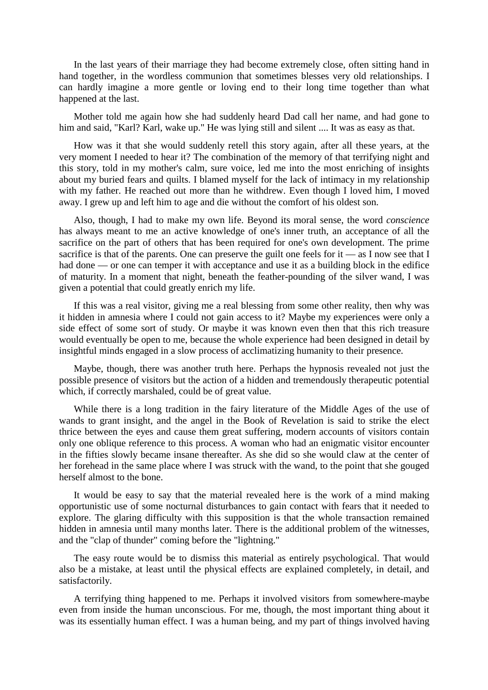In the last years of their marriage they had become extremely close, often sitting hand in hand together, in the wordless communion that sometimes blesses very old relationships. I can hardly imagine a more gentle or loving end to their long time together than what happened at the last.

Mother told me again how she had suddenly heard Dad call her name, and had gone to him and said, "Karl? Karl, wake up." He was lying still and silent .... It was as easy as that.

How was it that she would suddenly retell this story again, after all these years, at the very moment I needed to hear it? The combination of the memory of that terrifying night and this story, told in my mother's calm, sure voice, led me into the most enriching of insights about my buried fears and quilts. I blamed myself for the lack of intimacy in my relationship with my father. He reached out more than he withdrew. Even though I loved him, I moved away. I grew up and left him to age and die without the comfort of his oldest son.

Also, though, I had to make my own life. Beyond its moral sense, the word *conscience* has always meant to me an active knowledge of one's inner truth, an acceptance of all the sacrifice on the part of others that has been required for one's own development. The prime sacrifice is that of the parents. One can preserve the guilt one feels for it — as I now see that I had done — or one can temper it with acceptance and use it as a building block in the edifice of maturity. In a moment that night, beneath the feather-pounding of the silver wand, I was given a potential that could greatly enrich my life.

If this was a real visitor, giving me a real blessing from some other reality, then why was it hidden in amnesia where I could not gain access to it? Maybe my experiences were only a side effect of some sort of study. Or maybe it was known even then that this rich treasure would eventually be open to me, because the whole experience had been designed in detail by insightful minds engaged in a slow process of acclimatizing humanity to their presence.

Maybe, though, there was another truth here. Perhaps the hypnosis revealed not just the possible presence of visitors but the action of a hidden and tremendously therapeutic potential which, if correctly marshaled, could be of great value.

While there is a long tradition in the fairy literature of the Middle Ages of the use of wands to grant insight, and the angel in the Book of Revelation is said to strike the elect thrice between the eyes and cause them great suffering, modern accounts of visitors contain only one oblique reference to this process. A woman who had an enigmatic visitor encounter in the fifties slowly became insane thereafter. As she did so she would claw at the center of her forehead in the same place where I was struck with the wand, to the point that she gouged herself almost to the bone.

It would be easy to say that the material revealed here is the work of a mind making opportunistic use of some nocturnal disturbances to gain contact with fears that it needed to explore. The glaring difficulty with this supposition is that the whole transaction remained hidden in amnesia until many months later. There is the additional problem of the witnesses, and the "clap of thunder" coming before the "lightning."

The easy route would be to dismiss this material as entirely psychological. That would also be a mistake, at least until the physical effects are explained completely, in detail, and satisfactorily.

A terrifying thing happened to me. Perhaps it involved visitors from somewhere-maybe even from inside the human unconscious. For me, though, the most important thing about it was its essentially human effect. I was a human being, and my part of things involved having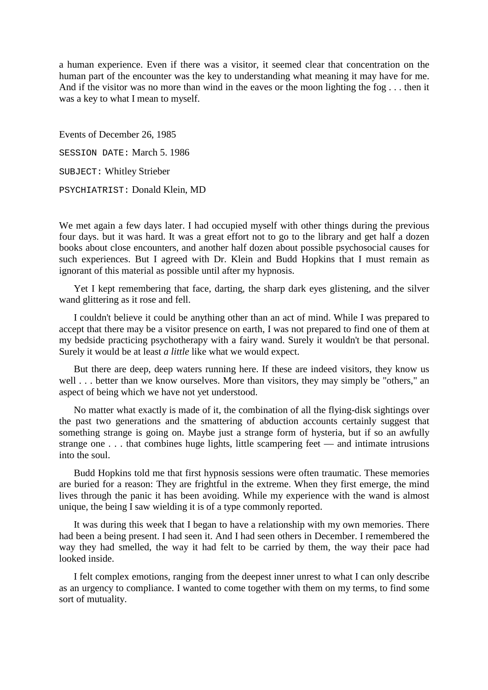a human experience. Even if there was a visitor, it seemed clear that concentration on the human part of the encounter was the key to understanding what meaning it may have for me. And if the visitor was no more than wind in the eaves or the moon lighting the fog . . . then it was a key to what I mean to myself.

Events of December 26, 1985 SESSION DATE: March 5. 1986 SUBJECT: Whitley Strieber PSYCHIATRIST: Donald Klein, MD

We met again a few days later. I had occupied myself with other things during the previous four days. but it was hard. It was a great effort not to go to the library and get half a dozen books about close encounters, and another half dozen about possible psychosocial causes for such experiences. But I agreed with Dr. Klein and Budd Hopkins that I must remain as ignorant of this material as possible until after my hypnosis.

Yet I kept remembering that face, darting, the sharp dark eyes glistening, and the silver wand glittering as it rose and fell.

I couldn't believe it could be anything other than an act of mind. While I was prepared to accept that there may be a visitor presence on earth, I was not prepared to find one of them at my bedside practicing psychotherapy with a fairy wand. Surely it wouldn't be that personal. Surely it would be at least *a little* like what we would expect.

But there are deep, deep waters running here. If these are indeed visitors, they know us well . . . better than we know ourselves. More than visitors, they may simply be "others," an aspect of being which we have not yet understood.

No matter what exactly is made of it, the combination of all the flying-disk sightings over the past two generations and the smattering of abduction accounts certainly suggest that something strange is going on. Maybe just a strange form of hysteria, but if so an awfully strange one . . . that combines huge lights, little scampering feet — and intimate intrusions into the soul.

Budd Hopkins told me that first hypnosis sessions were often traumatic. These memories are buried for a reason: They are frightful in the extreme. When they first emerge, the mind lives through the panic it has been avoiding. While my experience with the wand is almost unique, the being I saw wielding it is of a type commonly reported.

It was during this week that I began to have a relationship with my own memories. There had been a being present. I had seen it. And I had seen others in December. I remembered the way they had smelled, the way it had felt to be carried by them, the way their pace had looked inside.

I felt complex emotions, ranging from the deepest inner unrest to what I can only describe as an urgency to compliance. I wanted to come together with them on my terms, to find some sort of mutuality.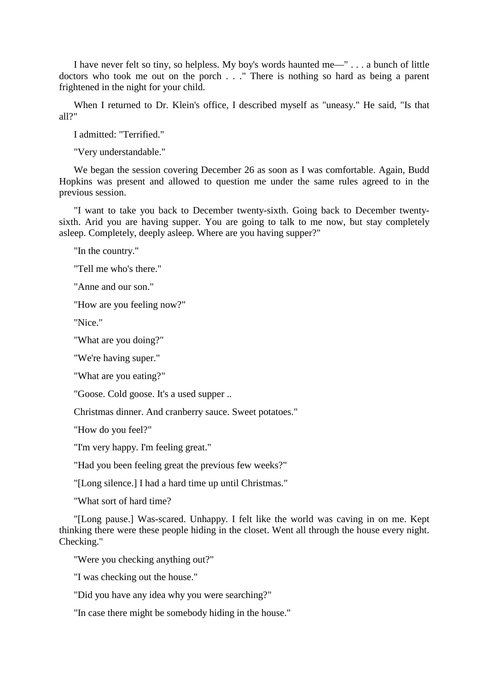I have never felt so tiny, so helpless. My boy's words haunted me—" . . . a bunch of little doctors who took me out on the porch . . ." There is nothing so hard as being a parent frightened in the night for your child.

When I returned to Dr. Klein's office, I described myself as "uneasy." He said, "Is that all?"

I admitted: "Terrified."

"Very understandable."

We began the session covering December 26 as soon as I was comfortable. Again, Budd Hopkins was present and allowed to question me under the same rules agreed to in the previous session.

"I want to take you back to December twenty-sixth. Going back to December twentysixth. Arid you are having supper. You are going to talk to me now, but stay completely asleep. Completely, deeply asleep. Where are you having supper?"

"In the country."

"Tell me who's there."

"Anne and our son."

"How are you feeling now?"

"Nice."

"What are you doing?"

"We're having super."

"What are you eating?"

"Goose. Cold goose. It's a used supper ..

Christmas dinner. And cranberry sauce. Sweet potatoes."

"How do you feel?"

"I'm very happy. I'm feeling great."

"Had you been feeling great the previous few weeks?"

"[Long silence.] I had a hard time up until Christmas."

"What sort of hard time?

"[Long pause.] Was-scared. Unhappy. I felt like the world was caving in on me. Kept thinking there were these people hiding in the closet. Went all through the house every night. Checking."

"Were you checking anything out?"

"I was checking out the house."

"Did you have any idea why you were searching?"

"In case there might be somebody hiding in the house."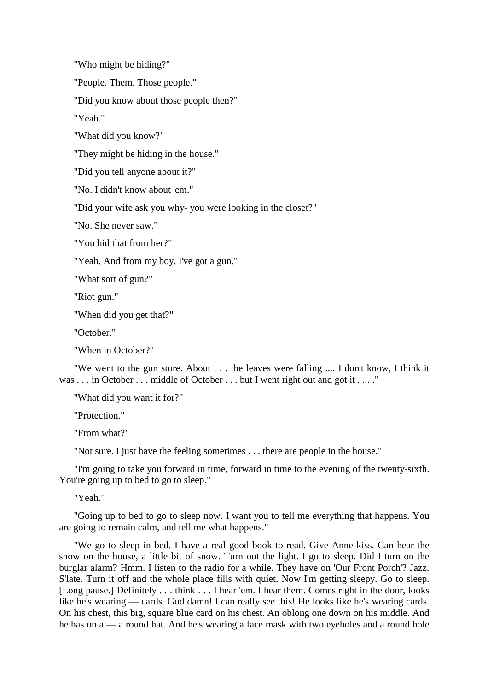"Who might be hiding?"

"People. Them. Those people."

"Did you know about those people then?"

"Yeah."

"What did you know?"

"They might be hiding in the house."

"Did you tell anyone about it?"

"No. I didn't know about 'em."

"Did your wife ask you why- you were looking in the closet?"

"No. She never saw."

"You hid that from her?"

"Yeah. And from my boy. I've got a gun."

"What sort of gun?"

"Riot gun."

"When did you get that?"

"October."

"When in October?"

"We went to the gun store. About . . . the leaves were falling .... I don't know, I think it was . . . in October . . . middle of October . . . but I went right out and got it . . . ."

"What did you want it for?"

"Protection."

"From what?"

"Not sure. I just have the feeling sometimes . . . there are people in the house."

"I'm going to take you forward in time, forward in time to the evening of the twenty-sixth. You're going up to bed to go to sleep."

"Yeah."

"Going up to bed to go to sleep now. I want you to tell me everything that happens. You are going to remain calm, and tell me what happens."

"We go to sleep in bed. I have a real good book to read. Give Anne kiss. Can hear the snow on the house, a little bit of snow. Turn out the light. I go to sleep. Did I turn on the burglar alarm? Hmm. I listen to the radio for a while. They have on 'Our Front Porch'? Jazz. S'late. Turn it off and the whole place fills with quiet. Now I'm getting sleepy. Go to sleep. [Long pause.] Definitely . . . think . . . I hear 'em. I hear them. Comes right in the door, looks like he's wearing — cards. God damn! I can really see this! He looks like he's wearing cards. On his chest, this big, square blue card on his chest. An oblong one down on his middle. And he has on a — a round hat. And he's wearing a face mask with two eyeholes and a round hole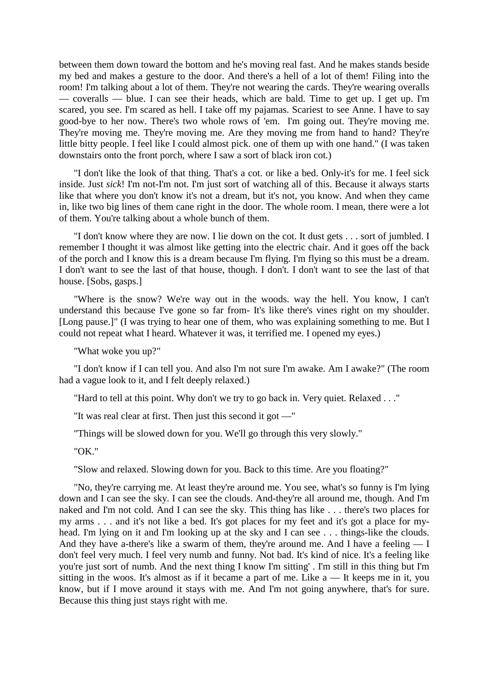between them down toward the bottom and he's moving real fast. And he makes stands beside my bed and makes a gesture to the door. And there's a hell of a lot of them! Filing into the room! I'm talking about a lot of them. They're not wearing the cards. They're wearing overalls — coveralls — blue. I can see their heads, which are bald. Time to get up. I get up. I'm scared, you see. I'm scared as hell. I take off my pajamas. Scariest to see Anne. I have to say good-bye to her now. There's two whole rows of 'em. I'm going out. They're moving me. They're moving me. They're moving me. Are they moving me from hand to hand? They're little bitty people. I feel like I could almost pick. one of them up with one hand." (I was taken downstairs onto the front porch, where I saw a sort of black iron cot.)

"I don't like the look of that thing. That's a cot. or like a bed. Only-it's for me. I feel sick inside. Just *sick*! I'm not-I'm not. I'm just sort of watching all of this. Because it always starts like that where you don't know it's not a dream, but it's not, you know. And when they came in, like two big lines of them cane right in the door. The whole room. I mean, there were a lot of them. You're talking about a whole bunch of them.

"I don't know where they are now. I lie down on the cot. It dust gets . . . sort of jumbled. I remember I thought it was almost like getting into the electric chair. And it goes off the back of the porch and I know this is a dream because I'm flying. I'm flying so this must be a dream. I don't want to see the last of that house, though. I don't. I don't want to see the last of that house. [Sobs, gasps.]

"Where is the snow? We're way out in the woods. way the hell. You know, I can't understand this because I've gone so far from- It's like there's vines right on my shoulder. [Long pause.]" (I was trying to hear one of them, who was explaining something to me. But I could not repeat what I heard. Whatever it was, it terrified me. I opened my eyes.)

"What woke you up?"

"I don't know if I can tell you. And also I'm not sure I'm awake. Am I awake?" (The room had a vague look to it, and I felt deeply relaxed.)

"Hard to tell at this point. Why don't we try to go back in. Very quiet. Relaxed . . ."

"It was real clear at first. Then just this second it got —"

"Things will be slowed down for you. We'll go through this very slowly."

"OK."

"Slow and relaxed. Slowing down for you. Back to this time. Are you floating?"

"No, they're carrying me. At least they're around me. You see, what's so funny is I'm lying down and I can see the sky. I can see the clouds. And-they're all around me, though. And I'm naked and I'm not cold. And I can see the sky. This thing has like . . . there's two places for my arms . . . and it's not like a bed. It's got places for my feet and it's got a place for myhead. I'm lying on it and I'm looking up at the sky and I can see . . . things-like the clouds. And they have a-there's like a swarm of them, they're around me. And I have a feeling — I don't feel very much. I feel very numb and funny. Not bad. It's kind of nice. It's a feeling like you're just sort of numb. And the next thing I know I'm sitting' . I'm still in this thing but I'm sitting in the woos. It's almost as if it became a part of me. Like  $a$  — It keeps me in it, you know, but if I move around it stays with me. And I'm not going anywhere, that's for sure. Because this thing just stays right with me.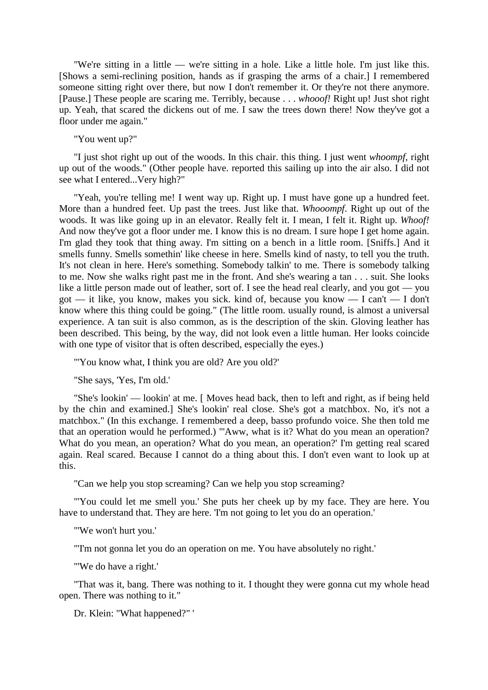"We're sitting in a little — we're sitting in a hole. Like a little hole. I'm just like this. [Shows a semi-reclining position, hands as if grasping the arms of a chair.] I remembered someone sitting right over there, but now I don't remember it. Or they're not there anymore. [Pause.] These people are scaring me. Terribly, because . . . *whooof!* Right up! Just shot right up. Yeah, that scared the dickens out of me. I saw the trees down there! Now they've got a floor under me again."

"You went up?"

"I just shot right up out of the woods. In this chair. this thing. I just went *whoompf*, right up out of the woods." (Other people have. reported this sailing up into the air also. I did not see what I entered...Very high?"

"Yeah, you're telling me! I went way up. Right up. I must have gone up a hundred feet. More than a hundred feet. Up past the trees. Just like that. *Whooompf*. Right up out of the woods. It was like going up in an elevator. Really felt it. I mean, I felt it. Right up. *Whoof!* And now they've got a floor under me. I know this is no dream. I sure hope I get home again. I'm glad they took that thing away. I'm sitting on a bench in a little room. [Sniffs.] And it smells funny. Smells somethin' like cheese in here. Smells kind of nasty, to tell you the truth. It's not clean in here. Here's something. Somebody talkin' to me. There is somebody talking to me. Now she walks right past me in the front. And she's wearing a tan . . . suit. She looks like a little person made out of leather, sort of. I see the head real clearly, and you got — you got — it like, you know, makes you sick. kind of, because you know — I can't — I don't know where this thing could be going." (The little room. usually round, is almost a universal experience. A tan suit is also common, as is the description of the skin. Gloving leather has been described. This being, by the way, did not look even a little human. Her looks coincide with one type of visitor that is often described, especially the eyes.)

"'You know what, I think you are old? Are you old?'

"She says, 'Yes, I'm old.'

"She's lookin' — lookin' at me. [ Moves head back, then to left and right, as if being held by the chin and examined.] She's lookin' real close. She's got a matchbox. No, it's not a matchbox." (In this exchange. I remembered a deep, basso profundo voice. She then told me that an operation would he performed.) "'Aww, what is it? What do you mean an operation? What do you mean, an operation? What do you mean, an operation?' I'm getting real scared again. Real scared. Because I cannot do a thing about this. I don't even want to look up at this.

"Can we help you stop screaming? Can we help you stop screaming?

"'You could let me smell you.' She puts her cheek up by my face. They are here. You have to understand that. They are here. 'I'm not going to let you do an operation.'

"'We won't hurt you.'

"'I'm not gonna let you do an operation on me. You have absolutely no right.'

"'We do have a right.'

"That was it, bang. There was nothing to it. I thought they were gonna cut my whole head open. There was nothing to it."

Dr. Klein: "What happened?" '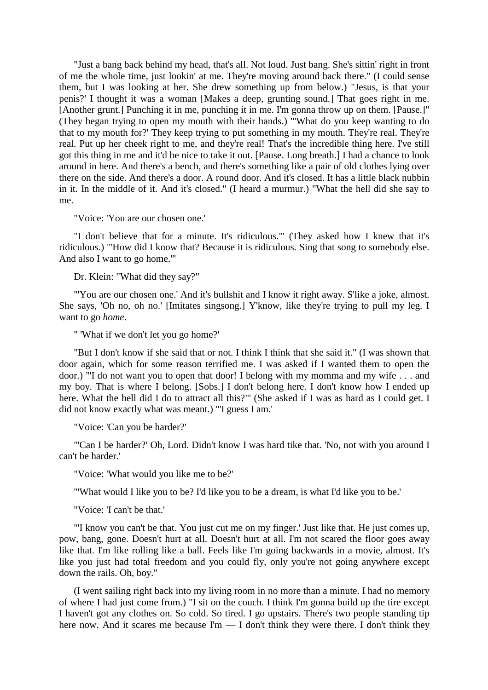"Just a bang back behind my head, that's all. Not loud. Just bang. She's sittin' right in front of me the whole time, just lookin' at me. They're moving around back there." (I could sense them, but I was looking at her. She drew something up from below.) "Jesus, is that your penis?' I thought it was a woman [Makes a deep, grunting sound.] That goes right in me. [Another grunt.] Punching it in me, punching it in me. I'm gonna throw up on them. [Pause.]" (They began trying to open my mouth with their hands.) "'What do you keep wanting to do that to my mouth for?' They keep trying to put something in my mouth. They're real. They're real. Put up her cheek right to me, and they're real! That's the incredible thing here. I've still got this thing in me and it'd be nice to take it out. [Pause. Long breath.] I had a chance to look around in here. And there's a bench, and there's something like a pair of old clothes lying over there on the side. And there's a door. A round door. And it's closed. It has a little black nubbin in it. In the middle of it. And it's closed." (I heard a murmur.) "What the hell did she say to me.

"Voice: 'You are our chosen one.'

"I don't believe that for a minute. It's ridiculous."' (They asked how I knew that it's ridiculous.) "'How did I know that? Because it is ridiculous. Sing that song to somebody else. And also I want to go home.'"

Dr. Klein: "What did they say?"

"'You are our chosen one.' And it's bullshit and I know it right away. S'like a joke, almost. She says, 'Oh no, oh no.' [Imitates singsong.] Y'know, like they're trying to pull my leg. I want to go *home*.

" 'What if we don't let you go home?'

"But I don't know if she said that or not. I think I think that she said it." (I was shown that door again, which for some reason terrified me. I was asked if I wanted them to open the door.) "'I do not want you to open that door! I belong with my momma and my wife . . . and my boy. That is where I belong. [Sobs.] I don't belong here. I don't know how I ended up here. What the hell did I do to attract all this?"' (She asked if I was as hard as I could get. I did not know exactly what was meant.) "'I guess I am.'

"Voice: 'Can you be harder?'

"'Can I be harder?' Oh, Lord. Didn't know I was hard tike that. 'No, not with you around I can't be harder.'

"Voice: 'What would you like me to be?'

"'What would I like you to be? I'd like you to be a dream, is what I'd like you to be.'

"Voice: 'I can't be that.'

"'I know you can't be that. You just cut me on my finger.' Just like that. He just comes up, pow, bang, gone. Doesn't hurt at all. Doesn't hurt at all. I'm not scared the floor goes away like that. I'm like rolling like a ball. Feels like I'm going backwards in a movie, almost. It's like you just had total freedom and you could fly, only you're not going anywhere except down the rails. Oh, boy."

(I went sailing right back into my living room in no more than a minute. I had no memory of where I had just come from.) "I sit on the couch. I think I'm gonna build up the tire except I haven't got any clothes on. So cold. So tired. I go upstairs. There's two people standing tip here now. And it scares me because I'm — I don't think they were there. I don't think they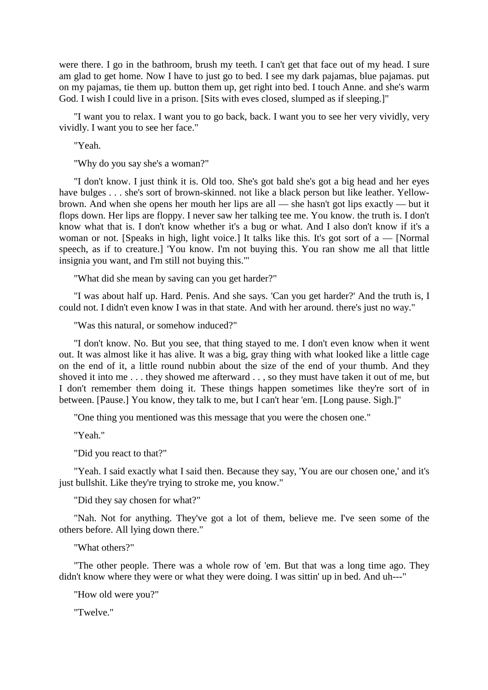were there. I go in the bathroom, brush my teeth. I can't get that face out of my head. I sure am glad to get home. Now I have to just go to bed. I see my dark pajamas, blue pajamas. put on my pajamas, tie them up. button them up, get right into bed. I touch Anne. and she's warm God. I wish I could live in a prison. [Sits with eves closed, slumped as if sleeping.]"

"I want you to relax. I want you to go back, back. I want you to see her very vividly, very vividly. I want you to see her face."

"Yeah.

"Why do you say she's a woman?"

"I don't know. I just think it is. Old too. She's got bald she's got a big head and her eyes have bulges . . . she's sort of brown-skinned. not like a black person but like leather. Yellowbrown. And when she opens her mouth her lips are all — she hasn't got lips exactly — but it flops down. Her lips are floppy. I never saw her talking tee me. You know. the truth is. I don't know what that is. I don't know whether it's a bug or what. And I also don't know if it's a woman or not. [Speaks in high, light voice.] It talks like this. It's got sort of a — [Normal] speech, as if to creature.] 'You know. I'm not buying this. You ran show me all that little insignia you want, and I'm still not buying this."'

"What did she mean by saving can you get harder?"

"I was about half up. Hard. Penis. And she says. 'Can you get harder?' And the truth is, I could not. I didn't even know I was in that state. And with her around. there's just no way."

"Was this natural, or somehow induced?"

"I don't know. No. But you see, that thing stayed to me. I don't even know when it went out. It was almost like it has alive. It was a big, gray thing with what looked like a little cage on the end of it, a little round nubbin about the size of the end of your thumb. And they shoved it into me . . . they showed me afterward . . , so they must have taken it out of me, but I don't remember them doing it. These things happen sometimes like they're sort of in between. [Pause.] You know, they talk to me, but I can't hear 'em. [Long pause. Sigh.]"

"One thing you mentioned was this message that you were the chosen one."

"Yeah."

"Did you react to that?"

"Yeah. I said exactly what I said then. Because they say, 'You are our chosen one,' and it's just bullshit. Like they're trying to stroke me, you know."

"Did they say chosen for what?"

"Nah. Not for anything. They've got a lot of them, believe me. I've seen some of the others before. All lying down there."

"What others?"

"The other people. There was a whole row of 'em. But that was a long time ago. They didn't know where they were or what they were doing. I was sittin' up in bed. And uh---"

"How old were you?"

"Twelve."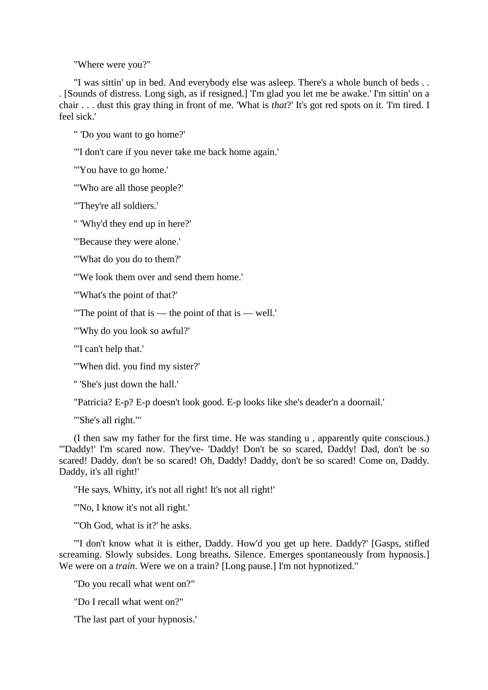"Where were you?"

"I was sittin' up in bed. And everybody else was asleep. There's a whole bunch of beds . . . [Sounds of distress. Long sigh, as if resigned.] 'I'm glad you let me be awake.' I'm sittin' on a chair . . . dust this gray thing in front of me. 'What is *that*?' It's got red spots on it. 'I'm tired. I feel sick.'

" 'Do you want to go home?'

"'I don't care if you never take me back home again.'

"'You have to go home.'

"'Who are all those people?'

"'They're all soldiers.'

" 'Why'd they end up in here?'

"'Because they were alone.'

"'What do you do to them?'

"'We look them over and send them home.'

"'What's the point of that?'

"'The point of that is — the point of that is — well.'

"'Why do you look so awful?'

"'I can't help that.'

"'When did. you find my sister?'

'' 'She's just down the hall.'

"Patricia? E-p? E-p doesn't look good. E-p looks like she's deader'n a doornail.'

"'She's all right."'

(I then saw my father for the first time. He was standing u , apparently quite conscious.) "'Daddy!' I'm scared now. They've- 'Daddy! Don't be so scared, Daddy! Dad, don't be so scared! Daddy. don't be so scared! Oh, Daddy! Daddy, don't be so scared! Come on, Daddy. Daddy, it's all right!'

"He says. Whitty, it's not all right! It's not all right!'

"'No, I know it's not all right.'

"'Oh God, what is it?' he asks.

"'I don't know what it is either, Daddy. How'd you get up here. Daddy?' [Gasps, stifled screaming. Slowly subsides. Long breaths. Silence. Emerges spontaneously from hypnosis.] We were on a *train*. Were we on a train? [Long pause.] I'm not hypnotized."

"Do you recall what went on?"

"Do I recall what went on?"

'The last part of your hypnosis.'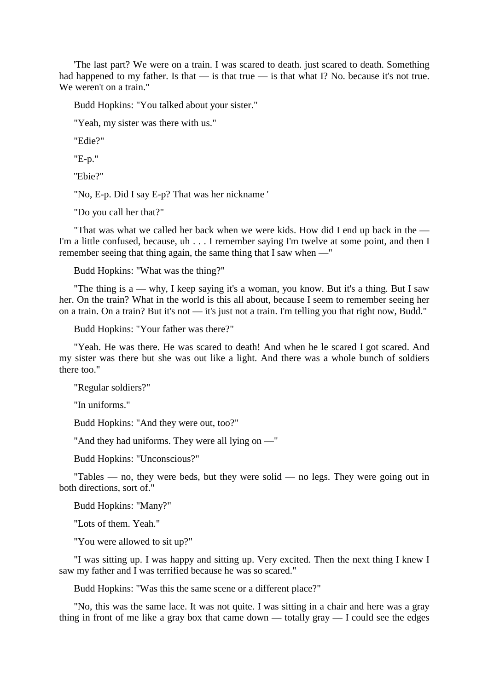'The last part? We were on a train. I was scared to death. just scared to death. Something had happened to my father. Is that  $-$  is that true  $-$  is that what I? No. because it's not true. We weren't on a train."

Budd Hopkins: "You talked about your sister."

"Yeah, my sister was there with us."

"Edie?"

"E-p."

''Ebie?"

"No, E-p. Did I say E-p? That was her nickname '

"Do you call her that?"

"That was what we called her back when we were kids. How did I end up back in the — I'm a little confused, because, uh . . . I remember saying I'm twelve at some point, and then I remember seeing that thing again, the same thing that I saw when —"

Budd Hopkins: "What was the thing?"

"The thing is a — why, I keep saying it's a woman, you know. But it's a thing. But I saw her. On the train? What in the world is this all about, because I seem to remember seeing her on a train. On a train? But it's not — it's just not a train. I'm telling you that right now, Budd."

Budd Hopkins: "Your father was there?"

"Yeah. He was there. He was scared to death! And when he le scared I got scared. And my sister was there but she was out like a light. And there was a whole bunch of soldiers there too."

"Regular soldiers?"

"In uniforms."

Budd Hopkins: "And they were out, too?"

"And they had uniforms. They were all lying on —"

Budd Hopkins: "Unconscious?"

"Tables — no, they were beds, but they were solid — no legs. They were going out in both directions, sort of."

Budd Hopkins: "Many?"

"Lots of them. Yeah."

"You were allowed to sit up?"

"I was sitting up. I was happy and sitting up. Very excited. Then the next thing I knew I saw my father and I was terrified because he was so scared."

Budd Hopkins: "Was this the same scene or a different place?"

"No, this was the same lace. It was not quite. I was sitting in a chair and here was a gray thing in front of me like a gray box that came down — totally gray — I could see the edges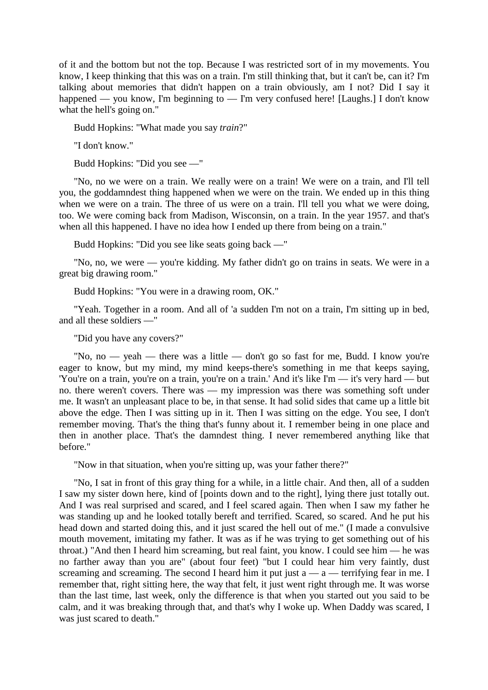of it and the bottom but not the top. Because I was restricted sort of in my movements. You know, I keep thinking that this was on a train. I'm still thinking that, but it can't be, can it? I'm talking about memories that didn't happen on a train obviously, am I not? Did I say it happened — you know, I'm beginning to — I'm very confused here! [Laughs.] I don't know what the hell's going on."

Budd Hopkins: "What made you say *train*?"

"I don't know."

Budd Hopkins: "Did you see —"

"No, no we were on a train. We really were on a train! We were on a train, and I'll tell you, the goddamndest thing happened when we were on the train. We ended up in this thing when we were on a train. The three of us were on a train. I'll tell you what we were doing, too. We were coming back from Madison, Wisconsin, on a train. In the year 1957. and that's when all this happened. I have no idea how I ended up there from being on a train."

Budd Hopkins: "Did you see like seats going back —"

"No, no, we were — you're kidding. My father didn't go on trains in seats. We were in a great big drawing room."

Budd Hopkins: "You were in a drawing room, OK."

"Yeah. Together in a room. And all of 'a sudden I'm not on a train, I'm sitting up in bed, and all these soldiers —"

"Did you have any covers?"

"No, no — yeah — there was a little — don't go so fast for me, Budd. I know you're eager to know, but my mind, my mind keeps-there's something in me that keeps saying, 'You're on a train, you're on a train, you're on a train.' And it's like I'm — it's very hard — but no. there weren't covers. There was — my impression was there was something soft under me. It wasn't an unpleasant place to be, in that sense. It had solid sides that came up a little bit above the edge. Then I was sitting up in it. Then I was sitting on the edge. You see, I don't remember moving. That's the thing that's funny about it. I remember being in one place and then in another place. That's the damndest thing. I never remembered anything like that before."

"Now in that situation, when you're sitting up, was your father there?"

"No, I sat in front of this gray thing for a while, in a little chair. And then, all of a sudden I saw my sister down here, kind of [points down and to the right], lying there just totally out. And I was real surprised and scared, and I feel scared again. Then when I saw my father he was standing up and he looked totally bereft and terrified. Scared, so scared. And he put his head down and started doing this, and it just scared the hell out of me." (I made a convulsive mouth movement, imitating my father. It was as if he was trying to get something out of his throat.) "And then I heard him screaming, but real faint, you know. I could see him — he was no farther away than you are" (about four feet) "but I could hear him very faintly, dust screaming and screaming. The second I heard him it put just  $a - a$  — terrifying fear in me. I remember that, right sitting here, the way that felt, it just went right through me. It was worse than the last time, last week, only the difference is that when you started out you said to be calm, and it was breaking through that, and that's why I woke up. When Daddy was scared, I was just scared to death."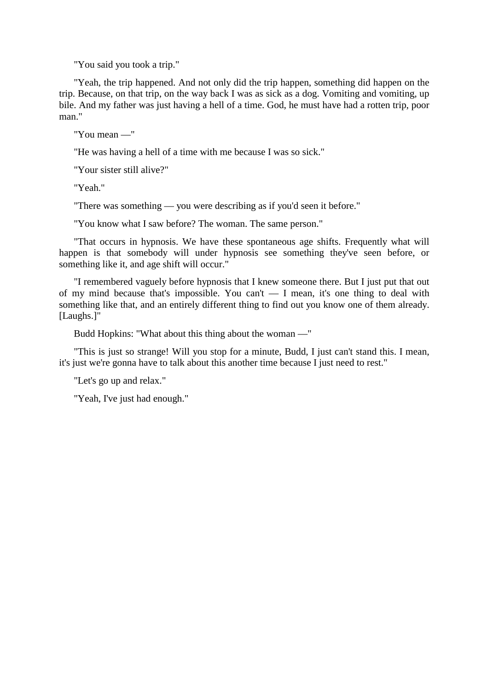"You said you took a trip."

"Yeah, the trip happened. And not only did the trip happen, something did happen on the trip. Because, on that trip, on the way back I was as sick as a dog. Vomiting and vomiting, up bile. And my father was just having a hell of a time. God, he must have had a rotten trip, poor man."

"You mean —"

"He was having a hell of a time with me because I was so sick."

"Your sister still alive?"

"Yeah."

"There was something — you were describing as if you'd seen it before."

"You know what I saw before? The woman. The same person."

"That occurs in hypnosis. We have these spontaneous age shifts. Frequently what will happen is that somebody will under hypnosis see something they've seen before, or something like it, and age shift will occur."

"I remembered vaguely before hypnosis that I knew someone there. But I just put that out of my mind because that's impossible. You can't — I mean, it's one thing to deal with something like that, and an entirely different thing to find out you know one of them already. [Laughs.]"

Budd Hopkins: "What about this thing about the woman —"

"This is just so strange! Will you stop for a minute, Budd, I just can't stand this. I mean, it's just we're gonna have to talk about this another time because I just need to rest."

"Let's go up and relax."

"Yeah, I've just had enough."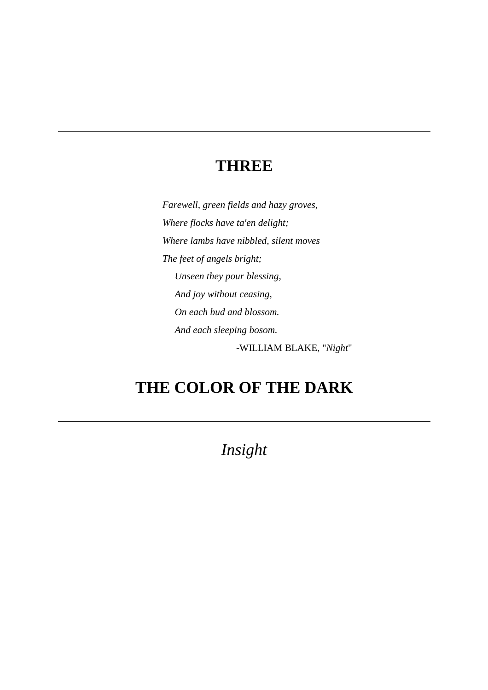### **THREE**

*Farewell, green fields and hazy groves, Where flocks have ta'en delight; Where lambs have nibbled, silent moves The feet of angels bright; Unseen they pour blessing, And joy without ceasing, On each bud and blossom. And each sleeping bosom.*  -WILLIAM BLAKE, "*Night*"

# **THE COLOR OF THE DARK**

*Insight*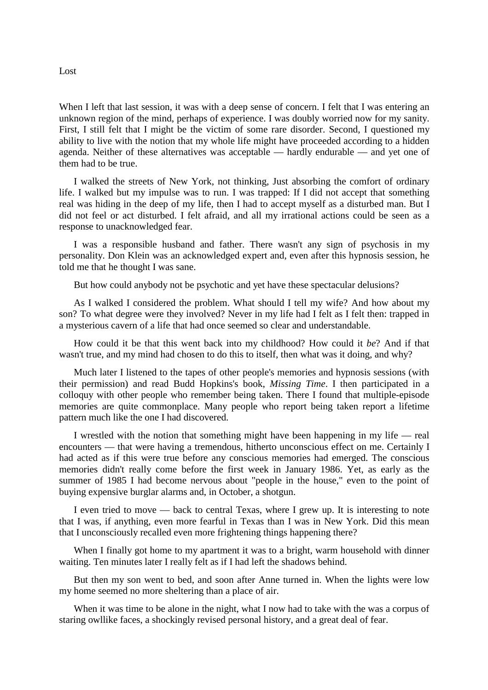#### When I left that last session, it was with a deep sense of concern. I felt that I was entering an unknown region of the mind, perhaps of experience. I was doubly worried now for my sanity. First, I still felt that I might be the victim of some rare disorder. Second, I questioned my ability to live with the notion that my whole life might have proceeded according to a hidden agenda. Neither of these alternatives was acceptable — hardly endurable — and yet one of them had to be true.

I walked the streets of New York, not thinking, Just absorbing the comfort of ordinary life. I walked but my impulse was to run. I was trapped: If I did not accept that something real was hiding in the deep of my life, then I had to accept myself as a disturbed man. But I did not feel or act disturbed. I felt afraid, and all my irrational actions could be seen as a response to unacknowledged fear.

I was a responsible husband and father. There wasn't any sign of psychosis in my personality. Don Klein was an acknowledged expert and, even after this hypnosis session, he told me that he thought I was sane.

But how could anybody not be psychotic and yet have these spectacular delusions?

As I walked I considered the problem. What should I tell my wife? And how about my son? To what degree were they involved? Never in my life had I felt as I felt then: trapped in a mysterious cavern of a life that had once seemed so clear and understandable.

How could it be that this went back into my childhood? How could it *be*? And if that wasn't true, and my mind had chosen to do this to itself, then what was it doing, and why?

Much later I listened to the tapes of other people's memories and hypnosis sessions (with their permission) and read Budd Hopkins's book, *Missing Time*. I then participated in a colloquy with other people who remember being taken. There I found that multiple-episode memories are quite commonplace. Many people who report being taken report a lifetime pattern much like the one I had discovered.

I wrestled with the notion that something might have been happening in my life — real encounters — that were having a tremendous, hitherto unconscious effect on me. Certainly I had acted as if this were true before any conscious memories had emerged. The conscious memories didn't really come before the first week in January 1986. Yet, as early as the summer of 1985 I had become nervous about "people in the house," even to the point of buying expensive burglar alarms and, in October, a shotgun.

I even tried to move — back to central Texas, where I grew up. It is interesting to note that I was, if anything, even more fearful in Texas than I was in New York. Did this mean that I unconsciously recalled even more frightening things happening there?

When I finally got home to my apartment it was to a bright, warm household with dinner waiting. Ten minutes later I really felt as if I had left the shadows behind.

But then my son went to bed, and soon after Anne turned in. When the lights were low my home seemed no more sheltering than a place of air.

When it was time to be alone in the night, what I now had to take with the was a corpus of staring owllike faces, a shockingly revised personal history, and a great deal of fear.

#### Lost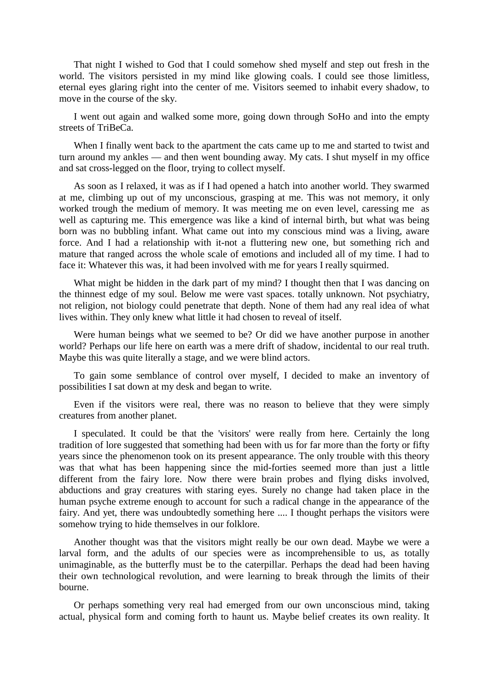That night I wished to God that I could somehow shed myself and step out fresh in the world. The visitors persisted in my mind like glowing coals. I could see those limitless, eternal eyes glaring right into the center of me. Visitors seemed to inhabit every shadow, to move in the course of the sky.

I went out again and walked some more, going down through SoHo and into the empty streets of TriBeCa.

When I finally went back to the apartment the cats came up to me and started to twist and turn around my ankles — and then went bounding away. My cats. I shut myself in my office and sat cross-legged on the floor, trying to collect myself.

As soon as I relaxed, it was as if I had opened a hatch into another world. They swarmed at me, climbing up out of my unconscious, grasping at me. This was not memory, it only worked trough the medium of memory. It was meeting me on even level, caressing me as well as capturing me. This emergence was like a kind of internal birth, but what was being born was no bubbling infant. What came out into my conscious mind was a living, aware force. And I had a relationship with it-not a fluttering new one, but something rich and mature that ranged across the whole scale of emotions and included all of my time. I had to face it: Whatever this was, it had been involved with me for years I really squirmed.

What might be hidden in the dark part of my mind? I thought then that I was dancing on the thinnest edge of my soul. Below me were vast spaces. totally unknown. Not psychiatry, not religion, not biology could penetrate that depth. None of them had any real idea of what lives within. They only knew what little it had chosen to reveal of itself.

Were human beings what we seemed to be? Or did we have another purpose in another world? Perhaps our life here on earth was a mere drift of shadow, incidental to our real truth. Maybe this was quite literally a stage, and we were blind actors.

To gain some semblance of control over myself, I decided to make an inventory of possibilities I sat down at my desk and began to write.

Even if the visitors were real, there was no reason to believe that they were simply creatures from another planet.

I speculated. It could be that the 'visitors' were really from here. Certainly the long tradition of lore suggested that something had been with us for far more than the forty or fifty years since the phenomenon took on its present appearance. The only trouble with this theory was that what has been happening since the mid-forties seemed more than just a little different from the fairy lore. Now there were brain probes and flying disks involved, abductions and gray creatures with staring eyes. Surely no change had taken place in the human psyche extreme enough to account for such a radical change in the appearance of the fairy. And yet, there was undoubtedly something here .... I thought perhaps the visitors were somehow trying to hide themselves in our folklore.

Another thought was that the visitors might really be our own dead. Maybe we were a larval form, and the adults of our species were as incomprehensible to us, as totally unimaginable, as the butterfly must be to the caterpillar. Perhaps the dead had been having their own technological revolution, and were learning to break through the limits of their bourne.

Or perhaps something very real had emerged from our own unconscious mind, taking actual, physical form and coming forth to haunt us. Maybe belief creates its own reality. It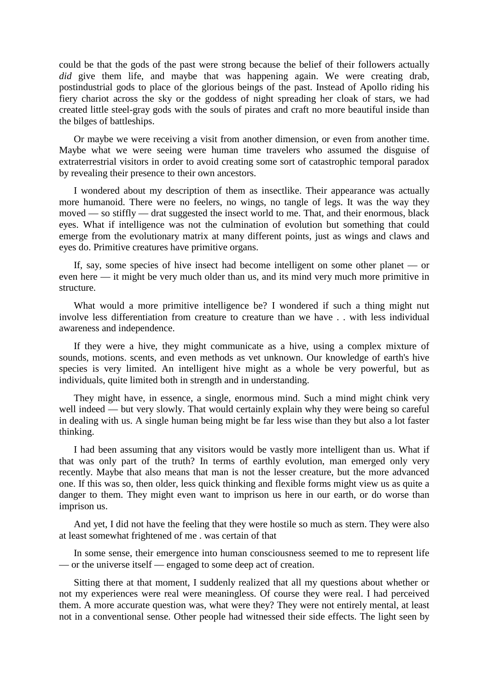could be that the gods of the past were strong because the belief of their followers actually *did* give them life, and maybe that was happening again. We were creating drab, postindustrial gods to place of the glorious beings of the past. Instead of Apollo riding his fiery chariot across the sky or the goddess of night spreading her cloak of stars, we had created little steel-gray gods with the souls of pirates and craft no more beautiful inside than the bilges of battleships.

Or maybe we were receiving a visit from another dimension, or even from another time. Maybe what we were seeing were human time travelers who assumed the disguise of extraterrestrial visitors in order to avoid creating some sort of catastrophic temporal paradox by revealing their presence to their own ancestors.

I wondered about my description of them as insectlike. Their appearance was actually more humanoid. There were no feelers, no wings, no tangle of legs. It was the way they moved — so stiffly — drat suggested the insect world to me. That, and their enormous, black eyes. What if intelligence was not the culmination of evolution but something that could emerge from the evolutionary matrix at many different points, just as wings and claws and eyes do. Primitive creatures have primitive organs.

If, say, some species of hive insect had become intelligent on some other planet — or even here — it might be very much older than us, and its mind very much more primitive in structure.

What would a more primitive intelligence be? I wondered if such a thing might nut involve less differentiation from creature to creature than we have . . with less individual awareness and independence.

If they were a hive, they might communicate as a hive, using a complex mixture of sounds, motions. scents, and even methods as vet unknown. Our knowledge of earth's hive species is very limited. An intelligent hive might as a whole be very powerful, but as individuals, quite limited both in strength and in understanding.

They might have, in essence, a single, enormous mind. Such a mind might chink very well indeed — but very slowly. That would certainly explain why they were being so careful in dealing with us. A single human being might be far less wise than they but also a lot faster thinking.

I had been assuming that any visitors would be vastly more intelligent than us. What if that was only part of the truth? In terms of earthly evolution, man emerged only very recently. Maybe that also means that man is not the lesser creature, but the more advanced one. If this was so, then older, less quick thinking and flexible forms might view us as quite a danger to them. They might even want to imprison us here in our earth, or do worse than imprison us.

And yet, I did not have the feeling that they were hostile so much as stern. They were also at least somewhat frightened of me . was certain of that

In some sense, their emergence into human consciousness seemed to me to represent life — or the universe itself — engaged to some deep act of creation.

Sitting there at that moment, I suddenly realized that all my questions about whether or not my experiences were real were meaningless. Of course they were real. I had perceived them. A more accurate question was, what were they? They were not entirely mental, at least not in a conventional sense. Other people had witnessed their side effects. The light seen by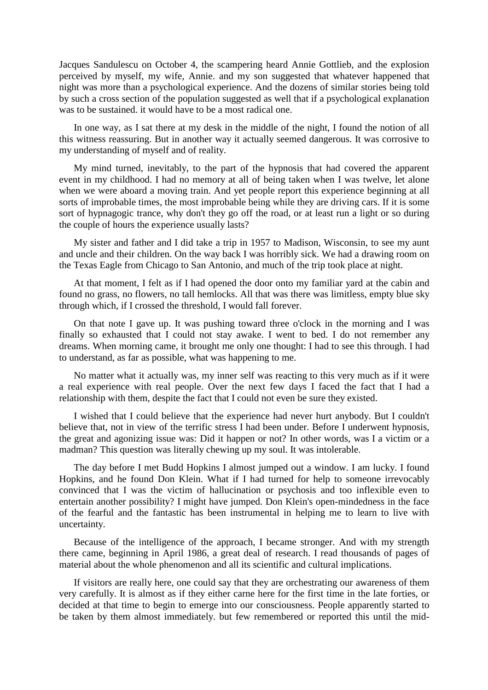Jacques Sandulescu on October 4, the scampering heard Annie Gottlieb, and the explosion perceived by myself, my wife, Annie. and my son suggested that whatever happened that night was more than a psychological experience. And the dozens of similar stories being told by such a cross section of the population suggested as well that if a psychological explanation was to be sustained. it would have to be a most radical one.

In one way, as I sat there at my desk in the middle of the night, I found the notion of all this witness reassuring. But in another way it actually seemed dangerous. It was corrosive to my understanding of myself and of reality.

My mind turned, inevitably, to the part of the hypnosis that had covered the apparent event in my childhood. I had no memory at all of being taken when I was twelve, let alone when we were aboard a moving train. And yet people report this experience beginning at all sorts of improbable times, the most improbable being while they are driving cars. If it is some sort of hypnagogic trance, why don't they go off the road, or at least run a light or so during the couple of hours the experience usually lasts?

My sister and father and I did take a trip in 1957 to Madison, Wisconsin, to see my aunt and uncle and their children. On the way back I was horribly sick. We had a drawing room on the Texas Eagle from Chicago to San Antonio, and much of the trip took place at night.

At that moment, I felt as if I had opened the door onto my familiar yard at the cabin and found no grass, no flowers, no tall hemlocks. All that was there was limitless, empty blue sky through which, if I crossed the threshold, I would fall forever.

On that note I gave up. It was pushing toward three o'clock in the morning and I was finally so exhausted that I could not stay awake. I went to bed. I do not remember any dreams. When morning came, it brought me only one thought: I had to see this through. I had to understand, as far as possible, what was happening to me.

No matter what it actually was, my inner self was reacting to this very much as if it were a real experience with real people. Over the next few days I faced the fact that I had a relationship with them, despite the fact that I could not even be sure they existed.

I wished that I could believe that the experience had never hurt anybody. But I couldn't believe that, not in view of the terrific stress I had been under. Before I underwent hypnosis, the great and agonizing issue was: Did it happen or not? In other words, was I a victim or a madman? This question was literally chewing up my soul. It was intolerable.

The day before I met Budd Hopkins I almost jumped out a window. I am lucky. I found Hopkins, and he found Don Klein. What if I had turned for help to someone irrevocably convinced that I was the victim of hallucination or psychosis and too inflexible even to entertain another possibility? I might have jumped. Don Klein's open-mindedness in the face of the fearful and the fantastic has been instrumental in helping me to learn to live with uncertainty.

Because of the intelligence of the approach, I became stronger. And with my strength there came, beginning in April 1986, a great deal of research. I read thousands of pages of material about the whole phenomenon and all its scientific and cultural implications.

If visitors are really here, one could say that they are orchestrating our awareness of them very carefully. It is almost as if they either carne here for the first time in the late forties, or decided at that time to begin to emerge into our consciousness. People apparently started to be taken by them almost immediately. but few remembered or reported this until the mid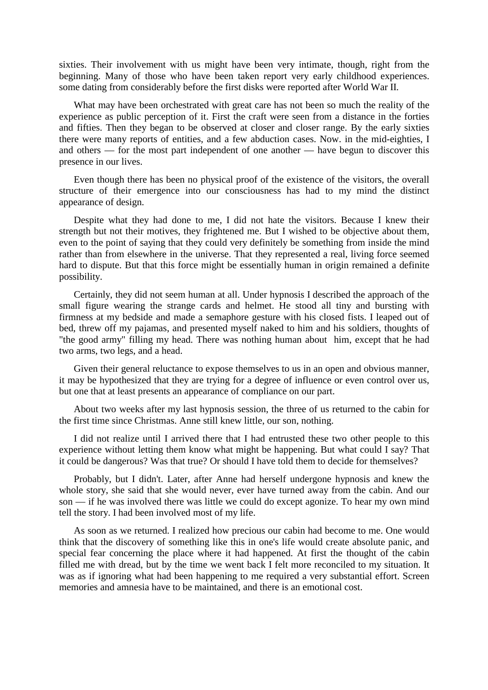sixties. Their involvement with us might have been very intimate, though, right from the beginning. Many of those who have been taken report very early childhood experiences. some dating from considerably before the first disks were reported after World War II.

What may have been orchestrated with great care has not been so much the reality of the experience as public perception of it. First the craft were seen from a distance in the forties and fifties. Then they began to be observed at closer and closer range. By the early sixties there were many reports of entities, and a few abduction cases. Now. in the mid-eighties, I and others — for the most part independent of one another — have begun to discover this presence in our lives.

Even though there has been no physical proof of the existence of the visitors, the overall structure of their emergence into our consciousness has had to my mind the distinct appearance of design.

Despite what they had done to me, I did not hate the visitors. Because I knew their strength but not their motives, they frightened me. But I wished to be objective about them, even to the point of saying that they could very definitely be something from inside the mind rather than from elsewhere in the universe. That they represented a real, living force seemed hard to dispute. But that this force might be essentially human in origin remained a definite possibility.

Certainly, they did not seem human at all. Under hypnosis I described the approach of the small figure wearing the strange cards and helmet. He stood all tiny and bursting with firmness at my bedside and made a semaphore gesture with his closed fists. I leaped out of bed, threw off my pajamas, and presented myself naked to him and his soldiers, thoughts of "the good army" filling my head. There was nothing human about him, except that he had two arms, two legs, and a head.

Given their general reluctance to expose themselves to us in an open and obvious manner, it may be hypothesized that they are trying for a degree of influence or even control over us, but one that at least presents an appearance of compliance on our part.

About two weeks after my last hypnosis session, the three of us returned to the cabin for the first time since Christmas. Anne still knew little, our son, nothing.

I did not realize until I arrived there that I had entrusted these two other people to this experience without letting them know what might be happening. But what could I say? That it could be dangerous? Was that true? Or should I have told them to decide for themselves?

Probably, but I didn't. Later, after Anne had herself undergone hypnosis and knew the whole story, she said that she would never, ever have turned away from the cabin. And our son — if he was involved there was little we could do except agonize. To hear my own mind tell the story. I had been involved most of my life.

As soon as we returned. I realized how precious our cabin had become to me. One would think that the discovery of something like this in one's life would create absolute panic, and special fear concerning the place where it had happened. At first the thought of the cabin filled me with dread, but by the time we went back I felt more reconciled to my situation. It was as if ignoring what had been happening to me required a very substantial effort. Screen memories and amnesia have to be maintained, and there is an emotional cost.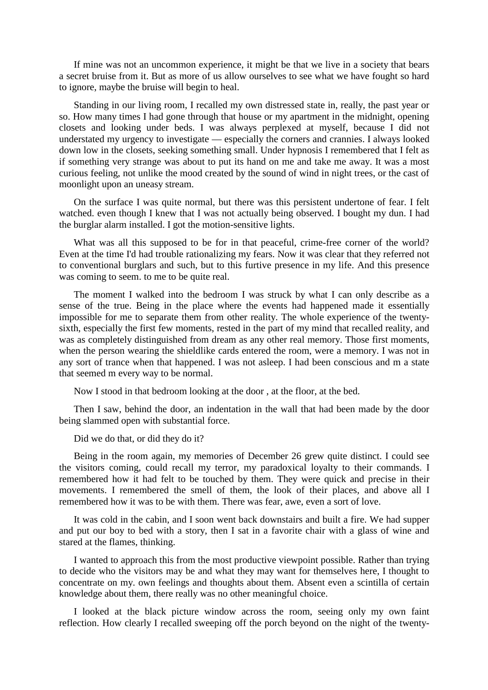If mine was not an uncommon experience, it might be that we live in a society that bears a secret bruise from it. But as more of us allow ourselves to see what we have fought so hard to ignore, maybe the bruise will begin to heal.

Standing in our living room, I recalled my own distressed state in, really, the past year or so. How many times I had gone through that house or my apartment in the midnight, opening closets and looking under beds. I was always perplexed at myself, because I did not understated my urgency to investigate — especially the corners and crannies. I always looked down low in the closets, seeking something small. Under hypnosis I remembered that I felt as if something very strange was about to put its hand on me and take me away. It was a most curious feeling, not unlike the mood created by the sound of wind in night trees, or the cast of moonlight upon an uneasy stream.

On the surface I was quite normal, but there was this persistent undertone of fear. I felt watched. even though I knew that I was not actually being observed. I bought my dun. I had the burglar alarm installed. I got the motion-sensitive lights.

What was all this supposed to be for in that peaceful, crime-free corner of the world? Even at the time I'd had trouble rationalizing my fears. Now it was clear that they referred not to conventional burglars and such, but to this furtive presence in my life. And this presence was coming to seem. to me to be quite real.

The moment I walked into the bedroom I was struck by what I can only describe as a sense of the true. Being in the place where the events had happened made it essentially impossible for me to separate them from other reality. The whole experience of the twentysixth, especially the first few moments, rested in the part of my mind that recalled reality, and was as completely distinguished from dream as any other real memory. Those first moments, when the person wearing the shieldlike cards entered the room, were a memory. I was not in any sort of trance when that happened. I was not asleep. I had been conscious and m a state that seemed m every way to be normal.

Now I stood in that bedroom looking at the door , at the floor, at the bed.

Then I saw, behind the door, an indentation in the wall that had been made by the door being slammed open with substantial force.

Did we do that, or did they do it?

Being in the room again, my memories of December 26 grew quite distinct. I could see the visitors coming, could recall my terror, my paradoxical loyalty to their commands. I remembered how it had felt to be touched by them. They were quick and precise in their movements. I remembered the smell of them, the look of their places, and above all I remembered how it was to be with them. There was fear, awe, even a sort of love.

It was cold in the cabin, and I soon went back downstairs and built a fire. We had supper and put our boy to bed with a story, then I sat in a favorite chair with a glass of wine and stared at the flames, thinking.

I wanted to approach this from the most productive viewpoint possible. Rather than trying to decide who the visitors may be and what they may want for themselves here, I thought to concentrate on my. own feelings and thoughts about them. Absent even a scintilla of certain knowledge about them, there really was no other meaningful choice.

I looked at the black picture window across the room, seeing only my own faint reflection. How clearly I recalled sweeping off the porch beyond on the night of the twenty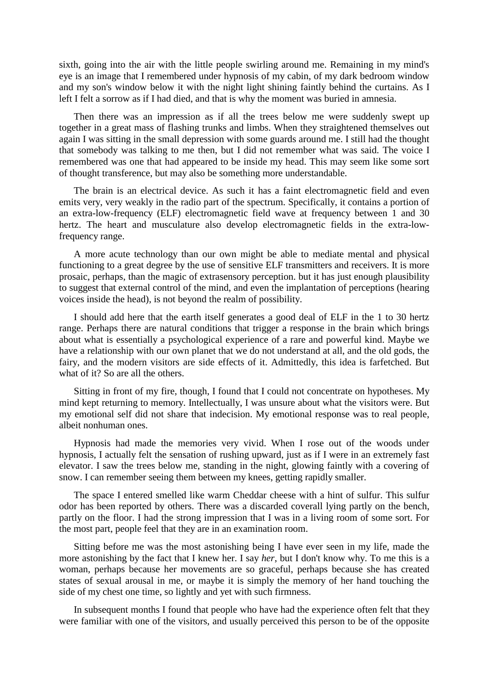sixth, going into the air with the little people swirling around me. Remaining in my mind's eye is an image that I remembered under hypnosis of my cabin, of my dark bedroom window and my son's window below it with the night light shining faintly behind the curtains. As I left I felt a sorrow as if I had died, and that is why the moment was buried in amnesia.

Then there was an impression as if all the trees below me were suddenly swept up together in a great mass of flashing trunks and limbs. When they straightened themselves out again I was sitting in the small depression with some guards around me. I still had the thought that somebody was talking to me then, but I did not remember what was said. The voice I remembered was one that had appeared to be inside my head. This may seem like some sort of thought transference, but may also be something more understandable.

The brain is an electrical device. As such it has a faint electromagnetic field and even emits very, very weakly in the radio part of the spectrum. Specifically, it contains a portion of an extra-low-frequency (ELF) electromagnetic field wave at frequency between 1 and 30 hertz. The heart and musculature also develop electromagnetic fields in the extra-lowfrequency range.

A more acute technology than our own might be able to mediate mental and physical functioning to a great degree by the use of sensitive ELF transmitters and receivers. It is more prosaic, perhaps, than the magic of extrasensory perception. but it has just enough plausibility to suggest that external control of the mind, and even the implantation of perceptions (hearing voices inside the head), is not beyond the realm of possibility.

I should add here that the earth itself generates a good deal of ELF in the 1 to 30 hertz range. Perhaps there are natural conditions that trigger a response in the brain which brings about what is essentially a psychological experience of a rare and powerful kind. Maybe we have a relationship with our own planet that we do not understand at all, and the old gods, the fairy, and the modern visitors are side effects of it. Admittedly, this idea is farfetched. But what of it? So are all the others.

Sitting in front of my fire, though, I found that I could not concentrate on hypotheses. My mind kept returning to memory. Intellectually, I was unsure about what the visitors were. But my emotional self did not share that indecision. My emotional response was to real people, albeit nonhuman ones.

Hypnosis had made the memories very vivid. When I rose out of the woods under hypnosis, I actually felt the sensation of rushing upward, just as if I were in an extremely fast elevator. I saw the trees below me, standing in the night, glowing faintly with a covering of snow. I can remember seeing them between my knees, getting rapidly smaller.

The space I entered smelled like warm Cheddar cheese with a hint of sulfur. This sulfur odor has been reported by others. There was a discarded coverall lying partly on the bench, partly on the floor. I had the strong impression that I was in a living room of some sort. For the most part, people feel that they are in an examination room.

Sitting before me was the most astonishing being I have ever seen in my life, made the more astonishing by the fact that I knew her. I say *her*, but I don't know why. To me this is a woman, perhaps because her movements are so graceful, perhaps because she has created states of sexual arousal in me, or maybe it is simply the memory of her hand touching the side of my chest one time, so lightly and yet with such firmness.

In subsequent months I found that people who have had the experience often felt that they were familiar with one of the visitors, and usually perceived this person to be of the opposite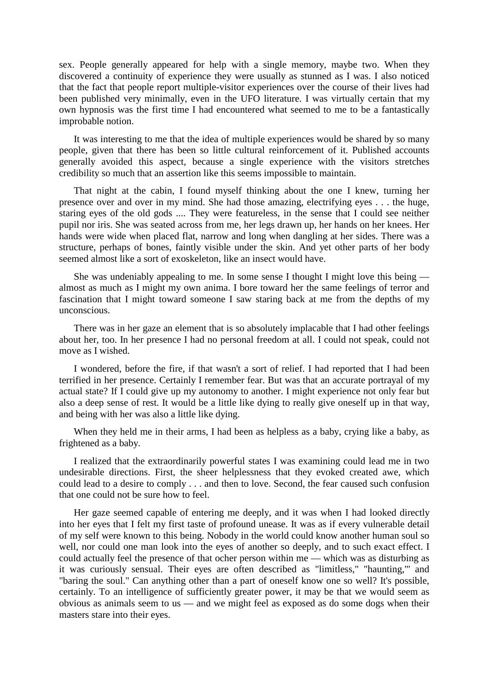sex. People generally appeared for help with a single memory, maybe two. When they discovered a continuity of experience they were usually as stunned as I was. I also noticed that the fact that people report multiple-visitor experiences over the course of their lives had been published very minimally, even in the UFO literature. I was virtually certain that my own hypnosis was the first time I had encountered what seemed to me to be a fantastically improbable notion.

It was interesting to me that the idea of multiple experiences would be shared by so many people, given that there has been so little cultural reinforcement of it. Published accounts generally avoided this aspect, because a single experience with the visitors stretches credibility so much that an assertion like this seems impossible to maintain.

That night at the cabin, I found myself thinking about the one I knew, turning her presence over and over in my mind. She had those amazing, electrifying eyes . . . the huge, staring eyes of the old gods .... They were featureless, in the sense that I could see neither pupil nor iris. She was seated across from me, her legs drawn up, her hands on her knees. Her hands were wide when placed flat, narrow and long when dangling at her sides. There was a structure, perhaps of bones, faintly visible under the skin. And yet other parts of her body seemed almost like a sort of exoskeleton, like an insect would have.

She was undeniably appealing to me. In some sense I thought I might love this being almost as much as I might my own anima. I bore toward her the same feelings of terror and fascination that I might toward someone I saw staring back at me from the depths of my unconscious.

There was in her gaze an element that is so absolutely implacable that I had other feelings about her, too. In her presence I had no personal freedom at all. I could not speak, could not move as I wished.

I wondered, before the fire, if that wasn't a sort of relief. I had reported that I had been terrified in her presence. Certainly I remember fear. But was that an accurate portrayal of my actual state? If I could give up my autonomy to another. I might experience not only fear but also a deep sense of rest. It would be a little like dying to really give oneself up in that way, and being with her was also a little like dying.

When they held me in their arms, I had been as helpless as a baby, crying like a baby, as frightened as a baby.

I realized that the extraordinarily powerful states I was examining could lead me in two undesirable directions. First, the sheer helplessness that they evoked created awe, which could lead to a desire to comply . . . and then to love. Second, the fear caused such confusion that one could not be sure how to feel.

Her gaze seemed capable of entering me deeply, and it was when I had looked directly into her eyes that I felt my first taste of profound unease. It was as if every vulnerable detail of my self were known to this being. Nobody in the world could know another human soul so well, nor could one man look into the eyes of another so deeply, and to such exact effect. I could actually feel the presence of that ocher person within me — which was as disturbing as it was curiously sensual. Their eyes are often described as "limitless," "haunting,"' and "baring the soul." Can anything other than a part of oneself know one so well? It's possible, certainly. To an intelligence of sufficiently greater power, it may be that we would seem as obvious as animals seem to us — and we might feel as exposed as do some dogs when their masters stare into their eyes.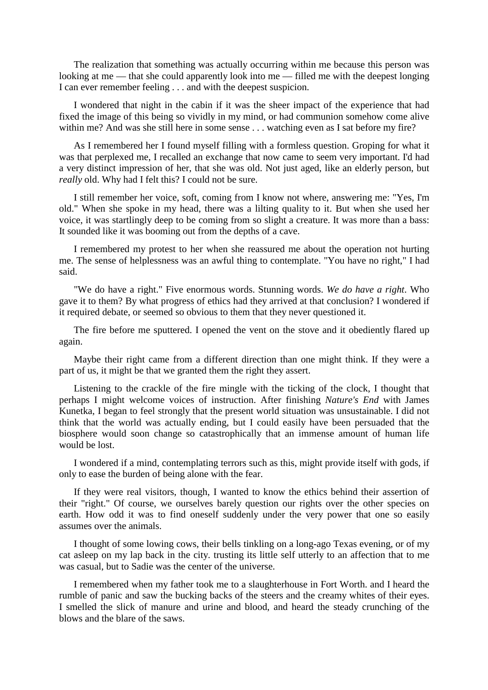The realization that something was actually occurring within me because this person was looking at me — that she could apparently look into me — filled me with the deepest longing I can ever remember feeling . . . and with the deepest suspicion.

I wondered that night in the cabin if it was the sheer impact of the experience that had fixed the image of this being so vividly in my mind, or had communion somehow come alive within me? And was she still here in some sense . . . watching even as I sat before my fire?

As I remembered her I found myself filling with a formless question. Groping for what it was that perplexed me, I recalled an exchange that now came to seem very important. I'd had a very distinct impression of her, that she was old. Not just aged, like an elderly person, but *really* old. Why had I felt this? I could not be sure.

I still remember her voice, soft, coming from I know not where, answering me: "Yes, I'm old." When she spoke in my head, there was a lilting quality to it. But when she used her voice, it was startlingly deep to be coming from so slight a creature. It was more than a bass: It sounded like it was booming out from the depths of a cave.

I remembered my protest to her when she reassured me about the operation not hurting me. The sense of helplessness was an awful thing to contemplate. "You have no right," I had said.

"We do have a right." Five enormous words. Stunning words. *We do have a right*. Who gave it to them? By what progress of ethics had they arrived at that conclusion? I wondered if it required debate, or seemed so obvious to them that they never questioned it.

The fire before me sputtered. I opened the vent on the stove and it obediently flared up again.

Maybe their right came from a different direction than one might think. If they were a part of us, it might be that we granted them the right they assert.

Listening to the crackle of the fire mingle with the ticking of the clock, I thought that perhaps I might welcome voices of instruction. After finishing *Nature's End* with James Kunetka, I began to feel strongly that the present world situation was unsustainable. I did not think that the world was actually ending, but I could easily have been persuaded that the biosphere would soon change so catastrophically that an immense amount of human life would be lost.

I wondered if a mind, contemplating terrors such as this, might provide itself with gods, if only to ease the burden of being alone with the fear.

If they were real visitors, though, I wanted to know the ethics behind their assertion of their "right." Of course, we ourselves barely question our rights over the other species on earth. How odd it was to find oneself suddenly under the very power that one so easily assumes over the animals.

I thought of some lowing cows, their bells tinkling on a long-ago Texas evening, or of my cat asleep on my lap back in the city. trusting its little self utterly to an affection that to me was casual, but to Sadie was the center of the universe.

I remembered when my father took me to a slaughterhouse in Fort Worth. and I heard the rumble of panic and saw the bucking backs of the steers and the creamy whites of their eyes. I smelled the slick of manure and urine and blood, and heard the steady crunching of the blows and the blare of the saws.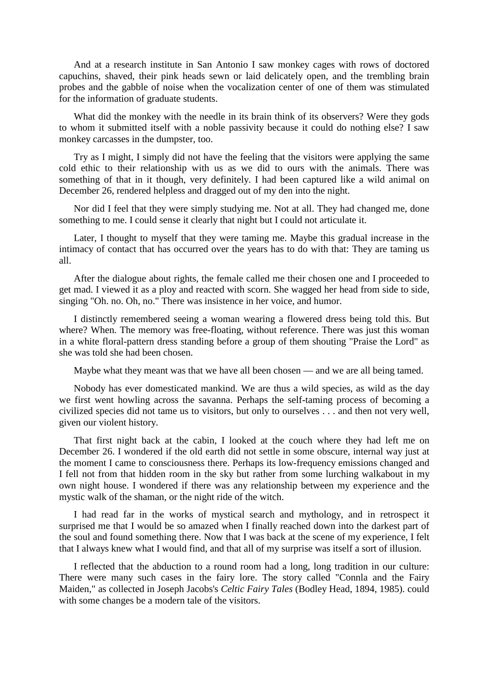And at a research institute in San Antonio I saw monkey cages with rows of doctored capuchins, shaved, their pink heads sewn or laid delicately open, and the trembling brain probes and the gabble of noise when the vocalization center of one of them was stimulated for the information of graduate students.

What did the monkey with the needle in its brain think of its observers? Were they gods to whom it submitted itself with a noble passivity because it could do nothing else? I saw monkey carcasses in the dumpster, too.

Try as I might, I simply did not have the feeling that the visitors were applying the same cold ethic to their relationship with us as we did to ours with the animals. There was something of that in it though, very definitely. I had been captured like a wild animal on December 26, rendered helpless and dragged out of my den into the night.

Nor did I feel that they were simply studying me. Not at all. They had changed me, done something to me. I could sense it clearly that night but I could not articulate it.

Later, I thought to myself that they were taming me. Maybe this gradual increase in the intimacy of contact that has occurred over the years has to do with that: They are taming us all.

After the dialogue about rights, the female called me their chosen one and I proceeded to get mad. I viewed it as a ploy and reacted with scorn. She wagged her head from side to side, singing "Oh. no. Oh, no." There was insistence in her voice, and humor.

I distinctly remembered seeing a woman wearing a flowered dress being told this. But where? When. The memory was free-floating, without reference. There was just this woman in a white floral-pattern dress standing before a group of them shouting "Praise the Lord" as she was told she had been chosen.

Maybe what they meant was that we have all been chosen — and we are all being tamed.

Nobody has ever domesticated mankind. We are thus a wild species, as wild as the day we first went howling across the savanna. Perhaps the self-taming process of becoming a civilized species did not tame us to visitors, but only to ourselves . . . and then not very well, given our violent history.

That first night back at the cabin, I looked at the couch where they had left me on December 26. I wondered if the old earth did not settle in some obscure, internal way just at the moment I came to consciousness there. Perhaps its low-frequency emissions changed and I fell not from that hidden room in the sky but rather from some lurching walkabout in my own night house. I wondered if there was any relationship between my experience and the mystic walk of the shaman, or the night ride of the witch.

I had read far in the works of mystical search and mythology, and in retrospect it surprised me that I would be so amazed when I finally reached down into the darkest part of the soul and found something there. Now that I was back at the scene of my experience, I felt that I always knew what I would find, and that all of my surprise was itself a sort of illusion.

I reflected that the abduction to a round room had a long, long tradition in our culture: There were many such cases in the fairy lore. The story called "Connla and the Fairy Maiden," as collected in Joseph Jacobs's *Celtic Fairy Tales* (Bodley Head, 1894, 1985). could with some changes be a modern tale of the visitors.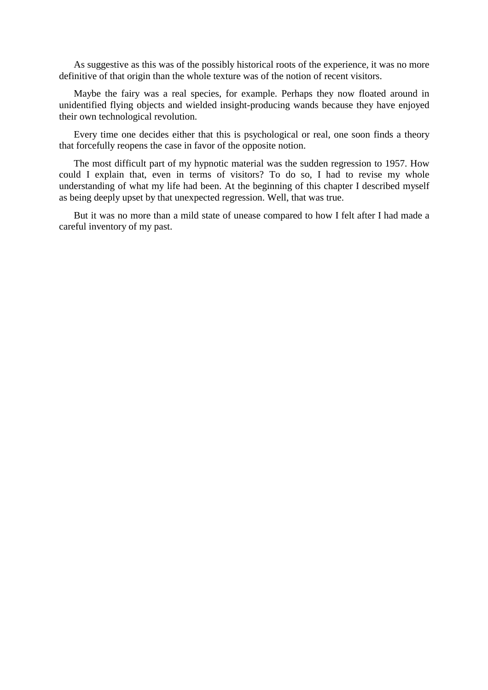As suggestive as this was of the possibly historical roots of the experience, it was no more definitive of that origin than the whole texture was of the notion of recent visitors.

Maybe the fairy was a real species, for example. Perhaps they now floated around in unidentified flying objects and wielded insight-producing wands because they have enjoyed their own technological revolution.

Every time one decides either that this is psychological or real, one soon finds a theory that forcefully reopens the case in favor of the opposite notion.

The most difficult part of my hypnotic material was the sudden regression to 1957. How could I explain that, even in terms of visitors? To do so, I had to revise my whole understanding of what my life had been. At the beginning of this chapter I described myself as being deeply upset by that unexpected regression. Well, that was true.

But it was no more than a mild state of unease compared to how I felt after I had made a careful inventory of my past.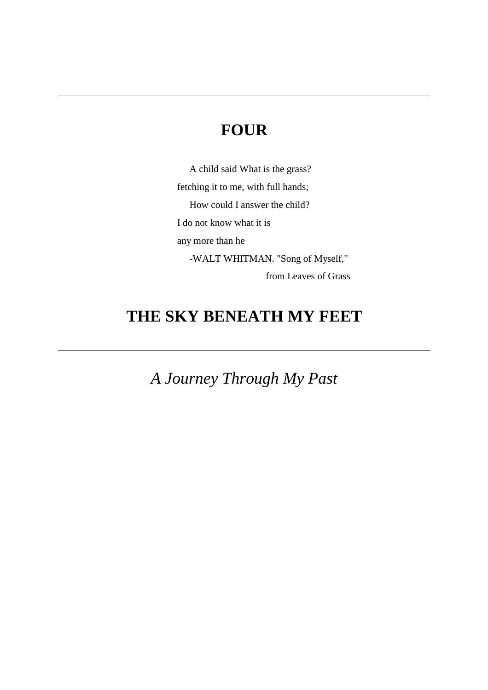## **FOUR**

 A child said What is the grass? fetching it to me, with full hands; How could I answer the child? I do not know what it is any more than he -WALT WHITMAN. "Song of Myself," from Leaves of Grass

## **THE SKY BENEATH MY FEET**

*A Journey Through My Past*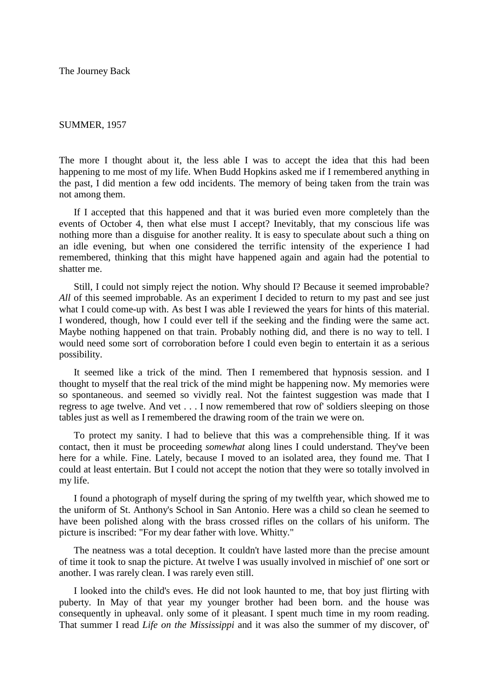The Journey Back

SUMMER, 1957

The more I thought about it, the less able I was to accept the idea that this had been happening to me most of my life. When Budd Hopkins asked me if I remembered anything in the past, I did mention a few odd incidents. The memory of being taken from the train was not among them.

If I accepted that this happened and that it was buried even more completely than the events of October 4, then what else must I accept? Inevitably, that my conscious life was nothing more than a disguise for another reality. It is easy to speculate about such a thing on an idle evening, but when one considered the terrific intensity of the experience I had remembered, thinking that this might have happened again and again had the potential to shatter me.

Still, I could not simply reject the notion. Why should I? Because it seemed improbable? *All* of this seemed improbable. As an experiment I decided to return to my past and see just what I could come-up with. As best I was able I reviewed the years for hints of this material. I wondered, though, how I could ever tell if the seeking and the finding were the same act. Maybe nothing happened on that train. Probably nothing did, and there is no way to tell. I would need some sort of corroboration before I could even begin to entertain it as a serious possibility.

It seemed like a trick of the mind. Then I remembered that hypnosis session. and I thought to myself that the real trick of the mind might be happening now. My memories were so spontaneous. and seemed so vividly real. Not the faintest suggestion was made that I regress to age twelve. And vet . . . I now remembered that row of' soldiers sleeping on those tables just as well as I remembered the drawing room of the train we were on.

To protect my sanity. I had to believe that this was a comprehensible thing. If it was contact, then it must be proceeding *somewhat* along lines I could understand. They've been here for a while. Fine. Lately, because I moved to an isolated area, they found me. That I could at least entertain. But I could not accept the notion that they were so totally involved in my life.

I found a photograph of myself during the spring of my twelfth year, which showed me to the uniform of St. Anthony's School in San Antonio. Here was a child so clean he seemed to have been polished along with the brass crossed rifles on the collars of his uniform. The picture is inscribed: "For my dear father with love. Whitty."

The neatness was a total deception. It couldn't have lasted more than the precise amount of time it took to snap the picture. At twelve I was usually involved in mischief of' one sort or another. I was rarely clean. I was rarely even still.

I looked into the child's eves. He did not look haunted to me, that boy just flirting with puberty. In May of that year my younger brother had been born. and the house was consequently in upheaval. only some of it pleasant. I spent much time in my room reading. That summer I read *Life on the Mississippi* and it was also the summer of my discover, of'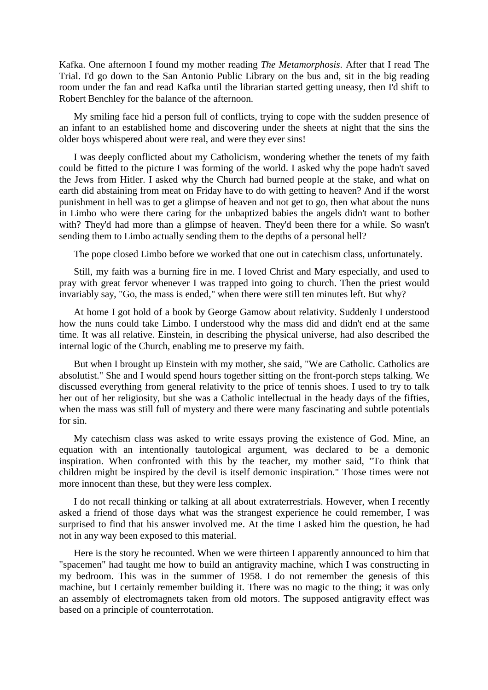Kafka. One afternoon I found my mother reading *The Metamorphosis*. After that I read The Trial. I'd go down to the San Antonio Public Library on the bus and, sit in the big reading room under the fan and read Kafka until the librarian started getting uneasy, then I'd shift to Robert Benchley for the balance of the afternoon.

My smiling face hid a person full of conflicts, trying to cope with the sudden presence of an infant to an established home and discovering under the sheets at night that the sins the older boys whispered about were real, and were they ever sins!

I was deeply conflicted about my Catholicism, wondering whether the tenets of my faith could be fitted to the picture I was forming of the world. I asked why the pope hadn't saved the Jews from Hitler. I asked why the Church had burned people at the stake, and what on earth did abstaining from meat on Friday have to do with getting to heaven? And if the worst punishment in hell was to get a glimpse of heaven and not get to go, then what about the nuns in Limbo who were there caring for the unbaptized babies the angels didn't want to bother with? They'd had more than a glimpse of heaven. They'd been there for a while. So wasn't sending them to Limbo actually sending them to the depths of a personal hell?

The pope closed Limbo before we worked that one out in catechism class, unfortunately.

Still, my faith was a burning fire in me. I loved Christ and Mary especially, and used to pray with great fervor whenever I was trapped into going to church. Then the priest would invariably say, "Go, the mass is ended," when there were still ten minutes left. But why?

At home I got hold of a book by George Gamow about relativity. Suddenly I understood how the nuns could take Limbo. I understood why the mass did and didn't end at the same time. It was all relative. Einstein, in describing the physical universe, had also described the internal logic of the Church, enabling me to preserve my faith.

But when I brought up Einstein with my mother, she said, "We are Catholic. Catholics are absolutist." She and I would spend hours together sitting on the front-porch steps talking. We discussed everything from general relativity to the price of tennis shoes. I used to try to talk her out of her religiosity, but she was a Catholic intellectual in the heady days of the fifties, when the mass was still full of mystery and there were many fascinating and subtle potentials for sin.

My catechism class was asked to write essays proving the existence of God. Mine, an equation with an intentionally tautological argument, was declared to be a demonic inspiration. When confronted with this by the teacher, my mother said, "To think that children might be inspired by the devil is itself demonic inspiration." Those times were not more innocent than these, but they were less complex.

I do not recall thinking or talking at all about extraterrestrials. However, when I recently asked a friend of those days what was the strangest experience he could remember, I was surprised to find that his answer involved me. At the time I asked him the question, he had not in any way been exposed to this material.

Here is the story he recounted. When we were thirteen I apparently announced to him that "spacemen" had taught me how to build an antigravity machine, which I was constructing in my bedroom. This was in the summer of 1958. I do not remember the genesis of this machine, but I certainly remember building it. There was no magic to the thing; it was only an assembly of electromagnets taken from old motors. The supposed antigravity effect was based on a principle of counterrotation.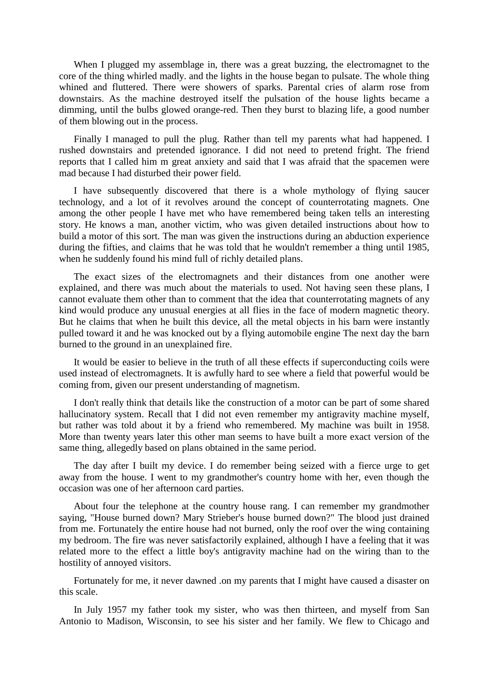When I plugged my assemblage in, there was a great buzzing, the electromagnet to the core of the thing whirled madly. and the lights in the house began to pulsate. The whole thing whined and fluttered. There were showers of sparks. Parental cries of alarm rose from downstairs. As the machine destroyed itself the pulsation of the house lights became a dimming, until the bulbs glowed orange-red. Then they burst to blazing life, a good number of them blowing out in the process.

Finally I managed to pull the plug. Rather than tell my parents what had happened. I rushed downstairs and pretended ignorance. I did not need to pretend fright. The friend reports that I called him m great anxiety and said that I was afraid that the spacemen were mad because I had disturbed their power field.

I have subsequently discovered that there is a whole mythology of flying saucer technology, and a lot of it revolves around the concept of counterrotating magnets. One among the other people I have met who have remembered being taken tells an interesting story. He knows a man, another victim, who was given detailed instructions about how to build a motor of this sort. The man was given the instructions during an abduction experience during the fifties, and claims that he was told that he wouldn't remember a thing until 1985, when he suddenly found his mind full of richly detailed plans.

The exact sizes of the electromagnets and their distances from one another were explained, and there was much about the materials to used. Not having seen these plans, I cannot evaluate them other than to comment that the idea that counterrotating magnets of any kind would produce any unusual energies at all flies in the face of modern magnetic theory. But he claims that when he built this device, all the metal objects in his barn were instantly pulled toward it and he was knocked out by a flying automobile engine The next day the barn burned to the ground in an unexplained fire.

It would be easier to believe in the truth of all these effects if superconducting coils were used instead of electromagnets. It is awfully hard to see where a field that powerful would be coming from, given our present understanding of magnetism.

I don't really think that details like the construction of a motor can be part of some shared hallucinatory system. Recall that I did not even remember my antigravity machine myself, but rather was told about it by a friend who remembered. My machine was built in 1958. More than twenty years later this other man seems to have built a more exact version of the same thing, allegedly based on plans obtained in the same period.

The day after I built my device. I do remember being seized with a fierce urge to get away from the house. I went to my grandmother's country home with her, even though the occasion was one of her afternoon card parties.

About four the telephone at the country house rang. I can remember my grandmother saying, "House burned down? Mary Strieber's house burned down?" The blood just drained from me. Fortunately the entire house had not burned, only the roof over the wing containing my bedroom. The fire was never satisfactorily explained, although I have a feeling that it was related more to the effect a little boy's antigravity machine had on the wiring than to the hostility of annoyed visitors.

Fortunately for me, it never dawned .on my parents that I might have caused a disaster on this scale.

In July 1957 my father took my sister, who was then thirteen, and myself from San Antonio to Madison, Wisconsin, to see his sister and her family. We flew to Chicago and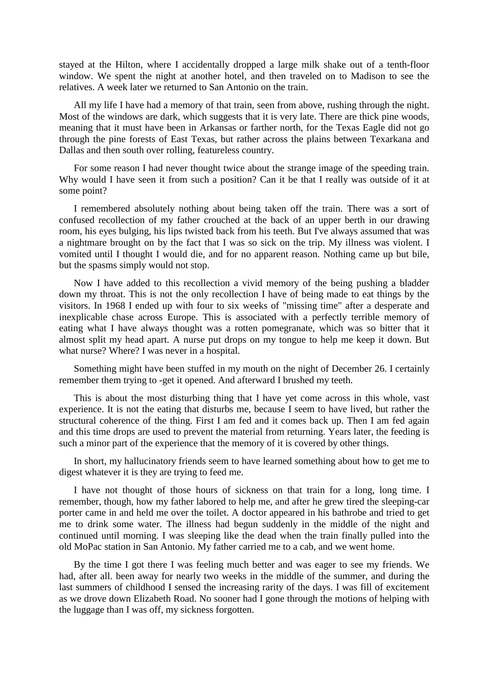stayed at the Hilton, where I accidentally dropped a large milk shake out of a tenth-floor window. We spent the night at another hotel, and then traveled on to Madison to see the relatives. A week later we returned to San Antonio on the train.

All my life I have had a memory of that train, seen from above, rushing through the night. Most of the windows are dark, which suggests that it is very late. There are thick pine woods, meaning that it must have been in Arkansas or farther north, for the Texas Eagle did not go through the pine forests of East Texas, but rather across the plains between Texarkana and Dallas and then south over rolling, featureless country.

For some reason I had never thought twice about the strange image of the speeding train. Why would I have seen it from such a position? Can it be that I really was outside of it at some point?

I remembered absolutely nothing about being taken off the train. There was a sort of confused recollection of my father crouched at the back of an upper berth in our drawing room, his eyes bulging, his lips twisted back from his teeth. But I've always assumed that was a nightmare brought on by the fact that I was so sick on the trip. My illness was violent. I vomited until I thought I would die, and for no apparent reason. Nothing came up but bile, but the spasms simply would not stop.

Now I have added to this recollection a vivid memory of the being pushing a bladder down my throat. This is not the only recollection I have of being made to eat things by the visitors. In 1968 I ended up with four to six weeks of "missing time" after a desperate and inexplicable chase across Europe. This is associated with a perfectly terrible memory of eating what I have always thought was a rotten pomegranate, which was so bitter that it almost split my head apart. A nurse put drops on my tongue to help me keep it down. But what nurse? Where? I was never in a hospital.

Something might have been stuffed in my mouth on the night of December 26. I certainly remember them trying to -get it opened. And afterward I brushed my teeth.

This is about the most disturbing thing that I have yet come across in this whole, vast experience. It is not the eating that disturbs me, because I seem to have lived, but rather the structural coherence of the thing. First I am fed and it comes back up. Then I am fed again and this time drops are used to prevent the material from returning. Years later, the feeding is such a minor part of the experience that the memory of it is covered by other things.

In short, my hallucinatory friends seem to have learned something about how to get me to digest whatever it is they are trying to feed me.

I have not thought of those hours of sickness on that train for a long, long time. I remember, though, how my father labored to help me, and after he grew tired the sleeping-car porter came in and held me over the toilet. A doctor appeared in his bathrobe and tried to get me to drink some water. The illness had begun suddenly in the middle of the night and continued until morning. I was sleeping like the dead when the train finally pulled into the old MoPac station in San Antonio. My father carried me to a cab, and we went home.

By the time I got there I was feeling much better and was eager to see my friends. We had, after all. been away for nearly two weeks in the middle of the summer, and during the last summers of childhood I sensed the increasing rarity of the days. I was fill of excitement as we drove down Elizabeth Road. No sooner had I gone through the motions of helping with the luggage than I was off, my sickness forgotten.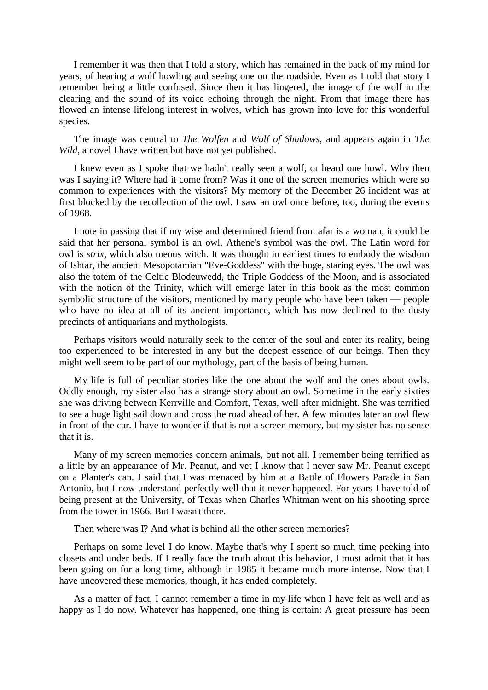I remember it was then that I told a story, which has remained in the back of my mind for years, of hearing a wolf howling and seeing one on the roadside. Even as I told that story I remember being a little confused. Since then it has lingered, the image of the wolf in the clearing and the sound of its voice echoing through the night. From that image there has flowed an intense lifelong interest in wolves, which has grown into love for this wonderful species.

The image was central to *The Wolfen* and *Wolf of Shadows*, and appears again in *The Wild*, a novel I have written but have not yet published.

I knew even as I spoke that we hadn't really seen a wolf, or heard one howl. Why then was I saying it? Where had it come from? Was it one of the screen memories which were so common to experiences with the visitors? My memory of the December 26 incident was at first blocked by the recollection of the owl. I saw an owl once before, too, during the events of 1968.

I note in passing that if my wise and determined friend from afar is a woman, it could be said that her personal symbol is an owl. Athene's symbol was the owl. The Latin word for owl is *strix*, which also menus witch. It was thought in earliest times to embody the wisdom of Ishtar, the ancient Mesopotamian "Eve-Goddess" with the huge, staring eyes. The owl was also the totem of the Celtic Blodeuwedd, the Triple Goddess of the Moon, and is associated with the notion of the Trinity, which will emerge later in this book as the most common symbolic structure of the visitors, mentioned by many people who have been taken — people who have no idea at all of its ancient importance, which has now declined to the dusty precincts of antiquarians and mythologists.

Perhaps visitors would naturally seek to the center of the soul and enter its reality, being too experienced to be interested in any but the deepest essence of our beings. Then they might well seem to be part of our mythology, part of the basis of being human.

My life is full of peculiar stories like the one about the wolf and the ones about owls. Oddly enough, my sister also has a strange story about an owl. Sometime in the early sixties she was driving between Kerrville and Comfort, Texas, well after midnight. She was terrified to see a huge light sail down and cross the road ahead of her. A few minutes later an owl flew in front of the car. I have to wonder if that is not a screen memory, but my sister has no sense that it is.

Many of my screen memories concern animals, but not all. I remember being terrified as a little by an appearance of Mr. Peanut, and vet I .know that I never saw Mr. Peanut except on a Planter's can. I said that I was menaced by him at a Battle of Flowers Parade in San Antonio, but I now understand perfectly well that it never happened. For years I have told of being present at the University, of Texas when Charles Whitman went on his shooting spree from the tower in 1966. But I wasn't there.

Then where was I? And what is behind all the other screen memories?

Perhaps on some level I do know. Maybe that's why I spent so much time peeking into closets and under beds. If I really face the truth about this behavior, I must admit that it has been going on for a long time, although in 1985 it became much more intense. Now that I have uncovered these memories, though, it has ended completely.

As a matter of fact, I cannot remember a time in my life when I have felt as well and as happy as I do now. Whatever has happened, one thing is certain: A great pressure has been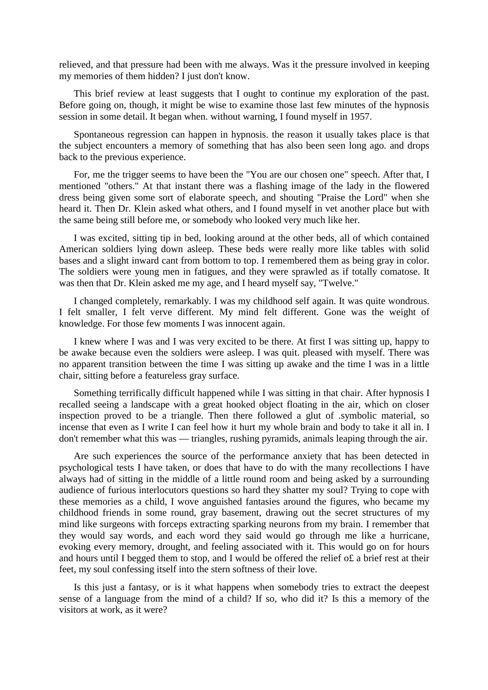relieved, and that pressure had been with me always. Was it the pressure involved in keeping my memories of them hidden? I just don't know.

This brief review at least suggests that I ought to continue my exploration of the past. Before going on, though, it might be wise to examine those last few minutes of the hypnosis session in some detail. It began when. without warning, I found myself in 1957.

Spontaneous regression can happen in hypnosis. the reason it usually takes place is that the subject encounters a memory of something that has also been seen long ago. and drops back to the previous experience.

For, me the trigger seems to have been the "You are our chosen one" speech. After that, I mentioned "others." At that instant there was a flashing image of the lady in the flowered dress being given some sort of elaborate speech, and shouting "Praise the Lord" when she heard it. Then Dr. Klein asked what others, and I found myself in vet another place but with the same being still before me, or somebody who looked very much like her.

I was excited, sitting tip in bed, looking around at the other beds, all of which contained American soldiers lying down asleep. These beds were really more like tables with solid bases and a slight inward cant from bottom to top. I remembered them as being gray in color. The soldiers were young men in fatigues, and they were sprawled as if totally comatose. It was then that Dr. Klein asked me my age, and I heard myself say, "Twelve."

I changed completely, remarkably. I was my childhood self again. It was quite wondrous. I felt smaller, I felt verve different. My mind felt different. Gone was the weight of knowledge. For those few moments I was innocent again.

I knew where I was and I was very excited to be there. At first I was sitting up, happy to be awake because even the soldiers were asleep. I was quit. pleased with myself. There was no apparent transition between the time I was sitting up awake and the time I was in a little chair, sitting before a featureless gray surface.

Something terrifically difficult happened while I was sitting in that chair. After hypnosis I recalled seeing a landscape with a great hooked object floating in the air, which on closer inspection proved to be a triangle. Then there followed a glut of .symbolic material, so incense that even as I write I can feel how it hurt my whole brain and body to take it all in. I don't remember what this was — triangles, rushing pyramids, animals leaping through the air.

Are such experiences the source of the performance anxiety that has been detected in psychological tests I have taken, or does that have to do with the many recollections I have always had of sitting in the middle of a little round room and being asked by a surrounding audience of furious interlocutors questions so hard they shatter my soul? Trying to cope with these memories as a child, I wove anguished fantasies around the figures, who became my childhood friends in some round, gray basement, drawing out the secret structures of my mind like surgeons with forceps extracting sparking neurons from my brain. I remember that they would say words, and each word they said would go through me like a hurricane, evoking every memory, drought, and feeling associated with it. This would go on for hours and hours until I begged them to stop, and I would be offered the relief o£ a brief rest at their feet, my soul confessing itself into the stern softness of their love.

Is this just a fantasy, or is it what happens when somebody tries to extract the deepest sense of a language from the mind of a child? If so, who did it? Is this a memory of the visitors at work, as it were?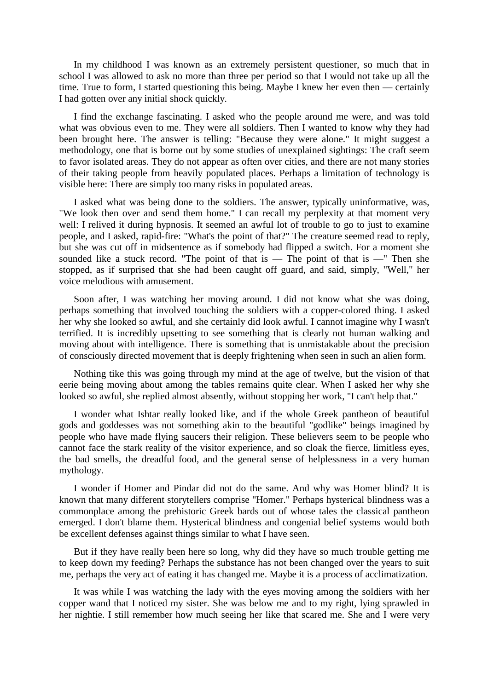In my childhood I was known as an extremely persistent questioner, so much that in school I was allowed to ask no more than three per period so that I would not take up all the time. True to form, I started questioning this being. Maybe I knew her even then — certainly I had gotten over any initial shock quickly.

I find the exchange fascinating. I asked who the people around me were, and was told what was obvious even to me. They were all soldiers. Then I wanted to know why they had been brought here. The answer is telling: "Because they were alone." It might suggest a methodology, one that is borne out by some studies of unexplained sightings: The craft seem to favor isolated areas. They do not appear as often over cities, and there are not many stories of their taking people from heavily populated places. Perhaps a limitation of technology is visible here: There are simply too many risks in populated areas.

I asked what was being done to the soldiers. The answer, typically uninformative, was, "We look then over and send them home." I can recall my perplexity at that moment very well: I relived it during hypnosis. It seemed an awful lot of trouble to go to just to examine people, and I asked, rapid-fire: "What's the point of that?" The creature seemed read to reply, but she was cut off in midsentence as if somebody had flipped a switch. For a moment she sounded like a stuck record. "The point of that is — The point of that is —" Then she stopped, as if surprised that she had been caught off guard, and said, simply, "Well," her voice melodious with amusement.

Soon after, I was watching her moving around. I did not know what she was doing, perhaps something that involved touching the soldiers with a copper-colored thing. I asked her why she looked so awful, and she certainly did look awful. I cannot imagine why I wasn't terrified. It is incredibly upsetting to see something that is clearly not human walking and moving about with intelligence. There is something that is unmistakable about the precision of consciously directed movement that is deeply frightening when seen in such an alien form.

Nothing tike this was going through my mind at the age of twelve, but the vision of that eerie being moving about among the tables remains quite clear. When I asked her why she looked so awful, she replied almost absently, without stopping her work, "I can't help that."

I wonder what Ishtar really looked like, and if the whole Greek pantheon of beautiful gods and goddesses was not something akin to the beautiful "godlike" beings imagined by people who have made flying saucers their religion. These believers seem to be people who cannot face the stark reality of the visitor experience, and so cloak the fierce, limitless eyes, the bad smells, the dreadful food, and the general sense of helplessness in a very human mythology.

I wonder if Homer and Pindar did not do the same. And why was Homer blind? It is known that many different storytellers comprise "Homer." Perhaps hysterical blindness was a commonplace among the prehistoric Greek bards out of whose tales the classical pantheon emerged. I don't blame them. Hysterical blindness and congenial belief systems would both be excellent defenses against things similar to what I have seen.

But if they have really been here so long, why did they have so much trouble getting me to keep down my feeding? Perhaps the substance has not been changed over the years to suit me, perhaps the very act of eating it has changed me. Maybe it is a process of acclimatization.

It was while I was watching the lady with the eyes moving among the soldiers with her copper wand that I noticed my sister. She was below me and to my right, lying sprawled in her nightie. I still remember how much seeing her like that scared me. She and I were very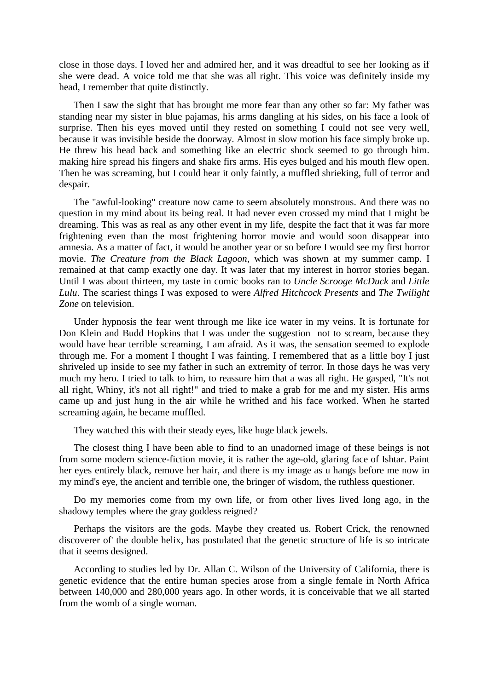close in those days. I loved her and admired her, and it was dreadful to see her looking as if she were dead. A voice told me that she was all right. This voice was definitely inside my head, I remember that quite distinctly.

Then I saw the sight that has brought me more fear than any other so far: My father was standing near my sister in blue pajamas, his arms dangling at his sides, on his face a look of surprise. Then his eyes moved until they rested on something I could not see very well, because it was invisible beside the doorway. Almost in slow motion his face simply broke up. He threw his head back and something like an electric shock seemed to go through him. making hire spread his fingers and shake firs arms. His eyes bulged and his mouth flew open. Then he was screaming, but I could hear it only faintly, a muffled shrieking, full of terror and despair.

The "awful-looking" creature now came to seem absolutely monstrous. And there was no question in my mind about its being real. It had never even crossed my mind that I might be dreaming. This was as real as any other event in my life, despite the fact that it was far more frightening even than the most frightening horror movie and would soon disappear into amnesia. As a matter of fact, it would be another year or so before I would see my first horror movie. *The Creature from the Black Lagoon*, which was shown at my summer camp. I remained at that camp exactly one day. It was later that my interest in horror stories began. Until I was about thirteen, my taste in comic books ran to *Uncle Scrooge McDuck* and *Little Lulu*. The scariest things I was exposed to were *Alfred Hitchcock Presents* and *The Twilight Zone* on television.

Under hypnosis the fear went through me like ice water in my veins. It is fortunate for Don Klein and Budd Hopkins that I was under the suggestion not to scream, because they would have hear terrible screaming, I am afraid. As it was, the sensation seemed to explode through me. For a moment I thought I was fainting. I remembered that as a little boy I just shriveled up inside to see my father in such an extremity of terror. In those days he was very much my hero. I tried to talk to him, to reassure him that a was all right. He gasped, "It's not all right, Whiny, it's not all right!" and tried to make a grab for me and my sister. His arms came up and just hung in the air while he writhed and his face worked. When he started screaming again, he became muffled.

They watched this with their steady eyes, like huge black jewels.

The closest thing I have been able to find to an unadorned image of these beings is not from some modern science-fiction movie, it is rather the age-old, glaring face of Ishtar. Paint her eyes entirely black, remove her hair, and there is my image as u hangs before me now in my mind's eye, the ancient and terrible one, the bringer of wisdom, the ruthless questioner.

Do my memories come from my own life, or from other lives lived long ago, in the shadowy temples where the gray goddess reigned?

Perhaps the visitors are the gods. Maybe they created us. Robert Crick, the renowned discoverer of' the double helix, has postulated that the genetic structure of life is so intricate that it seems designed.

According to studies led by Dr. Allan C. Wilson of the University of California, there is genetic evidence that the entire human species arose from a single female in North Africa between 140,000 and 280,000 years ago. In other words, it is conceivable that we all started from the womb of a single woman.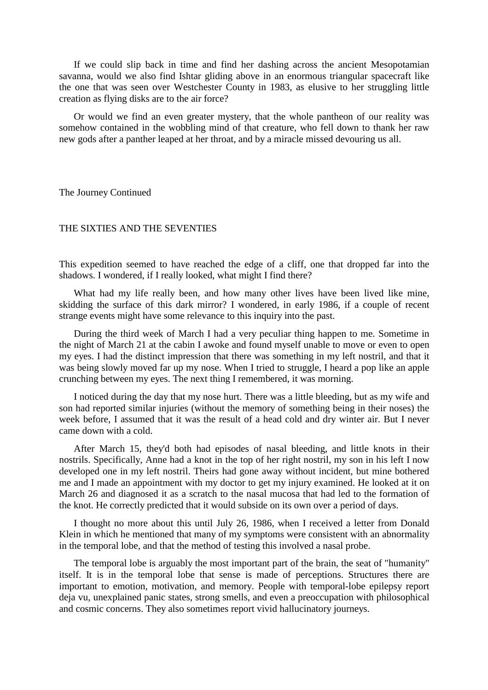If we could slip back in time and find her dashing across the ancient Mesopotamian savanna, would we also find Ishtar gliding above in an enormous triangular spacecraft like the one that was seen over Westchester County in 1983, as elusive to her struggling little creation as flying disks are to the air force?

Or would we find an even greater mystery, that the whole pantheon of our reality was somehow contained in the wobbling mind of that creature, who fell down to thank her raw new gods after a panther leaped at her throat, and by a miracle missed devouring us all.

The Journey Continued

## THE SIXTIES AND THE SEVENTIES

This expedition seemed to have reached the edge of a cliff, one that dropped far into the shadows. I wondered, if I really looked, what might I find there?

What had my life really been, and how many other lives have been lived like mine, skidding the surface of this dark mirror? I wondered, in early 1986, if a couple of recent strange events might have some relevance to this inquiry into the past.

During the third week of March I had a very peculiar thing happen to me. Sometime in the night of March 21 at the cabin I awoke and found myself unable to move or even to open my eyes. I had the distinct impression that there was something in my left nostril, and that it was being slowly moved far up my nose. When I tried to struggle, I heard a pop like an apple crunching between my eyes. The next thing I remembered, it was morning.

I noticed during the day that my nose hurt. There was a little bleeding, but as my wife and son had reported similar injuries (without the memory of something being in their noses) the week before, I assumed that it was the result of a head cold and dry winter air. But I never came down with a cold.

After March 15, they'd both had episodes of nasal bleeding, and little knots in their nostrils. Specifically, Anne had a knot in the top of her right nostril, my son in his left I now developed one in my left nostril. Theirs had gone away without incident, but mine bothered me and I made an appointment with my doctor to get my injury examined. He looked at it on March 26 and diagnosed it as a scratch to the nasal mucosa that had led to the formation of the knot. He correctly predicted that it would subside on its own over a period of days.

I thought no more about this until July 26, 1986, when I received a letter from Donald Klein in which he mentioned that many of my symptoms were consistent with an abnormality in the temporal lobe, and that the method of testing this involved a nasal probe.

The temporal lobe is arguably the most important part of the brain, the seat of "humanity" itself. It is in the temporal lobe that sense is made of perceptions. Structures there are important to emotion, motivation, and memory. People with temporal-lobe epilepsy report deja vu, unexplained panic states, strong smells, and even a preoccupation with philosophical and cosmic concerns. They also sometimes report vivid hallucinatory journeys.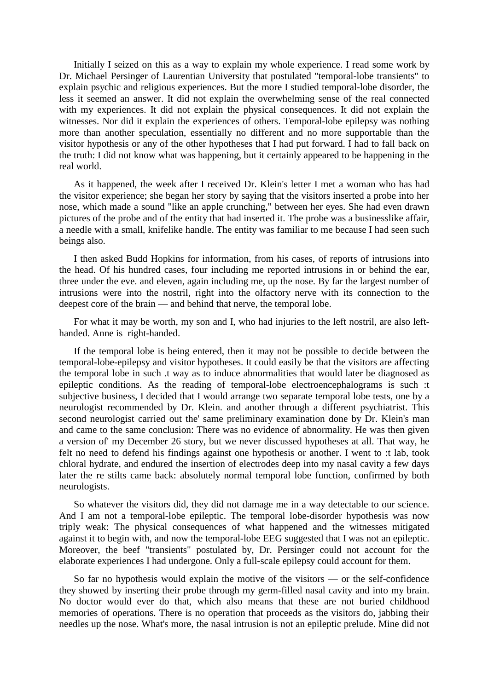Initially I seized on this as a way to explain my whole experience. I read some work by Dr. Michael Persinger of Laurentian University that postulated "temporal-lobe transients" to explain psychic and religious experiences. But the more I studied temporal-lobe disorder, the less it seemed an answer. It did not explain the overwhelming sense of the real connected with my experiences. It did not explain the physical consequences. It did not explain the witnesses. Nor did it explain the experiences of others. Temporal-lobe epilepsy was nothing more than another speculation, essentially no different and no more supportable than the visitor hypothesis or any of the other hypotheses that I had put forward. I had to fall back on the truth: I did not know what was happening, but it certainly appeared to be happening in the real world.

As it happened, the week after I received Dr. Klein's letter I met a woman who has had the visitor experience; she began her story by saying that the visitors inserted a probe into her nose, which made a sound "like an apple crunching," between her eyes. She had even drawn pictures of the probe and of the entity that had inserted it. The probe was a businesslike affair, a needle with a small, knifelike handle. The entity was familiar to me because I had seen such beings also.

I then asked Budd Hopkins for information, from his cases, of reports of intrusions into the head. Of his hundred cases, four including me reported intrusions in or behind the ear, three under the eve. and eleven, again including me, up the nose. By far the largest number of intrusions were into the nostril, right into the olfactory nerve with its connection to the deepest core of the brain — and behind that nerve, the temporal lobe.

For what it may be worth, my son and I, who had injuries to the left nostril, are also lefthanded. Anne is right-handed.

If the temporal lobe is being entered, then it may not be possible to decide between the temporal-lobe-epilepsy and visitor hypotheses. It could easily be that the visitors are affecting the temporal lobe in such .t way as to induce abnormalities that would later be diagnosed as epileptic conditions. As the reading of temporal-lobe electroencephalograms is such :t subjective business, I decided that I would arrange two separate temporal lobe tests, one by a neurologist recommended by Dr. Klein. and another through a different psychiatrist. This second neurologist carried out the' same preliminary examination done by Dr. Klein's man and came to the same conclusion: There was no evidence of abnormality. He was then given a version of' my December 26 story, but we never discussed hypotheses at all. That way, he felt no need to defend his findings against one hypothesis or another. I went to :t lab, took chloral hydrate, and endured the insertion of electrodes deep into my nasal cavity a few days later the re stilts came back: absolutely normal temporal lobe function, confirmed by both neurologists.

So whatever the visitors did, they did not damage me in a way detectable to our science. And I am not a temporal-lobe epileptic. The temporal lobe-disorder hypothesis was now triply weak: The physical consequences of what happened and the witnesses mitigated against it to begin with, and now the temporal-lobe EEG suggested that I was not an epileptic. Moreover, the beef "transients" postulated by, Dr. Persinger could not account for the elaborate experiences I had undergone. Only a full-scale epilepsy could account for them.

So far no hypothesis would explain the motive of the visitors — or the self-confidence they showed by inserting their probe through my germ-filled nasal cavity and into my brain. No doctor would ever do that, which also means that these are not buried childhood memories of operations. There is no operation that proceeds as the visitors do, jabbing their needles up the nose. What's more, the nasal intrusion is not an epileptic prelude. Mine did not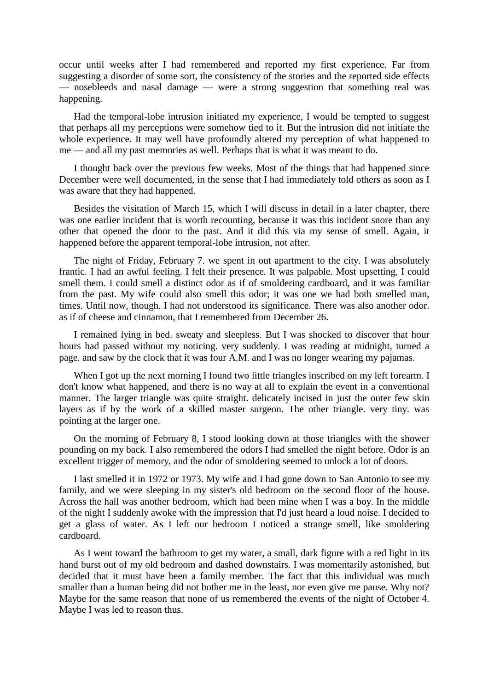occur until weeks after I had remembered and reported my first experience. Far from suggesting a disorder of some sort, the consistency of the stories and the reported side effects — nosebleeds and nasal damage — were a strong suggestion that something real was happening.

Had the temporal-lobe intrusion initiated my experience, I would be tempted to suggest that perhaps all my perceptions were somehow tied to it. But the intrusion did not initiate the whole experience. It may well have profoundly altered my perception of what happened to me — and all my past memories as well. Perhaps that is what it was meant to do.

I thought back over the previous few weeks. Most of the things that had happened since December were well documented, in the sense that I had immediately told others as soon as I was aware that they had happened.

Besides the visitation of March 15, which I will discuss in detail in a later chapter, there was one earlier incident that is worth recounting, because it was this incident snore than any other that opened the door to the past. And it did this via my sense of smell. Again, it happened before the apparent temporal-lobe intrusion, not after.

The night of Friday, February 7. we spent in out apartment to the city. I was absolutely frantic. I had an awful feeling. I felt their presence. It was palpable. Most upsetting, I could smell them. I could smell a distinct odor as if of smoldering cardboard, and it was familiar from the past. My wife could also smell this odor; it was one we had both smelled man, times. Until now, though. I had not understood its significance. There was also another odor. as if of cheese and cinnamon, that I remembered from December 26.

I remained lying in bed. sweaty and sleepless. But I was shocked to discover that hour hours had passed without my noticing. very suddenly. I was reading at midnight, turned a page. and saw by the clock that it was four A.M. and I was no longer wearing my pajamas.

When I got up the next morning I found two little triangles inscribed on my left forearm. I don't know what happened, and there is no way at all to explain the event in a conventional manner. The larger triangle was quite straight. delicately incised in just the outer few skin layers as if by the work of a skilled master surgeon. The other triangle. very tiny. was pointing at the larger one.

On the morning of February 8, I stood looking down at those triangles with the shower pounding on my back. I also remembered the odors I had smelled the night before. Odor is an excellent trigger of memory, and the odor of smoldering seemed to unlock a lot of doors.

I last smelled it in 1972 or 1973. My wife and I had gone down to San Antonio to see my family, and we were sleeping in my sister's old bedroom on the second floor of the house. Across the hall was another bedroom, which had been mine when I was a boy. In the middle of the night I suddenly awoke with the impression that I'd just heard a loud noise. I decided to get a glass of water. As I left our bedroom I noticed a strange smell, like smoldering cardboard.

As I went toward the bathroom to get my water, a small, dark figure with a red light in its hand burst out of my old bedroom and dashed downstairs. I was momentarily astonished, but decided that it must have been a family member. The fact that this individual was much smaller than a human being did not bother me in the least, nor even give me pause. Why not? Maybe for the same reason that none of us remembered the events of the night of October 4. Maybe I was led to reason thus.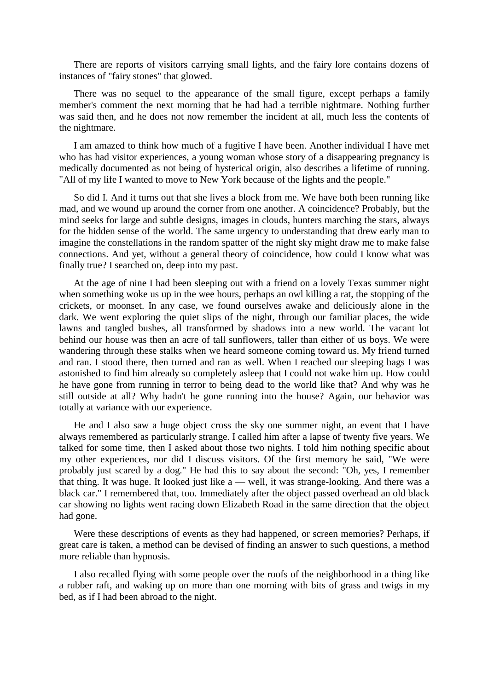There are reports of visitors carrying small lights, and the fairy lore contains dozens of instances of "fairy stones" that glowed.

There was no sequel to the appearance of the small figure, except perhaps a family member's comment the next morning that he had had a terrible nightmare. Nothing further was said then, and he does not now remember the incident at all, much less the contents of the nightmare.

I am amazed to think how much of a fugitive I have been. Another individual I have met who has had visitor experiences, a young woman whose story of a disappearing pregnancy is medically documented as not being of hysterical origin, also describes a lifetime of running. "All of my life I wanted to move to New York because of the lights and the people."

So did I. And it turns out that she lives a block from me. We have both been running like mad, and we wound up around the corner from one another. A coincidence? Probably, but the mind seeks for large and subtle designs, images in clouds, hunters marching the stars, always for the hidden sense of the world. The same urgency to understanding that drew early man to imagine the constellations in the random spatter of the night sky might draw me to make false connections. And yet, without a general theory of coincidence, how could I know what was finally true? I searched on, deep into my past.

At the age of nine I had been sleeping out with a friend on a lovely Texas summer night when something woke us up in the wee hours, perhaps an owl killing a rat, the stopping of the crickets, or moonset. In any case, we found ourselves awake and deliciously alone in the dark. We went exploring the quiet slips of the night, through our familiar places, the wide lawns and tangled bushes, all transformed by shadows into a new world. The vacant lot behind our house was then an acre of tall sunflowers, taller than either of us boys. We were wandering through these stalks when we heard someone coming toward us. My friend turned and ran. I stood there, then turned and ran as well. When I reached our sleeping bags I was astonished to find him already so completely asleep that I could not wake him up. How could he have gone from running in terror to being dead to the world like that? And why was he still outside at all? Why hadn't he gone running into the house? Again, our behavior was totally at variance with our experience.

He and I also saw a huge object cross the sky one summer night, an event that I have always remembered as particularly strange. I called him after a lapse of twenty five years. We talked for some time, then I asked about those two nights. I told him nothing specific about my other experiences, nor did I discuss visitors. Of the first memory he said, "We were probably just scared by a dog." He had this to say about the second: "Oh, yes, I remember that thing. It was huge. It looked just like a — well, it was strange-looking. And there was a black car." I remembered that, too. Immediately after the object passed overhead an old black car showing no lights went racing down Elizabeth Road in the same direction that the object had gone.

Were these descriptions of events as they had happened, or screen memories? Perhaps, if great care is taken, a method can be devised of finding an answer to such questions, a method more reliable than hypnosis.

I also recalled flying with some people over the roofs of the neighborhood in a thing like a rubber raft, and waking up on more than one morning with bits of grass and twigs in my bed, as if I had been abroad to the night.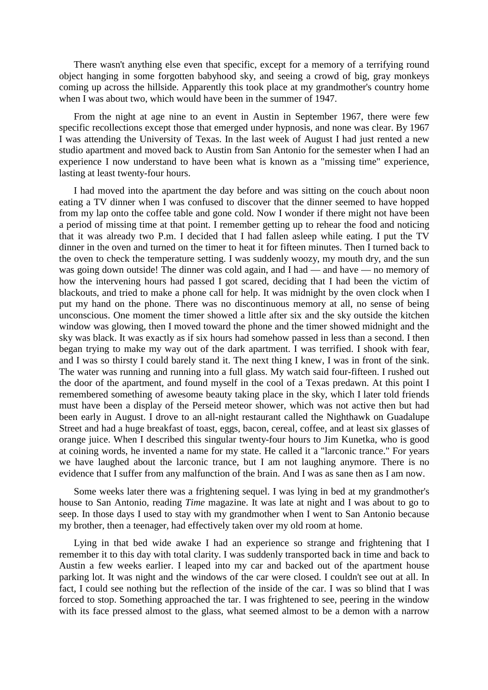There wasn't anything else even that specific, except for a memory of a terrifying round object hanging in some forgotten babyhood sky, and seeing a crowd of big, gray monkeys coming up across the hillside. Apparently this took place at my grandmother's country home when I was about two, which would have been in the summer of 1947.

From the night at age nine to an event in Austin in September 1967, there were few specific recollections except those that emerged under hypnosis, and none was clear. By 1967 I was attending the University of Texas. In the last week of August I had just rented a new studio apartment and moved back to Austin from San Antonio for the semester when I had an experience I now understand to have been what is known as a "missing time" experience, lasting at least twenty-four hours.

I had moved into the apartment the day before and was sitting on the couch about noon eating a TV dinner when I was confused to discover that the dinner seemed to have hopped from my lap onto the coffee table and gone cold. Now I wonder if there might not have been a period of missing time at that point. I remember getting up to rehear the food and noticing that it was already two P.m. I decided that I had fallen asleep while eating. I put the TV dinner in the oven and turned on the timer to heat it for fifteen minutes. Then I turned back to the oven to check the temperature setting. I was suddenly woozy, my mouth dry, and the sun was going down outside! The dinner was cold again, and I had — and have — no memory of how the intervening hours had passed I got scared, deciding that I had been the victim of blackouts, and tried to make a phone call for help. It was midnight by the oven clock when I put my hand on the phone. There was no discontinuous memory at all, no sense of being unconscious. One moment the timer showed a little after six and the sky outside the kitchen window was glowing, then I moved toward the phone and the timer showed midnight and the sky was black. It was exactly as if six hours had somehow passed in less than a second. I then began trying to make my way out of the dark apartment. I was terrified. I shook with fear, and I was so thirsty I could barely stand it. The next thing I knew, I was in front of the sink. The water was running and running into a full glass. My watch said four-fifteen. I rushed out the door of the apartment, and found myself in the cool of a Texas predawn. At this point I remembered something of awesome beauty taking place in the sky, which I later told friends must have been a display of the Perseid meteor shower, which was not active then but had been early in August. I drove to an all-night restaurant called the Nighthawk on Guadalupe Street and had a huge breakfast of toast, eggs, bacon, cereal, coffee, and at least six glasses of orange juice. When I described this singular twenty-four hours to Jim Kunetka, who is good at coining words, he invented a name for my state. He called it a "larconic trance." For years we have laughed about the larconic trance, but I am not laughing anymore. There is no evidence that I suffer from any malfunction of the brain. And I was as sane then as I am now.

Some weeks later there was a frightening sequel. I was lying in bed at my grandmother's house to San Antonio, reading *Time* magazine. It was late at night and I was about to go to seep. In those days I used to stay with my grandmother when I went to San Antonio because my brother, then a teenager, had effectively taken over my old room at home.

Lying in that bed wide awake I had an experience so strange and frightening that I remember it to this day with total clarity. I was suddenly transported back in time and back to Austin a few weeks earlier. I leaped into my car and backed out of the apartment house parking lot. It was night and the windows of the car were closed. I couldn't see out at all. In fact, I could see nothing but the reflection of the inside of the car. I was so blind that I was forced to stop. Something approached the tar. I was frightened to see, peering in the window with its face pressed almost to the glass, what seemed almost to be a demon with a narrow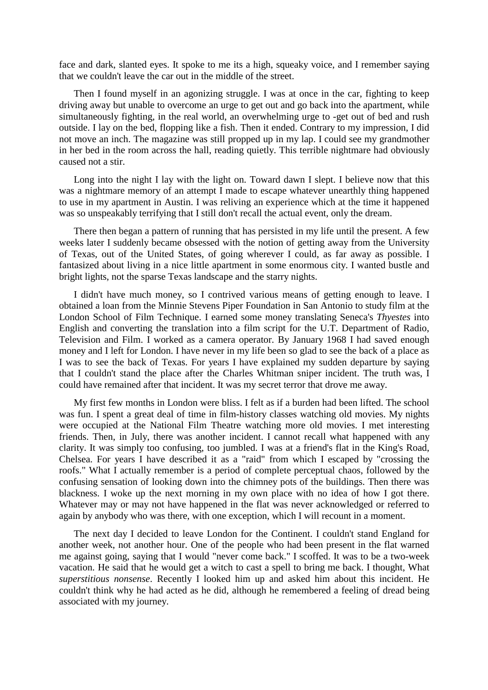face and dark, slanted eyes. It spoke to me its a high, squeaky voice, and I remember saying that we couldn't leave the car out in the middle of the street.

Then I found myself in an agonizing struggle. I was at once in the car, fighting to keep driving away but unable to overcome an urge to get out and go back into the apartment, while simultaneously fighting, in the real world, an overwhelming urge to -get out of bed and rush outside. I lay on the bed, flopping like a fish. Then it ended. Contrary to my impression, I did not move an inch. The magazine was still propped up in my lap. I could see my grandmother in her bed in the room across the hall, reading quietly. This terrible nightmare had obviously caused not a stir.

Long into the night I lay with the light on. Toward dawn I slept. I believe now that this was a nightmare memory of an attempt I made to escape whatever unearthly thing happened to use in my apartment in Austin. I was reliving an experience which at the time it happened was so unspeakably terrifying that I still don't recall the actual event, only the dream.

There then began a pattern of running that has persisted in my life until the present. A few weeks later I suddenly became obsessed with the notion of getting away from the University of Texas, out of the United States, of going wherever I could, as far away as possible. I fantasized about living in a nice little apartment in some enormous city. I wanted bustle and bright lights, not the sparse Texas landscape and the starry nights.

I didn't have much money, so I contrived various means of getting enough to leave. I obtained a loan from the Minnie Stevens Piper Foundation in San Antonio to study film at the London School of Film Technique. I earned some money translating Seneca's *Thyestes* into English and converting the translation into a film script for the U.T. Department of Radio, Television and Film. I worked as a camera operator. By January 1968 I had saved enough money and I left for London. I have never in my life been so glad to see the back of a place as I was to see the back of Texas. For years I have explained my sudden departure by saying that I couldn't stand the place after the Charles Whitman sniper incident. The truth was, I could have remained after that incident. It was my secret terror that drove me away.

My first few months in London were bliss. I felt as if a burden had been lifted. The school was fun. I spent a great deal of time in film-history classes watching old movies. My nights were occupied at the National Film Theatre watching more old movies. I met interesting friends. Then, in July, there was another incident. I cannot recall what happened with any clarity. It was simply too confusing, too jumbled. I was at a friend's flat in the King's Road, Chelsea. For years I have described it as a "raid" from which I escaped by "crossing the roofs." What I actually remember is a period of complete perceptual chaos, followed by the confusing sensation of looking down into the chimney pots of the buildings. Then there was blackness. I woke up the next morning in my own place with no idea of how I got there. Whatever may or may not have happened in the flat was never acknowledged or referred to again by anybody who was there, with one exception, which I will recount in a moment.

The next day I decided to leave London for the Continent. I couldn't stand England for another week, not another hour. One of the people who had been present in the flat warned me against going, saying that I would "never come back." I scoffed. It was to be a two-week vacation. He said that he would get a witch to cast a spell to bring me back. I thought, What *superstitious nonsense*. Recently I looked him up and asked him about this incident. He couldn't think why he had acted as he did, although he remembered a feeling of dread being associated with my journey.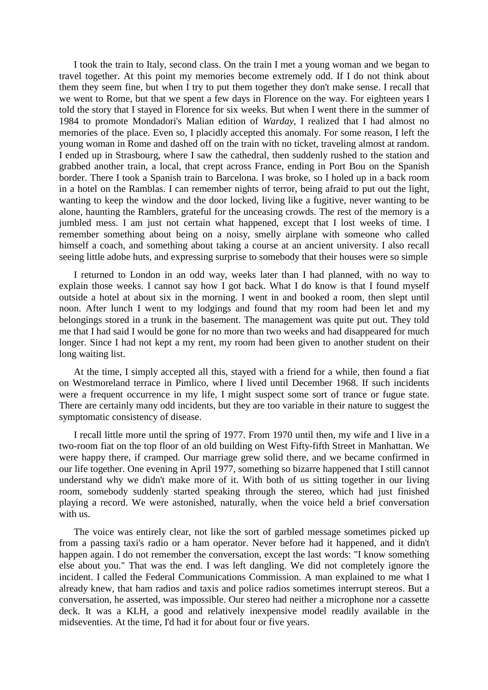I took the train to Italy, second class. On the train I met a young woman and we began to travel together. At this point my memories become extremely odd. If I do not think about them they seem fine, but when I try to put them together they don't make sense. I recall that we went to Rome, but that we spent a few days in Florence on the way. For eighteen years I told the story that I stayed in Florence for six weeks. But when I went there in the summer of 1984 to promote Mondadori's Malian edition of *Warday*, I realized that I had almost no memories of the place. Even so, I placidly accepted this anomaly. For some reason, I left the young woman in Rome and dashed off on the train with no ticket, traveling almost at random. I ended up in Strasbourg, where I saw the cathedral, then suddenly rushed to the station and grabbed another train, a local, that crept across France, ending in Port Bou on the Spanish border. There I took a Spanish train to Barcelona. I was broke, so I holed up in a back room in a hotel on the Ramblas. I can remember nights of terror, being afraid to put out the light, wanting to keep the window and the door locked, living like a fugitive, never wanting to be alone, haunting the Ramblers, grateful for the unceasing crowds. The rest of the memory is a jumbled mess. I am just not certain what happened, except that I lost weeks of time. I remember something about being on a noisy, smelly airplane with someone who called himself a coach, and something about taking a course at an ancient university. I also recall seeing little adobe huts, and expressing surprise to somebody that their houses were so simple

I returned to London in an odd way, weeks later than I had planned, with no way to explain those weeks. I cannot say how I got back. What I do know is that I found myself outside a hotel at about six in the morning. I went in and booked a room, then slept until noon. After lunch I went to my lodgings and found that my room had been let and my belongings stored in a trunk in the basement. The management was quite put out. They told me that I had said I would be gone for no more than two weeks and had disappeared for much longer. Since I had not kept a my rent, my room had been given to another student on their long waiting list.

At the time, I simply accepted all this, stayed with a friend for a while, then found a fiat on Westmoreland terrace in Pimlico, where I lived until December 1968. If such incidents were a frequent occurrence in my life, I might suspect some sort of trance or fugue state. There are certainly many odd incidents, but they are too variable in their nature to suggest the symptomatic consistency of disease.

I recall little more until the spring of 1977. From 1970 until then, my wife and I live in a two-room fiat on the top floor of an old building on West Fifty-fifth Street in Manhattan. We were happy there, if cramped. Our marriage grew solid there, and we became confirmed in our life together. One evening in April 1977, something so bizarre happened that I still cannot understand why we didn't make more of it. With both of us sitting together in our living room, somebody suddenly started speaking through the stereo, which had just finished playing a record. We were astonished, naturally, when the voice held a brief conversation with us.

The voice was entirely clear, not like the sort of garbled message sometimes picked up from a passing taxi's radio or a ham operator. Never before had it happened, and it didn't happen again. I do not remember the conversation, except the last words: "I know something else about you." That was the end. I was left dangling. We did not completely ignore the incident. I called the Federal Communications Commission. A man explained to me what I already knew, that ham radios and taxis and police radios sometimes interrupt stereos. But a conversation, he asserted, was impossible. Our stereo had neither a microphone nor a cassette deck. It was a KLH, a good and relatively inexpensive model readily available in the midseventies. At the time, I'd had it for about four or five years.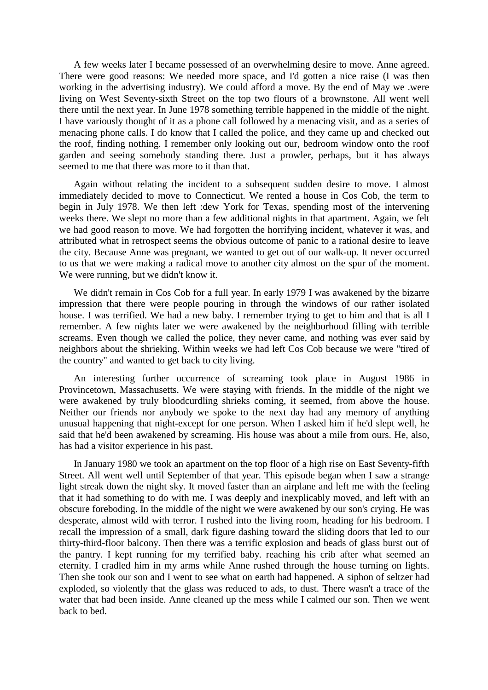A few weeks later I became possessed of an overwhelming desire to move. Anne agreed. There were good reasons: We needed more space, and I'd gotten a nice raise (I was then working in the advertising industry). We could afford a move. By the end of May we .were living on West Seventy-sixth Street on the top two flours of a brownstone. All went well there until the next year. In June 1978 something terrible happened in the middle of the night. I have variously thought of it as a phone call followed by a menacing visit, and as a series of menacing phone calls. I do know that I called the police, and they came up and checked out the roof, finding nothing. I remember only looking out our, bedroom window onto the roof garden and seeing somebody standing there. Just a prowler, perhaps, but it has always seemed to me that there was more to it than that.

Again without relating the incident to a subsequent sudden desire to move. I almost immediately decided to move to Connecticut. We rented a house in Cos Cob, the term to begin in July 1978. We then left :dew York for Texas, spending most of the intervening weeks there. We slept no more than a few additional nights in that apartment. Again, we felt we had good reason to move. We had forgotten the horrifying incident, whatever it was, and attributed what in retrospect seems the obvious outcome of panic to a rational desire to leave the city. Because Anne was pregnant, we wanted to get out of our walk-up. It never occurred to us that we were making a radical move to another city almost on the spur of the moment. We were running, but we didn't know it.

We didn't remain in Cos Cob for a full year. In early 1979 I was awakened by the bizarre impression that there were people pouring in through the windows of our rather isolated house. I was terrified. We had a new baby. I remember trying to get to him and that is all I remember. A few nights later we were awakened by the neighborhood filling with terrible screams. Even though we called the police, they never came, and nothing was ever said by neighbors about the shrieking. Within weeks we had left Cos Cob because we were "tired of the country" and wanted to get back to city living.

An interesting further occurrence of screaming took place in August 1986 in Provincetown, Massachusetts. We were staying with friends. In the middle of the night we were awakened by truly bloodcurdling shrieks coming, it seemed, from above the house. Neither our friends nor anybody we spoke to the next day had any memory of anything unusual happening that night-except for one person. When I asked him if he'd slept well, he said that he'd been awakened by screaming. His house was about a mile from ours. He, also, has had a visitor experience in his past.

In January 1980 we took an apartment on the top floor of a high rise on East Seventy-fifth Street. All went well until September of that year. This episode began when I saw a strange light streak down the night sky. It moved faster than an airplane and left me with the feeling that it had something to do with me. I was deeply and inexplicably moved, and left with an obscure foreboding. In the middle of the night we were awakened by our son's crying. He was desperate, almost wild with terror. I rushed into the living room, heading for his bedroom. I recall the impression of a small, dark figure dashing toward the sliding doors that led to our thirty-third-floor balcony. Then there was a terrific explosion and beads of glass burst out of the pantry. I kept running for my terrified baby. reaching his crib after what seemed an eternity. I cradled him in my arms while Anne rushed through the house turning on lights. Then she took our son and I went to see what on earth had happened. A siphon of seltzer had exploded, so violently that the glass was reduced to ads, to dust. There wasn't a trace of the water that had been inside. Anne cleaned up the mess while I calmed our son. Then we went back to bed.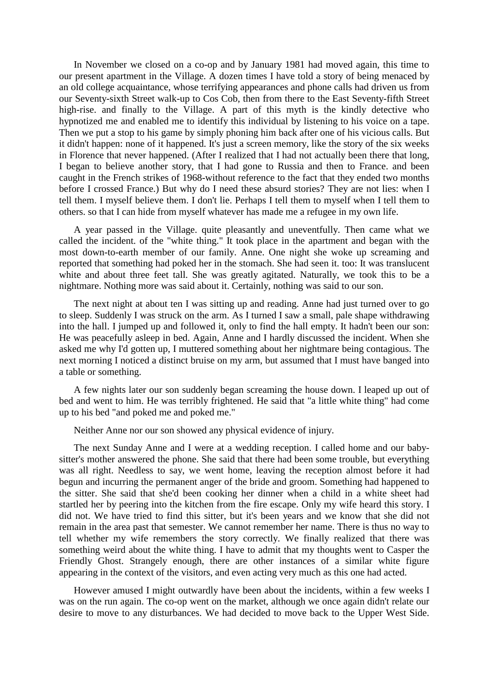In November we closed on a co-op and by January 1981 had moved again, this time to our present apartment in the Village. A dozen times I have told a story of being menaced by an old college acquaintance, whose terrifying appearances and phone calls had driven us from our Seventy-sixth Street walk-up to Cos Cob, then from there to the East Seventy-fifth Street high-rise. and finally to the Village. A part of this myth is the kindly detective who hypnotized me and enabled me to identify this individual by listening to his voice on a tape. Then we put a stop to his game by simply phoning him back after one of his vicious calls. But it didn't happen: none of it happened. It's just a screen memory, like the story of the six weeks in Florence that never happened. (After I realized that I had not actually been there that long, I began to believe another story, that I had gone to Russia and then to France. and been caught in the French strikes of 1968-without reference to the fact that they ended two months before I crossed France.) But why do I need these absurd stories? They are not lies: when I tell them. I myself believe them. I don't lie. Perhaps I tell them to myself when I tell them to others. so that I can hide from myself whatever has made me a refugee in my own life.

A year passed in the Village. quite pleasantly and uneventfully. Then came what we called the incident. of the "white thing." It took place in the apartment and began with the most down-to-earth member of our family. Anne. One night she woke up screaming and reported that something had poked her in the stomach. She had seen it. too: It was translucent white and about three feet tall. She was greatly agitated. Naturally, we took this to be a nightmare. Nothing more was said about it. Certainly, nothing was said to our son.

The next night at about ten I was sitting up and reading. Anne had just turned over to go to sleep. Suddenly I was struck on the arm. As I turned I saw a small, pale shape withdrawing into the hall. I jumped up and followed it, only to find the hall empty. It hadn't been our son: He was peacefully asleep in bed. Again, Anne and I hardly discussed the incident. When she asked me why I'd gotten up, I muttered something about her nightmare being contagious. The next morning I noticed a distinct bruise on my arm, but assumed that I must have banged into a table or something.

A few nights later our son suddenly began screaming the house down. I leaped up out of bed and went to him. He was terribly frightened. He said that "a little white thing" had come up to his bed "and poked me and poked me."

Neither Anne nor our son showed any physical evidence of injury.

The next Sunday Anne and I were at a wedding reception. I called home and our babysitter's mother answered the phone. She said that there had been some trouble, but everything was all right. Needless to say, we went home, leaving the reception almost before it had begun and incurring the permanent anger of the bride and groom. Something had happened to the sitter. She said that she'd been cooking her dinner when a child in a white sheet had startled her by peering into the kitchen from the fire escape. Only my wife heard this story. I did not. We have tried to find this sitter, but it's been years and we know that she did not remain in the area past that semester. We cannot remember her name. There is thus no way to tell whether my wife remembers the story correctly. We finally realized that there was something weird about the white thing. I have to admit that my thoughts went to Casper the Friendly Ghost. Strangely enough, there are other instances of a similar white figure appearing in the context of the visitors, and even acting very much as this one had acted.

However amused I might outwardly have been about the incidents, within a few weeks I was on the run again. The co-op went on the market, although we once again didn't relate our desire to move to any disturbances. We had decided to move back to the Upper West Side.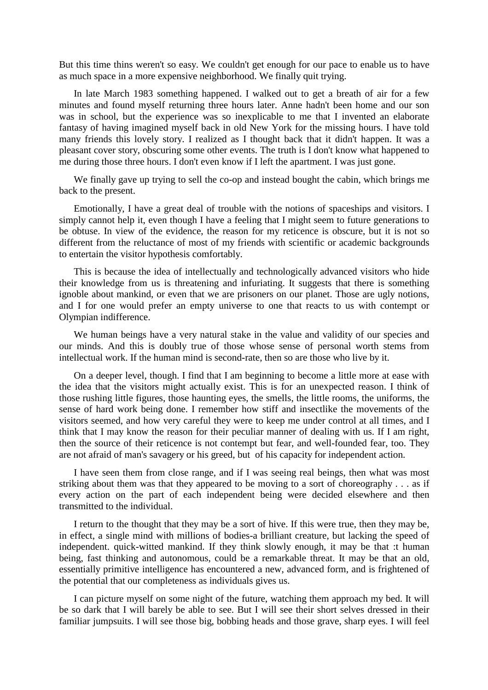But this time thins weren't so easy. We couldn't get enough for our pace to enable us to have as much space in a more expensive neighborhood. We finally quit trying.

In late March 1983 something happened. I walked out to get a breath of air for a few minutes and found myself returning three hours later. Anne hadn't been home and our son was in school, but the experience was so inexplicable to me that I invented an elaborate fantasy of having imagined myself back in old New York for the missing hours. I have told many friends this lovely story. I realized as I thought back that it didn't happen. It was a pleasant cover story, obscuring some other events. The truth is I don't know what happened to me during those three hours. I don't even know if I left the apartment. I was just gone.

We finally gave up trying to sell the co-op and instead bought the cabin, which brings me back to the present.

Emotionally, I have a great deal of trouble with the notions of spaceships and visitors. I simply cannot help it, even though I have a feeling that I might seem to future generations to be obtuse. In view of the evidence, the reason for my reticence is obscure, but it is not so different from the reluctance of most of my friends with scientific or academic backgrounds to entertain the visitor hypothesis comfortably.

This is because the idea of intellectually and technologically advanced visitors who hide their knowledge from us is threatening and infuriating. It suggests that there is something ignoble about mankind, or even that we are prisoners on our planet. Those are ugly notions, and I for one would prefer an empty universe to one that reacts to us with contempt or Olympian indifference.

We human beings have a very natural stake in the value and validity of our species and our minds. And this is doubly true of those whose sense of personal worth stems from intellectual work. If the human mind is second-rate, then so are those who live by it.

On a deeper level, though. I find that I am beginning to become a little more at ease with the idea that the visitors might actually exist. This is for an unexpected reason. I think of those rushing little figures, those haunting eyes, the smells, the little rooms, the uniforms, the sense of hard work being done. I remember how stiff and insectlike the movements of the visitors seemed, and how very careful they were to keep me under control at all times, and I think that I may know the reason for their peculiar manner of dealing with us. If I am right, then the source of their reticence is not contempt but fear, and well-founded fear, too. They are not afraid of man's savagery or his greed, but of his capacity for independent action.

I have seen them from close range, and if I was seeing real beings, then what was most striking about them was that they appeared to be moving to a sort of choreography . . . as if every action on the part of each independent being were decided elsewhere and then transmitted to the individual.

I return to the thought that they may be a sort of hive. If this were true, then they may be, in effect, a single mind with millions of bodies-a brilliant creature, but lacking the speed of independent. quick-witted mankind. If they think slowly enough, it may be that :t human being, fast thinking and autonomous, could be a remarkable threat. It may be that an old, essentially primitive intelligence has encountered a new, advanced form, and is frightened of the potential that our completeness as individuals gives us.

I can picture myself on some night of the future, watching them approach my bed. It will be so dark that I will barely be able to see. But I will see their short selves dressed in their familiar jumpsuits. I will see those big, bobbing heads and those grave, sharp eyes. I will feel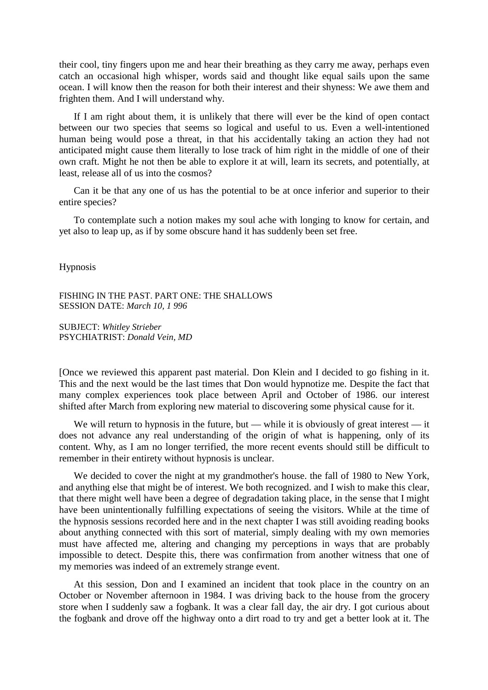their cool, tiny fingers upon me and hear their breathing as they carry me away, perhaps even catch an occasional high whisper, words said and thought like equal sails upon the same ocean. I will know then the reason for both their interest and their shyness: We awe them and frighten them. And I will understand why.

If I am right about them, it is unlikely that there will ever be the kind of open contact between our two species that seems so logical and useful to us. Even a well-intentioned human being would pose a threat, in that his accidentally taking an action they had not anticipated might cause them literally to lose track of him right in the middle of one of their own craft. Might he not then be able to explore it at will, learn its secrets, and potentially, at least, release all of us into the cosmos?

Can it be that any one of us has the potential to be at once inferior and superior to their entire species?

To contemplate such a notion makes my soul ache with longing to know for certain, and yet also to leap up, as if by some obscure hand it has suddenly been set free.

Hypnosis

FISHING IN THE PAST. PART ONE: THE SHALLOWS SESSION DATE: *March 10, 1 996*

SUBJECT: *Whitley Strieber* PSYCHIATRIST: *Donald Vein, MD*

[Once we reviewed this apparent past material. Don Klein and I decided to go fishing in it. This and the next would be the last times that Don would hypnotize me. Despite the fact that many complex experiences took place between April and October of 1986. our interest shifted after March from exploring new material to discovering some physical cause for it.

We will return to hypnosis in the future, but — while it is obviously of great interest — it does not advance any real understanding of the origin of what is happening, only of its content. Why, as I am no longer terrified, the more recent events should still be difficult to remember in their entirety without hypnosis is unclear.

We decided to cover the night at my grandmother's house. the fall of 1980 to New York, and anything else that might be of interest. We both recognized. and I wish to make this clear, that there might well have been a degree of degradation taking place, in the sense that I might have been unintentionally fulfilling expectations of seeing the visitors. While at the time of the hypnosis sessions recorded here and in the next chapter I was still avoiding reading books about anything connected with this sort of material, simply dealing with my own memories must have affected me, altering and changing my perceptions in ways that are probably impossible to detect. Despite this, there was confirmation from another witness that one of my memories was indeed of an extremely strange event.

At this session, Don and I examined an incident that took place in the country on an October or November afternoon in 1984. I was driving back to the house from the grocery store when I suddenly saw a fogbank. It was a clear fall day, the air dry. I got curious about the fogbank and drove off the highway onto a dirt road to try and get a better look at it. The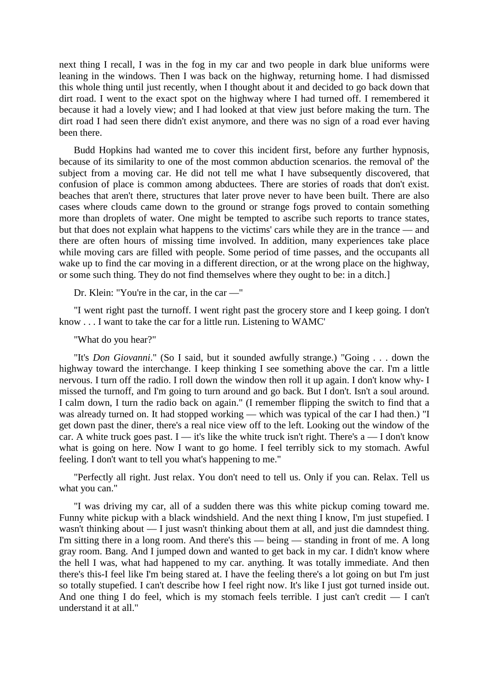next thing I recall, I was in the fog in my car and two people in dark blue uniforms were leaning in the windows. Then I was back on the highway, returning home. I had dismissed this whole thing until just recently, when I thought about it and decided to go back down that dirt road. I went to the exact spot on the highway where I had turned off. I remembered it because it had a lovely view; and I had looked at that view just before making the turn. The dirt road I had seen there didn't exist anymore, and there was no sign of a road ever having been there.

Budd Hopkins had wanted me to cover this incident first, before any further hypnosis, because of its similarity to one of the most common abduction scenarios. the removal of' the subject from a moving car. He did not tell me what I have subsequently discovered, that confusion of place is common among abductees. There are stories of roads that don't exist. beaches that aren't there, structures that later prove never to have been built. There are also cases where clouds came down to the ground or strange fogs proved to contain something more than droplets of water. One might be tempted to ascribe such reports to trance states, but that does not explain what happens to the victims' cars while they are in the trance — and there are often hours of missing time involved. In addition, many experiences take place while moving cars are filled with people. Some period of time passes, and the occupants all wake up to find the car moving in a different direction, or at the wrong place on the highway, or some such thing. They do not find themselves where they ought to be: in a ditch.]

Dr. Klein: "You're in the car, in the car —"

"I went right past the turnoff. I went right past the grocery store and I keep going. I don't know . . . I want to take the car for a little run. Listening to WAMC'

"What do you hear?"

"It's *Don Giovanni*." (So I said, but it sounded awfully strange.) "Going . . . down the highway toward the interchange. I keep thinking I see something above the car. I'm a little nervous. I turn off the radio. I roll down the window then roll it up again. I don't know why- I missed the turnoff, and I'm going to turn around and go back. But I don't. Isn't a soul around. I calm down, I turn the radio back on again." (I remember flipping the switch to find that a was already turned on. It had stopped working — which was typical of the car I had then.) "I get down past the diner, there's a real nice view off to the left. Looking out the window of the car. A white truck goes past. I — it's like the white truck isn't right. There's  $a - I$  don't know what is going on here. Now I want to go home. I feel terribly sick to my stomach. Awful feeling. I don't want to tell you what's happening to me."

"Perfectly all right. Just relax. You don't need to tell us. Only if you can. Relax. Tell us what you can."

"I was driving my car, all of a sudden there was this white pickup coming toward me. Funny white pickup with a black windshield. And the next thing I know, I'm just stupefied. I wasn't thinking about — I just wasn't thinking about them at all, and just die damndest thing. I'm sitting there in a long room. And there's this — being — standing in front of me. A long gray room. Bang. And I jumped down and wanted to get back in my car. I didn't know where the hell I was, what had happened to my car. anything. It was totally immediate. And then there's this-I feel like I'm being stared at. I have the feeling there's a lot going on but I'm just so totally stupefied. I can't describe how I feel right now. It's like I just got turned inside out. And one thing I do feel, which is my stomach feels terrible. I just can't credit — I can't understand it at all."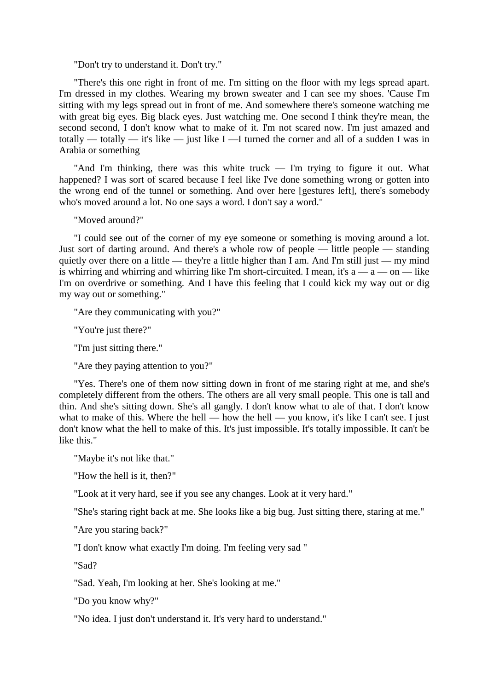"Don't try to understand it. Don't try."

"There's this one right in front of me. I'm sitting on the floor with my legs spread apart. I'm dressed in my clothes. Wearing my brown sweater and I can see my shoes. 'Cause I'm sitting with my legs spread out in front of me. And somewhere there's someone watching me with great big eyes. Big black eyes. Just watching me. One second I think they're mean, the second second, I don't know what to make of it. I'm not scared now. I'm just amazed and totally — totally — it's like — just like I —I turned the corner and all of a sudden I was in Arabia or something

"And I'm thinking, there was this white truck — I'm trying to figure it out. What happened? I was sort of scared because I feel like I've done something wrong or gotten into the wrong end of the tunnel or something. And over here [gestures left], there's somebody who's moved around a lot. No one says a word. I don't say a word."

"Moved around?"

"I could see out of the corner of my eye someone or something is moving around a lot. Just sort of darting around. And there's a whole row of people — little people — standing quietly over there on a little — they're a little higher than I am. And I'm still just — my mind is whirring and whirring and whirring like I'm short-circuited. I mean, it's  $a \rightarrow a$  on  $\rightarrow$  like I'm on overdrive or something. And I have this feeling that I could kick my way out or dig my way out or something."

"Are they communicating with you?"

"You're just there?"

"I'm just sitting there."

"Are they paying attention to you?"

"Yes. There's one of them now sitting down in front of me staring right at me, and she's completely different from the others. The others are all very small people. This one is tall and thin. And she's sitting down. She's all gangly. I don't know what to ale of that. I don't know what to make of this. Where the hell — how the hell — you know, it's like I can't see. I just don't know what the hell to make of this. It's just impossible. It's totally impossible. It can't be like this."

"Maybe it's not like that."

"How the hell is it, then?"

"Look at it very hard, see if you see any changes. Look at it very hard."

"She's staring right back at me. She looks like a big bug. Just sitting there, staring at me."

"Are you staring back?"

"I don't know what exactly I'm doing. I'm feeling very sad "

"Sad?

"Sad. Yeah, I'm looking at her. She's looking at me."

"Do you know why?"

"No idea. I just don't understand it. It's very hard to understand."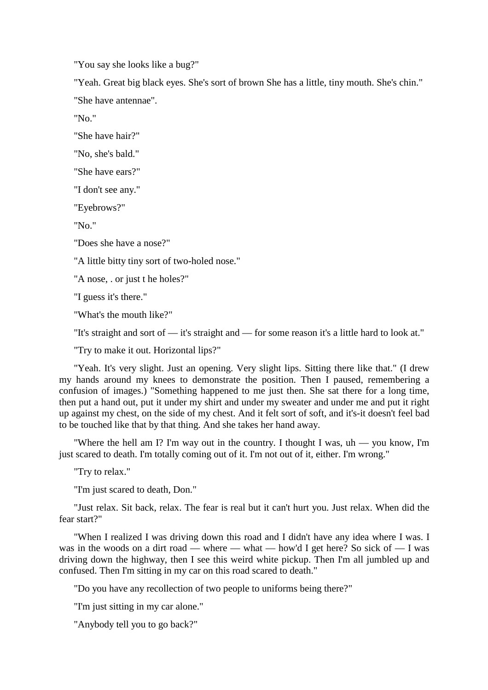"You say she looks like a bug?"

"Yeah. Great big black eyes. She's sort of brown She has a little, tiny mouth. She's chin." "She have antennae".

"No."

"She have hair?"

"No, she's bald."

"She have ears?"

"I don't see any."

"Eyebrows?"

"No."

"Does she have a nose?"

"A little bitty tiny sort of two-holed nose."

"A nose, . or just t he holes?"

"I guess it's there."

"What's the mouth like?"

"It's straight and sort of — it's straight and — for some reason it's a little hard to look at."

"Try to make it out. Horizontal lips?"

"Yeah. It's very slight. Just an opening. Very slight lips. Sitting there like that." (I drew my hands around my knees to demonstrate the position. Then I paused, remembering a confusion of images.) "Something happened to me just then. She sat there for a long time, then put a hand out, put it under my shirt and under my sweater and under me and put it right up against my chest, on the side of my chest. And it felt sort of soft, and it's-it doesn't feel bad to be touched like that by that thing. And she takes her hand away.

"Where the hell am I? I'm way out in the country. I thought I was, uh — you know, I'm just scared to death. I'm totally coming out of it. I'm not out of it, either. I'm wrong."

"Try to relax."

"I'm just scared to death, Don."

"Just relax. Sit back, relax. The fear is real but it can't hurt you. Just relax. When did the fear start?"

"When I realized I was driving down this road and I didn't have any idea where I was. I was in the woods on a dirt road — where — what — how'd I get here? So sick of — I was driving down the highway, then I see this weird white pickup. Then I'm all jumbled up and confused. Then I'm sitting in my car on this road scared to death."

"Do you have any recollection of two people to uniforms being there?"

"I'm just sitting in my car alone."

"Anybody tell you to go back?"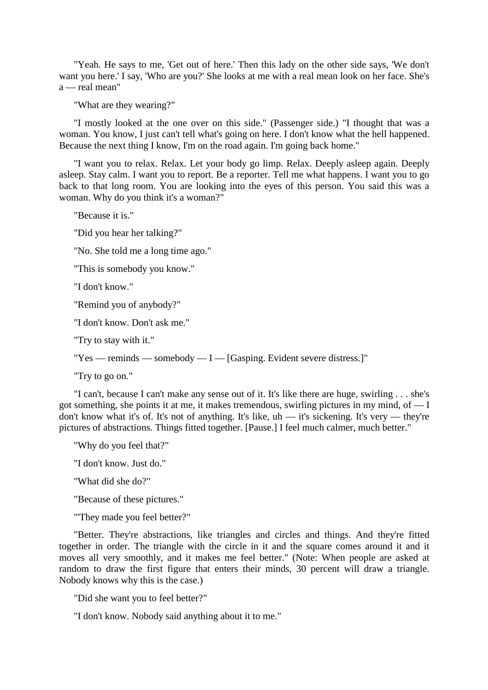"Yeah. He says to me, 'Get out of here.' Then this lady on the other side says, 'We don't want you here.' I say, 'Who are you?' She looks at me with a real mean look on her face. She's a — real mean"

"What are they wearing?"

"I mostly looked at the one over on this side." (Passenger side.) "I thought that was a woman. You know, I just can't tell what's going on here. I don't know what the hell happened. Because the next thing I know, I'm on the road again. I'm going back home."

"I want you to relax. Relax. Let your body go limp. Relax. Deeply asleep again. Deeply asleep. Stay calm. I want you to report. Be a reporter. Tell me what happens. I want you to go back to that long room. You are looking into the eyes of this person. You said this was a woman. Why do you think it's a woman?"

"Because it is."

"Did you hear her talking?"

"No. She told me a long time ago."

"This is somebody you know."

"I don't know."

"Remind you of anybody?"

"I don't know. Don't ask me."

"Try to stay with it."

 $"Yes - reminds - somebody - I - [Gasping. Evident severe distress.]"$ 

"Try to go on."

"I can't, because I can't make any sense out of it. It's like there are huge, swirling . . . she's got something, she points it at me, it makes tremendous, swirling pictures in my mind, of — I don't know what it's of. It's not of anything. It's like, uh — it's sickening. It's very — they're pictures of abstractions. Things fitted together. [Pause.] I feel much calmer, much better."

"Why do you feel that?"

"I don't know. Just do."

"What did she do?"

"Because of these pictures."

"'They made you feel better?"

"Better. They're abstractions, like triangles and circles and things. And they're fitted together in order. The triangle with the circle in it and the square comes around it and it moves all very smoothly, and it makes me feel better." (Note: When people are asked at random to draw the first figure that enters their minds, 30 percent will draw a triangle. Nobody knows why this is the case.)

"Did she want you to feel better?"

"I don't know. Nobody said anything about it to me."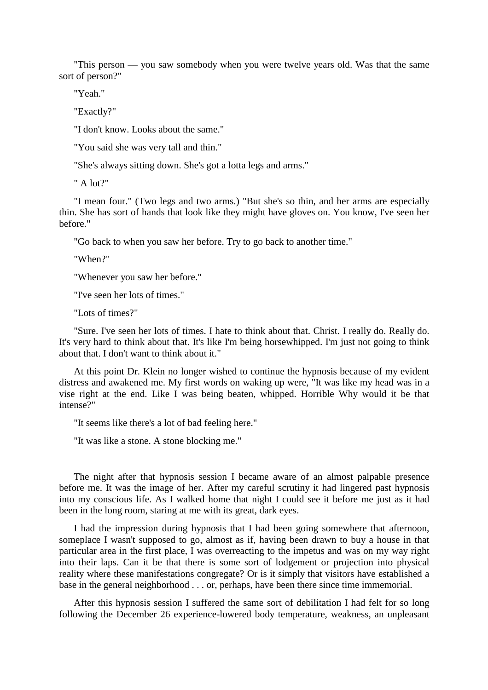"This person — you saw somebody when you were twelve years old. Was that the same sort of person?"

"Yeah."

"Exactly?"

"I don't know. Looks about the same."

"You said she was very tall and thin."

"She's always sitting down. She's got a lotta legs and arms."

" A lot?"

"I mean four." (Two legs and two arms.) "But she's so thin, and her arms are especially thin. She has sort of hands that look like they might have gloves on. You know, I've seen her before."

"Go back to when you saw her before. Try to go back to another time."

"When?"

"Whenever you saw her before."

"I've seen her lots of times."

"Lots of times?"

"Sure. I've seen her lots of times. I hate to think about that. Christ. I really do. Really do. It's very hard to think about that. It's like I'm being horsewhipped. I'm just not going to think about that. I don't want to think about it."

At this point Dr. Klein no longer wished to continue the hypnosis because of my evident distress and awakened me. My first words on waking up were, "It was like my head was in a vise right at the end. Like I was being beaten, whipped. Horrible Why would it be that intense?"

"It seems like there's a lot of bad feeling here."

"It was like a stone. A stone blocking me."

The night after that hypnosis session I became aware of an almost palpable presence before me. It was the image of her. After my careful scrutiny it had lingered past hypnosis into my conscious life. As I walked home that night I could see it before me just as it had been in the long room, staring at me with its great, dark eyes.

I had the impression during hypnosis that I had been going somewhere that afternoon, someplace I wasn't supposed to go, almost as if, having been drawn to buy a house in that particular area in the first place, I was overreacting to the impetus and was on my way right into their laps. Can it be that there is some sort of lodgement or projection into physical reality where these manifestations congregate? Or is it simply that visitors have established a base in the general neighborhood . . . or, perhaps, have been there since time immemorial.

After this hypnosis session I suffered the same sort of debilitation I had felt for so long following the December 26 experience-lowered body temperature, weakness, an unpleasant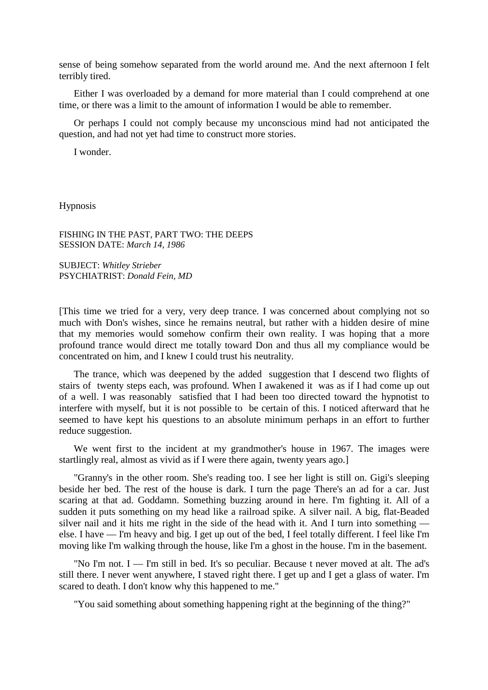sense of being somehow separated from the world around me. And the next afternoon I felt terribly tired.

Either I was overloaded by a demand for more material than I could comprehend at one time, or there was a limit to the amount of information I would be able to remember.

Or perhaps I could not comply because my unconscious mind had not anticipated the question, and had not yet had time to construct more stories.

I wonder.

Hypnosis

FISHING IN THE PAST, PART TWO: THE DEEPS SESSION DATE: *March 14, 1986*

SUBJECT: *Whitley Strieber*  PSYCHIATRIST: *Donald Fein, MD*

[This time we tried for a very, very deep trance. I was concerned about complying not so much with Don's wishes, since he remains neutral, but rather with a hidden desire of mine that my memories would somehow confirm their own reality. I was hoping that a more profound trance would direct me totally toward Don and thus all my compliance would be concentrated on him, and I knew I could trust his neutrality.

The trance, which was deepened by the added suggestion that I descend two flights of stairs of twenty steps each, was profound. When I awakened it was as if I had come up out of a well. I was reasonably satisfied that I had been too directed toward the hypnotist to interfere with myself, but it is not possible to be certain of this. I noticed afterward that he seemed to have kept his questions to an absolute minimum perhaps in an effort to further reduce suggestion.

We went first to the incident at my grandmother's house in 1967. The images were startlingly real, almost as vivid as if I were there again, twenty years ago.]

"Granny's in the other room. She's reading too. I see her light is still on. Gigi's sleeping beside her bed. The rest of the house is dark. I turn the page There's an ad for a car. Just scaring at that ad. Goddamn. Something buzzing around in here. I'm fighting it. All of a sudden it puts something on my head like a railroad spike. A silver nail. A big, flat-Beaded silver nail and it hits me right in the side of the head with it. And I turn into something else. I have — I'm heavy and big. I get up out of the bed, I feel totally different. I feel like I'm moving like I'm walking through the house, like I'm a ghost in the house. I'm in the basement.

"No I'm not. I — I'm still in bed. It's so peculiar. Because t never moved at alt. The ad's still there. I never went anywhere, I staved right there. I get up and I get a glass of water. I'm scared to death. I don't know why this happened to me."

"You said something about something happening right at the beginning of the thing?"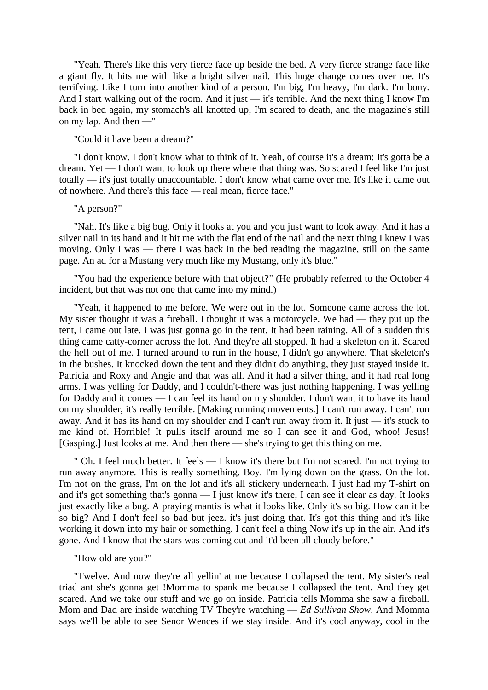"Yeah. There's like this very fierce face up beside the bed. A very fierce strange face like a giant fly. It hits me with like a bright silver nail. This huge change comes over me. It's terrifying. Like I turn into another kind of a person. I'm big, I'm heavy, I'm dark. I'm bony. And I start walking out of the room. And it just — it's terrible. And the next thing I know I'm back in bed again, my stomach's all knotted up, I'm scared to death, and the magazine's still on my lap. And then —"

"Could it have been a dream?"

"I don't know. I don't know what to think of it. Yeah, of course it's a dream: It's gotta be a dream. Yet — I don't want to look up there where that thing was. So scared I feel like I'm just totally — it's just totally unaccountable. I don't know what came over me. It's like it came out of nowhere. And there's this face — real mean, fierce face."

## "A person?"

"Nah. It's like a big bug. Only it looks at you and you just want to look away. And it has a silver nail in its hand and it hit me with the flat end of the nail and the next thing I knew I was moving. Only I was — there I was back in the bed reading the magazine, still on the same page. An ad for a Mustang very much like my Mustang, only it's blue."

"You had the experience before with that object?" (He probably referred to the October 4 incident, but that was not one that came into my mind.)

"Yeah, it happened to me before. We were out in the lot. Someone came across the lot. My sister thought it was a fireball. I thought it was a motorcycle. We had — they put up the tent, I came out late. I was just gonna go in the tent. It had been raining. All of a sudden this thing came catty-corner across the lot. And they're all stopped. It had a skeleton on it. Scared the hell out of me. I turned around to run in the house, I didn't go anywhere. That skeleton's in the bushes. It knocked down the tent and they didn't do anything, they just stayed inside it. Patricia and Roxy and Angie and that was all. And it had a silver thing, and it had real long arms. I was yelling for Daddy, and I couldn't-there was just nothing happening. I was yelling for Daddy and it comes — I can feel its hand on my shoulder. I don't want it to have its hand on my shoulder, it's really terrible. [Making running movements.] I can't run away. I can't run away. And it has its hand on my shoulder and I can't run away from it. It just — it's stuck to me kind of. Horrible! It pulls itself around me so I can see it and God, whoo! Jesus! [Gasping.] Just looks at me. And then there — she's trying to get this thing on me.

" Oh. I feel much better. It feels — I know it's there but I'm not scared. I'm not trying to run away anymore. This is really something. Boy. I'm lying down on the grass. On the lot. I'm not on the grass, I'm on the lot and it's all stickery underneath. I just had my T-shirt on and it's got something that's gonna — I just know it's there, I can see it clear as day. It looks just exactly like a bug. A praying mantis is what it looks like. Only it's so big. How can it be so big? And I don't feel so bad but jeez. it's just doing that. It's got this thing and it's like working it down into my hair or something. I can't feel a thing Now it's up in the air. And it's gone. And I know that the stars was coming out and it'd been all cloudy before."

## "How old are you?"

"Twelve. And now they're all yellin' at me because I collapsed the tent. My sister's real triad ant she's gonna get !Momma to spank me because I collapsed the tent. And they get scared. And we take our stuff and we go on inside. Patricia tells Momma she saw a fireball. Mom and Dad are inside watching TV They're watching — *Ed Sullivan Show*. And Momma says we'll be able to see Senor Wences if we stay inside. And it's cool anyway, cool in the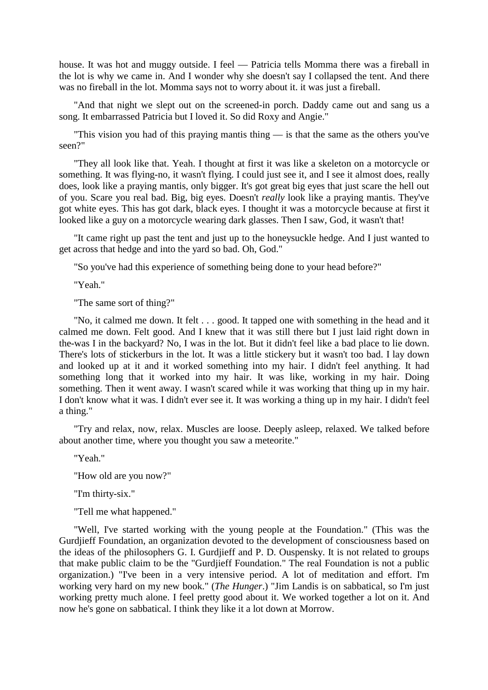house. It was hot and muggy outside. I feel — Patricia tells Momma there was a fireball in the lot is why we came in. And I wonder why she doesn't say I collapsed the tent. And there was no fireball in the lot. Momma says not to worry about it. it was just a fireball.

"And that night we slept out on the screened-in porch. Daddy came out and sang us a song. It embarrassed Patricia but I loved it. So did Roxy and Angie."

"This vision you had of this praying mantis thing — is that the same as the others you've seen?"

"They all look like that. Yeah. I thought at first it was like a skeleton on a motorcycle or something. It was flying-no, it wasn't flying. I could just see it, and I see it almost does, really does, look like a praying mantis, only bigger. It's got great big eyes that just scare the hell out of you. Scare you real bad. Big, big eyes. Doesn't *really* look like a praying mantis. They've got white eyes. This has got dark, black eyes. I thought it was a motorcycle because at first it looked like a guy on a motorcycle wearing dark glasses. Then I saw, God, it wasn't that!

"It came right up past the tent and just up to the honeysuckle hedge. And I just wanted to get across that hedge and into the yard so bad. Oh, God."

"So you've had this experience of something being done to your head before?"

"Yeah."

"The same sort of thing?"

"No, it calmed me down. It felt . . . good. It tapped one with something in the head and it calmed me down. Felt good. And I knew that it was still there but I just laid right down in the-was I in the backyard? No, I was in the lot. But it didn't feel like a bad place to lie down. There's lots of stickerburs in the lot. It was a little stickery but it wasn't too bad. I lay down and looked up at it and it worked something into my hair. I didn't feel anything. It had something long that it worked into my hair. It was like, working in my hair. Doing something. Then it went away. I wasn't scared while it was working that thing up in my hair. I don't know what it was. I didn't ever see it. It was working a thing up in my hair. I didn't feel a thing."

"Try and relax, now, relax. Muscles are loose. Deeply asleep, relaxed. We talked before about another time, where you thought you saw a meteorite."

"Yeah."

"How old are you now?"

"I'm thirty-six."

"Tell me what happened."

"Well, I've started working with the young people at the Foundation." (This was the Gurdjieff Foundation, an organization devoted to the development of consciousness based on the ideas of the philosophers G. I. Gurdjieff and P. D. Ouspensky. It is not related to groups that make public claim to be the "Gurdjieff Foundation." The real Foundation is not a public organization.) "I've been in a very intensive period. A lot of meditation and effort. I'm working very hard on my new book." (*The Hunger*.) "Jim Landis is on sabbatical, so I'm just working pretty much alone. I feel pretty good about it. We worked together a lot on it. And now he's gone on sabbatical. I think they like it a lot down at Morrow.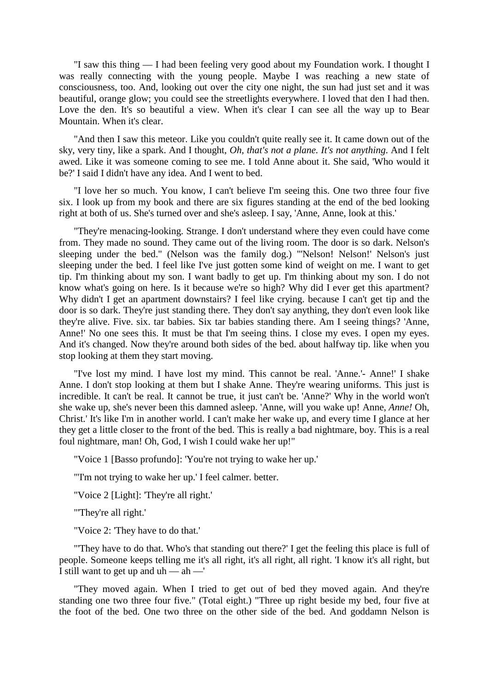"I saw this thing — I had been feeling very good about my Foundation work. I thought I was really connecting with the young people. Maybe I was reaching a new state of consciousness, too. And, looking out over the city one night, the sun had just set and it was beautiful, orange glow; you could see the streetlights everywhere. I loved that den I had then. Love the den. It's so beautiful a view. When it's clear I can see all the way up to Bear Mountain. When it's clear.

"And then I saw this meteor. Like you couldn't quite really see it. It came down out of the sky, very tiny, like a spark. And I thought, *Oh, that's not a plane. It's not anything*. And I felt awed. Like it was someone coming to see me. I told Anne about it. She said, 'Who would it be?' I said I didn't have any idea. And I went to bed.

"I love her so much. You know, I can't believe I'm seeing this. One two three four five six. I look up from my book and there are six figures standing at the end of the bed looking right at both of us. She's turned over and she's asleep. I say, 'Anne, Anne, look at this.'

"They're menacing-looking. Strange. I don't understand where they even could have come from. They made no sound. They came out of the living room. The door is so dark. Nelson's sleeping under the bed." (Nelson was the family dog.) "'Nelson! Nelson!' Nelson's just sleeping under the bed. I feel like I've just gotten some kind of weight on me. I want to get tip. I'm thinking about my son. I want badly to get up. I'm thinking about my son. I do not know what's going on here. Is it because we're so high? Why did I ever get this apartment? Why didn't I get an apartment downstairs? I feel like crying. because I can't get tip and the door is so dark. They're just standing there. They don't say anything, they don't even look like they're alive. Five. six. tar babies. Six tar babies standing there. Am I seeing things? 'Anne, Anne!' No one sees this. It must be that I'm seeing thins. I close my eves. I open my eyes. And it's changed. Now they're around both sides of the bed. about halfway tip. like when you stop looking at them they start moving.

"I've lost my mind. I have lost my mind. This cannot be real. 'Anne.'- Anne!' I shake Anne. I don't stop looking at them but I shake Anne. They're wearing uniforms. This just is incredible. It can't be real. It cannot be true, it just can't be. 'Anne?' Why in the world won't she wake up, she's never been this damned asleep. 'Anne, will you wake up! Anne, *Anne!* Oh, Christ.' It's like I'm in another world. I can't make her wake up, and every time I glance at her they get a little closer to the front of the bed. This is really a bad nightmare, boy. This is a real foul nightmare, man! Oh, God, I wish I could wake her up!"

"Voice 1 [Basso profundo]: 'You're not trying to wake her up.'

"'I'm not trying to wake her up.' I feel calmer. better.

"Voice 2 [Light]: 'They're all right.'

"'They're all right.'

"Voice 2: 'They have to do that.'

"'They have to do that. Who's that standing out there?' I get the feeling this place is full of people. Someone keeps telling me it's all right, it's all right, all right. 'I know it's all right, but I still want to get up and  $uh$  — ah —'

"They moved again. When I tried to get out of bed they moved again. And they're standing one two three four five." (Total eight.) "Three up right beside my bed, four five at the foot of the bed. One two three on the other side of the bed. And goddamn Nelson is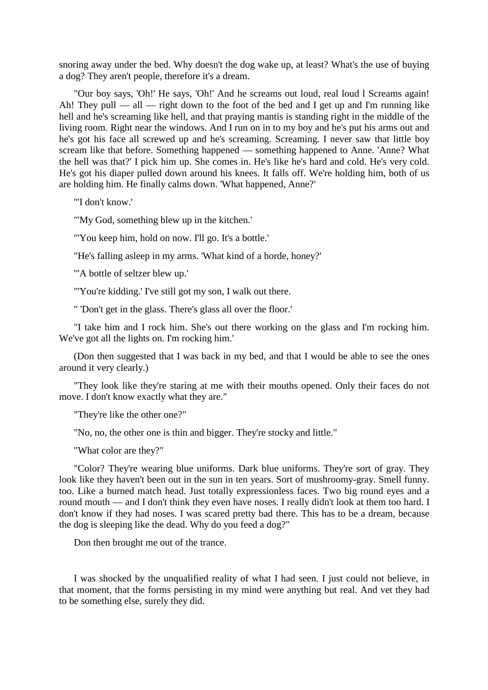snoring away under the bed. Why doesn't the dog wake up, at least? What's the use of buying a dog? They aren't people, therefore it's a dream.

"Our boy says, 'Oh!' He says, 'Oh!' And he screams out loud, real loud l Screams again! Ah! They pull — all — right down to the foot of the bed and I get up and I'm running like hell and he's screaming like hell, and that praying mantis is standing right in the middle of the living room. Right near the windows. And I run on in to my boy and he's put his arms out and he's got his face all screwed up and he's screaming. Screaming. I never saw that little boy scream like that before. Something happened — something happened to Anne. 'Anne? What the hell was that?' I pick him up. She comes in. He's like he's hard and cold. He's very cold. He's got his diaper pulled down around his knees. It falls off. We're holding him, both of us are holding him. He finally calms down. 'What happened, Anne?'

"'I don't know.'

"'My God, something blew up in the kitchen.'

"'You keep him, hold on now. I'll go. It's a bottle.'

"He's falling asleep in my arms. 'What kind of a horde, honey?'

"'A bottle of seltzer blew up.'

"'You're kidding.' I've still got my son, I walk out there.

" 'Don't get in the glass. There's glass all over the floor.'

"I take him and I rock him. She's out there working on the glass and I'm rocking him. We've got all the lights on. I'm rocking him.'

(Don then suggested that I was back in my bed, and that I would be able to see the ones around it very clearly.)

"They look like they're staring at me with their mouths opened. Only their faces do not move. I don't know exactly what they are."

"They're like the other one?"

"No, no, the other one is thin and bigger. They're stocky and little."

"What color are they?"

"Color? They're wearing blue uniforms. Dark blue uniforms. They're sort of gray. They look like they haven't been out in the sun in ten years. Sort of mushroomy-gray. Smell funny. too. Like a burned match head. Just totally expressionless faces. Two big round eyes and a round mouth — and I don't think they even have noses. I really didn't look at them too hard. I don't know if they had noses. I was scared pretty bad there. This has to be a dream, because the dog is sleeping like the dead. Why do you feed a dog?"

Don then brought me out of the trance.

I was shocked by the unqualified reality of what I had seen. I just could not believe, in that moment, that the forms persisting in my mind were anything but real. And vet they had to be something else, surely they did.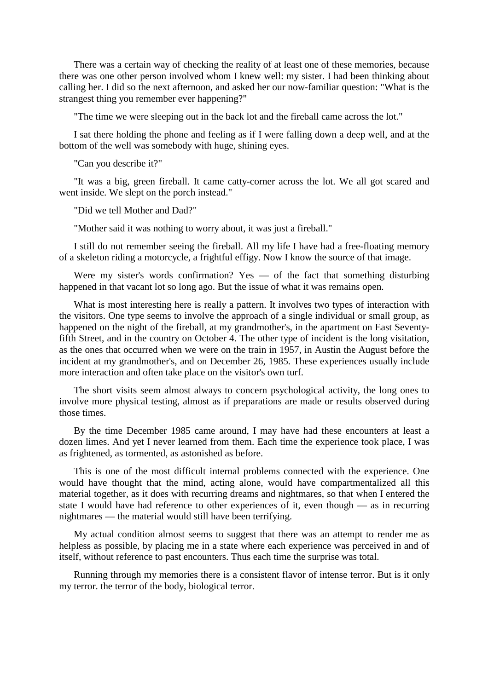There was a certain way of checking the reality of at least one of these memories, because there was one other person involved whom I knew well: my sister. I had been thinking about calling her. I did so the next afternoon, and asked her our now-familiar question: "What is the strangest thing you remember ever happening?"

"The time we were sleeping out in the back lot and the fireball came across the lot."

I sat there holding the phone and feeling as if I were falling down a deep well, and at the bottom of the well was somebody with huge, shining eyes.

"Can you describe it?"

"It was a big, green fireball. It came catty-corner across the lot. We all got scared and went inside. We slept on the porch instead."

"Did we tell Mother and Dad?"

"Mother said it was nothing to worry about, it was just a fireball."

I still do not remember seeing the fireball. All my life I have had a free-floating memory of a skeleton riding a motorcycle, a frightful effigy. Now I know the source of that image.

Were my sister's words confirmation? Yes — of the fact that something disturbing happened in that vacant lot so long ago. But the issue of what it was remains open.

What is most interesting here is really a pattern. It involves two types of interaction with the visitors. One type seems to involve the approach of a single individual or small group, as happened on the night of the fireball, at my grandmother's, in the apartment on East Seventyfifth Street, and in the country on October 4. The other type of incident is the long visitation, as the ones that occurred when we were on the train in 1957, in Austin the August before the incident at my grandmother's, and on December 26, 1985. These experiences usually include more interaction and often take place on the visitor's own turf.

The short visits seem almost always to concern psychological activity, the long ones to involve more physical testing, almost as if preparations are made or results observed during those times.

By the time December 1985 came around, I may have had these encounters at least a dozen limes. And yet I never learned from them. Each time the experience took place, I was as frightened, as tormented, as astonished as before.

This is one of the most difficult internal problems connected with the experience. One would have thought that the mind, acting alone, would have compartmentalized all this material together, as it does with recurring dreams and nightmares, so that when I entered the state I would have had reference to other experiences of it, even though — as in recurring nightmares — the material would still have been terrifying.

My actual condition almost seems to suggest that there was an attempt to render me as helpless as possible, by placing me in a state where each experience was perceived in and of itself, without reference to past encounters. Thus each time the surprise was total.

Running through my memories there is a consistent flavor of intense terror. But is it only my terror. the terror of the body, biological terror.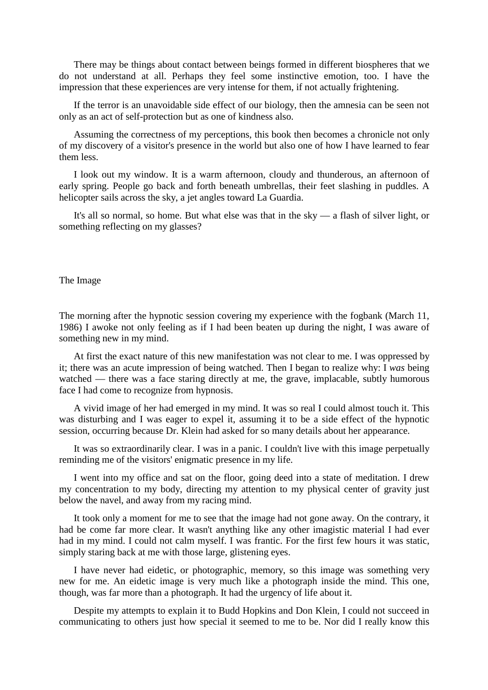There may be things about contact between beings formed in different biospheres that we do not understand at all. Perhaps they feel some instinctive emotion, too. I have the impression that these experiences are very intense for them, if not actually frightening.

If the terror is an unavoidable side effect of our biology, then the amnesia can be seen not only as an act of self-protection but as one of kindness also.

Assuming the correctness of my perceptions, this book then becomes a chronicle not only of my discovery of a visitor's presence in the world but also one of how I have learned to fear them less.

I look out my window. It is a warm afternoon, cloudy and thunderous, an afternoon of early spring. People go back and forth beneath umbrellas, their feet slashing in puddles. A helicopter sails across the sky, a jet angles toward La Guardia.

It's all so normal, so home. But what else was that in the sky — a flash of silver light, or something reflecting on my glasses?

#### The Image

The morning after the hypnotic session covering my experience with the fogbank (March 11, 1986) I awoke not only feeling as if I had been beaten up during the night, I was aware of something new in my mind.

At first the exact nature of this new manifestation was not clear to me. I was oppressed by it; there was an acute impression of being watched. Then I began to realize why: I *was* being watched — there was a face staring directly at me, the grave, implacable, subtly humorous face I had come to recognize from hypnosis.

A vivid image of her had emerged in my mind. It was so real I could almost touch it. This was disturbing and I was eager to expel it, assuming it to be a side effect of the hypnotic session, occurring because Dr. Klein had asked for so many details about her appearance.

It was so extraordinarily clear. I was in a panic. I couldn't live with this image perpetually reminding me of the visitors' enigmatic presence in my life.

I went into my office and sat on the floor, going deed into a state of meditation. I drew my concentration to my body, directing my attention to my physical center of gravity just below the navel, and away from my racing mind.

It took only a moment for me to see that the image had not gone away. On the contrary, it had be come far more clear. It wasn't anything like any other imagistic material I had ever had in my mind. I could not calm myself. I was frantic. For the first few hours it was static, simply staring back at me with those large, glistening eyes.

I have never had eidetic, or photographic, memory, so this image was something very new for me. An eidetic image is very much like a photograph inside the mind. This one, though, was far more than a photograph. It had the urgency of life about it.

Despite my attempts to explain it to Budd Hopkins and Don Klein, I could not succeed in communicating to others just how special it seemed to me to be. Nor did I really know this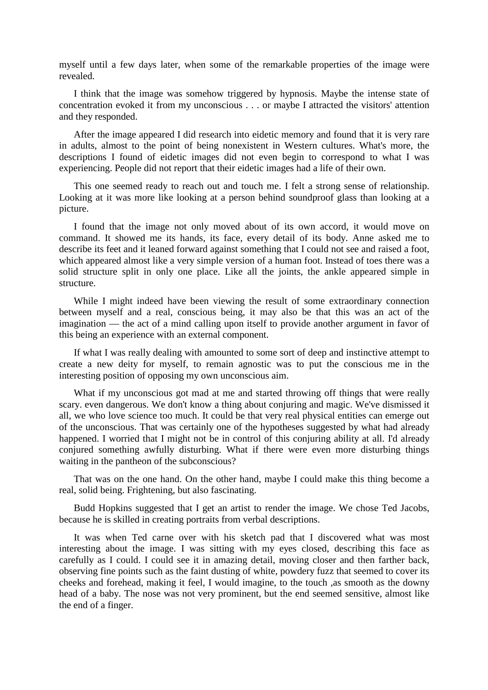myself until a few days later, when some of the remarkable properties of the image were revealed.

I think that the image was somehow triggered by hypnosis. Maybe the intense state of concentration evoked it from my unconscious . . . or maybe I attracted the visitors' attention and they responded.

After the image appeared I did research into eidetic memory and found that it is very rare in adults, almost to the point of being nonexistent in Western cultures. What's more, the descriptions I found of eidetic images did not even begin to correspond to what I was experiencing. People did not report that their eidetic images had a life of their own.

This one seemed ready to reach out and touch me. I felt a strong sense of relationship. Looking at it was more like looking at a person behind soundproof glass than looking at a picture.

I found that the image not only moved about of its own accord, it would move on command. It showed me its hands, its face, every detail of its body. Anne asked me to describe its feet and it leaned forward against something that I could not see and raised a foot, which appeared almost like a very simple version of a human foot. Instead of toes there was a solid structure split in only one place. Like all the joints, the ankle appeared simple in structure.

While I might indeed have been viewing the result of some extraordinary connection between myself and a real, conscious being, it may also be that this was an act of the imagination — the act of a mind calling upon itself to provide another argument in favor of this being an experience with an external component.

If what I was really dealing with amounted to some sort of deep and instinctive attempt to create a new deity for myself, to remain agnostic was to put the conscious me in the interesting position of opposing my own unconscious aim.

What if my unconscious got mad at me and started throwing off things that were really scary. even dangerous. We don't know a thing about conjuring and magic. We've dismissed it all, we who love science too much. It could be that very real physical entities can emerge out of the unconscious. That was certainly one of the hypotheses suggested by what had already happened. I worried that I might not be in control of this conjuring ability at all. I'd already conjured something awfully disturbing. What if there were even more disturbing things waiting in the pantheon of the subconscious?

That was on the one hand. On the other hand, maybe I could make this thing become a real, solid being. Frightening, but also fascinating.

Budd Hopkins suggested that I get an artist to render the image. We chose Ted Jacobs, because he is skilled in creating portraits from verbal descriptions.

It was when Ted carne over with his sketch pad that I discovered what was most interesting about the image. I was sitting with my eyes closed, describing this face as carefully as I could. I could see it in amazing detail, moving closer and then farther back, observing fine points such as the faint dusting of white, powdery fuzz that seemed to cover its cheeks and forehead, making it feel, I would imagine, to the touch ,as smooth as the downy head of a baby. The nose was not very prominent, but the end seemed sensitive, almost like the end of a finger.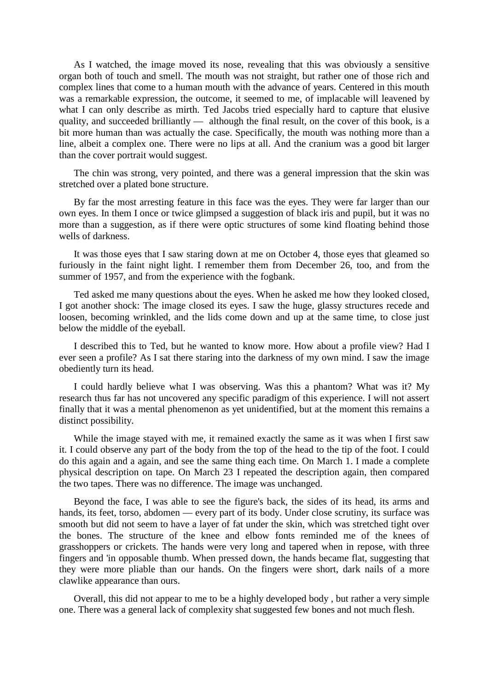As I watched, the image moved its nose, revealing that this was obviously a sensitive organ both of touch and smell. The mouth was not straight, but rather one of those rich and complex lines that come to a human mouth with the advance of years. Centered in this mouth was a remarkable expression, the outcome, it seemed to me, of implacable will leavened by what I can only describe as mirth. Ted Jacobs tried especially hard to capture that elusive quality, and succeeded brilliantly — although the final result, on the cover of this book, is a bit more human than was actually the case. Specifically, the mouth was nothing more than a line, albeit a complex one. There were no lips at all. And the cranium was a good bit larger than the cover portrait would suggest.

The chin was strong, very pointed, and there was a general impression that the skin was stretched over a plated bone structure.

By far the most arresting feature in this face was the eyes. They were far larger than our own eyes. In them I once or twice glimpsed a suggestion of black iris and pupil, but it was no more than a suggestion, as if there were optic structures of some kind floating behind those wells of darkness.

It was those eyes that I saw staring down at me on October 4, those eyes that gleamed so furiously in the faint night light. I remember them from December 26, too, and from the summer of 1957, and from the experience with the fogbank.

Ted asked me many questions about the eyes. When he asked me how they looked closed, I got another shock: The image closed its eyes. I saw the huge, glassy structures recede and loosen, becoming wrinkled, and the lids come down and up at the same time, to close just below the middle of the eyeball.

I described this to Ted, but he wanted to know more. How about a profile view? Had I ever seen a profile? As I sat there staring into the darkness of my own mind. I saw the image obediently turn its head.

I could hardly believe what I was observing. Was this a phantom? What was it? My research thus far has not uncovered any specific paradigm of this experience. I will not assert finally that it was a mental phenomenon as yet unidentified, but at the moment this remains a distinct possibility.

While the image stayed with me, it remained exactly the same as it was when I first saw it. I could observe any part of the body from the top of the head to the tip of the foot. I could do this again and a again, and see the same thing each time. On March 1. I made a complete physical description on tape. On March 23 I repeated the description again, then compared the two tapes. There was no difference. The image was unchanged.

Beyond the face, I was able to see the figure's back, the sides of its head, its arms and hands, its feet, torso, abdomen — every part of its body. Under close scrutiny, its surface was smooth but did not seem to have a layer of fat under the skin, which was stretched tight over the bones. The structure of the knee and elbow fonts reminded me of the knees of grasshoppers or crickets. The hands were very long and tapered when in repose, with three fingers and 'in opposable thumb. When pressed down, the hands became flat, suggesting that they were more pliable than our hands. On the fingers were short, dark nails of a more clawlike appearance than ours.

Overall, this did not appear to me to be a highly developed body , but rather a very simple one. There was a general lack of complexity shat suggested few bones and not much flesh.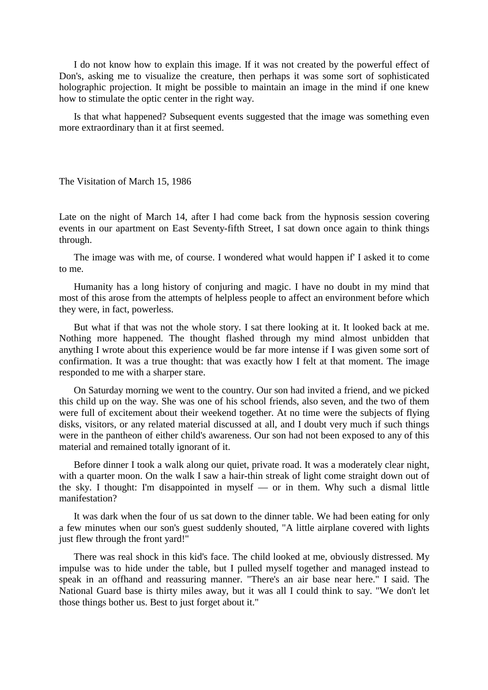I do not know how to explain this image. If it was not created by the powerful effect of Don's, asking me to visualize the creature, then perhaps it was some sort of sophisticated holographic projection. It might be possible to maintain an image in the mind if one knew how to stimulate the optic center in the right way.

Is that what happened? Subsequent events suggested that the image was something even more extraordinary than it at first seemed.

The Visitation of March 15, 1986

Late on the night of March 14, after I had come back from the hypnosis session covering events in our apartment on East Seventy-fifth Street, I sat down once again to think things through.

The image was with me, of course. I wondered what would happen if' I asked it to come to me.

Humanity has a long history of conjuring and magic. I have no doubt in my mind that most of this arose from the attempts of helpless people to affect an environment before which they were, in fact, powerless.

But what if that was not the whole story. I sat there looking at it. It looked back at me. Nothing more happened. The thought flashed through my mind almost unbidden that anything I wrote about this experience would be far more intense if I was given some sort of confirmation. It was a true thought: that was exactly how I felt at that moment. The image responded to me with a sharper stare.

On Saturday morning we went to the country. Our son had invited a friend, and we picked this child up on the way. She was one of his school friends, also seven, and the two of them were full of excitement about their weekend together. At no time were the subjects of flying disks, visitors, or any related material discussed at all, and I doubt very much if such things were in the pantheon of either child's awareness. Our son had not been exposed to any of this material and remained totally ignorant of it.

Before dinner I took a walk along our quiet, private road. It was a moderately clear night, with a quarter moon. On the walk I saw a hair-thin streak of light come straight down out of the sky. I thought: I'm disappointed in myself — or in them. Why such a dismal little manifestation?

It was dark when the four of us sat down to the dinner table. We had been eating for only a few minutes when our son's guest suddenly shouted, "A little airplane covered with lights just flew through the front yard!"

There was real shock in this kid's face. The child looked at me, obviously distressed. My impulse was to hide under the table, but I pulled myself together and managed instead to speak in an offhand and reassuring manner. "There's an air base near here." I said. The National Guard base is thirty miles away, but it was all I could think to say. "We don't let those things bother us. Best to just forget about it."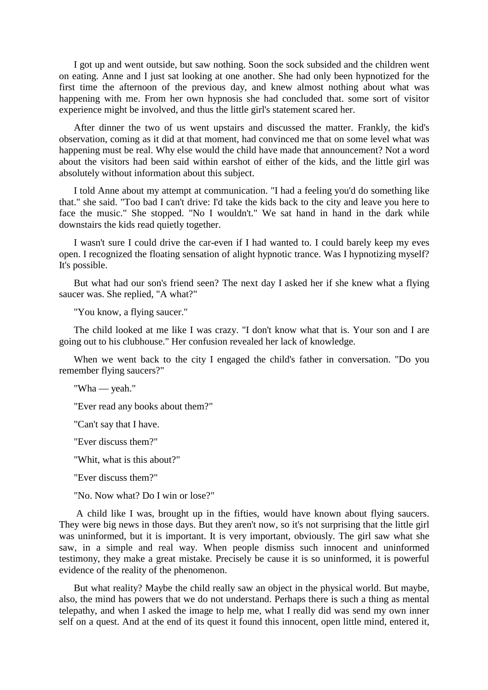I got up and went outside, but saw nothing. Soon the sock subsided and the children went on eating. Anne and I just sat looking at one another. She had only been hypnotized for the first time the afternoon of the previous day, and knew almost nothing about what was happening with me. From her own hypnosis she had concluded that. some sort of visitor experience might be involved, and thus the little girl's statement scared her.

After dinner the two of us went upstairs and discussed the matter. Frankly, the kid's observation, coming as it did at that moment, had convinced me that on some level what was happening must be real. Why else would the child have made that announcement? Not a word about the visitors had been said within earshot of either of the kids, and the little girl was absolutely without information about this subject.

I told Anne about my attempt at communication. "I had a feeling you'd do something like that." she said. "Too bad I can't drive: I'd take the kids back to the city and leave you here to face the music." She stopped. "No I wouldn't." We sat hand in hand in the dark while downstairs the kids read quietly together.

I wasn't sure I could drive the car-even if I had wanted to. I could barely keep my eves open. I recognized the floating sensation of alight hypnotic trance. Was I hypnotizing myself? It's possible.

But what had our son's friend seen? The next day I asked her if she knew what a flying saucer was. She replied, "A what?"

"You know, a flying saucer."

The child looked at me like I was crazy. "I don't know what that is. Your son and I are going out to his clubhouse." Her confusion revealed her lack of knowledge.

When we went back to the city I engaged the child's father in conversation. "Do you remember flying saucers?"

"Wha — yeah."

"Ever read any books about them?"

"Can't say that I have.

"Ever discuss them?"

"Whit, what is this about?"

"Ever discuss them?"

"No. Now what? Do I win or lose?"

 A child like I was, brought up in the fifties, would have known about flying saucers. They were big news in those days. But they aren't now, so it's not surprising that the little girl was uninformed, but it is important. It is very important, obviously. The girl saw what she saw, in a simple and real way. When people dismiss such innocent and uninformed testimony, they make a great mistake. Precisely be cause it is so uninformed, it is powerful evidence of the reality of the phenomenon.

But what reality? Maybe the child really saw an object in the physical world. But maybe, also, the mind has powers that we do not understand. Perhaps there is such a thing as mental telepathy, and when I asked the image to help me, what I really did was send my own inner self on a quest. And at the end of its quest it found this innocent, open little mind, entered it,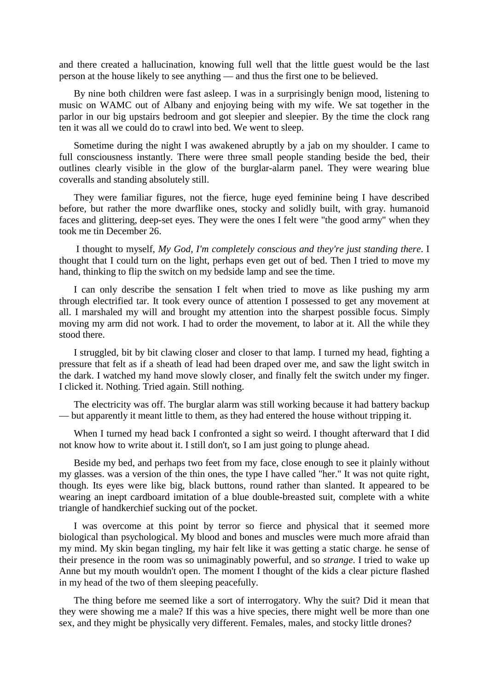and there created a hallucination, knowing full well that the little guest would be the last person at the house likely to see anything — and thus the first one to be believed.

By nine both children were fast asleep. I was in a surprisingly benign mood, listening to music on WAMC out of Albany and enjoying being with my wife. We sat together in the parlor in our big upstairs bedroom and got sleepier and sleepier. By the time the clock rang ten it was all we could do to crawl into bed. We went to sleep.

Sometime during the night I was awakened abruptly by a jab on my shoulder. I came to full consciousness instantly. There were three small people standing beside the bed, their outlines clearly visible in the glow of the burglar-alarm panel. They were wearing blue coveralls and standing absolutely still.

They were familiar figures, not the fierce, huge eyed feminine being I have described before, but rather the more dwarflike ones, stocky and solidly built, with gray. humanoid faces and glittering, deep-set eyes. They were the ones I felt were "the good army" when they took me tin December 26.

 I thought to myself, *My God, I'm completely conscious and they're just standing there*. I thought that I could turn on the light, perhaps even get out of bed. Then I tried to move my hand, thinking to flip the switch on my bedside lamp and see the time.

I can only describe the sensation I felt when tried to move as like pushing my arm through electrified tar. It took every ounce of attention I possessed to get any movement at all. I marshaled my will and brought my attention into the sharpest possible focus. Simply moving my arm did not work. I had to order the movement, to labor at it. All the while they stood there.

I struggled, bit by bit clawing closer and closer to that lamp. I turned my head, fighting a pressure that felt as if a sheath of lead had been draped over me, and saw the light switch in the dark. I watched my hand move slowly closer, and finally felt the switch under my finger. I clicked it. Nothing. Tried again. Still nothing.

The electricity was off. The burglar alarm was still working because it had battery backup — but apparently it meant little to them, as they had entered the house without tripping it.

When I turned my head back I confronted a sight so weird. I thought afterward that I did not know how to write about it. I still don't, so I am just going to plunge ahead.

Beside my bed, and perhaps two feet from my face, close enough to see it plainly without my glasses. was a version of the thin ones, the type I have called "her." It was not quite right, though. Its eyes were like big, black buttons, round rather than slanted. It appeared to be wearing an inept cardboard imitation of a blue double-breasted suit, complete with a white triangle of handkerchief sucking out of the pocket.

I was overcome at this point by terror so fierce and physical that it seemed more biological than psychological. My blood and bones and muscles were much more afraid than my mind. My skin began tingling, my hair felt like it was getting a static charge. he sense of their presence in the room was so unimaginably powerful, and so *strange*. I tried to wake up Anne but my mouth wouldn't open. The moment I thought of the kids a clear picture flashed in my head of the two of them sleeping peacefully.

The thing before me seemed like a sort of interrogatory. Why the suit? Did it mean that they were showing me a male? If this was a hive species, there might well be more than one sex, and they might be physically very different. Females, males, and stocky little drones?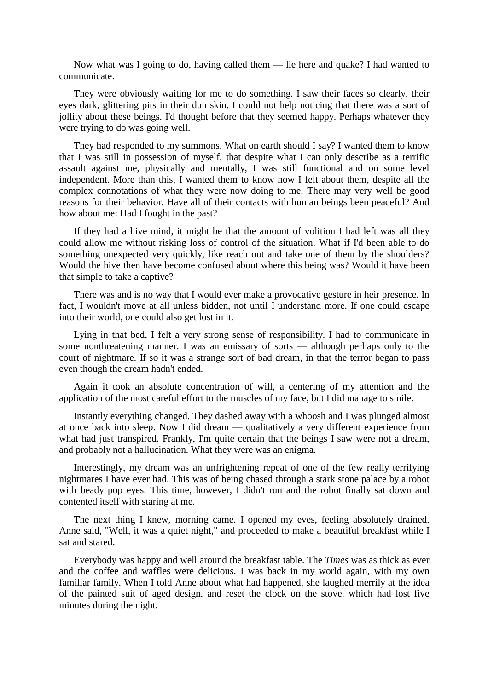Now what was I going to do, having called them — lie here and quake? I had wanted to communicate.

They were obviously waiting for me to do something. I saw their faces so clearly, their eyes dark, glittering pits in their dun skin. I could not help noticing that there was a sort of jollity about these beings. I'd thought before that they seemed happy. Perhaps whatever they were trying to do was going well.

They had responded to my summons. What on earth should I say? I wanted them to know that I was still in possession of myself, that despite what I can only describe as a terrific assault against me, physically and mentally, I was still functional and on some level independent. More than this, I wanted them to know how I felt about them, despite all the complex connotations of what they were now doing to me. There may very well be good reasons for their behavior. Have all of their contacts with human beings been peaceful? And how about me: Had I fought in the past?

If they had a hive mind, it might be that the amount of volition I had left was all they could allow me without risking loss of control of the situation. What if I'd been able to do something unexpected very quickly, like reach out and take one of them by the shoulders? Would the hive then have become confused about where this being was? Would it have been that simple to take a captive?

There was and is no way that I would ever make a provocative gesture in heir presence. In fact, I wouldn't move at all unless bidden, not until I understand more. If one could escape into their world, one could also get lost in it.

Lying in that bed, I felt a very strong sense of responsibility. I had to communicate in some nonthreatening manner. I was an emissary of sorts — although perhaps only to the court of nightmare. If so it was a strange sort of bad dream, in that the terror began to pass even though the dream hadn't ended.

Again it took an absolute concentration of will, a centering of my attention and the application of the most careful effort to the muscles of my face, but I did manage to smile.

Instantly everything changed. They dashed away with a whoosh and I was plunged almost at once back into sleep. Now I did dream — qualitatively a very different experience from what had just transpired. Frankly, I'm quite certain that the beings I saw were not a dream, and probably not a hallucination. What they were was an enigma.

Interestingly, my dream was an unfrightening repeat of one of the few really terrifying nightmares I have ever had. This was of being chased through a stark stone palace by a robot with beady pop eyes. This time, however, I didn't run and the robot finally sat down and contented itself with staring at me.

The next thing I knew, morning came. I opened my eves, feeling absolutely drained. Anne said, "Well, it was a quiet night," and proceeded to make a beautiful breakfast while I sat and stared.

Everybody was happy and well around the breakfast table. The *Times* was as thick as ever and the coffee and waffles were delicious. I was back in my world again, with my own familiar family. When I told Anne about what had happened, she laughed merrily at the idea of the painted suit of aged design. and reset the clock on the stove. which had lost five minutes during the night.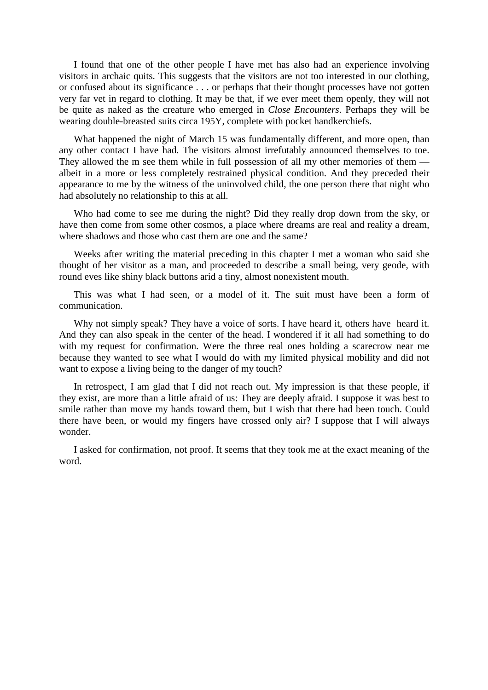I found that one of the other people I have met has also had an experience involving visitors in archaic quits. This suggests that the visitors are not too interested in our clothing, or confused about its significance . . . or perhaps that their thought processes have not gotten very far vet in regard to clothing. It may be that, if we ever meet them openly, they will not be quite as naked as the creature who emerged in *Close Encounters*. Perhaps they will be wearing double-breasted suits circa 195Y, complete with pocket handkerchiefs.

What happened the night of March 15 was fundamentally different, and more open, than any other contact I have had. The visitors almost irrefutably announced themselves to toe. They allowed the m see them while in full possession of all my other memories of them  $$ albeit in a more or less completely restrained physical condition. And they preceded their appearance to me by the witness of the uninvolved child, the one person there that night who had absolutely no relationship to this at all.

Who had come to see me during the night? Did they really drop down from the sky, or have then come from some other cosmos, a place where dreams are real and reality a dream, where shadows and those who cast them are one and the same?

Weeks after writing the material preceding in this chapter I met a woman who said she thought of her visitor as a man, and proceeded to describe a small being, very geode, with round eves like shiny black buttons arid a tiny, almost nonexistent mouth.

This was what I had seen, or a model of it. The suit must have been a form of communication.

Why not simply speak? They have a voice of sorts. I have heard it, others have heard it. And they can also speak in the center of the head. I wondered if it all had something to do with my request for confirmation. Were the three real ones holding a scarecrow near me because they wanted to see what I would do with my limited physical mobility and did not want to expose a living being to the danger of my touch?

In retrospect, I am glad that I did not reach out. My impression is that these people, if they exist, are more than a little afraid of us: They are deeply afraid. I suppose it was best to smile rather than move my hands toward them, but I wish that there had been touch. Could there have been, or would my fingers have crossed only air? I suppose that I will always wonder.

I asked for confirmation, not proof. It seems that they took me at the exact meaning of the word.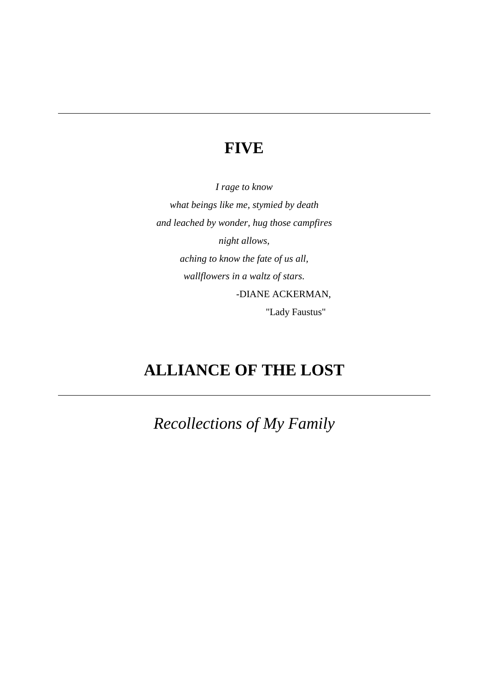## **FIVE**

*I rage to know what beings like me, stymied by death and leached by wonder, hug those campfires night allows, aching to know the fate of us all, wallflowers in a waltz of stars.*  -DIANE ACKERMAN, "Lady Faustus"

# **ALLIANCE OF THE LOST**

*Recollections of My Family*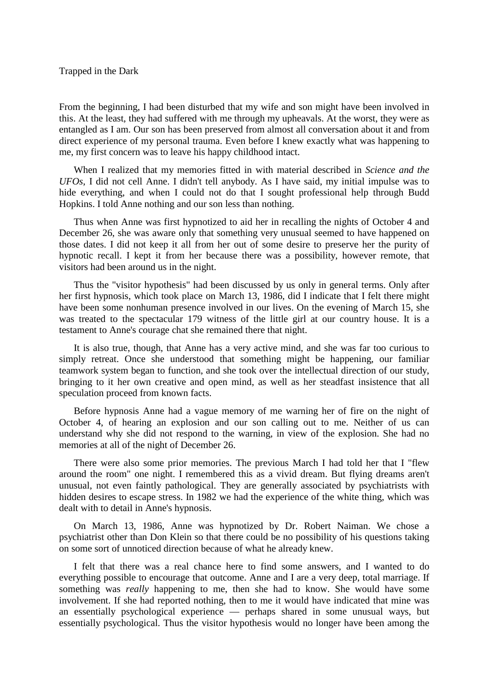### Trapped in the Dark

From the beginning, I had been disturbed that my wife and son might have been involved in this. At the least, they had suffered with me through my upheavals. At the worst, they were as entangled as I am. Our son has been preserved from almost all conversation about it and from direct experience of my personal trauma. Even before I knew exactly what was happening to me, my first concern was to leave his happy childhood intact.

When I realized that my memories fitted in with material described in *Science and the UFOs*, I did not cell Anne. I didn't tell anybody. As I have said, my initial impulse was to hide everything, and when I could not do that I sought professional help through Budd Hopkins. I told Anne nothing and our son less than nothing.

Thus when Anne was first hypnotized to aid her in recalling the nights of October 4 and December 26, she was aware only that something very unusual seemed to have happened on those dates. I did not keep it all from her out of some desire to preserve her the purity of hypnotic recall. I kept it from her because there was a possibility, however remote, that visitors had been around us in the night.

Thus the "visitor hypothesis" had been discussed by us only in general terms. Only after her first hypnosis, which took place on March 13, 1986, did I indicate that I felt there might have been some nonhuman presence involved in our lives. On the evening of March 15, she was treated to the spectacular 179 witness of the little girl at our country house. It is a testament to Anne's courage chat she remained there that night.

It is also true, though, that Anne has a very active mind, and she was far too curious to simply retreat. Once she understood that something might be happening, our familiar teamwork system began to function, and she took over the intellectual direction of our study, bringing to it her own creative and open mind, as well as her steadfast insistence that all speculation proceed from known facts.

Before hypnosis Anne had a vague memory of me warning her of fire on the night of October 4, of hearing an explosion and our son calling out to me. Neither of us can understand why she did not respond to the warning, in view of the explosion. She had no memories at all of the night of December 26.

There were also some prior memories. The previous March I had told her that I "flew around the room" one night. I remembered this as a vivid dream. But flying dreams aren't unusual, not even faintly pathological. They are generally associated by psychiatrists with hidden desires to escape stress. In 1982 we had the experience of the white thing, which was dealt with to detail in Anne's hypnosis.

On March 13, 1986, Anne was hypnotized by Dr. Robert Naiman. We chose a psychiatrist other than Don Klein so that there could be no possibility of his questions taking on some sort of unnoticed direction because of what he already knew.

I felt that there was a real chance here to find some answers, and I wanted to do everything possible to encourage that outcome. Anne and I are a very deep, total marriage. If something was *really* happening to me, then she had to know. She would have some involvement. If she had reported nothing, then to me it would have indicated that mine was an essentially psychological experience — perhaps shared in some unusual ways, but essentially psychological. Thus the visitor hypothesis would no longer have been among the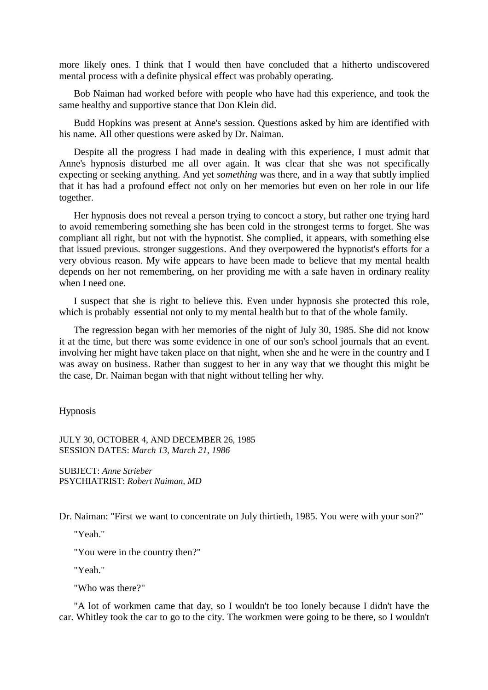more likely ones. I think that I would then have concluded that a hitherto undiscovered mental process with a definite physical effect was probably operating.

Bob Naiman had worked before with people who have had this experience, and took the same healthy and supportive stance that Don Klein did.

Budd Hopkins was present at Anne's session. Questions asked by him are identified with his name. All other questions were asked by Dr. Naiman.

Despite all the progress I had made in dealing with this experience, I must admit that Anne's hypnosis disturbed me all over again. It was clear that she was not specifically expecting or seeking anything. And yet *something* was there, and in a way that subtly implied that it has had a profound effect not only on her memories but even on her role in our life together.

Her hypnosis does not reveal a person trying to concoct a story, but rather one trying hard to avoid remembering something she has been cold in the strongest terms to forget. She was compliant all right, but not with the hypnotist. She complied, it appears, with something else that issued previous. stronger suggestions. And they overpowered the hypnotist's efforts for a very obvious reason. My wife appears to have been made to believe that my mental health depends on her not remembering, on her providing me with a safe haven in ordinary reality when I need one.

I suspect that she is right to believe this. Even under hypnosis she protected this role, which is probably essential not only to my mental health but to that of the whole family.

The regression began with her memories of the night of July 30, 1985. She did not know it at the time, but there was some evidence in one of our son's school journals that an event. involving her might have taken place on that night, when she and he were in the country and I was away on business. Rather than suggest to her in any way that we thought this might be the case, Dr. Naiman began with that night without telling her why.

Hypnosis

JULY 30, OCTOBER 4, AND DECEMBER 26, 1985 SESSION DATES: *March 13, March 21, 1986*

SUBJECT: *Anne Strieber* PSYCHIATRIST: *Robert Naiman, MD* 

Dr. Naiman: "First we want to concentrate on July thirtieth, 1985. You were with your son?"

"Yeah."

"You were in the country then?"

"Yeah."

"Who was there?"

"A lot of workmen came that day, so I wouldn't be too lonely because I didn't have the car. Whitley took the car to go to the city. The workmen were going to be there, so I wouldn't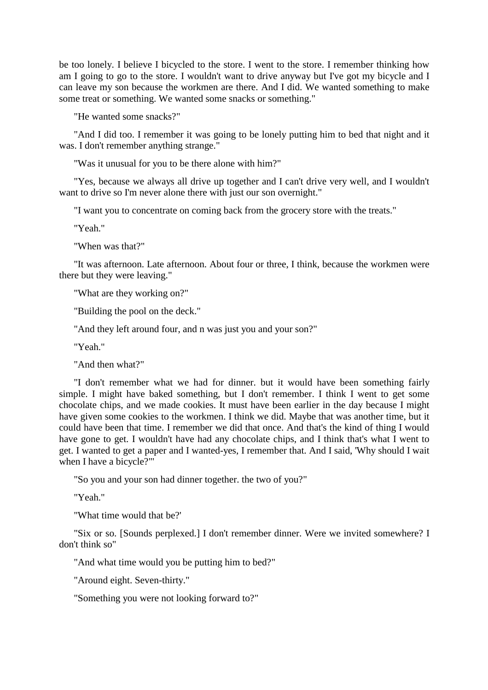be too lonely. I believe I bicycled to the store. I went to the store. I remember thinking how am I going to go to the store. I wouldn't want to drive anyway but I've got my bicycle and I can leave my son because the workmen are there. And I did. We wanted something to make some treat or something. We wanted some snacks or something."

"He wanted some snacks?"

"And I did too. I remember it was going to be lonely putting him to bed that night and it was. I don't remember anything strange."

"Was it unusual for you to be there alone with him?"

"Yes, because we always all drive up together and I can't drive very well, and I wouldn't want to drive so I'm never alone there with just our son overnight."

"I want you to concentrate on coming back from the grocery store with the treats."

"Yeah."

"When was that?"

"It was afternoon. Late afternoon. About four or three, I think, because the workmen were there but they were leaving."

"What are they working on?"

"Building the pool on the deck."

"And they left around four, and n was just you and your son?"

"Yeah."

"And then what?"

"I don't remember what we had for dinner. but it would have been something fairly simple. I might have baked something, but I don't remember. I think I went to get some chocolate chips, and we made cookies. It must have been earlier in the day because I might have given some cookies to the workmen. I think we did. Maybe that was another time, but it could have been that time. I remember we did that once. And that's the kind of thing I would have gone to get. I wouldn't have had any chocolate chips, and I think that's what I went to get. I wanted to get a paper and I wanted-yes, I remember that. And I said, 'Why should I wait when I have a bicycle?"'

"So you and your son had dinner together. the two of you?"

"Yeah."

"What time would that be?'

"Six or so. [Sounds perplexed.] I don't remember dinner. Were we invited somewhere? I don't think so"

"And what time would you be putting him to bed?"

"Around eight. Seven-thirty."

"Something you were not looking forward to?"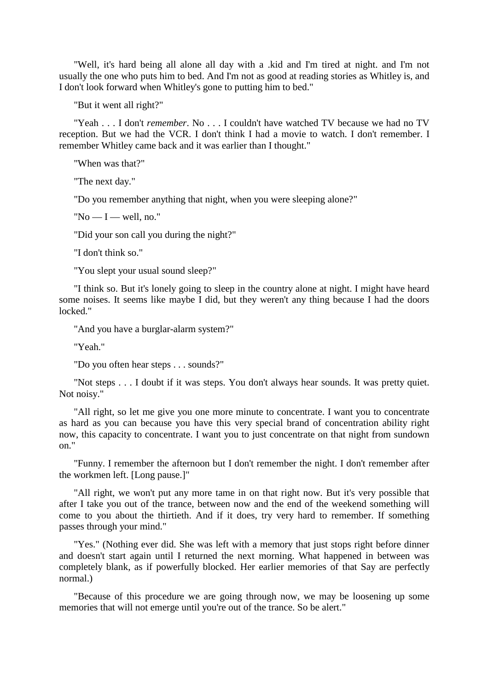"Well, it's hard being all alone all day with a .kid and I'm tired at night. and I'm not usually the one who puts him to bed. And I'm not as good at reading stories as Whitley is, and I don't look forward when Whitley's gone to putting him to bed."

"But it went all right?"

"Yeah . . . I don't *remember*. No . . . I couldn't have watched TV because we had no TV reception. But we had the VCR. I don't think I had a movie to watch. I don't remember. I remember Whitley came back and it was earlier than I thought."

"When was that?"

"The next day."

"Do you remember anything that night, when you were sleeping alone?"

 $"No - I - well, no."$ 

"Did your son call you during the night?"

"I don't think so."

"You slept your usual sound sleep?"

"I think so. But it's lonely going to sleep in the country alone at night. I might have heard some noises. It seems like maybe I did, but they weren't any thing because I had the doors locked."

"And you have a burglar-alarm system?"

"Yeah."

"Do you often hear steps . . . sounds?"

"Not steps . . . I doubt if it was steps. You don't always hear sounds. It was pretty quiet. Not noisy."

"All right, so let me give you one more minute to concentrate. I want you to concentrate as hard as you can because you have this very special brand of concentration ability right now, this capacity to concentrate. I want you to just concentrate on that night from sundown on."

"Funny. I remember the afternoon but I don't remember the night. I don't remember after the workmen left. [Long pause.]"

"All right, we won't put any more tame in on that right now. But it's very possible that after I take you out of the trance, between now and the end of the weekend something will come to you about the thirtieth. And if it does, try very hard to remember. If something passes through your mind."

"Yes." (Nothing ever did. She was left with a memory that just stops right before dinner and doesn't start again until I returned the next morning. What happened in between was completely blank, as if powerfully blocked. Her earlier memories of that Say are perfectly normal.)

"Because of this procedure we are going through now, we may be loosening up some memories that will not emerge until you're out of the trance. So be alert."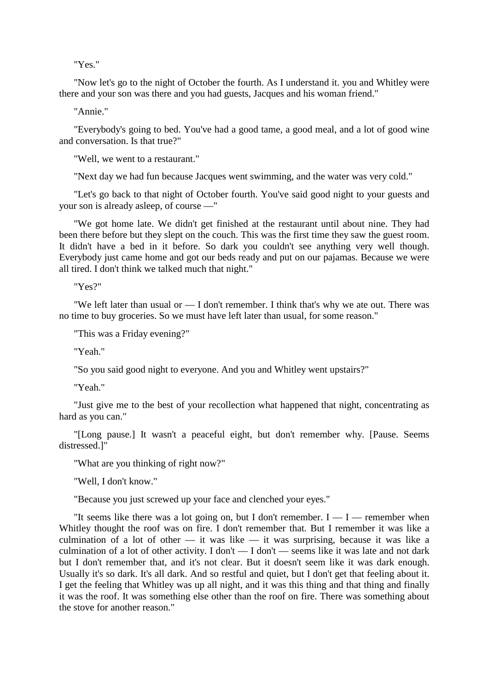"Yes."

"Now let's go to the night of October the fourth. As I understand it. you and Whitley were there and your son was there and you had guests, Jacques and his woman friend."

"Annie."

"Everybody's going to bed. You've had a good tame, a good meal, and a lot of good wine and conversation. Is that true?"

"Well, we went to a restaurant."

"Next day we had fun because Jacques went swimming, and the water was very cold."

"Let's go back to that night of October fourth. You've said good night to your guests and your son is already asleep, of course —"

"We got home late. We didn't get finished at the restaurant until about nine. They had been there before but they slept on the couch. This was the first time they saw the guest room. It didn't have a bed in it before. So dark you couldn't see anything very well though. Everybody just came home and got our beds ready and put on our pajamas. Because we were all tired. I don't think we talked much that night."

"Yes?"

"We left later than usual or — I don't remember. I think that's why we ate out. There was no time to buy groceries. So we must have left later than usual, for some reason."

"This was a Friday evening?"

"Yeah."

"So you said good night to everyone. And you and Whitley went upstairs?"

"Yeah."

"Just give me to the best of your recollection what happened that night, concentrating as hard as you can."

"[Long pause.] It wasn't a peaceful eight, but don't remember why. [Pause. Seems distressed.]"

"What are you thinking of right now?"

"Well, I don't know."

"Because you just screwed up your face and clenched your eyes."

"It seems like there was a lot going on, but I don't remember.  $I - I$  — remember when Whitley thought the roof was on fire. I don't remember that. But I remember it was like a culmination of a lot of other  $-$  it was like  $-$  it was surprising, because it was like a culmination of a lot of other activity. I don't — I don't — seems like it was late and not dark but I don't remember that, and it's not clear. But it doesn't seem like it was dark enough. Usually it's so dark. It's all dark. And so restful and quiet, but I don't get that feeling about it. I get the feeling that Whitley was up all night, and it was this thing and that thing and finally it was the roof. It was something else other than the roof on fire. There was something about the stove for another reason."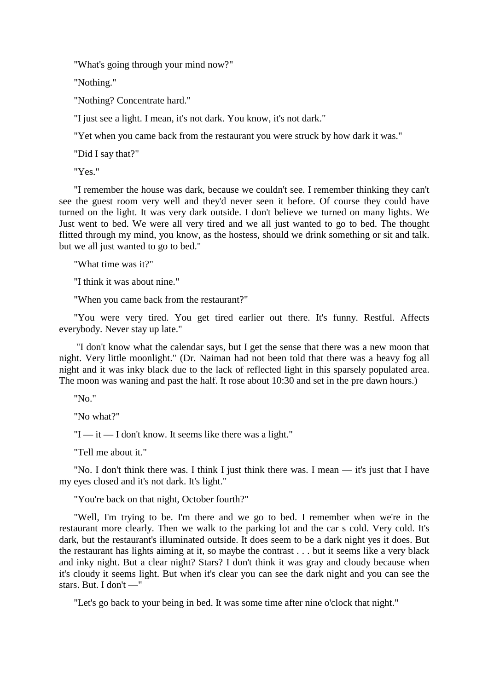"What's going through your mind now?"

"Nothing."

"Nothing? Concentrate hard."

"I just see a light. I mean, it's not dark. You know, it's not dark."

"Yet when you came back from the restaurant you were struck by how dark it was."

"Did I say that?"

"Yes."

"I remember the house was dark, because we couldn't see. I remember thinking they can't see the guest room very well and they'd never seen it before. Of course they could have turned on the light. It was very dark outside. I don't believe we turned on many lights. We Just went to bed. We were all very tired and we all just wanted to go to bed. The thought flitted through my mind, you know, as the hostess, should we drink something or sit and talk. but we all just wanted to go to bed."

"What time was it?"

"I think it was about nine."

"When you came back from the restaurant?"

"You were very tired. You get tired earlier out there. It's funny. Restful. Affects everybody. Never stay up late."

 "I don't know what the calendar says, but I get the sense that there was a new moon that night. Very little moonlight." (Dr. Naiman had not been told that there was a heavy fog all night and it was inky black due to the lack of reflected light in this sparsely populated area. The moon was waning and past the half. It rose about 10:30 and set in the pre dawn hours.)

"No."

"No what?"

 $"I$  — it — I don't know. It seems like there was a light."

"Tell me about it."

"No. I don't think there was. I think I just think there was. I mean — it's just that I have my eyes closed and it's not dark. It's light."

"You're back on that night, October fourth?"

"Well, I'm trying to be. I'm there and we go to bed. I remember when we're in the restaurant more clearly. Then we walk to the parking lot and the car s cold. Very cold. It's dark, but the restaurant's illuminated outside. It does seem to be a dark night yes it does. But the restaurant has lights aiming at it, so maybe the contrast . . . but it seems like a very black and inky night. But a clear night? Stars? I don't think it was gray and cloudy because when it's cloudy it seems light. But when it's clear you can see the dark night and you can see the stars. But. I don't —"

"Let's go back to your being in bed. It was some time after nine o'clock that night."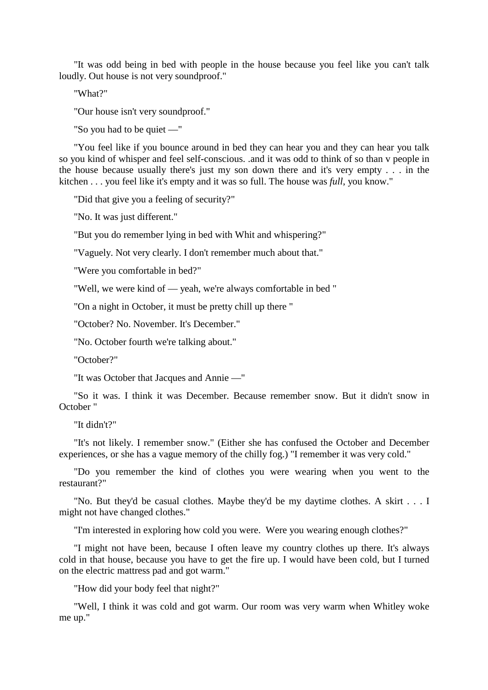"It was odd being in bed with people in the house because you feel like you can't talk loudly. Out house is not very soundproof."

"What?"

"Our house isn't very soundproof."

"So you had to be quiet —"

"You feel like if you bounce around in bed they can hear you and they can hear you talk so you kind of whisper and feel self-conscious. .and it was odd to think of so than v people in the house because usually there's just my son down there and it's very empty . . . in the kitchen . . . you feel like it's empty and it was so full. The house was *full*, you know."

"Did that give you a feeling of security?"

"No. It was just different."

"But you do remember lying in bed with Whit and whispering?"

"Vaguely. Not very clearly. I don't remember much about that."

"Were you comfortable in bed?"

"Well, we were kind of — yeah, we're always comfortable in bed "

"On a night in October, it must be pretty chill up there "

"October? No. November. It's December."

"No. October fourth we're talking about."

"October?"

"It was October that Jacques and Annie —"

"So it was. I think it was December. Because remember snow. But it didn't snow in October "

"It didn't?"

"It's not likely. I remember snow." (Either she has confused the October and December experiences, or she has a vague memory of the chilly fog.) "I remember it was very cold."

"Do you remember the kind of clothes you were wearing when you went to the restaurant?"

"No. But they'd be casual clothes. Maybe they'd be my daytime clothes. A skirt . . . I might not have changed clothes."

"I'm interested in exploring how cold you were. Were you wearing enough clothes?"

"I might not have been, because I often leave my country clothes up there. It's always cold in that house, because you have to get the fire up. I would have been cold, but I turned on the electric mattress pad and got warm."

"How did your body feel that night?"

"Well, I think it was cold and got warm. Our room was very warm when Whitley woke me up."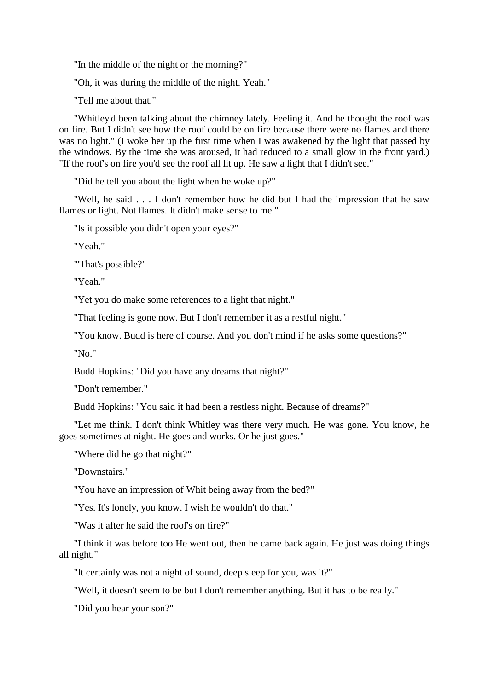"In the middle of the night or the morning?"

"Oh, it was during the middle of the night. Yeah."

"Tell me about that."

"Whitley'd been talking about the chimney lately. Feeling it. And he thought the roof was on fire. But I didn't see how the roof could be on fire because there were no flames and there was no light." (I woke her up the first time when I was awakened by the light that passed by the windows. By the time she was aroused, it had reduced to a small glow in the front yard.) "If the roof's on fire you'd see the roof all lit up. He saw a light that I didn't see."

"Did he tell you about the light when he woke up?"

"Well, he said . . . I don't remember how he did but I had the impression that he saw flames or light. Not flames. It didn't make sense to me."

"Is it possible you didn't open your eyes?"

"Yeah."

"'That's possible?"

"Yeah."

"Yet you do make some references to a light that night."

"That feeling is gone now. But I don't remember it as a restful night."

"You know. Budd is here of course. And you don't mind if he asks some questions?"

"No."

Budd Hopkins: "Did you have any dreams that night?"

"Don't remember."

Budd Hopkins: "You said it had been a restless night. Because of dreams?"

"Let me think. I don't think Whitley was there very much. He was gone. You know, he goes sometimes at night. He goes and works. Or he just goes."

"Where did he go that night?"

"Downstairs."

"You have an impression of Whit being away from the bed?"

"Yes. It's lonely, you know. I wish he wouldn't do that."

"Was it after he said the roof's on fire?"

"I think it was before too He went out, then he came back again. He just was doing things all night."

"It certainly was not a night of sound, deep sleep for you, was it?"

"Well, it doesn't seem to be but I don't remember anything. But it has to be really."

"Did you hear your son?"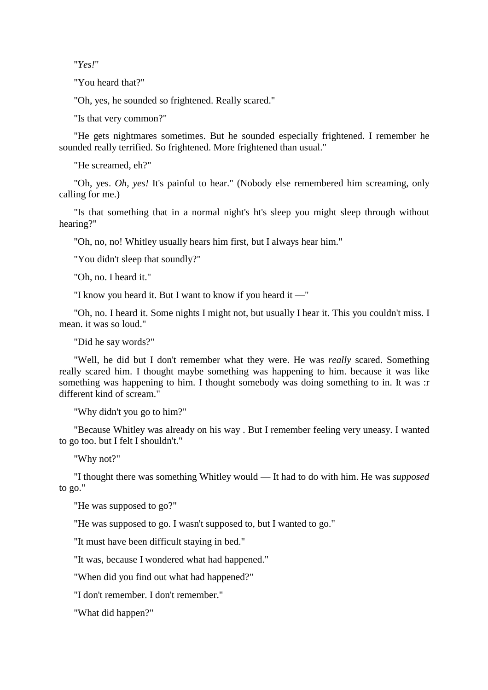"*Yes!*"

"You heard that?"

"Oh, yes, he sounded so frightened. Really scared."

"Is that very common?"

"He gets nightmares sometimes. But he sounded especially frightened. I remember he sounded really terrified. So frightened. More frightened than usual."

"He screamed, eh?"

"Oh, yes. *Oh, yes!* It's painful to hear." (Nobody else remembered him screaming, only calling for me.)

"Is that something that in a normal night's ht's sleep you might sleep through without hearing?"

"Oh, no, no! Whitley usually hears him first, but I always hear him."

"You didn't sleep that soundly?"

"Oh, no. I heard it."

"I know you heard it. But I want to know if you heard it —"

"Oh, no. I heard it. Some nights I might not, but usually I hear it. This you couldn't miss. I mean. it was so loud."

"Did he say words?"

"Well, he did but I don't remember what they were. He was *really* scared. Something really scared him. I thought maybe something was happening to him. because it was like something was happening to him. I thought somebody was doing something to in. It was :r different kind of scream."

"Why didn't you go to him?"

"Because Whitley was already on his way . But I remember feeling very uneasy. I wanted to go too. but I felt I shouldn't."

"Why not?"

"I thought there was something Whitley would — It had to do with him. He was *supposed* to go."

"He was supposed to go?"

"He was supposed to go. I wasn't supposed to, but I wanted to go."

"It must have been difficult staying in bed."

"It was, because I wondered what had happened."

"When did you find out what had happened?"

"I don't remember. I don't remember."

"What did happen?"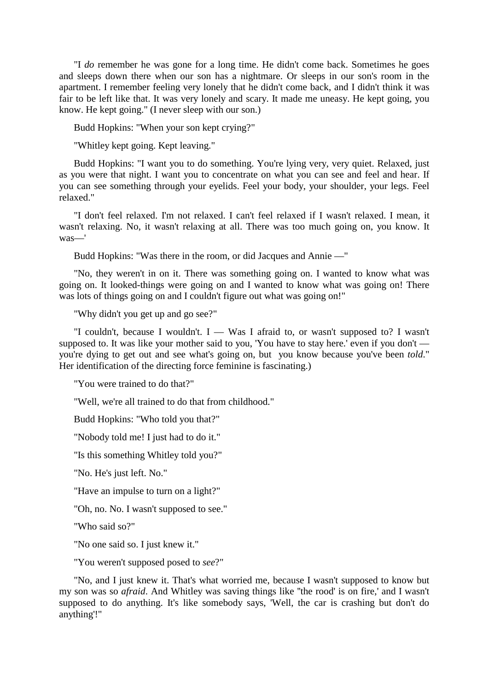"I *do* remember he was gone for a long time. He didn't come back. Sometimes he goes and sleeps down there when our son has a nightmare. Or sleeps in our son's room in the apartment. I remember feeling very lonely that he didn't come back, and I didn't think it was fair to be left like that. It was very lonely and scary. It made me uneasy. He kept going, you know. He kept going." (I never sleep with our son.)

Budd Hopkins: "When your son kept crying?"

"Whitley kept going. Kept leaving."

Budd Hopkins: "I want you to do something. You're lying very, very quiet. Relaxed, just as you were that night. I want you to concentrate on what you can see and feel and hear. If you can see something through your eyelids. Feel your body, your shoulder, your legs. Feel relaxed."

"I don't feel relaxed. I'm not relaxed. I can't feel relaxed if I wasn't relaxed. I mean, it wasn't relaxing. No, it wasn't relaxing at all. There was too much going on, you know. It was—'

Budd Hopkins: "Was there in the room, or did Jacques and Annie —"

"No, they weren't in on it. There was something going on. I wanted to know what was going on. It looked-things were going on and I wanted to know what was going on! There was lots of things going on and I couldn't figure out what was going on!"

"Why didn't you get up and go see?"

"I couldn't, because I wouldn't. I — Was I afraid to, or wasn't supposed to? I wasn't supposed to. It was like your mother said to you, 'You have to stay here.' even if you don't you're dying to get out and see what's going on, but you know because you've been *told*." Her identification of the directing force feminine is fascinating.)

"You were trained to do that?"

"Well, we're all trained to do that from childhood."

Budd Hopkins: "Who told you that?"

"Nobody told me! I just had to do it."

"Is this something Whitley told you?"

"No. He's just left. No."

"Have an impulse to turn on a light?"

"Oh, no. No. I wasn't supposed to see."

"Who said so?"

"No one said so. I just knew it."

"You weren't supposed posed to *see*?"

"No, and I just knew it. That's what worried me, because I wasn't supposed to know but my son was so *afraid*. And Whitley was saving things like ''the rood' is on fire,' and I wasn't supposed to do anything. It's like somebody says, 'Well, the car is crashing but don't do anything'!"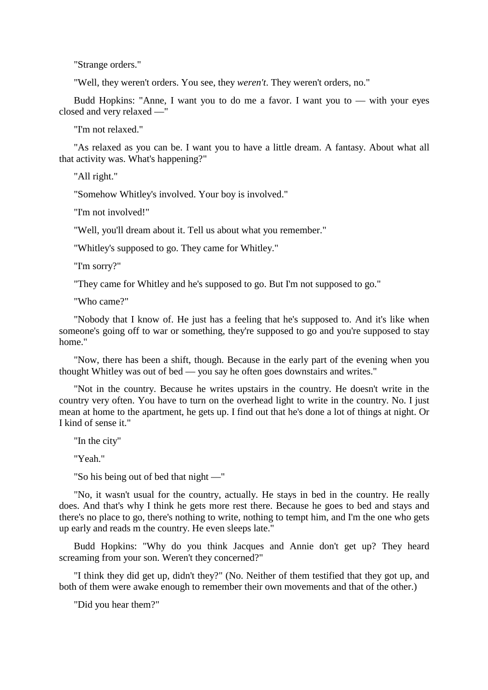"Strange orders."

"Well, they weren't orders. You see, they *weren't*. They weren't orders, no."

Budd Hopkins: "Anne, I want you to do me a favor. I want you to — with your eyes closed and very relaxed —"

"I'm not relaxed."

"As relaxed as you can be. I want you to have a little dream. A fantasy. About what all that activity was. What's happening?"

"All right."

"Somehow Whitley's involved. Your boy is involved."

"I'm not involved!"

"Well, you'll dream about it. Tell us about what you remember."

"Whitley's supposed to go. They came for Whitley."

"I'm sorry?"

"They came for Whitley and he's supposed to go. But I'm not supposed to go."

"Who came?"

"Nobody that I know of. He just has a feeling that he's supposed to. And it's like when someone's going off to war or something, they're supposed to go and you're supposed to stay home."

"Now, there has been a shift, though. Because in the early part of the evening when you thought Whitley was out of bed — you say he often goes downstairs and writes."

"Not in the country. Because he writes upstairs in the country. He doesn't write in the country very often. You have to turn on the overhead light to write in the country. No. I just mean at home to the apartment, he gets up. I find out that he's done a lot of things at night. Or I kind of sense it."

"In the city"

"Yeah."

"So his being out of bed that night —"

"No, it wasn't usual for the country, actually. He stays in bed in the country. He really does. And that's why I think he gets more rest there. Because he goes to bed and stays and there's no place to go, there's nothing to write, nothing to tempt him, and I'm the one who gets up early and reads m the country. He even sleeps late."

Budd Hopkins: "Why do you think Jacques and Annie don't get up? They heard screaming from your son. Weren't they concerned?"

"I think they did get up, didn't they?" (No. Neither of them testified that they got up, and both of them were awake enough to remember their own movements and that of the other.)

"Did you hear them?"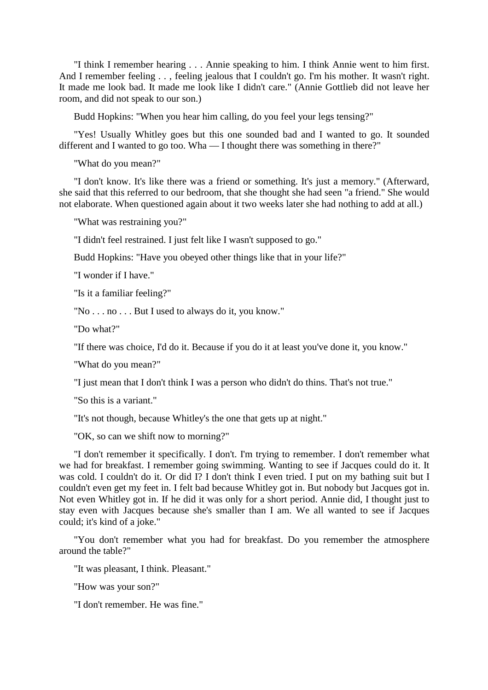"I think I remember hearing . . . Annie speaking to him. I think Annie went to him first. And I remember feeling . . , feeling jealous that I couldn't go. I'm his mother. It wasn't right. It made me look bad. It made me look like I didn't care." (Annie Gottlieb did not leave her room, and did not speak to our son.)

Budd Hopkins: "When you hear him calling, do you feel your legs tensing?"

"Yes! Usually Whitley goes but this one sounded bad and I wanted to go. It sounded different and I wanted to go too. Wha — I thought there was something in there?"

"What do you mean?"

"I don't know. It's like there was a friend or something. It's just a memory." (Afterward, she said that this referred to our bedroom, that she thought she had seen "a friend." She would not elaborate. When questioned again about it two weeks later she had nothing to add at all.)

"What was restraining you?"

"I didn't feel restrained. I just felt like I wasn't supposed to go."

Budd Hopkins: "Have you obeyed other things like that in your life?"

"I wonder if I have."

"Is it a familiar feeling?"

"No . . . no . . . But I used to always do it, you know."

"Do what?"

"If there was choice, I'd do it. Because if you do it at least you've done it, you know."

"What do you mean?"

"I just mean that I don't think I was a person who didn't do thins. That's not true."

"So this is a variant."

"It's not though, because Whitley's the one that gets up at night."

"OK, so can we shift now to morning?"

"I don't remember it specifically. I don't. I'm trying to remember. I don't remember what we had for breakfast. I remember going swimming. Wanting to see if Jacques could do it. It was cold. I couldn't do it. Or did I? I don't think I even tried. I put on my bathing suit but I couldn't even get my feet in. I felt bad because Whitley got in. But nobody but Jacques got in. Not even Whitley got in. If he did it was only for a short period. Annie did, I thought just to stay even with Jacques because she's smaller than I am. We all wanted to see if Jacques could; it's kind of a joke."

"You don't remember what you had for breakfast. Do you remember the atmosphere around the table?"

"It was pleasant, I think. Pleasant."

"How was your son?"

"I don't remember. He was fine."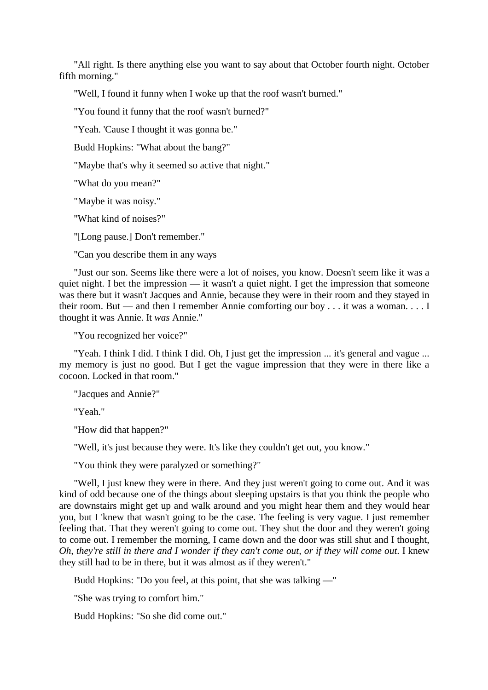"All right. Is there anything else you want to say about that October fourth night. October fifth morning."

"Well, I found it funny when I woke up that the roof wasn't burned."

"You found it funny that the roof wasn't burned?"

"Yeah. 'Cause I thought it was gonna be."

Budd Hopkins: "What about the bang?"

"Maybe that's why it seemed so active that night."

"What do you mean?"

"Maybe it was noisy."

"What kind of noises?"

"[Long pause.] Don't remember."

"Can you describe them in any ways

"Just our son. Seems like there were a lot of noises, you know. Doesn't seem like it was a quiet night. I bet the impression — it wasn't a quiet night. I get the impression that someone was there but it wasn't Jacques and Annie, because they were in their room and they stayed in their room. But — and then I remember Annie comforting our boy . . . it was a woman. . . . I thought it was Annie. It *was* Annie."

"You recognized her voice?"

"Yeah. I think I did. I think I did. Oh, I just get the impression ... it's general and vague ... my memory is just no good. But I get the vague impression that they were in there like a cocoon. Locked in that room."

"Jacques and Annie?"

"Yeah."

"How did that happen?"

"Well, it's just because they were. It's like they couldn't get out, you know."

"You think they were paralyzed or something?"

"Well, I just knew they were in there. And they just weren't going to come out. And it was kind of odd because one of the things about sleeping upstairs is that you think the people who are downstairs might get up and walk around and you might hear them and they would hear you, but I 'knew that wasn't going to be the case. The feeling is very vague. I just remember feeling that. That they weren't going to come out. They shut the door and they weren't going to come out. I remember the morning, I came down and the door was still shut and I thought, *Oh, they're still in there and I wonder if they can't come out, or if they will come out*. I knew they still had to be in there, but it was almost as if they weren't."

Budd Hopkins: "Do you feel, at this point, that she was talking —"

"She was trying to comfort him."

Budd Hopkins: "So she did come out."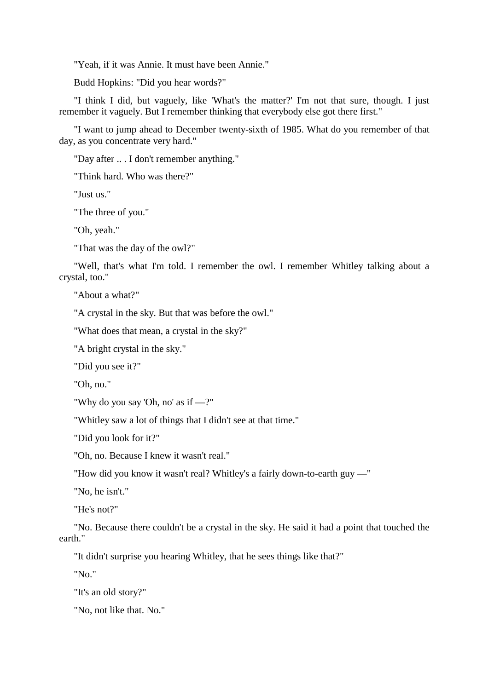"Yeah, if it was Annie. It must have been Annie."

Budd Hopkins: "Did you hear words?"

"I think I did, but vaguely, like 'What's the matter?' I'm not that sure, though. I just remember it vaguely. But I remember thinking that everybody else got there first."

"I want to jump ahead to December twenty-sixth of 1985. What do you remember of that day, as you concentrate very hard."

"Day after .. . I don't remember anything."

"Think hard. Who was there?"

"Just us."

"The three of you."

"Oh, yeah."

"That was the day of the owl?"

"Well, that's what I'm told. I remember the owl. I remember Whitley talking about a crystal, too."

"About a what?"

"A crystal in the sky. But that was before the owl."

"What does that mean, a crystal in the sky?"

"A bright crystal in the sky."

"Did you see it?"

"Oh, no."

"Why do you say 'Oh, no' as if —?"

"Whitley saw a lot of things that I didn't see at that time."

"Did you look for it?"

"Oh, no. Because I knew it wasn't real."

"How did you know it wasn't real? Whitley's a fairly down-to-earth guy —"

"No, he isn't."

"He's not?"

"No. Because there couldn't be a crystal in the sky. He said it had a point that touched the earth."

"It didn't surprise you hearing Whitley, that he sees things like that?"

"No."

"It's an old story?"

"No, not like that. No."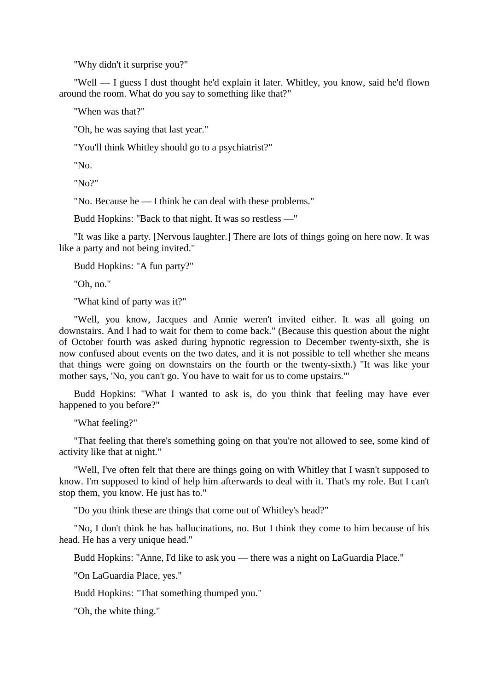"Why didn't it surprise you?"

"Well — I guess I dust thought he'd explain it later. Whitley, you know, said he'd flown around the room. What do you say to something like that?"

"When was that?"

"Oh, he was saying that last year."

"You'll think Whitley should go to a psychiatrist?"

"No.

"No?"

"No. Because he — I think he can deal with these problems."

Budd Hopkins: "Back to that night. It was so restless —"

"It was like a party. [Nervous laughter.] There are lots of things going on here now. It was like a party and not being invited."

Budd Hopkins: "A fun party?"

"Oh, no."

"What kind of party was it?"

"Well, you know, Jacques and Annie weren't invited either. It was all going on downstairs. And I had to wait for them to come back." (Because this question about the night of October fourth was asked during hypnotic regression to December twenty-sixth, she is now confused about events on the two dates, and it is not possible to tell whether she means that things were going on downstairs on the fourth or the twenty-sixth.) "It was like your mother says, 'No, you can't go. You have to wait for us to come upstairs."'

Budd Hopkins: "What I wanted to ask is, do you think that feeling may have ever happened to you before?"

"What feeling?"

"That feeling that there's something going on that you're not allowed to see, some kind of activity like that at night."

"Well, I've often felt that there are things going on with Whitley that I wasn't supposed to know. I'm supposed to kind of help him afterwards to deal with it. That's my role. But I can't stop them, you know. He just has to."

"Do you think these are things that come out of Whitley's head?"

"No, I don't think he has hallucinations, no. But I think they come to him because of his head. He has a very unique head."

Budd Hopkins: "Anne, I'd like to ask you — there was a night on LaGuardia Place."

"On LaGuardia Place, yes."

Budd Hopkins: "That something thumped you."

"Oh, the white thing."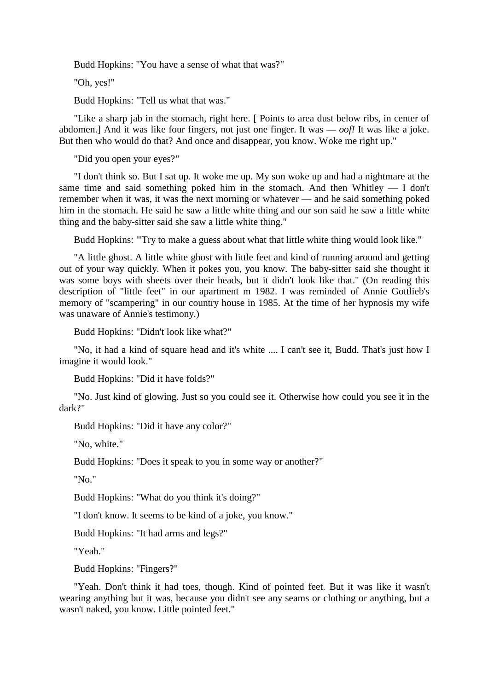Budd Hopkins: "You have a sense of what that was?"

"Oh, yes!"

Budd Hopkins: "Tell us what that was."

"Like a sharp jab in the stomach, right here. [ Points to area dust below ribs, in center of abdomen.] And it was like four fingers, not just one finger. It was — *oof!* It was like a joke. But then who would do that? And once and disappear, you know. Woke me right up."

"Did you open your eyes?"

"I don't think so. But I sat up. It woke me up. My son woke up and had a nightmare at the same time and said something poked him in the stomach. And then Whitley — I don't remember when it was, it was the next morning or whatever — and he said something poked him in the stomach. He said he saw a little white thing and our son said he saw a little white thing and the baby-sitter said she saw a little white thing."

Budd Hopkins: "'Try to make a guess about what that little white thing would look like."

"A little ghost. A little white ghost with little feet and kind of running around and getting out of your way quickly. When it pokes you, you know. The baby-sitter said she thought it was some boys with sheets over their heads, but it didn't look like that." (On reading this description of "little feet" in our apartment m 1982. I was reminded of Annie Gottlieb's memory of "scampering" in our country house in 1985. At the time of her hypnosis my wife was unaware of Annie's testimony.)

Budd Hopkins: "Didn't look like what?"

"No, it had a kind of square head and it's white .... I can't see it, Budd. That's just how I imagine it would look."

Budd Hopkins: "Did it have folds?"

"No. Just kind of glowing. Just so you could see it. Otherwise how could you see it in the dark?"

Budd Hopkins: "Did it have any color?"

"No, white."

Budd Hopkins: "Does it speak to you in some way or another?"

"No."

Budd Hopkins: "What do you think it's doing?"

"I don't know. It seems to be kind of a joke, you know."

Budd Hopkins: "It had arms and legs?"

"Yeah."

Budd Hopkins: "Fingers?"

"Yeah. Don't think it had toes, though. Kind of pointed feet. But it was like it wasn't wearing anything but it was, because you didn't see any seams or clothing or anything, but a wasn't naked, you know. Little pointed feet."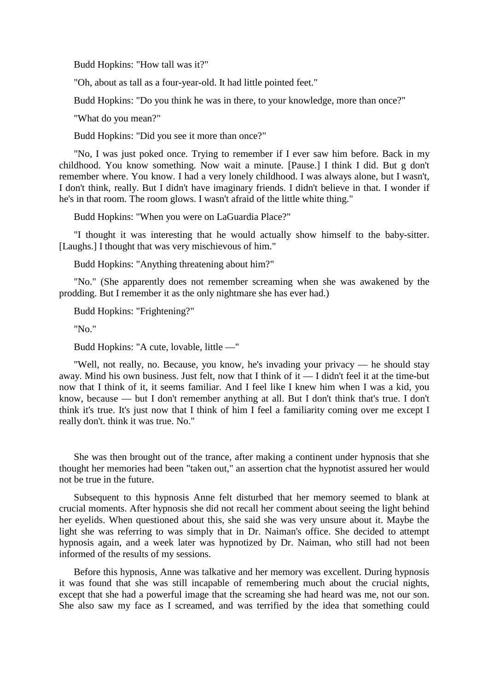Budd Hopkins: "How tall was it?"

"Oh, about as tall as a four-year-old. It had little pointed feet."

Budd Hopkins: "Do you think he was in there, to your knowledge, more than once?"

"What do you mean?"

Budd Hopkins: "Did you see it more than once?"

"No, I was just poked once. Trying to remember if I ever saw him before. Back in my childhood. You know something. Now wait a minute. [Pause.] I think I did. But g don't remember where. You know. I had a very lonely childhood. I was always alone, but I wasn't, I don't think, really. But I didn't have imaginary friends. I didn't believe in that. I wonder if he's in that room. The room glows. I wasn't afraid of the little white thing."

Budd Hopkins: "When you were on LaGuardia Place?"

"I thought it was interesting that he would actually show himself to the baby-sitter. [Laughs.] I thought that was very mischievous of him."

Budd Hopkins: "Anything threatening about him?"

"No." (She apparently does not remember screaming when she was awakened by the prodding. But I remember it as the only nightmare she has ever had.)

Budd Hopkins: "Frightening?"

"No."

Budd Hopkins: "A cute, lovable, little —"

"Well, not really, no. Because, you know, he's invading your privacy — he should stay away. Mind his own business. Just felt, now that I think of it — I didn't feel it at the time-but now that I think of it, it seems familiar. And I feel like I knew him when I was a kid, you know, because — but I don't remember anything at all. But I don't think that's true. I don't think it's true. It's just now that I think of him I feel a familiarity coming over me except I really don't. think it was true. No."

She was then brought out of the trance, after making a continent under hypnosis that she thought her memories had been "taken out," an assertion chat the hypnotist assured her would not be true in the future.

Subsequent to this hypnosis Anne felt disturbed that her memory seemed to blank at crucial moments. After hypnosis she did not recall her comment about seeing the light behind her eyelids. When questioned about this, she said she was very unsure about it. Maybe the light she was referring to was simply that in Dr. Naiman's office. She decided to attempt hypnosis again, and a week later was hypnotized by Dr. Naiman, who still had not been informed of the results of my sessions.

Before this hypnosis, Anne was talkative and her memory was excellent. During hypnosis it was found that she was still incapable of remembering much about the crucial nights, except that she had a powerful image that the screaming she had heard was me, not our son. She also saw my face as I screamed, and was terrified by the idea that something could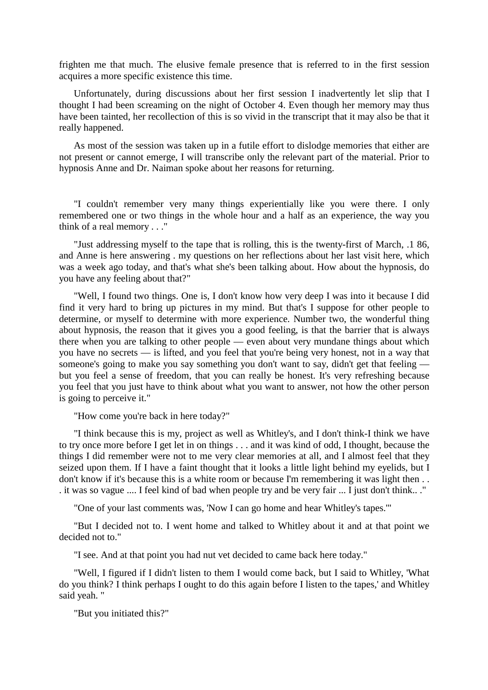frighten me that much. The elusive female presence that is referred to in the first session acquires a more specific existence this time.

Unfortunately, during discussions about her first session I inadvertently let slip that I thought I had been screaming on the night of October 4. Even though her memory may thus have been tainted, her recollection of this is so vivid in the transcript that it may also be that it really happened.

As most of the session was taken up in a futile effort to dislodge memories that either are not present or cannot emerge, I will transcribe only the relevant part of the material. Prior to hypnosis Anne and Dr. Naiman spoke about her reasons for returning.

"I couldn't remember very many things experientially like you were there. I only remembered one or two things in the whole hour and a half as an experience, the way you think of a real memory . . ."

"Just addressing myself to the tape that is rolling, this is the twenty-first of March, .1 86, and Anne is here answering . my questions on her reflections about her last visit here, which was a week ago today, and that's what she's been talking about. How about the hypnosis, do you have any feeling about that?"

"Well, I found two things. One is, I don't know how very deep I was into it because I did find it very hard to bring up pictures in my mind. But that's I suppose for other people to determine, or myself to determine with more experience. Number two, the wonderful thing about hypnosis, the reason that it gives you a good feeling, is that the barrier that is always there when you are talking to other people — even about very mundane things about which you have no secrets — is lifted, and you feel that you're being very honest, not in a way that someone's going to make you say something you don't want to say, didn't get that feeling but you feel a sense of freedom, that you can really be honest. It's very refreshing because you feel that you just have to think about what you want to answer, not how the other person is going to perceive it."

"How come you're back in here today?"

"I think because this is my, project as well as Whitley's, and I don't think-I think we have to try once more before I get let in on things . . . and it was kind of odd, I thought, because the things I did remember were not to me very clear memories at all, and I almost feel that they seized upon them. If I have a faint thought that it looks a little light behind my eyelids, but I don't know if it's because this is a white room or because I'm remembering it was light then . . . it was so vague .... I feel kind of bad when people try and be very fair ... I just don't think.. ."

"One of your last comments was, 'Now I can go home and hear Whitley's tapes.'"

"But I decided not to. I went home and talked to Whitley about it and at that point we decided not to."

"I see. And at that point you had nut vet decided to came back here today."

"Well, I figured if I didn't listen to them I would come back, but I said to Whitley, 'What do you think? I think perhaps I ought to do this again before I listen to the tapes,' and Whitley said yeah. "

"But you initiated this?"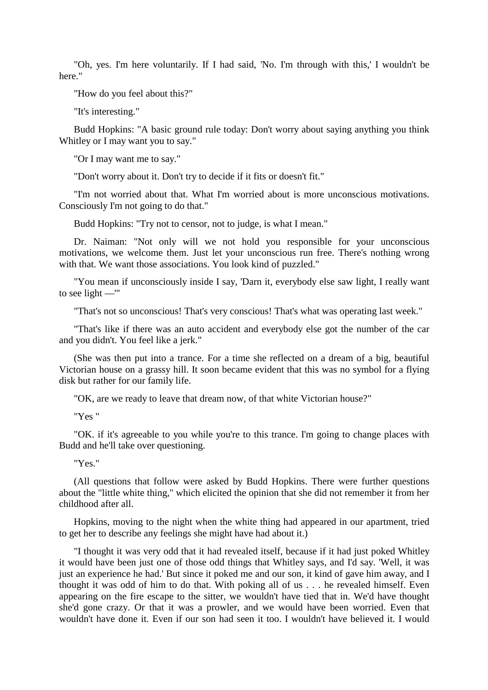"Oh, yes. I'm here voluntarily. If I had said, 'No. I'm through with this,' I wouldn't be here."

"How do you feel about this?"

"It's interesting."

Budd Hopkins: "A basic ground rule today: Don't worry about saying anything you think Whitley or I may want you to say."

"Or I may want me to say."

"Don't worry about it. Don't try to decide if it fits or doesn't fit."

"I'm not worried about that. What I'm worried about is more unconscious motivations. Consciously I'm not going to do that."

Budd Hopkins: "Try not to censor, not to judge, is what I mean."

Dr. Naiman: "Not only will we not hold you responsible for your unconscious motivations, we welcome them. Just let your unconscious run free. There's nothing wrong with that. We want those associations. You look kind of puzzled."

"You mean if unconsciously inside I say, 'Darn it, everybody else saw light, I really want to see light —'"

"That's not so unconscious! That's very conscious! That's what was operating last week."

"That's like if there was an auto accident and everybody else got the number of the car and you didn't. You feel like a jerk."

(She was then put into a trance. For a time she reflected on a dream of a big, beautiful Victorian house on a grassy hill. It soon became evident that this was no symbol for a flying disk but rather for our family life.

"OK, are we ready to leave that dream now, of that white Victorian house?"

"Yes "

"OK. if it's agreeable to you while you're to this trance. I'm going to change places with Budd and he'll take over questioning.

"Yes."

(All questions that follow were asked by Budd Hopkins. There were further questions about the "little white thing," which elicited the opinion that she did not remember it from her childhood after all.

Hopkins, moving to the night when the white thing had appeared in our apartment, tried to get her to describe any feelings she might have had about it.)

"I thought it was very odd that it had revealed itself, because if it had just poked Whitley it would have been just one of those odd things that Whitley says, and I'd say. 'Well, it was just an experience he had.' But since it poked me and our son, it kind of gave him away, and I thought it was odd of him to do that. With poking all of us . . . he revealed himself. Even appearing on the fire escape to the sitter, we wouldn't have tied that in. We'd have thought she'd gone crazy. Or that it was a prowler, and we would have been worried. Even that wouldn't have done it. Even if our son had seen it too. I wouldn't have believed it. I would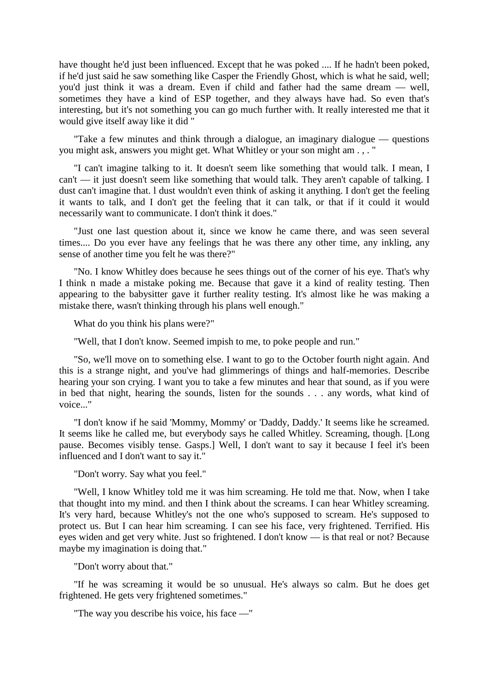have thought he'd just been influenced. Except that he was poked .... If he hadn't been poked, if he'd just said he saw something like Casper the Friendly Ghost, which is what he said, well; you'd just think it was a dream. Even if child and father had the same dream — well, sometimes they have a kind of ESP together, and they always have had. So even that's interesting, but it's not something you can go much further with. It really interested me that it would give itself away like it did "

"Take a few minutes and think through a dialogue, an imaginary dialogue — questions you might ask, answers you might get. What Whitley or your son might am . , . "

"I can't imagine talking to it. It doesn't seem like something that would talk. I mean, I can't — it just doesn't seem like something that would talk. They aren't capable of talking. I dust can't imagine that. l dust wouldn't even think of asking it anything. I don't get the feeling it wants to talk, and I don't get the feeling that it can talk, or that if it could it would necessarily want to communicate. I don't think it does."

"Just one last question about it, since we know he came there, and was seen several times.... Do you ever have any feelings that he was there any other time, any inkling, any sense of another time you felt he was there?"

"No. I know Whitley does because he sees things out of the corner of his eye. That's why I think n made a mistake poking me. Because that gave it a kind of reality testing. Then appearing to the babysitter gave it further reality testing. It's almost like he was making a mistake there, wasn't thinking through his plans well enough."

What do you think his plans were?"

"Well, that I don't know. Seemed impish to me, to poke people and run."

"So, we'll move on to something else. I want to go to the October fourth night again. And this is a strange night, and you've had glimmerings of things and half-memories. Describe hearing your son crying. I want you to take a few minutes and hear that sound, as if you were in bed that night, hearing the sounds, listen for the sounds . . . any words, what kind of voice..."

"I don't know if he said 'Mommy, Mommy' or 'Daddy, Daddy.' It seems like he screamed. It seems like he called me, but everybody says he called Whitley. Screaming, though. [Long pause. Becomes visibly tense. Gasps.] Well, I don't want to say it because I feel it's been influenced and I don't want to say it."

"Don't worry. Say what you feel."

"Well, I know Whitley told me it was him screaming. He told me that. Now, when I take that thought into my mind. and then I think about the screams. I can hear Whitley screaming. It's very hard, because Whitley's not the one who's supposed to scream. He's supposed to protect us. But I can hear him screaming. I can see his face, very frightened. Terrified. His eyes widen and get very white. Just so frightened. I don't know — is that real or not? Because maybe my imagination is doing that."

"Don't worry about that."

"If he was screaming it would be so unusual. He's always so calm. But he does get frightened. He gets very frightened sometimes."

"The way you describe his voice, his face —"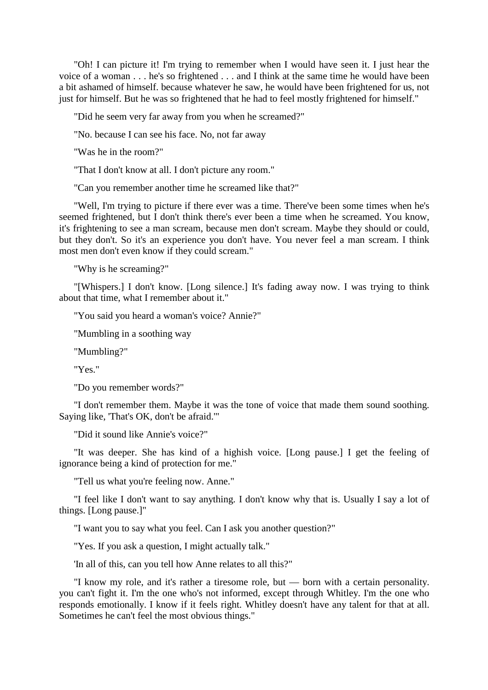"Oh! I can picture it! I'm trying to remember when I would have seen it. I just hear the voice of a woman . . . he's so frightened . . . and I think at the same time he would have been a bit ashamed of himself. because whatever he saw, he would have been frightened for us, not just for himself. But he was so frightened that he had to feel mostly frightened for himself."

"Did he seem very far away from you when he screamed?"

"No. because I can see his face. No, not far away

"Was he in the room?"

"That I don't know at all. I don't picture any room."

"Can you remember another time he screamed like that?"

"Well, I'm trying to picture if there ever was a time. There've been some times when he's seemed frightened, but I don't think there's ever been a time when he screamed. You know, it's frightening to see a man scream, because men don't scream. Maybe they should or could, but they don't. So it's an experience you don't have. You never feel a man scream. I think most men don't even know if they could scream."

"Why is he screaming?"

"[Whispers.] I don't know. [Long silence.] It's fading away now. I was trying to think about that time, what I remember about it."

"You said you heard a woman's voice? Annie?"

"Mumbling in a soothing way

"Mumbling?"

"Yes."

"Do you remember words?"

"I don't remember them. Maybe it was the tone of voice that made them sound soothing. Saying like, 'That's OK, don't be afraid.'"

"Did it sound like Annie's voice?"

"It was deeper. She has kind of a highish voice. [Long pause.] I get the feeling of ignorance being a kind of protection for me."

"Tell us what you're feeling now. Anne."

"I feel like I don't want to say anything. I don't know why that is. Usually I say a lot of things. [Long pause.]"

"I want you to say what you feel. Can I ask you another question?"

"Yes. If you ask a question, I might actually talk."

'In all of this, can you tell how Anne relates to all this?"

"I know my role, and it's rather a tiresome role, but — born with a certain personality. you can't fight it. I'm the one who's not informed, except through Whitley. I'm the one who responds emotionally. I know if it feels right. Whitley doesn't have any talent for that at all. Sometimes he can't feel the most obvious things."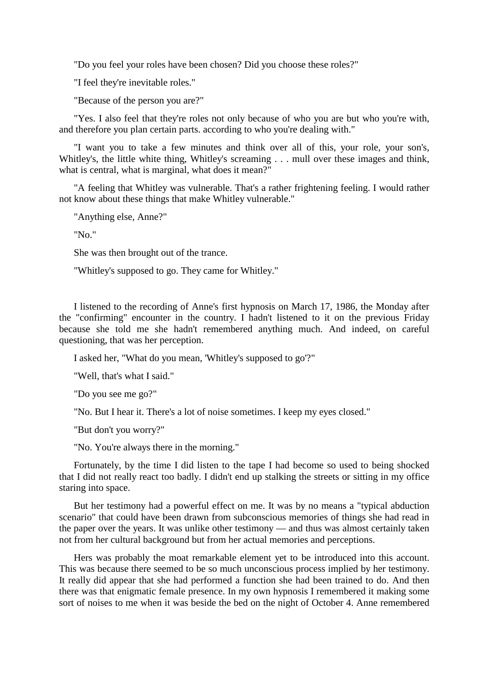"Do you feel your roles have been chosen? Did you choose these roles?"

"I feel they're inevitable roles."

"Because of the person you are?"

"Yes. I also feel that they're roles not only because of who you are but who you're with, and therefore you plan certain parts. according to who you're dealing with."

"I want you to take a few minutes and think over all of this, your role, your son's, Whitley's, the little white thing, Whitley's screaming . . . mull over these images and think, what is central, what is marginal, what does it mean?"

"A feeling that Whitley was vulnerable. That's a rather frightening feeling. I would rather not know about these things that make Whitley vulnerable."

"Anything else, Anne?"

"No."

She was then brought out of the trance.

"Whitley's supposed to go. They came for Whitley."

I listened to the recording of Anne's first hypnosis on March 17, 1986, the Monday after the "confirming" encounter in the country. I hadn't listened to it on the previous Friday because she told me she hadn't remembered anything much. And indeed, on careful questioning, that was her perception.

I asked her, "What do you mean, 'Whitley's supposed to go'?"

"Well, that's what I said."

"Do you see me go?"

"No. But I hear it. There's a lot of noise sometimes. I keep my eyes closed."

"But don't you worry?"

"No. You're always there in the morning."

Fortunately, by the time I did listen to the tape I had become so used to being shocked that I did not really react too badly. I didn't end up stalking the streets or sitting in my office staring into space.

But her testimony had a powerful effect on me. It was by no means a "typical abduction scenario" that could have been drawn from subconscious memories of things she had read in the paper over the years. It was unlike other testimony — and thus was almost certainly taken not from her cultural background but from her actual memories and perceptions.

Hers was probably the moat remarkable element yet to be introduced into this account. This was because there seemed to be so much unconscious process implied by her testimony. It really did appear that she had performed a function she had been trained to do. And then there was that enigmatic female presence. In my own hypnosis I remembered it making some sort of noises to me when it was beside the bed on the night of October 4. Anne remembered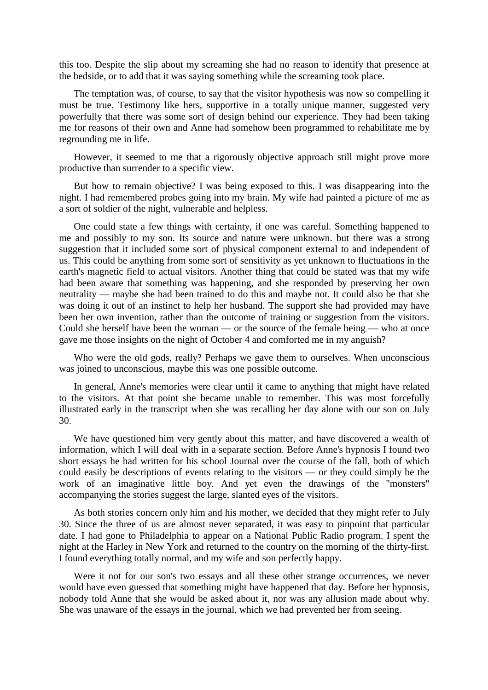this too. Despite the slip about my screaming she had no reason to identify that presence at the bedside, or to add that it was saying something while the screaming took place.

The temptation was, of course, to say that the visitor hypothesis was now so compelling it must be true. Testimony like hers, supportive in a totally unique manner, suggested very powerfully that there was some sort of design behind our experience. They had been taking me for reasons of their own and Anne had somehow been programmed to rehabilitate me by regrounding me in life.

However, it seemed to me that a rigorously objective approach still might prove more productive than surrender to a specific view.

But how to remain objective? I was being exposed to this. I was disappearing into the night. I had remembered probes going into my brain. My wife had painted a picture of me as a sort of soldier of the night, vulnerable and helpless.

One could state a few things with certainty, if one was careful. Something happened to me and possibly to my son. Its source and nature were unknown. but there was a strong suggestion that it included some sort of physical component external to and independent of us. This could be anything from some sort of sensitivity as yet unknown to fluctuations in the earth's magnetic field to actual visitors. Another thing that could be stated was that my wife had been aware that something was happening, and she responded by preserving her own neutrality — maybe she had been trained to do this and maybe not. It could also be that she was doing it out of an instinct to help her husband. The support she had provided may have been her own invention, rather than the outcome of training or suggestion from the visitors. Could she herself have been the woman — or the source of the female being — who at once gave me those insights on the night of October 4 and comforted me in my anguish?

Who were the old gods, really? Perhaps we gave them to ourselves. When unconscious was joined to unconscious, maybe this was one possible outcome.

In general, Anne's memories were clear until it came to anything that might have related to the visitors. At that point she became unable to remember. This was most forcefully illustrated early in the transcript when she was recalling her day alone with our son on July 30.

We have questioned him very gently about this matter, and have discovered a wealth of information, which I will deal with in a separate section. Before Anne's hypnosis I found two short essays he had written for his school Journal over the course of the fall, both of which could easily be descriptions of events relating to the visitors — or they could simply be the work of an imaginative little boy. And yet even the drawings of the "monsters" accompanying the stories suggest the large, slanted eyes of the visitors.

As both stories concern only him and his mother, we decided that they might refer to July 30. Since the three of us are almost never separated, it was easy to pinpoint that particular date. I had gone to Philadelphia to appear on a National Public Radio program. I spent the night at the Harley in New York and returned to the country on the morning of the thirty-first. I found everything totally normal, and my wife and son perfectly happy.

Were it not for our son's two essays and all these other strange occurrences, we never would have even guessed that something might have happened that day. Before her hypnosis, nobody told Anne that she would be asked about it, nor was any allusion made about why. She was unaware of the essays in the journal, which we had prevented her from seeing.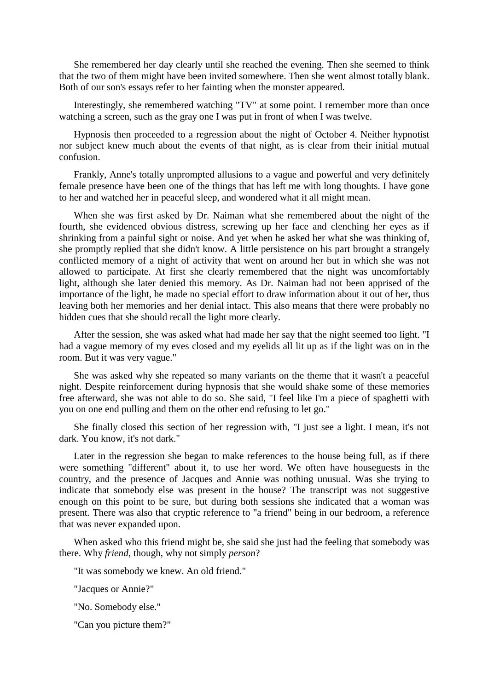She remembered her day clearly until she reached the evening. Then she seemed to think that the two of them might have been invited somewhere. Then she went almost totally blank. Both of our son's essays refer to her fainting when the monster appeared.

Interestingly, she remembered watching "TV" at some point. I remember more than once watching a screen, such as the gray one I was put in front of when I was twelve.

Hypnosis then proceeded to a regression about the night of October 4. Neither hypnotist nor subject knew much about the events of that night, as is clear from their initial mutual confusion.

Frankly, Anne's totally unprompted allusions to a vague and powerful and very definitely female presence have been one of the things that has left me with long thoughts. I have gone to her and watched her in peaceful sleep, and wondered what it all might mean.

When she was first asked by Dr. Naiman what she remembered about the night of the fourth, she evidenced obvious distress, screwing up her face and clenching her eyes as if shrinking from a painful sight or noise. And yet when he asked her what she was thinking of, she promptly replied that she didn't know. A little persistence on his part brought a strangely conflicted memory of a night of activity that went on around her but in which she was not allowed to participate. At first she clearly remembered that the night was uncomfortably light, although she later denied this memory. As Dr. Naiman had not been apprised of the importance of the light, he made no special effort to draw information about it out of her, thus leaving both her memories and her denial intact. This also means that there were probably no hidden cues that she should recall the light more clearly.

After the session, she was asked what had made her say that the night seemed too light. "I had a vague memory of my eves closed and my eyelids all lit up as if the light was on in the room. But it was very vague."

She was asked why she repeated so many variants on the theme that it wasn't a peaceful night. Despite reinforcement during hypnosis that she would shake some of these memories free afterward, she was not able to do so. She said, "I feel like I'm a piece of spaghetti with you on one end pulling and them on the other end refusing to let go."

She finally closed this section of her regression with, "I just see a light. I mean, it's not dark. You know, it's not dark."

Later in the regression she began to make references to the house being full, as if there were something "different" about it, to use her word. We often have houseguests in the country, and the presence of Jacques and Annie was nothing unusual. Was she trying to indicate that somebody else was present in the house? The transcript was not suggestive enough on this point to be sure, but during both sessions she indicated that a woman was present. There was also that cryptic reference to "a friend" being in our bedroom, a reference that was never expanded upon.

When asked who this friend might be, she said she just had the feeling that somebody was there. Why *friend*, though, why not simply *person*?

"It was somebody we knew. An old friend."

"Jacques or Annie?"

"No. Somebody else."

"Can you picture them?"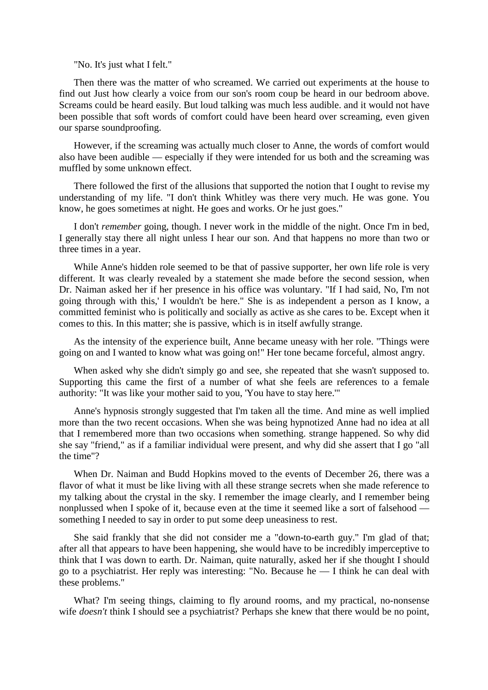"No. It's just what I felt."

Then there was the matter of who screamed. We carried out experiments at the house to find out Just how clearly a voice from our son's room coup be heard in our bedroom above. Screams could be heard easily. But loud talking was much less audible. and it would not have been possible that soft words of comfort could have been heard over screaming, even given our sparse soundproofing.

However, if the screaming was actually much closer to Anne, the words of comfort would also have been audible — especially if they were intended for us both and the screaming was muffled by some unknown effect.

There followed the first of the allusions that supported the notion that I ought to revise my understanding of my life. "I don't think Whitley was there very much. He was gone. You know, he goes sometimes at night. He goes and works. Or he just goes."

I don't *remember* going, though. I never work in the middle of the night. Once I'm in bed, I generally stay there all night unless I hear our son. And that happens no more than two or three times in a year.

While Anne's hidden role seemed to be that of passive supporter, her own life role is very different. It was clearly revealed by a statement she made before the second session, when Dr. Naiman asked her if her presence in his office was voluntary. "If I had said, No, I'm not going through with this,' I wouldn't be here." She is as independent a person as I know, a committed feminist who is politically and socially as active as she cares to be. Except when it comes to this. In this matter; she is passive, which is in itself awfully strange.

As the intensity of the experience built, Anne became uneasy with her role. "Things were going on and I wanted to know what was going on!" Her tone became forceful, almost angry.

When asked why she didn't simply go and see, she repeated that she wasn't supposed to. Supporting this came the first of a number of what she feels are references to a female authority: "It was like your mother said to you, 'You have to stay here.'"

Anne's hypnosis strongly suggested that I'm taken all the time. And mine as well implied more than the two recent occasions. When she was being hypnotized Anne had no idea at all that I remembered more than two occasions when something. strange happened. So why did she say "friend," as if a familiar individual were present, and why did she assert that I go "all the time"?

When Dr. Naiman and Budd Hopkins moved to the events of December 26, there was a flavor of what it must be like living with all these strange secrets when she made reference to my talking about the crystal in the sky. I remember the image clearly, and I remember being nonplussed when I spoke of it, because even at the time it seemed like a sort of falsehood something I needed to say in order to put some deep uneasiness to rest.

She said frankly that she did not consider me a "down-to-earth guy." I'm glad of that; after all that appears to have been happening, she would have to be incredibly imperceptive to think that I was down to earth. Dr. Naiman, quite naturally, asked her if she thought I should go to a psychiatrist. Her reply was interesting: "No. Because he — I think he can deal with these problems."

What? I'm seeing things, claiming to fly around rooms, and my practical, no-nonsense wife *doesn't* think I should see a psychiatrist? Perhaps she knew that there would be no point,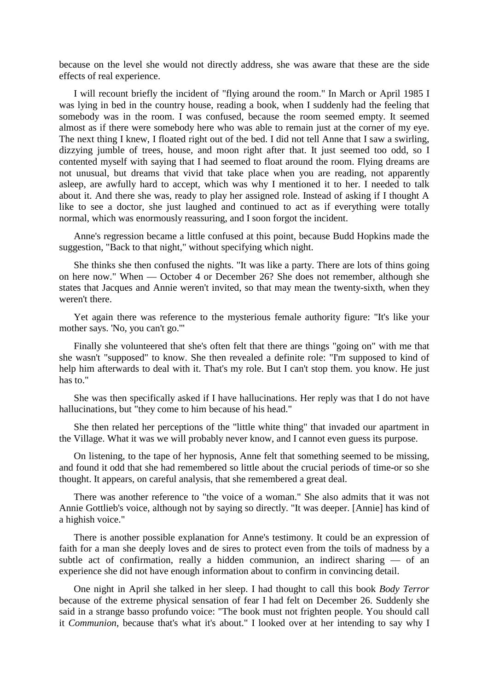because on the level she would not directly address, she was aware that these are the side effects of real experience.

I will recount briefly the incident of "flying around the room." In March or April 1985 I was lying in bed in the country house, reading a book, when I suddenly had the feeling that somebody was in the room. I was confused, because the room seemed empty. It seemed almost as if there were somebody here who was able to remain just at the corner of my eye. The next thing I knew, I floated right out of the bed. I did not tell Anne that I saw a swirling, dizzying jumble of trees, house, and moon right after that. It just seemed too odd, so I contented myself with saying that I had seemed to float around the room. Flying dreams are not unusual, but dreams that vivid that take place when you are reading, not apparently asleep, are awfully hard to accept, which was why I mentioned it to her. I needed to talk about it. And there she was, ready to play her assigned role. Instead of asking if I thought A like to see a doctor, she just laughed and continued to act as if everything were totally normal, which was enormously reassuring, and I soon forgot the incident.

Anne's regression became a little confused at this point, because Budd Hopkins made the suggestion, "Back to that night," without specifying which night.

She thinks she then confused the nights. "It was like a party. There are lots of thins going on here now." When — October 4 or December 26? She does not remember, although she states that Jacques and Annie weren't invited, so that may mean the twenty-sixth, when they weren't there.

Yet again there was reference to the mysterious female authority figure: "It's like your mother says. 'No, you can't go.'"

Finally she volunteered that she's often felt that there are things "going on" with me that she wasn't "supposed" to know. She then revealed a definite role: "I'm supposed to kind of help him afterwards to deal with it. That's my role. But I can't stop them. you know. He just has to."

She was then specifically asked if I have hallucinations. Her reply was that I do not have hallucinations, but "they come to him because of his head."

She then related her perceptions of the "little white thing" that invaded our apartment in the Village. What it was we will probably never know, and I cannot even guess its purpose.

On listening, to the tape of her hypnosis, Anne felt that something seemed to be missing, and found it odd that she had remembered so little about the crucial periods of time-or so she thought. It appears, on careful analysis, that she remembered a great deal.

There was another reference to "the voice of a woman." She also admits that it was not Annie Gottlieb's voice, although not by saying so directly. "It was deeper. [Annie] has kind of a highish voice."

There is another possible explanation for Anne's testimony. It could be an expression of faith for a man she deeply loves and de sires to protect even from the toils of madness by a subtle act of confirmation, really a hidden communion, an indirect sharing — of an experience she did not have enough information about to confirm in convincing detail.

One night in April she talked in her sleep. I had thought to call this book *Body Terror* because of the extreme physical sensation of fear I had felt on December 26. Suddenly she said in a strange basso profundo voice: "The book must not frighten people. You should call it *Communion*, because that's what it's about." I looked over at her intending to say why I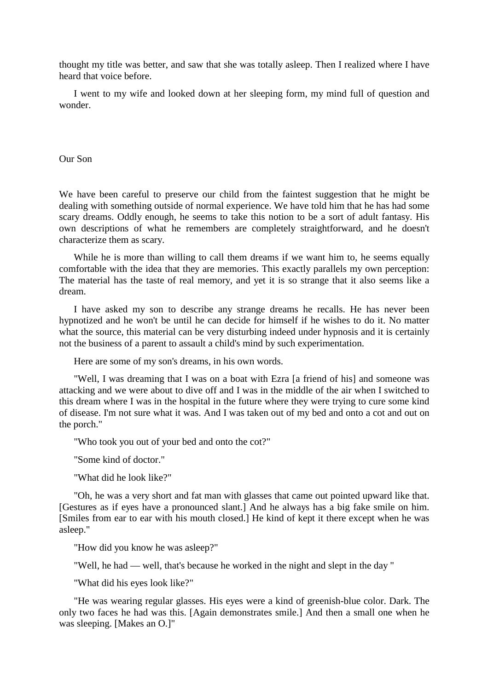thought my title was better, and saw that she was totally asleep. Then I realized where I have heard that voice before.

I went to my wife and looked down at her sleeping form, my mind full of question and wonder.

Our Son

We have been careful to preserve our child from the faintest suggestion that he might be dealing with something outside of normal experience. We have told him that he has had some scary dreams. Oddly enough, he seems to take this notion to be a sort of adult fantasy. His own descriptions of what he remembers are completely straightforward, and he doesn't characterize them as scary.

While he is more than willing to call them dreams if we want him to, he seems equally comfortable with the idea that they are memories. This exactly parallels my own perception: The material has the taste of real memory, and yet it is so strange that it also seems like a dream.

I have asked my son to describe any strange dreams he recalls. He has never been hypnotized and he won't be until he can decide for himself if he wishes to do it. No matter what the source, this material can be very disturbing indeed under hypnosis and it is certainly not the business of a parent to assault a child's mind by such experimentation.

Here are some of my son's dreams, in his own words.

"Well, I was dreaming that I was on a boat with Ezra [a friend of his] and someone was attacking and we were about to dive off and I was in the middle of the air when I switched to this dream where I was in the hospital in the future where they were trying to cure some kind of disease. I'm not sure what it was. And I was taken out of my bed and onto a cot and out on the porch."

"Who took you out of your bed and onto the cot?"

"Some kind of doctor."

"What did he look like?"

"Oh, he was a very short and fat man with glasses that came out pointed upward like that. [Gestures as if eyes have a pronounced slant.] And he always has a big fake smile on him. [Smiles from ear to ear with his mouth closed.] He kind of kept it there except when he was asleep."

"How did you know he was asleep?"

"Well, he had — well, that's because he worked in the night and slept in the day "

"What did his eyes look like?"

"He was wearing regular glasses. His eyes were a kind of greenish-blue color. Dark. The only two faces he had was this. [Again demonstrates smile.] And then a small one when he was sleeping. [Makes an O.]"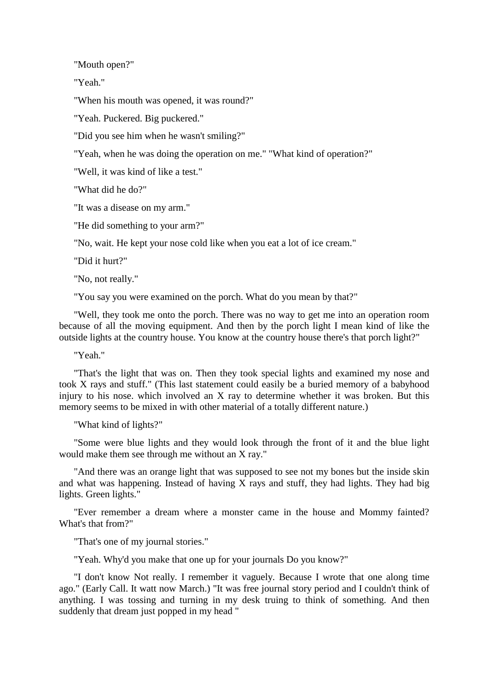"Mouth open?"

"Yeah."

"When his mouth was opened, it was round?"

"Yeah. Puckered. Big puckered."

"Did you see him when he wasn't smiling?"

"Yeah, when he was doing the operation on me." "What kind of operation?"

"Well, it was kind of like a test."

"What did he do?"

"It was a disease on my arm."

"He did something to your arm?"

"No, wait. He kept your nose cold like when you eat a lot of ice cream."

"Did it hurt?"

"No, not really."

"You say you were examined on the porch. What do you mean by that?"

"Well, they took me onto the porch. There was no way to get me into an operation room because of all the moving equipment. And then by the porch light I mean kind of like the outside lights at the country house. You know at the country house there's that porch light?"

"Yeah."

"That's the light that was on. Then they took special lights and examined my nose and took X rays and stuff." (This last statement could easily be a buried memory of a babyhood injury to his nose. which involved an X ray to determine whether it was broken. But this memory seems to be mixed in with other material of a totally different nature.)

"What kind of lights?"

"Some were blue lights and they would look through the front of it and the blue light would make them see through me without an X ray."

"And there was an orange light that was supposed to see not my bones but the inside skin and what was happening. Instead of having X rays and stuff, they had lights. They had big lights. Green lights."

"Ever remember a dream where a monster came in the house and Mommy fainted? What's that from?"

"That's one of my journal stories."

"Yeah. Why'd you make that one up for your journals Do you know?"

"I don't know Not really. I remember it vaguely. Because I wrote that one along time ago." (Early Call. It watt now March.) "It was free journal story period and I couldn't think of anything. I was tossing and turning in my desk truing to think of something. And then suddenly that dream just popped in my head "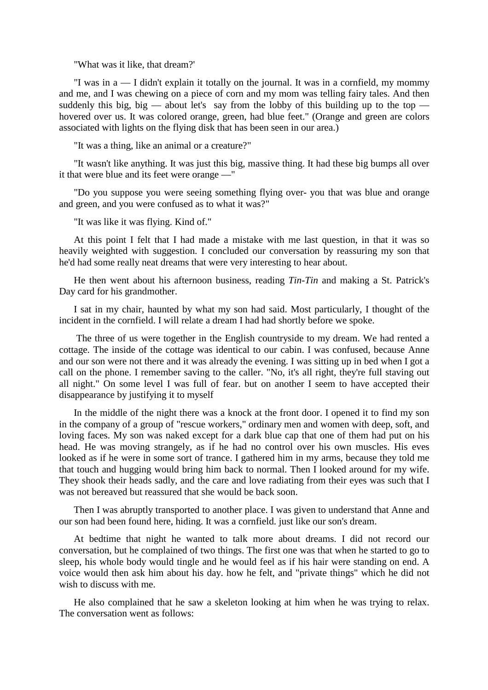"What was it like, that dream?'

"I was in a — I didn't explain it totally on the journal. It was in a cornfield, my mommy and me, and I was chewing on a piece of corn and my mom was telling fairy tales. And then suddenly this big, big — about let's say from the lobby of this building up to the top hovered over us. It was colored orange, green, had blue feet." (Orange and green are colors associated with lights on the flying disk that has been seen in our area.)

"It was a thing, like an animal or a creature?"

"It wasn't like anything. It was just this big, massive thing. It had these big bumps all over it that were blue and its feet were orange —"

"Do you suppose you were seeing something flying over- you that was blue and orange and green, and you were confused as to what it was?"

"It was like it was flying. Kind of."

At this point I felt that I had made a mistake with me last question, in that it was so heavily weighted with suggestion. I concluded our conversation by reassuring my son that he'd had some really neat dreams that were very interesting to hear about.

He then went about his afternoon business, reading *Tin-Tin* and making a St. Patrick's Day card for his grandmother.

I sat in my chair, haunted by what my son had said. Most particularly, I thought of the incident in the cornfield. I will relate a dream I had had shortly before we spoke.

 The three of us were together in the English countryside to my dream. We had rented a cottage. The inside of the cottage was identical to our cabin. I was confused, because Anne and our son were not there and it was already the evening. I was sitting up in bed when I got a call on the phone. I remember saving to the caller. "No, it's all right, they're full staving out all night." On some level I was full of fear. but on another I seem to have accepted their disappearance by justifying it to myself

In the middle of the night there was a knock at the front door. I opened it to find my son in the company of a group of "rescue workers," ordinary men and women with deep, soft, and loving faces. My son was naked except for a dark blue cap that one of them had put on his head. He was moving strangely, as if he had no control over his own muscles. His eves looked as if he were in some sort of trance. I gathered him in my arms, because they told me that touch and hugging would bring him back to normal. Then I looked around for my wife. They shook their heads sadly, and the care and love radiating from their eyes was such that I was not bereaved but reassured that she would be back soon.

Then I was abruptly transported to another place. I was given to understand that Anne and our son had been found here, hiding. It was a cornfield. just like our son's dream.

At bedtime that night he wanted to talk more about dreams. I did not record our conversation, but he complained of two things. The first one was that when he started to go to sleep, his whole body would tingle and he would feel as if his hair were standing on end. A voice would then ask him about his day. how he felt, and "private things" which he did not wish to discuss with me.

He also complained that he saw a skeleton looking at him when he was trying to relax. The conversation went as follows: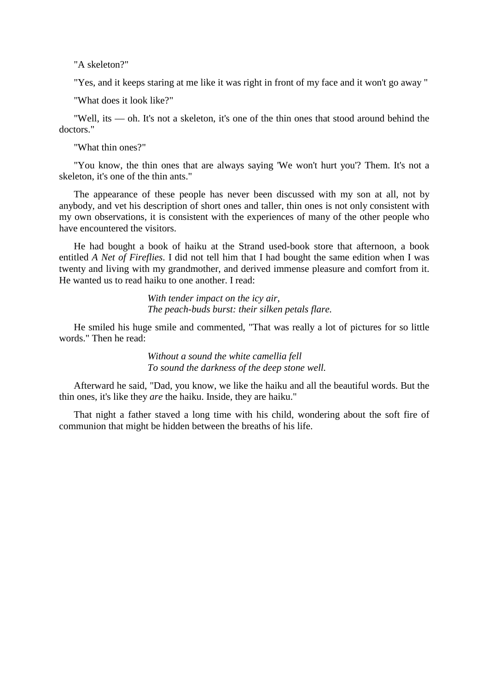"A skeleton?"

"Yes, and it keeps staring at me like it was right in front of my face and it won't go away "

"What does it look like?"

"Well, its — oh. It's not a skeleton, it's one of the thin ones that stood around behind the doctors."

"What thin ones?"

"You know, the thin ones that are always saying 'We won't hurt you'? Them. It's not a skeleton, it's one of the thin ants."

The appearance of these people has never been discussed with my son at all, not by anybody, and vet his description of short ones and taller, thin ones is not only consistent with my own observations, it is consistent with the experiences of many of the other people who have encountered the visitors.

He had bought a book of haiku at the Strand used-book store that afternoon, a book entitled *A Net of Fireflies*. I did not tell him that I had bought the same edition when I was twenty and living with my grandmother, and derived immense pleasure and comfort from it. He wanted us to read haiku to one another. I read:

> *With tender impact on the icy air, The peach-buds burst: their silken petals flare.*

He smiled his huge smile and commented, "That was really a lot of pictures for so little words." Then he read:

> *Without a sound the white camellia fell To sound the darkness of the deep stone well.*

Afterward he said, "Dad, you know, we like the haiku and all the beautiful words. But the thin ones, it's like they *are* the haiku. Inside, they are haiku."

That night a father staved a long time with his child, wondering about the soft fire of communion that might be hidden between the breaths of his life.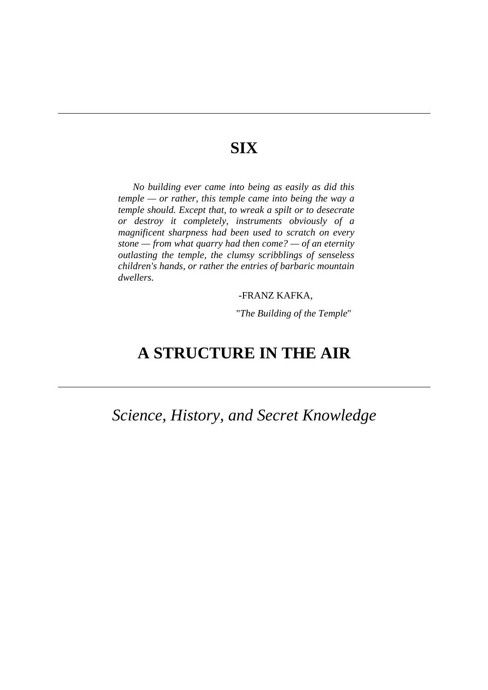## **SIX**

*No building ever came into being as easily as did this temple — or rather, this temple came into being the way a temple should. Except that, to wreak a spilt or to desecrate or destroy it completely, instruments obviously of a magnificent sharpness had been used to scratch on every stone — from what quarry had then come? — of an eternity outlasting the temple, the clumsy scribblings of senseless children's hands, or rather the entries of barbaric mountain dwellers.* 

## -FRANZ KAFKA,

"*The Building of the Temple*"

## **A STRUCTURE IN THE AIR**

*Science, History, and Secret Knowledge*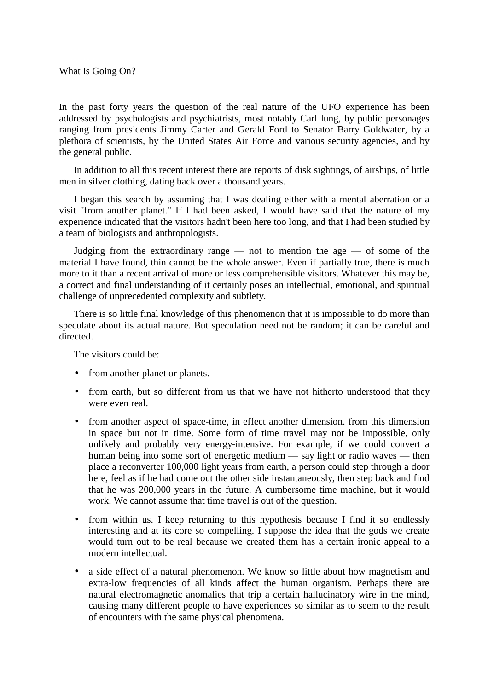In the past forty years the question of the real nature of the UFO experience has been addressed by psychologists and psychiatrists, most notably Carl lung, by public personages ranging from presidents Jimmy Carter and Gerald Ford to Senator Barry Goldwater, by a plethora of scientists, by the United States Air Force and various security agencies, and by the general public.

In addition to all this recent interest there are reports of disk sightings, of airships, of little men in silver clothing, dating back over a thousand years.

I began this search by assuming that I was dealing either with a mental aberration or a visit "from another planet." If I had been asked, I would have said that the nature of my experience indicated that the visitors hadn't been here too long, and that I had been studied by a team of biologists and anthropologists.

Judging from the extraordinary range — not to mention the age — of some of the material I have found, thin cannot be the whole answer. Even if partially true, there is much more to it than a recent arrival of more or less comprehensible visitors. Whatever this may be, a correct and final understanding of it certainly poses an intellectual, emotional, and spiritual challenge of unprecedented complexity and subtlety.

There is so little final knowledge of this phenomenon that it is impossible to do more than speculate about its actual nature. But speculation need not be random; it can be careful and directed.

The visitors could be:

- from another planet or planets.
- from earth, but so different from us that we have not hitherto understood that they were even real.
- from another aspect of space-time, in effect another dimension. from this dimension in space but not in time. Some form of time travel may not be impossible, only unlikely and probably very energy-intensive. For example, if we could convert a human being into some sort of energetic medium — say light or radio waves — then place a reconverter 100,000 light years from earth, a person could step through a door here, feel as if he had come out the other side instantaneously, then step back and find that he was 200,000 years in the future. A cumbersome time machine, but it would work. We cannot assume that time travel is out of the question.
- from within us. I keep returning to this hypothesis because I find it so endlessly interesting and at its core so compelling. I suppose the idea that the gods we create would turn out to be real because we created them has a certain ironic appeal to a modern intellectual.
- a side effect of a natural phenomenon. We know so little about how magnetism and extra-low frequencies of all kinds affect the human organism. Perhaps there are natural electromagnetic anomalies that trip a certain hallucinatory wire in the mind, causing many different people to have experiences so similar as to seem to the result of encounters with the same physical phenomena.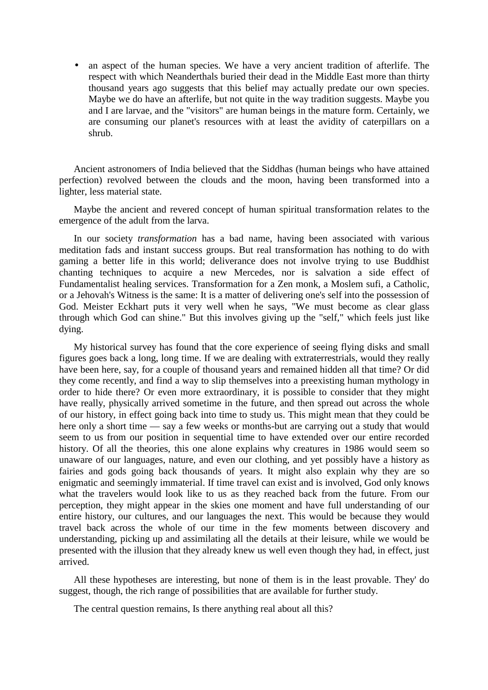• an aspect of the human species. We have a very ancient tradition of afterlife. The respect with which Neanderthals buried their dead in the Middle East more than thirty thousand years ago suggests that this belief may actually predate our own species. Maybe we do have an afterlife, but not quite in the way tradition suggests. Maybe you and I are larvae, and the "visitors" are human beings in the mature form. Certainly, we are consuming our planet's resources with at least the avidity of caterpillars on a shrub.

Ancient astronomers of India believed that the Siddhas (human beings who have attained perfection) revolved between the clouds and the moon, having been transformed into a lighter, less material state.

Maybe the ancient and revered concept of human spiritual transformation relates to the emergence of the adult from the larva.

In our society *transformation* has a bad name, having been associated with various meditation fads and instant success groups. But real transformation has nothing to do with gaming a better life in this world; deliverance does not involve trying to use Buddhist chanting techniques to acquire a new Mercedes, nor is salvation a side effect of Fundamentalist healing services. Transformation for a Zen monk, a Moslem sufi, a Catholic, or a Jehovah's Witness is the same: It is a matter of delivering one's self into the possession of God. Meister Eckhart puts it very well when he says, "We must become as clear glass through which God can shine." But this involves giving up the "self," which feels just like dying.

My historical survey has found that the core experience of seeing flying disks and small figures goes back a long, long time. If we are dealing with extraterrestrials, would they really have been here, say, for a couple of thousand years and remained hidden all that time? Or did they come recently, and find a way to slip themselves into a preexisting human mythology in order to hide there? Or even more extraordinary, it is possible to consider that they might have really, physically arrived sometime in the future, and then spread out across the whole of our history, in effect going back into time to study us. This might mean that they could be here only a short time — say a few weeks or months-but are carrying out a study that would seem to us from our position in sequential time to have extended over our entire recorded history. Of all the theories, this one alone explains why creatures in 1986 would seem so unaware of our languages, nature, and even our clothing, and yet possibly have a history as fairies and gods going back thousands of years. It might also explain why they are so enigmatic and seemingly immaterial. If time travel can exist and is involved, God only knows what the travelers would look like to us as they reached back from the future. From our perception, they might appear in the skies one moment and have full understanding of our entire history, our cultures, and our languages the next. This would be because they would travel back across the whole of our time in the few moments between discovery and understanding, picking up and assimilating all the details at their leisure, while we would be presented with the illusion that they already knew us well even though they had, in effect, just arrived.

All these hypotheses are interesting, but none of them is in the least provable. They' do suggest, though, the rich range of possibilities that are available for further study.

The central question remains, Is there anything real about all this?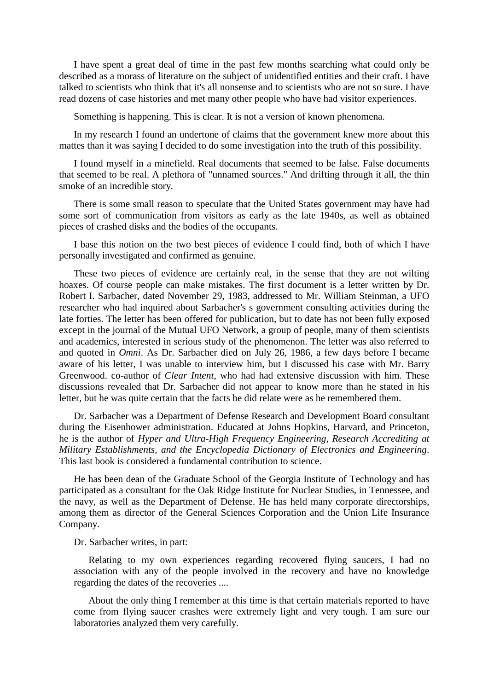I have spent a great deal of time in the past few months searching what could only be described as a morass of literature on the subject of unidentified entities and their craft. I have talked to scientists who think that it's all nonsense and to scientists who are not so sure. I have read dozens of case histories and met many other people who have had visitor experiences.

Something is happening. This is clear. It is not a version of known phenomena.

In my research I found an undertone of claims that the government knew more about this mattes than it was saying I decided to do some investigation into the truth of this possibility.

I found myself in a minefield. Real documents that seemed to be false. False documents that seemed to be real. A plethora of "unnamed sources." And drifting through it all, the thin smoke of an incredible story.

There is some small reason to speculate that the United States government may have had some sort of communication from visitors as early as the late 1940s, as well as obtained pieces of crashed disks and the bodies of the occupants.

I base this notion on the two best pieces of evidence I could find, both of which I have personally investigated and confirmed as genuine.

These two pieces of evidence are certainly real, in the sense that they are not wilting hoaxes. Of course people can make mistakes. The first document is a letter written by Dr. Robert I. Sarbacher, dated November 29, 1983, addressed to Mr. William Steinman, a UFO researcher who had inquired about Sarbacher's s government consulting activities during the late forties. The letter has been offered for publication, but to date has not been fully exposed except in the journal of the Mutual UFO Network, a group of people, many of them scientists and academics, interested in serious study of the phenomenon. The letter was also referred to and quoted in *Omni*. As Dr. Sarbacher died on July 26, 1986, a few days before I became aware of his letter, I was unable to interview him, but I discussed his case with Mr. Barry Greenwood. co-author of *Clear Intent*, who had had extensive discussion with him. These discussions revealed that Dr. Sarbacher did not appear to know more than he stated in his letter, but he was quite certain that the facts he did relate were as he remembered them.

Dr. Sarbacher was a Department of Defense Research and Development Board consultant during the Eisenhower administration. Educated at Johns Hopkins, Harvard, and Princeton, he is the author of *Hyper and Ultra-High Frequency Engineering, Research Accrediting at Military Establishments, and the Encyclopedia Dictionary of Electronics and Engineering*. This last book is considered a fundamental contribution to science.

He has been dean of the Graduate School of the Georgia Institute of Technology and has participated as a consultant for the Oak Ridge Institute for Nuclear Studies, in Tennessee, and the navy, as well as the Department of Defense. He has held many corporate directorships, among them as director of the General Sciences Corporation and the Union Life Insurance Company.

Dr. Sarbacher writes, in part:

Relating to my own experiences regarding recovered flying saucers, I had no association with any of the people involved in the recovery and have no knowledge regarding the dates of the recoveries ....

About the only thing I remember at this time is that certain materials reported to have come from flying saucer crashes were extremely light and very tough. I am sure our laboratories analyzed them very carefully.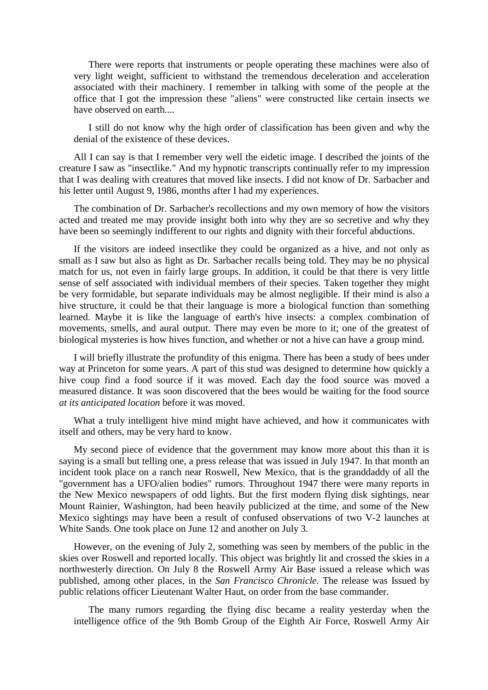There were reports that instruments or people operating these machines were also of very light weight, sufficient to withstand the tremendous deceleration and acceleration associated with their machinery. I remember in talking with some of the people at the office that I got the impression these "aliens" were constructed like certain insects we have observed on earth....

I still do not know why the high order of classification has been given and why the denial of the existence of these devices.

All I can say is that I remember very well the eidetic image. I described the joints of the creature I saw as "insectlike." And my hypnotic transcripts continually refer to my impression that I was dealing with creatures that moved like insects. I did not know of Dr. Sarbacher and his letter until August 9, 1986, months after I had my experiences.

The combination of Dr. Sarbacher's recollections and my own memory of how the visitors acted and treated me may provide insight both into why they are so secretive and why they have been so seemingly indifferent to our rights and dignity with their forceful abductions.

If the visitors are indeed insectlike they could be organized as a hive, and not only as small as I saw but also as light as Dr. Sarbacher recalls being told. They may be no physical match for us, not even in fairly large groups. In addition, it could be that there is very little sense of self associated with individual members of their species. Taken together they might be very formidable, but separate individuals may be almost negligible. If their mind is also a hive structure, it could be that their language is more a biological function than something learned. Maybe it is like the language of earth's hive insects: a complex combination of movements, smells, and aural output. There may even be more to it; one of the greatest of biological mysteries is how hives function, and whether or not a hive can have a group mind.

I will briefly illustrate the profundity of this enigma. There has been a study of bees under way at Princeton for some years. A part of this stud was designed to determine how quickly a hive coup find a food source if it was moved. Each day the food source was moved a measured distance. It was soon discovered that the bees would be waiting for the food source *at its anticipated location* before it was moved.

What a truly intelligent hive mind might have achieved, and how it communicates with itself and others, may be very hard to know.

My second piece of evidence that the government may know more about this than it is saying is a small but telling one, a press release that was issued in July 1947. In that month an incident took place on a ranch near Roswell, New Mexico, that is the granddaddy of all the "government has a UFO/alien bodies" rumors. Throughout 1947 there were many reports in the New Mexico newspapers of odd lights. But the first modern flying disk sightings, near Mount Rainier, Washington, had been heavily publicized at the time, and some of the New Mexico sightings may have been a result of confused observations of two V-2 launches at White Sands. One took place on June 12 and another on July 3.

However, on the evening of July 2, something was seen by members of the public in the skies over Roswell and reported locally. This object was brightly lit and crossed the skies in a northwesterly direction. On July 8 the Roswell Army Air Base issued a release which was published, among other places, in the *San Francisco Chronicle*. The release was Issued by public relations officer Lieutenant Walter Haut, on order from the base commander.

The many rumors regarding the flying disc became a reality yesterday when the intelligence office of the 9th Bomb Group of the Eighth Air Force, Roswell Army Air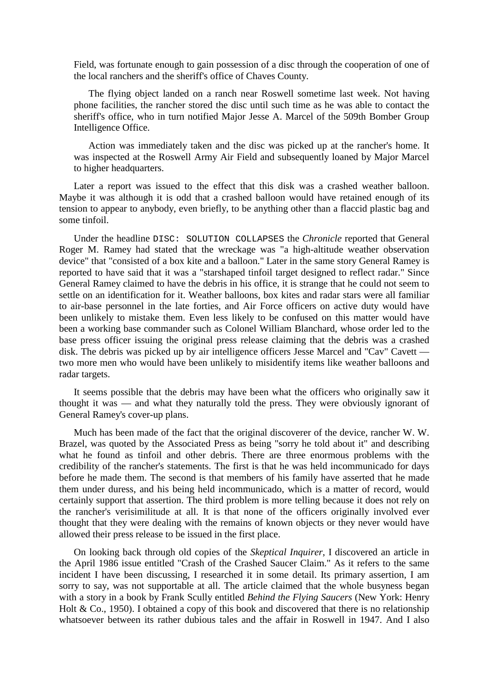Field, was fortunate enough to gain possession of a disc through the cooperation of one of the local ranchers and the sheriff's office of Chaves County.

The flying object landed on a ranch near Roswell sometime last week. Not having phone facilities, the rancher stored the disc until such time as he was able to contact the sheriff's office, who in turn notified Major Jesse A. Marcel of the 509th Bomber Group Intelligence Office.

Action was immediately taken and the disc was picked up at the rancher's home. It was inspected at the Roswell Army Air Field and subsequently loaned by Major Marcel to higher headquarters.

Later a report was issued to the effect that this disk was a crashed weather balloon. Maybe it was although it is odd that a crashed balloon would have retained enough of its tension to appear to anybody, even briefly, to be anything other than a flaccid plastic bag and some tinfoil.

Under the headline DISC: SOLUTION COLLAPSES the *Chronicle* reported that General Roger M. Ramey had stated that the wreckage was "a high-altitude weather observation device" that "consisted of a box kite and a balloon." Later in the same story General Ramey is reported to have said that it was a "starshaped tinfoil target designed to reflect radar." Since General Ramey claimed to have the debris in his office, it is strange that he could not seem to settle on an identification for it. Weather balloons, box kites and radar stars were all familiar to air-base personnel in the late forties, and Air Force officers on active duty would have been unlikely to mistake them. Even less likely to be confused on this matter would have been a working base commander such as Colonel William Blanchard, whose order led to the base press officer issuing the original press release claiming that the debris was a crashed disk. The debris was picked up by air intelligence officers Jesse Marcel and "Cav" Cavett two more men who would have been unlikely to misidentify items like weather balloons and radar targets.

It seems possible that the debris may have been what the officers who originally saw it thought it was — and what they naturally told the press. They were obviously ignorant of General Ramey's cover-up plans.

Much has been made of the fact that the original discoverer of the device, rancher W. W. Brazel, was quoted by the Associated Press as being "sorry he told about it" and describing what he found as tinfoil and other debris. There are three enormous problems with the credibility of the rancher's statements. The first is that he was held incommunicado for days before he made them. The second is that members of his family have asserted that he made them under duress, and his being held incommunicado, which is a matter of record, would certainly support that assertion. The third problem is more telling because it does not rely on the rancher's verisimilitude at all. It is that none of the officers originally involved ever thought that they were dealing with the remains of known objects or they never would have allowed their press release to be issued in the first place.

On looking back through old copies of the *Skeptical Inquirer*, I discovered an article in the April 1986 issue entitled "Crash of the Crashed Saucer Claim." As it refers to the same incident I have been discussing, I researched it in some detail. Its primary assertion, I am sorry to say, was not supportable at all. The article claimed that the whole busyness began with a story in a book by Frank Scully entitled *Behind the Flying Saucers* (New York: Henry Holt & Co., 1950). I obtained a copy of this book and discovered that there is no relationship whatsoever between its rather dubious tales and the affair in Roswell in 1947. And I also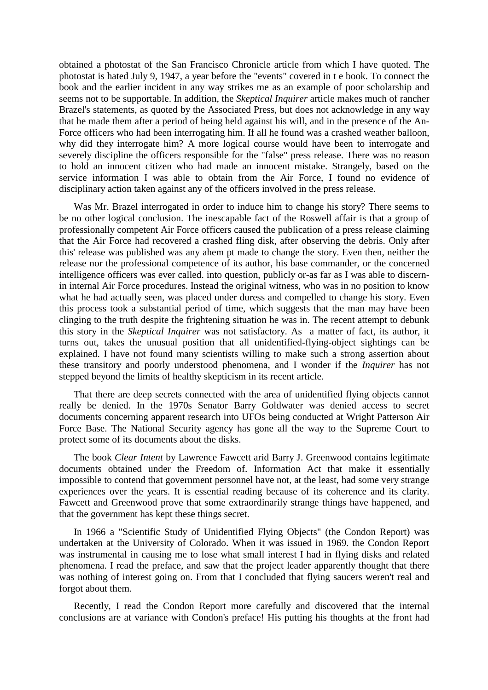obtained a photostat of the San Francisco Chronicle article from which I have quoted. The photostat is hated July 9, 1947, a year before the "events" covered in t e book. To connect the book and the earlier incident in any way strikes me as an example of poor scholarship and seems not to be supportable. In addition, the *Skeptical Inquirer* article makes much of rancher Brazel's statements, as quoted by the Associated Press, but does not acknowledge in any way that he made them after a period of being held against his will, and in the presence of the An-Force officers who had been interrogating him. If all he found was a crashed weather balloon, why did they interrogate him? A more logical course would have been to interrogate and severely discipline the officers responsible for the "false" press release. There was no reason to hold an innocent citizen who had made an innocent mistake. Strangely, based on the service information I was able to obtain from the Air Force, I found no evidence of disciplinary action taken against any of the officers involved in the press release.

Was Mr. Brazel interrogated in order to induce him to change his story? There seems to be no other logical conclusion. The inescapable fact of the Roswell affair is that a group of professionally competent Air Force officers caused the publication of a press release claiming that the Air Force had recovered a crashed fling disk, after observing the debris. Only after this' release was published was any ahem pt made to change the story. Even then, neither the release nor the professional competence of its author, his base commander, or the concerned intelligence officers was ever called. into question, publicly or-as far as I was able to discernin internal Air Force procedures. Instead the original witness, who was in no position to know what he had actually seen, was placed under duress and compelled to change his story. Even this process took a substantial period of time, which suggests that the man may have been clinging to the truth despite the frightening situation he was in. The recent attempt to debunk this story in the *Skeptical Inquirer* was not satisfactory. As a matter of fact, its author, it turns out, takes the unusual position that all unidentified-flying-object sightings can be explained. I have not found many scientists willing to make such a strong assertion about these transitory and poorly understood phenomena, and I wonder if the *Inquirer* has not stepped beyond the limits of healthy skepticism in its recent article.

That there are deep secrets connected with the area of unidentified flying objects cannot really be denied. In the 1970s Senator Barry Goldwater was denied access to secret documents concerning apparent research into UFOs being conducted at Wright Patterson Air Force Base. The National Security agency has gone all the way to the Supreme Court to protect some of its documents about the disks.

The book *Clear Intent* by Lawrence Fawcett arid Barry J. Greenwood contains legitimate documents obtained under the Freedom of. Information Act that make it essentially impossible to contend that government personnel have not, at the least, had some very strange experiences over the years. It is essential reading because of its coherence and its clarity. Fawcett and Greenwood prove that some extraordinarily strange things have happened, and that the government has kept these things secret.

In 1966 a "Scientific Study of Unidentified Flying Objects" (the Condon Report) was undertaken at the University of Colorado. When it was issued in 1969. the Condon Report was instrumental in causing me to lose what small interest I had in flying disks and related phenomena. I read the preface, and saw that the project leader apparently thought that there was nothing of interest going on. From that I concluded that flying saucers weren't real and forgot about them.

Recently, I read the Condon Report more carefully and discovered that the internal conclusions are at variance with Condon's preface! His putting his thoughts at the front had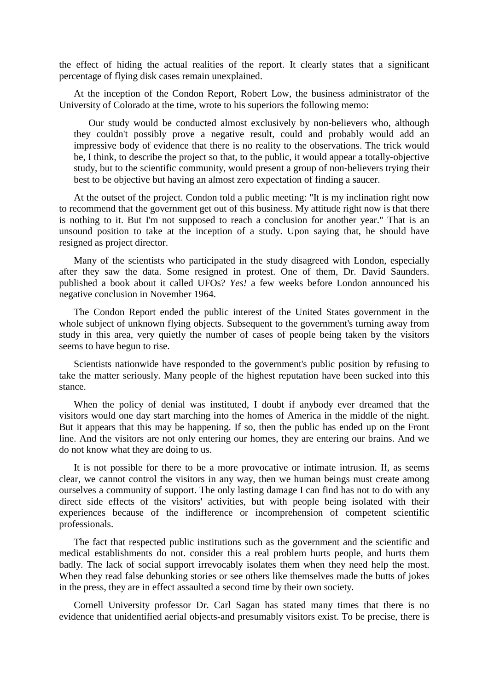the effect of hiding the actual realities of the report. It clearly states that a significant percentage of flying disk cases remain unexplained.

At the inception of the Condon Report, Robert Low, the business administrator of the University of Colorado at the time, wrote to his superiors the following memo:

Our study would be conducted almost exclusively by non-believers who, although they couldn't possibly prove a negative result, could and probably would add an impressive body of evidence that there is no reality to the observations. The trick would be, I think, to describe the project so that, to the public, it would appear a totally-objective study, but to the scientific community, would present a group of non-believers trying their best to be objective but having an almost zero expectation of finding a saucer.

At the outset of the project. Condon told a public meeting: "It is my inclination right now to recommend that the government get out of this business. My attitude right now is that there is nothing to it. But I'm not supposed to reach a conclusion for another year." That is an unsound position to take at the inception of a study. Upon saying that, he should have resigned as project director.

Many of the scientists who participated in the study disagreed with London, especially after they saw the data. Some resigned in protest. One of them, Dr. David Saunders. published a book about it called UFOs? *Yes!* a few weeks before London announced his negative conclusion in November 1964.

The Condon Report ended the public interest of the United States government in the whole subject of unknown flying objects. Subsequent to the government's turning away from study in this area, very quietly the number of cases of people being taken by the visitors seems to have begun to rise.

Scientists nationwide have responded to the government's public position by refusing to take the matter seriously. Many people of the highest reputation have been sucked into this stance.

When the policy of denial was instituted, I doubt if anybody ever dreamed that the visitors would one day start marching into the homes of America in the middle of the night. But it appears that this may be happening. If so, then the public has ended up on the Front line. And the visitors are not only entering our homes, they are entering our brains. And we do not know what they are doing to us.

It is not possible for there to be a more provocative or intimate intrusion. If, as seems clear, we cannot control the visitors in any way, then we human beings must create among ourselves a community of support. The only lasting damage I can find has not to do with any direct side effects of the visitors' activities, but with people being isolated with their experiences because of the indifference or incomprehension of competent scientific professionals.

The fact that respected public institutions such as the government and the scientific and medical establishments do not. consider this a real problem hurts people, and hurts them badly. The lack of social support irrevocably isolates them when they need help the most. When they read false debunking stories or see others like themselves made the butts of jokes in the press, they are in effect assaulted a second time by their own society.

Cornell University professor Dr. Carl Sagan has stated many times that there is no evidence that unidentified aerial objects-and presumably visitors exist. To be precise, there is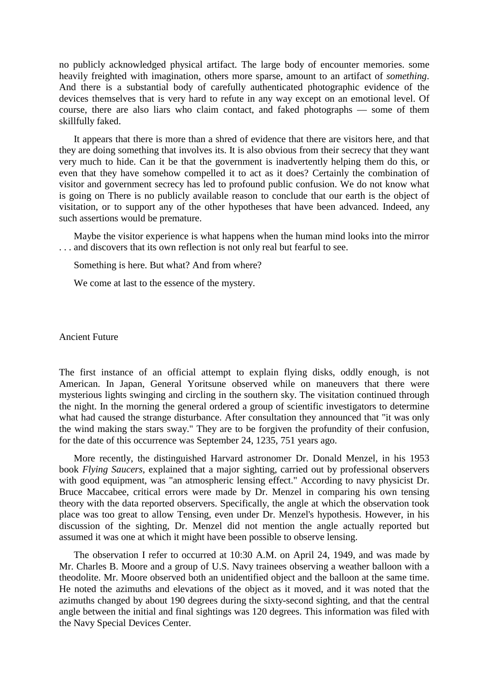no publicly acknowledged physical artifact. The large body of encounter memories. some heavily freighted with imagination, others more sparse, amount to an artifact of *something*. And there is a substantial body of carefully authenticated photographic evidence of the devices themselves that is very hard to refute in any way except on an emotional level. Of course, there are also liars who claim contact, and faked photographs — some of them skillfully faked.

It appears that there is more than a shred of evidence that there are visitors here, and that they are doing something that involves its. It is also obvious from their secrecy that they want very much to hide. Can it be that the government is inadvertently helping them do this, or even that they have somehow compelled it to act as it does? Certainly the combination of visitor and government secrecy has led to profound public confusion. We do not know what is going on There is no publicly available reason to conclude that our earth is the object of visitation, or to support any of the other hypotheses that have been advanced. Indeed, any such assertions would be premature.

Maybe the visitor experience is what happens when the human mind looks into the mirror . . . and discovers that its own reflection is not only real but fearful to see.

Something is here. But what? And from where?

We come at last to the essence of the mystery.

Ancient Future

The first instance of an official attempt to explain flying disks, oddly enough, is not American. In Japan, General Yoritsune observed while on maneuvers that there were mysterious lights swinging and circling in the southern sky. The visitation continued through the night. In the morning the general ordered a group of scientific investigators to determine what had caused the strange disturbance. After consultation they announced that "it was only the wind making the stars sway." They are to be forgiven the profundity of their confusion, for the date of this occurrence was September 24, 1235, 751 years ago.

More recently, the distinguished Harvard astronomer Dr. Donald Menzel, in his 1953 book *Flying Saucers*, explained that a major sighting, carried out by professional observers with good equipment, was "an atmospheric lensing effect." According to navy physicist Dr. Bruce Maccabee, critical errors were made by Dr. Menzel in comparing his own tensing theory with the data reported observers. Specifically, the angle at which the observation took place was too great to allow Tensing, even under Dr. Menzel's hypothesis. However, in his discussion of the sighting, Dr. Menzel did not mention the angle actually reported but assumed it was one at which it might have been possible to observe lensing.

The observation I refer to occurred at 10:30 A.M. on April 24, 1949, and was made by Mr. Charles B. Moore and a group of U.S. Navy trainees observing a weather balloon with a theodolite. Mr. Moore observed both an unidentified object and the balloon at the same time. He noted the azimuths and elevations of the object as it moved, and it was noted that the azimuths changed by about 190 degrees during the sixty-second sighting, and that the central angle between the initial and final sightings was 120 degrees. This information was filed with the Navy Special Devices Center.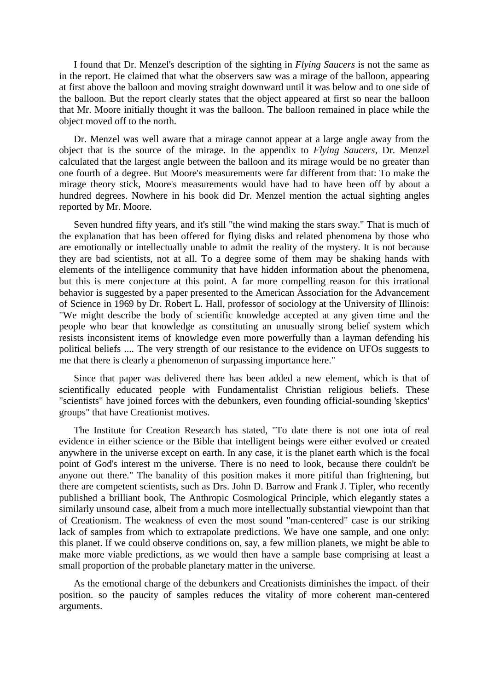I found that Dr. Menzel's description of the sighting in *Flying Saucers* is not the same as in the report. He claimed that what the observers saw was a mirage of the balloon, appearing at first above the balloon and moving straight downward until it was below and to one side of the balloon. But the report clearly states that the object appeared at first so near the balloon that Mr. Moore initially thought it was the balloon. The balloon remained in place while the object moved off to the north.

Dr. Menzel was well aware that a mirage cannot appear at a large angle away from the object that is the source of the mirage. In the appendix to *Flying Saucers*, Dr. Menzel calculated that the largest angle between the balloon and its mirage would be no greater than one fourth of a degree. But Moore's measurements were far different from that: To make the mirage theory stick, Moore's measurements would have had to have been off by about a hundred degrees. Nowhere in his book did Dr. Menzel mention the actual sighting angles reported by Mr. Moore.

Seven hundred fifty years, and it's still "the wind making the stars sway." That is much of the explanation that has been offered for flying disks and related phenomena by those who are emotionally or intellectually unable to admit the reality of the mystery. It is not because they are bad scientists, not at all. To a degree some of them may be shaking hands with elements of the intelligence community that have hidden information about the phenomena, but this is mere conjecture at this point. A far more compelling reason for this irrational behavior is suggested by a paper presented to the American Association for the Advancement of Science in 1969 by Dr. Robert L. Hall, professor of sociology at the University of Illinois: "We might describe the body of scientific knowledge accepted at any given time and the people who bear that knowledge as constituting an unusually strong belief system which resists inconsistent items of knowledge even more powerfully than a layman defending his political beliefs .... The very strength of our resistance to the evidence on UFOs suggests to me that there is clearly a phenomenon of surpassing importance here."

Since that paper was delivered there has been added a new element, which is that of scientifically educated people with Fundamentalist Christian religious beliefs. These "scientists" have joined forces with the debunkers, even founding official-sounding 'skeptics' groups" that have Creationist motives.

The Institute for Creation Research has stated, "To date there is not one iota of real evidence in either science or the Bible that intelligent beings were either evolved or created anywhere in the universe except on earth. In any case, it is the planet earth which is the focal point of God's interest m the universe. There is no need to look, because there couldn't be anyone out there." The banality of this position makes it more pitiful than frightening, but there are competent scientists, such as Drs. John D. Barrow and Frank J. Tipler, who recently published a brilliant book, The Anthropic Cosmological Principle, which elegantly states a similarly unsound case, albeit from a much more intellectually substantial viewpoint than that of Creationism. The weakness of even the most sound "man-centered" case is our striking lack of samples from which to extrapolate predictions. We have one sample, and one only: this planet. If we could observe conditions on, say, a few million planets, we might be able to make more viable predictions, as we would then have a sample base comprising at least a small proportion of the probable planetary matter in the universe.

As the emotional charge of the debunkers and Creationists diminishes the impact. of their position. so the paucity of samples reduces the vitality of more coherent man-centered arguments.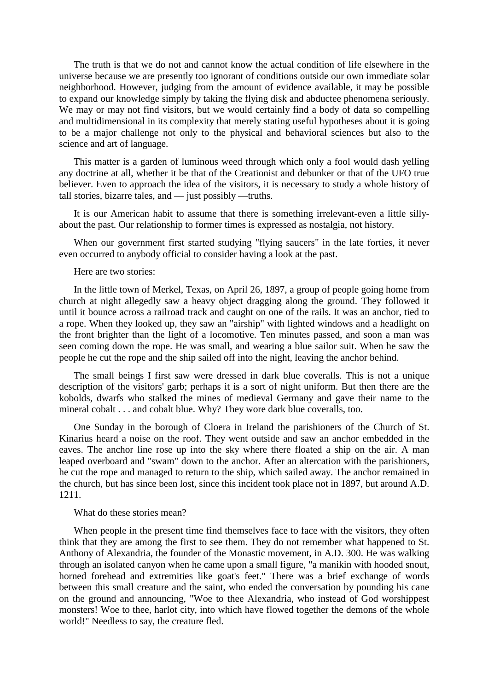The truth is that we do not and cannot know the actual condition of life elsewhere in the universe because we are presently too ignorant of conditions outside our own immediate solar neighborhood. However, judging from the amount of evidence available, it may be possible to expand our knowledge simply by taking the flying disk and abductee phenomena seriously. We may or may not find visitors, but we would certainly find a body of data so compelling and multidimensional in its complexity that merely stating useful hypotheses about it is going to be a major challenge not only to the physical and behavioral sciences but also to the science and art of language.

This matter is a garden of luminous weed through which only a fool would dash yelling any doctrine at all, whether it be that of the Creationist and debunker or that of the UFO true believer. Even to approach the idea of the visitors, it is necessary to study a whole history of tall stories, bizarre tales, and — just possibly —truths.

It is our American habit to assume that there is something irrelevant-even a little sillyabout the past. Our relationship to former times is expressed as nostalgia, not history.

When our government first started studying "flying saucers" in the late forties, it never even occurred to anybody official to consider having a look at the past.

## Here are two stories:

In the little town of Merkel, Texas, on April 26, 1897, a group of people going home from church at night allegedly saw a heavy object dragging along the ground. They followed it until it bounce across a railroad track and caught on one of the rails. It was an anchor, tied to a rope. When they looked up, they saw an "airship" with lighted windows and a headlight on the front brighter than the light of a locomotive. Ten minutes passed, and soon a man was seen coming down the rope. He was small, and wearing a blue sailor suit. When he saw the people he cut the rope and the ship sailed off into the night, leaving the anchor behind.

The small beings I first saw were dressed in dark blue coveralls. This is not a unique description of the visitors' garb; perhaps it is a sort of night uniform. But then there are the kobolds, dwarfs who stalked the mines of medieval Germany and gave their name to the mineral cobalt . . . and cobalt blue. Why? They wore dark blue coveralls, too.

One Sunday in the borough of Cloera in Ireland the parishioners of the Church of St. Kinarius heard a noise on the roof. They went outside and saw an anchor embedded in the eaves. The anchor line rose up into the sky where there floated a ship on the air. A man leaped overboard and "swam" down to the anchor. After an altercation with the parishioners, he cut the rope and managed to return to the ship, which sailed away. The anchor remained in the church, but has since been lost, since this incident took place not in 1897, but around A.D. 1211.

## What do these stories mean?

When people in the present time find themselves face to face with the visitors, they often think that they are among the first to see them. They do not remember what happened to St. Anthony of Alexandria, the founder of the Monastic movement, in A.D. 300. He was walking through an isolated canyon when he came upon a small figure, "a manikin with hooded snout, horned forehead and extremities like goat's feet." There was a brief exchange of words between this small creature and the saint, who ended the conversation by pounding his cane on the ground and announcing, "Woe to thee Alexandria, who instead of God worshippest monsters! Woe to thee, harlot city, into which have flowed together the demons of the whole world!" Needless to say, the creature fled.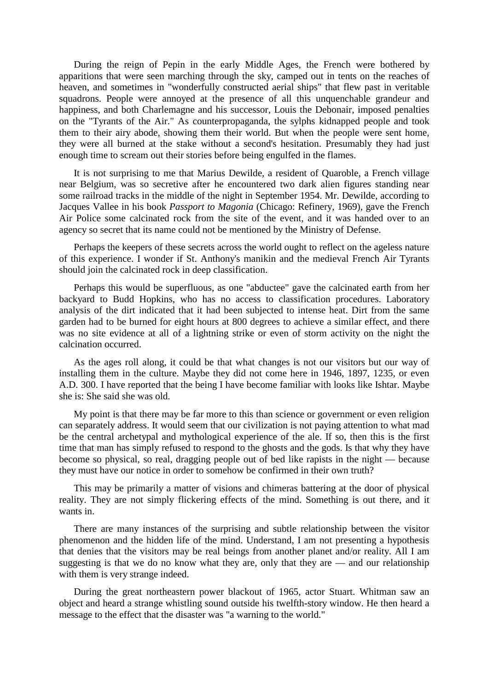During the reign of Pepin in the early Middle Ages, the French were bothered by apparitions that were seen marching through the sky, camped out in tents on the reaches of heaven, and sometimes in "wonderfully constructed aerial ships" that flew past in veritable squadrons. People were annoyed at the presence of all this unquenchable grandeur and happiness, and both Charlemagne and his successor, Louis the Debonair, imposed penalties on the "Tyrants of the Air." As counterpropaganda, the sylphs kidnapped people and took them to their airy abode, showing them their world. But when the people were sent home, they were all burned at the stake without a second's hesitation. Presumably they had just enough time to scream out their stories before being engulfed in the flames.

It is not surprising to me that Marius Dewilde, a resident of Quaroble, a French village near Belgium, was so secretive after he encountered two dark alien figures standing near some railroad tracks in the middle of the night in September 1954. Mr. Dewilde, according to Jacques Vallee in his book *Passport to Magonia* (Chicago: Refinery, 1969), gave the French Air Police some calcinated rock from the site of the event, and it was handed over to an agency so secret that its name could not be mentioned by the Ministry of Defense.

Perhaps the keepers of these secrets across the world ought to reflect on the ageless nature of this experience. I wonder if St. Anthony's manikin and the medieval French Air Tyrants should join the calcinated rock in deep classification.

Perhaps this would be superfluous, as one "abductee" gave the calcinated earth from her backyard to Budd Hopkins, who has no access to classification procedures. Laboratory analysis of the dirt indicated that it had been subjected to intense heat. Dirt from the same garden had to be burned for eight hours at 800 degrees to achieve a similar effect, and there was no site evidence at all of a lightning strike or even of storm activity on the night the calcination occurred.

As the ages roll along, it could be that what changes is not our visitors but our way of installing them in the culture. Maybe they did not come here in 1946, 1897, 1235, or even A.D. 300. I have reported that the being I have become familiar with looks like Ishtar. Maybe she is: She said she was old.

My point is that there may be far more to this than science or government or even religion can separately address. It would seem that our civilization is not paying attention to what mad be the central archetypal and mythological experience of the ale. If so, then this is the first time that man has simply refused to respond to the ghosts and the gods. Is that why they have become so physical, so real, dragging people out of bed like rapists in the night — because they must have our notice in order to somehow be confirmed in their own truth?

This may be primarily a matter of visions and chimeras battering at the door of physical reality. They are not simply flickering effects of the mind. Something is out there, and it wants in.

There are many instances of the surprising and subtle relationship between the visitor phenomenon and the hidden life of the mind. Understand, I am not presenting a hypothesis that denies that the visitors may be real beings from another planet and/or reality. All I am suggesting is that we do no know what they are, only that they are  $-$  and our relationship with them is very strange indeed.

During the great northeastern power blackout of 1965, actor Stuart. Whitman saw an object and heard a strange whistling sound outside his twelfth-story window. He then heard a message to the effect that the disaster was "a warning to the world."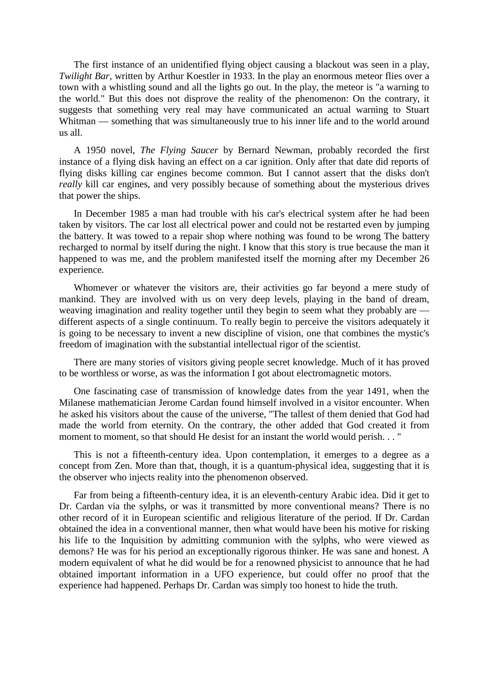The first instance of an unidentified flying object causing a blackout was seen in a play, *Twilight Bar*, written by Arthur Koestler in 1933. In the play an enormous meteor flies over a town with a whistling sound and all the lights go out. In the play, the meteor is "a warning to the world." But this does not disprove the reality of the phenomenon: On the contrary, it suggests that something very real may have communicated an actual warning to Stuart Whitman — something that was simultaneously true to his inner life and to the world around us all.

A 1950 novel, *The Flying Saucer* by Bernard Newman, probably recorded the first instance of a flying disk having an effect on a car ignition. Only after that date did reports of flying disks killing car engines become common. But I cannot assert that the disks don't *really* kill car engines, and very possibly because of something about the mysterious drives that power the ships.

In December 1985 a man had trouble with his car's electrical system after he had been taken by visitors. The car lost all electrical power and could not be restarted even by jumping the battery. It was towed to a repair shop where nothing was found to be wrong The battery recharged to normal by itself during the night. I know that this story is true because the man it happened to was me, and the problem manifested itself the morning after my December 26 experience.

Whomever or whatever the visitors are, their activities go far beyond a mere study of mankind. They are involved with us on very deep levels, playing in the band of dream, weaving imagination and reality together until they begin to seem what they probably are different aspects of a single continuum. To really begin to perceive the visitors adequately it is going to be necessary to invent a new discipline of vision, one that combines the mystic's freedom of imagination with the substantial intellectual rigor of the scientist.

There are many stories of visitors giving people secret knowledge. Much of it has proved to be worthless or worse, as was the information I got about electromagnetic motors.

One fascinating case of transmission of knowledge dates from the year 1491, when the Milanese mathematician Jerome Cardan found himself involved in a visitor encounter. When he asked his visitors about the cause of the universe, "The tallest of them denied that God had made the world from eternity. On the contrary, the other added that God created it from moment to moment, so that should He desist for an instant the world would perish..."

This is not a fifteenth-century idea. Upon contemplation, it emerges to a degree as a concept from Zen. More than that, though, it is a quantum-physical idea, suggesting that it is the observer who injects reality into the phenomenon observed.

Far from being a fifteenth-century idea, it is an eleventh-century Arabic idea. Did it get to Dr. Cardan via the sylphs, or was it transmitted by more conventional means? There is no other record of it in European scientific and religious literature of the period. If Dr. Cardan obtained the idea in a conventional manner, then what would have been his motive for risking his life to the Inquisition by admitting communion with the sylphs, who were viewed as demons? He was for his period an exceptionally rigorous thinker. He was sane and honest. A modern equivalent of what he did would be for a renowned physicist to announce that he had obtained important information in a UFO experience, but could offer no proof that the experience had happened. Perhaps Dr. Cardan was simply too honest to hide the truth.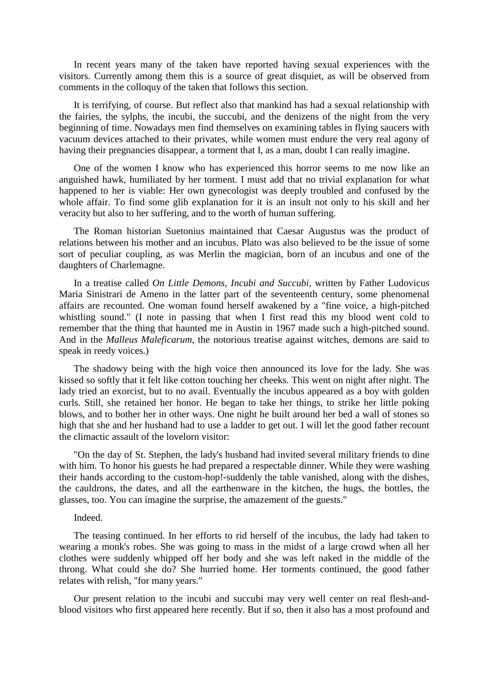In recent years many of the taken have reported having sexual experiences with the visitors. Currently among them this is a source of great disquiet, as will be observed from comments in the colloquy of the taken that follows this section.

It is terrifying, of course. But reflect also that mankind has had a sexual relationship with the fairies, the sylphs, the incubi, the succubi, and the denizens of the night from the very beginning of time. Nowadays men find themselves on examining tables in flying saucers with vacuum devices attached to their privates, while women must endure the very real agony of having their pregnancies disappear, a torment that I, as a man, doubt I can really imagine.

One of the women I know who has experienced this horror seems to me now like an anguished hawk, humiliated by her torment. I must add that no trivial explanation for what happened to her is viable: Her own gynecologist was deeply troubled and confused by the whole affair. To find some glib explanation for it is an insult not only to his skill and her veracity but also to her suffering, and to the worth of human suffering.

The Roman historian Suetonius maintained that Caesar Augustus was the product of relations between his mother and an incubus. Plato was also believed to be the issue of some sort of peculiar coupling, as was Merlin the magician, born of an incubus and one of the daughters of Charlemagne.

In a treatise called *On Little Demons, Incubi and Succubi*, written by Father Ludovicus Maria Sinistrari de Ameno in the latter part of the seventeenth century, some phenomenal affairs are recounted. One woman found herself awakened by a "fine voice, a high-pitched whistling sound." (I note in passing that when I first read this my blood went cold to remember that the thing that haunted me in Austin in 1967 made such a high-pitched sound. And in the *Malleus Maleficarum*, the notorious treatise against witches, demons are said to speak in reedy voices.)

The shadowy being with the high voice then announced its love for the lady. She was kissed so softly that it felt like cotton touching her cheeks. This went on night after night. The lady tried an exorcist, but to no avail. Eventually the incubus appeared as a boy with golden curls. Still, she retained her honor. He began to take her things, to strike her little poking blows, and to bother her in other ways. One night he built around her bed a wall of stones so high that she and her husband had to use a ladder to get out. I will let the good father recount the climactic assault of the lovelorn visitor:

"On the day of St. Stephen, the lady's husband had invited several military friends to dine with him. To honor his guests he had prepared a respectable dinner. While they were washing their hands according to the custom-hop!-suddenly the table vanished, along with the dishes, the cauldrons, the dates, and all the earthenware in the kitchen, the hugs, the bottles, the glasses, too. You can imagine the surprise, the amazement of the guests."

## Indeed.

The teasing continued. In her efforts to rid herself of the incubus, the lady had taken to wearing a monk's robes. She was going to mass in the midst of a large crowd when all her clothes were suddenly whipped off her body and she was left naked in the middle of the throng. What could she do? She hurried home. Her torments continued, the good father relates with relish, "for many years."

Our present relation to the incubi and succubi may very well center on real flesh-andblood visitors who first appeared here recently. But if so, then it also has a most profound and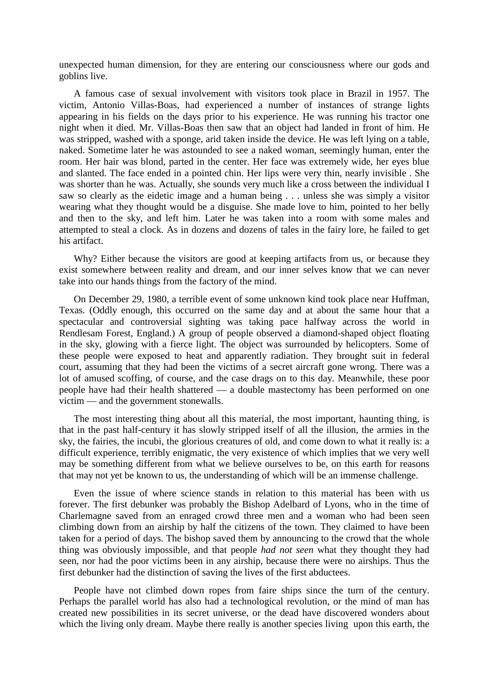unexpected human dimension, for they are entering our consciousness where our gods and goblins live.

A famous case of sexual involvement with visitors took place in Brazil in 1957. The victim, Antonio Villas-Boas, had experienced a number of instances of strange lights appearing in his fields on the days prior to his experience. He was running his tractor one night when it died. Mr. Villas-Boas then saw that an object had landed in front of him. He was stripped, washed with a sponge, arid taken inside the device. He was left lying on a table, naked. Sometime later he was astounded to see a naked woman, seemingly human, enter the room. Her hair was blond, parted in the center. Her face was extremely wide, her eyes blue and slanted. The face ended in a pointed chin. Her lips were very thin, nearly invisible . She was shorter than he was. Actually, she sounds very much like a cross between the individual I saw so clearly as the eidetic image and a human being . . . unless she was simply a visitor wearing what they thought would be a disguise. She made love to him, pointed to her belly and then to the sky, and left him. Later he was taken into a room with some males and attempted to steal a clock. As in dozens and dozens of tales in the fairy lore, he failed to get his artifact.

Why? Either because the visitors are good at keeping artifacts from us, or because they exist somewhere between reality and dream, and our inner selves know that we can never take into our hands things from the factory of the mind.

On December 29, 1980, a terrible event of some unknown kind took place near Huffman, Texas. (Oddly enough, this occurred on the same day and at about the same hour that a spectacular and controversial sighting was taking pace halfway across the world in Rendlesam Forest, England.) A group of people observed a diamond-shaped object floating in the sky, glowing with a fierce light. The object was surrounded by helicopters. Some of these people were exposed to heat and apparently radiation. They brought suit in federal court, assuming that they had been the victims of a secret aircraft gone wrong. There was a lot of amused scoffing, of course, and the case drags on to this day. Meanwhile, these poor people have had their health shattered — a double mastectomy has been performed on one victim — and the government stonewalls.

The most interesting thing about all this material, the most important, haunting thing, is that in the past half-century it has slowly stripped itself of all the illusion, the armies in the sky, the fairies, the incubi, the glorious creatures of old, and come down to what it really is: a difficult experience, terribly enigmatic, the very existence of which implies that we very well may be something different from what we believe ourselves to be, on this earth for reasons that may not yet be known to us, the understanding of which will be an immense challenge.

Even the issue of where science stands in relation to this material has been with us forever. The first debunker was probably the Bishop Adelbard of Lyons, who in the time of Charlemagne saved from an enraged crowd three men and a woman who had been seen climbing down from an airship by half the citizens of the town. They claimed to have been taken for a period of days. The bishop saved them by announcing to the crowd that the whole thing was obviously impossible, and that people *had not seen* what they thought they had seen, nor had the poor victims been in any airship, because there were no airships. Thus the first debunker had the distinction of saving the lives of the first abductees.

People have not climbed down ropes from faire ships since the turn of the century. Perhaps the parallel world has also had a technological revolution, or the mind of man has created new possibilities in its secret universe, or the dead have discovered wonders about which the living only dream. Maybe there really is another species living upon this earth, the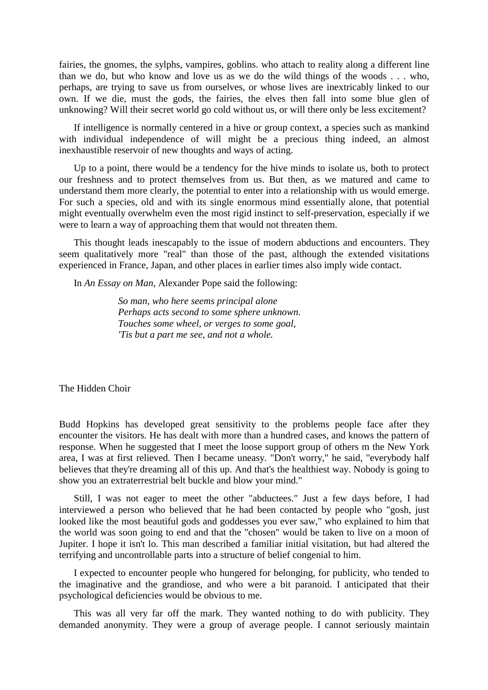fairies, the gnomes, the sylphs, vampires, goblins. who attach to reality along a different line than we do, but who know and love us as we do the wild things of the woods . . . who, perhaps, are trying to save us from ourselves, or whose lives are inextricably linked to our own. If we die, must the gods, the fairies, the elves then fall into some blue glen of unknowing? Will their secret world go cold without us, or will there only be less excitement?

If intelligence is normally centered in a hive or group context, a species such as mankind with individual independence of will might be a precious thing indeed, an almost inexhaustible reservoir of new thoughts and ways of acting.

Up to a point, there would be a tendency for the hive minds to isolate us, both to protect our freshness and to protect themselves from us. But then, as we matured and came to understand them more clearly, the potential to enter into a relationship with us would emerge. For such a species, old and with its single enormous mind essentially alone, that potential might eventually overwhelm even the most rigid instinct to self-preservation, especially if we were to learn a way of approaching them that would not threaten them.

This thought leads inescapably to the issue of modern abductions and encounters. They seem qualitatively more "real" than those of the past, although the extended visitations experienced in France, Japan, and other places in earlier times also imply wide contact.

In *An Essay on Man*, Alexander Pope said the following:

*So man, who here seems principal alone Perhaps acts second to some sphere unknown. Touches some wheel, or verges to some goal, 'Tis but a part me see, and not a whole.* 

The Hidden Choir

Budd Hopkins has developed great sensitivity to the problems people face after they encounter the visitors. He has dealt with more than a hundred cases, and knows the pattern of response. When he suggested that I meet the loose support group of others m the New York area, I was at first relieved. Then I became uneasy. "Don't worry," he said, "everybody half believes that they're dreaming all of this up. And that's the healthiest way. Nobody is going to show you an extraterrestrial belt buckle and blow your mind."

Still, I was not eager to meet the other "abductees." Just a few days before, I had interviewed a person who believed that he had been contacted by people who "gosh, just looked like the most beautiful gods and goddesses you ever saw," who explained to him that the world was soon going to end and that the "chosen" would be taken to live on a moon of Jupiter. I hope it isn't lo. This man described a familiar initial visitation, but had altered the terrifying and uncontrollable parts into a structure of belief congenial to him.

I expected to encounter people who hungered for belonging, for publicity, who tended to the imaginative and the grandiose, and who were a bit paranoid. I anticipated that their psychological deficiencies would be obvious to me.

This was all very far off the mark. They wanted nothing to do with publicity. They demanded anonymity. They were a group of average people. I cannot seriously maintain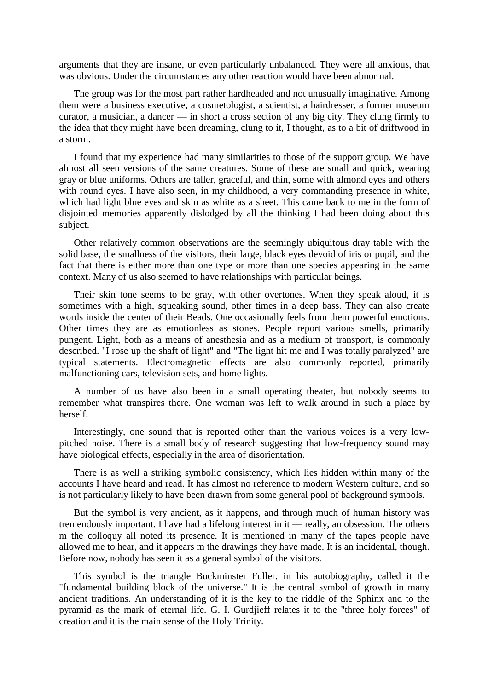arguments that they are insane, or even particularly unbalanced. They were all anxious, that was obvious. Under the circumstances any other reaction would have been abnormal.

The group was for the most part rather hardheaded and not unusually imaginative. Among them were a business executive, a cosmetologist, a scientist, a hairdresser, a former museum curator, a musician, a dancer — in short a cross section of any big city. They clung firmly to the idea that they might have been dreaming, clung to it, I thought, as to a bit of driftwood in a storm.

I found that my experience had many similarities to those of the support group. We have almost all seen versions of the same creatures. Some of these are small and quick, wearing gray or blue uniforms. Others are taller, graceful, and thin, some with almond eyes and others with round eyes. I have also seen, in my childhood, a very commanding presence in white, which had light blue eyes and skin as white as a sheet. This came back to me in the form of disjointed memories apparently dislodged by all the thinking I had been doing about this subject.

Other relatively common observations are the seemingly ubiquitous dray table with the solid base, the smallness of the visitors, their large, black eyes devoid of iris or pupil, and the fact that there is either more than one type or more than one species appearing in the same context. Many of us also seemed to have relationships with particular beings.

Their skin tone seems to be gray, with other overtones. When they speak aloud, it is sometimes with a high, squeaking sound, other times in a deep bass. They can also create words inside the center of their Beads. One occasionally feels from them powerful emotions. Other times they are as emotionless as stones. People report various smells, primarily pungent. Light, both as a means of anesthesia and as a medium of transport, is commonly described. "I rose up the shaft of light" and "The light hit me and I was totally paralyzed" are typical statements. Electromagnetic effects are also commonly reported, primarily malfunctioning cars, television sets, and home lights.

A number of us have also been in a small operating theater, but nobody seems to remember what transpires there. One woman was left to walk around in such a place by herself.

Interestingly, one sound that is reported other than the various voices is a very lowpitched noise. There is a small body of research suggesting that low-frequency sound may have biological effects, especially in the area of disorientation.

There is as well a striking symbolic consistency, which lies hidden within many of the accounts I have heard and read. It has almost no reference to modern Western culture, and so is not particularly likely to have been drawn from some general pool of background symbols.

But the symbol is very ancient, as it happens, and through much of human history was tremendously important. I have had a lifelong interest in it — really, an obsession. The others m the colloquy all noted its presence. It is mentioned in many of the tapes people have allowed me to hear, and it appears m the drawings they have made. It is an incidental, though. Before now, nobody has seen it as a general symbol of the visitors.

This symbol is the triangle Buckminster Fuller. in his autobiography, called it the "fundamental building block of the universe." It is the central symbol of growth in many ancient traditions. An understanding of it is the key to the riddle of the Sphinx and to the pyramid as the mark of eternal life. G. I. Gurdjieff relates it to the "three holy forces" of creation and it is the main sense of the Holy Trinity.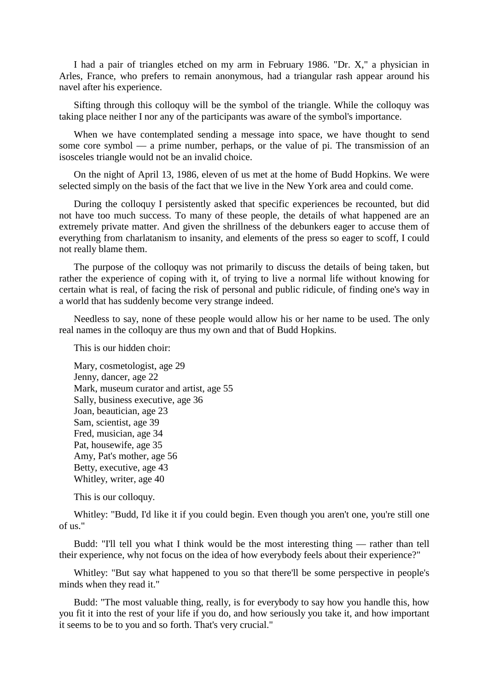I had a pair of triangles etched on my arm in February 1986. "Dr. X," a physician in Arles, France, who prefers to remain anonymous, had a triangular rash appear around his navel after his experience.

Sifting through this colloquy will be the symbol of the triangle. While the colloquy was taking place neither I nor any of the participants was aware of the symbol's importance.

When we have contemplated sending a message into space, we have thought to send some core symbol — a prime number, perhaps, or the value of pi. The transmission of an isosceles triangle would not be an invalid choice.

On the night of April 13, 1986, eleven of us met at the home of Budd Hopkins. We were selected simply on the basis of the fact that we live in the New York area and could come.

During the colloquy I persistently asked that specific experiences be recounted, but did not have too much success. To many of these people, the details of what happened are an extremely private matter. And given the shrillness of the debunkers eager to accuse them of everything from charlatanism to insanity, and elements of the press so eager to scoff, I could not really blame them.

The purpose of the colloquy was not primarily to discuss the details of being taken, but rather the experience of coping with it, of trying to live a normal life without knowing for certain what is real, of facing the risk of personal and public ridicule, of finding one's way in a world that has suddenly become very strange indeed.

Needless to say, none of these people would allow his or her name to be used. The only real names in the colloquy are thus my own and that of Budd Hopkins.

This is our hidden choir:

Mary, cosmetologist, age 29 Jenny, dancer, age 22 Mark, museum curator and artist, age 55 Sally, business executive, age 36 Joan, beautician, age 23 Sam, scientist, age 39 Fred, musician, age 34 Pat, housewife, age 35 Amy, Pat's mother, age 56 Betty, executive, age 43 Whitley, writer, age 40

This is our colloquy.

Whitley: "Budd, I'd like it if you could begin. Even though you aren't one, you're still one of us."

Budd: "I'll tell you what I think would be the most interesting thing — rather than tell their experience, why not focus on the idea of how everybody feels about their experience?"

Whitley: "But say what happened to you so that there'll be some perspective in people's minds when they read it."

Budd: "The most valuable thing, really, is for everybody to say how you handle this, how you fit it into the rest of your life if you do, and how seriously you take it, and how important it seems to be to you and so forth. That's very crucial."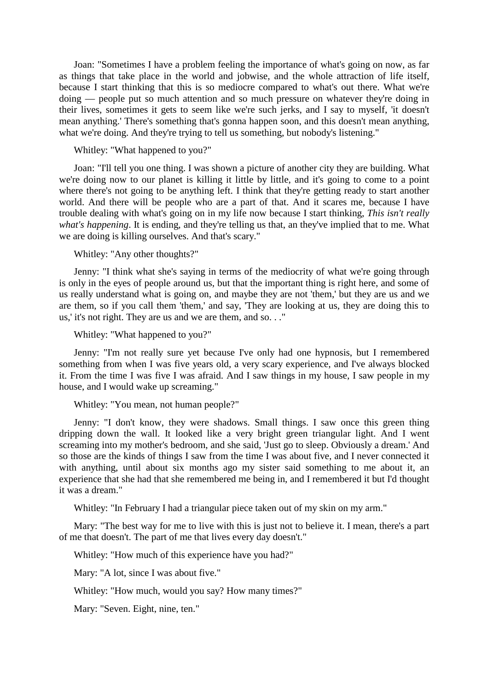Joan: "Sometimes I have a problem feeling the importance of what's going on now, as far as things that take place in the world and jobwise, and the whole attraction of life itself, because I start thinking that this is so mediocre compared to what's out there. What we're doing — people put so much attention and so much pressure on whatever they're doing in their lives, sometimes it gets to seem like we're such jerks, and I say to myself, 'it doesn't mean anything.' There's something that's gonna happen soon, and this doesn't mean anything, what we're doing. And they're trying to tell us something, but nobody's listening."

Whitley: "What happened to you?"

Joan: "I'll tell you one thing. I was shown a picture of another city they are building. What we're doing now to our planet is killing it little by little, and it's going to come to a point where there's not going to be anything left. I think that they're getting ready to start another world. And there will be people who are a part of that. And it scares me, because I have trouble dealing with what's going on in my life now because I start thinking, *This isn't really what's happening*. It is ending, and they're telling us that, an they've implied that to me. What we are doing is killing ourselves. And that's scary."

Whitley: "Any other thoughts?"

Jenny: "I think what she's saying in terms of the mediocrity of what we're going through is only in the eyes of people around us, but that the important thing is right here, and some of us really understand what is going on, and maybe they are not 'them,' but they are us and we are them, so if you call them 'them,' and say, 'They are looking at us, they are doing this to us,' it's not right. They are us and we are them, and so. . ."

Whitley: "What happened to you?"

Jenny: "I'm not really sure yet because I've only had one hypnosis, but I remembered something from when I was five years old, a very scary experience, and I've always blocked it. From the time I was five I was afraid. And I saw things in my house, I saw people in my house, and I would wake up screaming."

Whitley: "You mean, not human people?"

Jenny: "I don't know, they were shadows. Small things. I saw once this green thing dripping down the wall. It looked like a very bright green triangular light. And I went screaming into my mother's bedroom, and she said, 'Just go to sleep. Obviously a dream.' And so those are the kinds of things I saw from the time I was about five, and I never connected it with anything, until about six months ago my sister said something to me about it, an experience that she had that she remembered me being in, and I remembered it but I'd thought it was a dream."

Whitley: "In February I had a triangular piece taken out of my skin on my arm."

Mary: "The best way for me to live with this is just not to believe it. I mean, there's a part of me that doesn't. The part of me that lives every day doesn't."

Whitley: "How much of this experience have you had?"

Mary: "A lot, since I was about five."

Whitley: "How much, would you say? How many times?"

Mary: "Seven. Eight, nine, ten."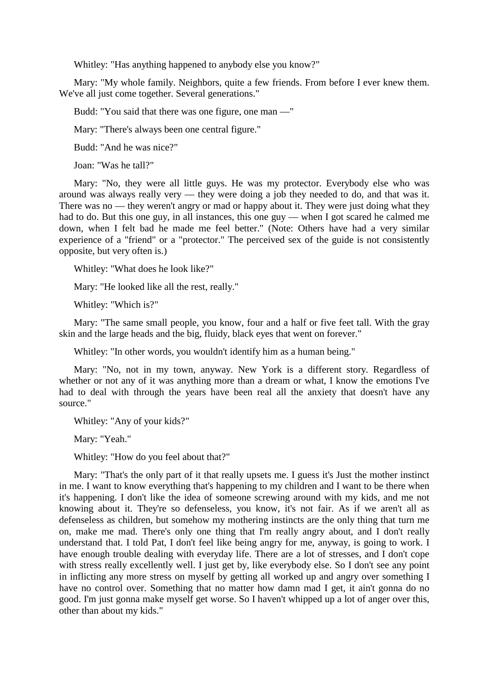Whitley: "Has anything happened to anybody else you know?"

Mary: "My whole family. Neighbors, quite a few friends. From before I ever knew them. We've all just come together. Several generations."

Budd: "You said that there was one figure, one man —"

Mary: "There's always been one central figure."

Budd: "And he was nice?"

Joan: "Was he tall?"

Mary: "No, they were all little guys. He was my protector. Everybody else who was around was always really very — they were doing a job they needed to do, and that was it. There was no — they weren't angry or mad or happy about it. They were just doing what they had to do. But this one guy, in all instances, this one guy — when I got scared he calmed me down, when I felt bad he made me feel better." (Note: Others have had a very similar experience of a "friend" or a "protector." The perceived sex of the guide is not consistently opposite, but very often is.)

Whitley: "What does he look like?"

Mary: "He looked like all the rest, really."

Whitley: "Which is?"

Mary: "The same small people, you know, four and a half or five feet tall. With the gray skin and the large heads and the big, fluidy, black eyes that went on forever."

Whitley: "In other words, you wouldn't identify him as a human being."

Mary: "No, not in my town, anyway. New York is a different story. Regardless of whether or not any of it was anything more than a dream or what, I know the emotions I've had to deal with through the years have been real all the anxiety that doesn't have any source."

Whitley: "Any of your kids?"

Mary: "Yeah."

Whitley: "How do you feel about that?"

Mary: "That's the only part of it that really upsets me. I guess it's Just the mother instinct in me. I want to know everything that's happening to my children and I want to be there when it's happening. I don't like the idea of someone screwing around with my kids, and me not knowing about it. They're so defenseless, you know, it's not fair. As if we aren't all as defenseless as children, but somehow my mothering instincts are the only thing that turn me on, make me mad. There's only one thing that I'm really angry about, and I don't really understand that. I told Pat, I don't feel like being angry for me, anyway, is going to work. I have enough trouble dealing with everyday life. There are a lot of stresses, and I don't cope with stress really excellently well. I just get by, like everybody else. So I don't see any point in inflicting any more stress on myself by getting all worked up and angry over something I have no control over. Something that no matter how damn mad I get, it ain't gonna do no good. I'm just gonna make myself get worse. So I haven't whipped up a lot of anger over this, other than about my kids."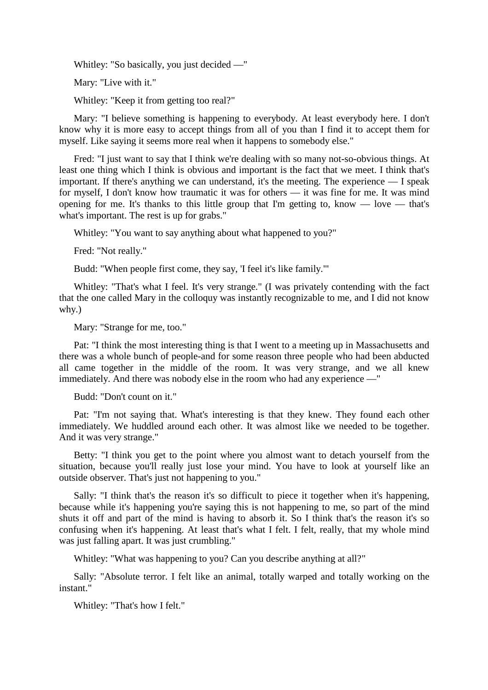Whitley: "So basically, you just decided —"

Mary: "Live with it."

Whitley: "Keep it from getting too real?"

Mary: "I believe something is happening to everybody. At least everybody here. I don't know why it is more easy to accept things from all of you than I find it to accept them for myself. Like saying it seems more real when it happens to somebody else."

Fred: "I just want to say that I think we're dealing with so many not-so-obvious things. At least one thing which I think is obvious and important is the fact that we meet. I think that's important. If there's anything we can understand, it's the meeting. The experience — I speak for myself, I don't know how traumatic it was for others — it was fine for me. It was mind opening for me. It's thanks to this little group that I'm getting to, know — love — that's what's important. The rest is up for grabs."

Whitley: "You want to say anything about what happened to you?"

Fred: "Not really."

Budd: "When people first come, they say, 'I feel it's like family."'

Whitley: "That's what I feel. It's very strange." (I was privately contending with the fact that the one called Mary in the colloquy was instantly recognizable to me, and I did not know why.)

Mary: "Strange for me, too."

Pat: "I think the most interesting thing is that I went to a meeting up in Massachusetts and there was a whole bunch of people-and for some reason three people who had been abducted all came together in the middle of the room. It was very strange, and we all knew immediately. And there was nobody else in the room who had any experience —"

Budd: "Don't count on it."

Pat: "I'm not saying that. What's interesting is that they knew. They found each other immediately. We huddled around each other. It was almost like we needed to be together. And it was very strange."

Betty: "I think you get to the point where you almost want to detach yourself from the situation, because you'll really just lose your mind. You have to look at yourself like an outside observer. That's just not happening to you."

Sally: "I think that's the reason it's so difficult to piece it together when it's happening, because while it's happening you're saying this is not happening to me, so part of the mind shuts it off and part of the mind is having to absorb it. So I think that's the reason it's so confusing when it's happening. At least that's what I felt. I felt, really, that my whole mind was just falling apart. It was just crumbling."

Whitley: "What was happening to you? Can you describe anything at all?"

Sally: "Absolute terror. I felt like an animal, totally warped and totally working on the instant."

Whitley: "That's how I felt."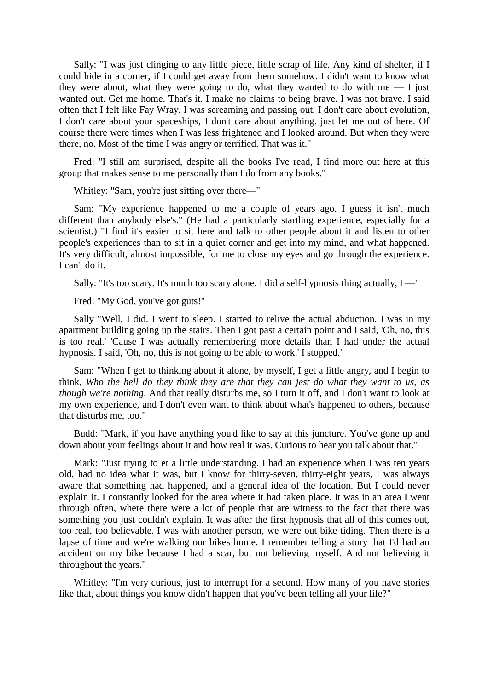Sally: "I was just clinging to any little piece, little scrap of life. Any kind of shelter, if I could hide in a corner, if I could get away from them somehow. I didn't want to know what they were about, what they were going to do, what they wanted to do with me  $-1$  just wanted out. Get me home. That's it. I make no claims to being brave. I was not brave. I said often that I felt like Fay Wray. I was screaming and passing out. I don't care about evolution, I don't care about your spaceships, I don't care about anything. just let me out of here. Of course there were times when I was less frightened and I looked around. But when they were there, no. Most of the time I was angry or terrified. That was it."

Fred: "I still am surprised, despite all the books I've read, I find more out here at this group that makes sense to me personally than I do from any books."

Whitley: "Sam, you're just sitting over there—"

Sam: "My experience happened to me a couple of years ago. I guess it isn't much different than anybody else's." (He had a particularly startling experience, especially for a scientist.) "I find it's easier to sit here and talk to other people about it and listen to other people's experiences than to sit in a quiet corner and get into my mind, and what happened. It's very difficult, almost impossible, for me to close my eyes and go through the experience. I can't do it.

Sally: "It's too scary. It's much too scary alone. I did a self-hypnosis thing actually,  $I -$ "

Fred: "My God, you've got guts!"

Sally "Well, I did. I went to sleep. I started to relive the actual abduction. I was in my apartment building going up the stairs. Then I got past a certain point and I said, 'Oh, no, this is too real.' 'Cause I was actually remembering more details than I had under the actual hypnosis. I said, 'Oh, no, this is not going to be able to work.' I stopped."

Sam: "When I get to thinking about it alone, by myself, I get a little angry, and I begin to think, *Who the hell do they think they are that they can jest do what they want to us, as though we're nothing*. And that really disturbs me, so I turn it off, and I don't want to look at my own experience, and I don't even want to think about what's happened to others, because that disturbs me, too."

Budd: "Mark, if you have anything you'd like to say at this juncture. You've gone up and down about your feelings about it and how real it was. Curious to hear you talk about that."

Mark: "Just trying to et a little understanding. I had an experience when I was ten years old, had no idea what it was, but I know for thirty-seven, thirty-eight years, I was always aware that something had happened, and a general idea of the location. But I could never explain it. I constantly looked for the area where it had taken place. It was in an area I went through often, where there were a lot of people that are witness to the fact that there was something you just couldn't explain. It was after the first hypnosis that all of this comes out, too real, too believable. I was with another person, we were out bike tiding. Then there is a lapse of time and we're walking our bikes home. I remember telling a story that I'd had an accident on my bike because I had a scar, but not believing myself. And not believing it throughout the years."

Whitley: "I'm very curious, just to interrupt for a second. How many of you have stories like that, about things you know didn't happen that you've been telling all your life?"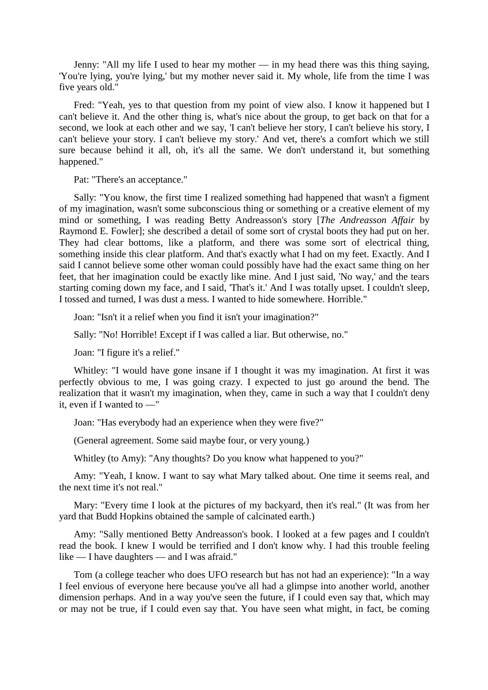Jenny: "All my life I used to hear my mother — in my head there was this thing saying, 'You're lying, you're lying,' but my mother never said it. My whole, life from the time I was five years old."

Fred: "Yeah, yes to that question from my point of view also. I know it happened but I can't believe it. And the other thing is, what's nice about the group, to get back on that for a second, we look at each other and we say, 'I can't believe her story, I can't believe his story, I can't believe your story. I can't believe my story.' And vet, there's a comfort which we still sure because behind it all, oh, it's all the same. We don't understand it, but something happened."

Pat: "There's an acceptance."

Sally: "You know, the first time I realized something had happened that wasn't a figment of my imagination, wasn't some subconscious thing or something or a creative element of my mind or something, I was reading Betty Andreasson's story [*The Andreasson Affair* by Raymond E. Fowler]; she described a detail of some sort of crystal boots they had put on her. They had clear bottoms, like a platform, and there was some sort of electrical thing, something inside this clear platform. And that's exactly what I had on my feet. Exactly. And I said I cannot believe some other woman could possibly have had the exact same thing on her feet, that her imagination could be exactly like mine. And I just said, 'No way,' and the tears starting coming down my face, and I said, 'That's it.' And I was totally upset. I couldn't sleep, I tossed and turned, I was dust a mess. I wanted to hide somewhere. Horrible."

Joan: "Isn't it a relief when you find it isn't your imagination?"

Sally: "No! Horrible! Except if I was called a liar. But otherwise, no."

Joan: "I figure it's a relief."

Whitley: "I would have gone insane if I thought it was my imagination. At first it was perfectly obvious to me, I was going crazy. I expected to just go around the bend. The realization that it wasn't my imagination, when they, came in such a way that I couldn't deny it, even if I wanted to —"

Joan: "Has everybody had an experience when they were five?"

(General agreement. Some said maybe four, or very young.)

Whitley (to Amy): "Any thoughts? Do you know what happened to you?"

Amy: "Yeah, I know. I want to say what Mary talked about. One time it seems real, and the next time it's not real."

Mary: "Every time I look at the pictures of my backyard, then it's real." (It was from her yard that Budd Hopkins obtained the sample of calcinated earth.)

Amy: "Sally mentioned Betty Andreasson's book. I looked at a few pages and I couldn't read the book. I knew I would be terrified and I don't know why. I had this trouble feeling like — I have daughters — and I was afraid."

Tom (a college teacher who does UFO research but has not had an experience): "In a way I feel envious of everyone here because you've all had a glimpse into another world, another dimension perhaps. And in a way you've seen the future, if I could even say that, which may or may not be true, if I could even say that. You have seen what might, in fact, be coming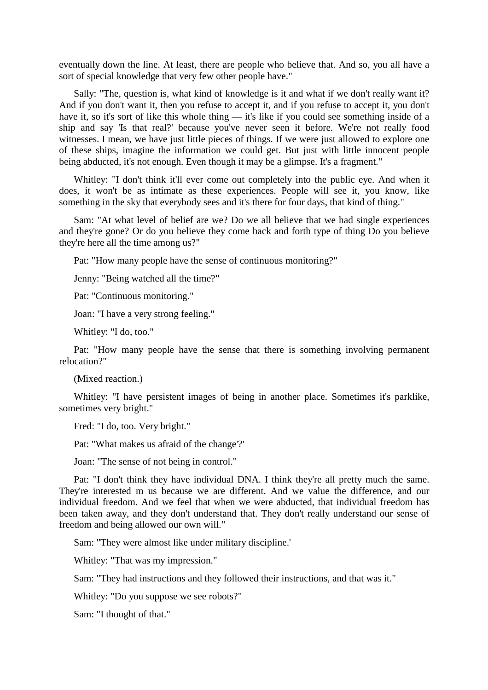eventually down the line. At least, there are people who believe that. And so, you all have a sort of special knowledge that very few other people have."

Sally: "The, question is, what kind of knowledge is it and what if we don't really want it? And if you don't want it, then you refuse to accept it, and if you refuse to accept it, you don't have it, so it's sort of like this whole thing — it's like if you could see something inside of a ship and say 'Is that real?' because you've never seen it before. We're not really food witnesses. I mean, we have just little pieces of things. If we were just allowed to explore one of these ships, imagine the information we could get. But just with little innocent people being abducted, it's not enough. Even though it may be a glimpse. It's a fragment."

Whitley: "I don't think it'll ever come out completely into the public eye. And when it does, it won't be as intimate as these experiences. People will see it, you know, like something in the sky that everybody sees and it's there for four days, that kind of thing."

Sam: "At what level of belief are we? Do we all believe that we had single experiences and they're gone? Or do you believe they come back and forth type of thing Do you believe they're here all the time among us?"

Pat: "How many people have the sense of continuous monitoring?"

Jenny: "Being watched all the time?"

Pat: "Continuous monitoring."

Joan: "I have a very strong feeling."

Whitley: "I do, too."

Pat: "How many people have the sense that there is something involving permanent relocation?"

(Mixed reaction.)

Whitley: "I have persistent images of being in another place. Sometimes it's parklike, sometimes very bright."

Fred: "I do, too. Very bright."

Pat: "What makes us afraid of the change'?'

Joan: "The sense of not being in control."

Pat: "I don't think they have individual DNA. I think they're all pretty much the same. They're interested m us because we are different. And we value the difference, and our individual freedom. And we feel that when we were abducted, that individual freedom has been taken away, and they don't understand that. They don't really understand our sense of freedom and being allowed our own will."

Sam: "They were almost like under military discipline.'

Whitley: "That was my impression."

Sam: "They had instructions and they followed their instructions, and that was it."

Whitley: "Do you suppose we see robots?"

Sam: "I thought of that."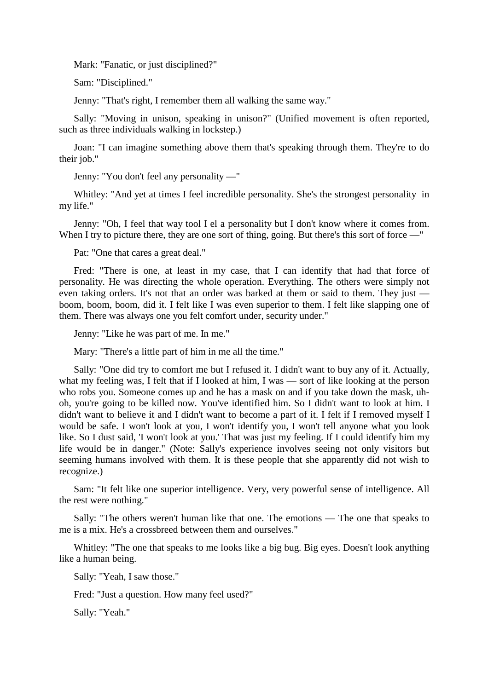Mark: "Fanatic, or just disciplined?"

Sam: "Disciplined."

Jenny: "That's right, I remember them all walking the same way."

Sally: "Moving in unison, speaking in unison?" (Unified movement is often reported, such as three individuals walking in lockstep.)

Joan: "I can imagine something above them that's speaking through them. They're to do their job."

Jenny: "You don't feel any personality —"

Whitley: "And yet at times I feel incredible personality. She's the strongest personality in my life."

Jenny: "Oh, I feel that way tool I el a personality but I don't know where it comes from. When I try to picture there, they are one sort of thing, going. But there's this sort of force —"

Pat: "One that cares a great deal."

Fred: "There is one, at least in my case, that I can identify that had that force of personality. He was directing the whole operation. Everything. The others were simply not even taking orders. It's not that an order was barked at them or said to them. They just boom, boom, boom, did it. I felt like I was even superior to them. I felt like slapping one of them. There was always one you felt comfort under, security under."

Jenny: "Like he was part of me. In me."

Mary: "There's a little part of him in me all the time."

Sally: "One did try to comfort me but I refused it. I didn't want to buy any of it. Actually, what my feeling was, I felt that if I looked at him, I was — sort of like looking at the person who robs you. Someone comes up and he has a mask on and if you take down the mask, uhoh, you're going to be killed now. You've identified him. So I didn't want to look at him. I didn't want to believe it and I didn't want to become a part of it. I felt if I removed myself I would be safe. I won't look at you, I won't identify you, I won't tell anyone what you look like. So I dust said, 'I won't look at you.' That was just my feeling. If I could identify him my life would be in danger." (Note: Sally's experience involves seeing not only visitors but seeming humans involved with them. It is these people that she apparently did not wish to recognize.)

Sam: "It felt like one superior intelligence. Very, very powerful sense of intelligence. All the rest were nothing."

Sally: "The others weren't human like that one. The emotions — The one that speaks to me is a mix. He's a crossbreed between them and ourselves."

Whitley: "The one that speaks to me looks like a big bug. Big eyes. Doesn't look anything like a human being.

Sally: "Yeah, I saw those."

Fred: "Just a question. How many feel used?"

Sally: "Yeah."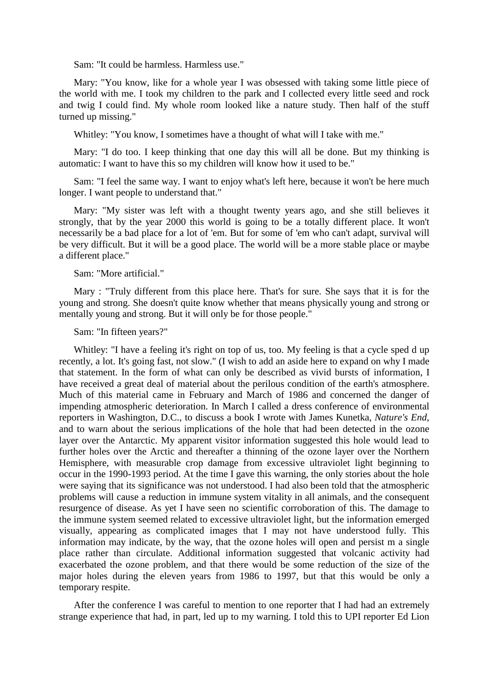Sam: "It could be harmless. Harmless use."

Mary: "You know, like for a whole year I was obsessed with taking some little piece of the world with me. I took my children to the park and I collected every little seed and rock and twig I could find. My whole room looked like a nature study. Then half of the stuff turned up missing."

Whitley: "You know, I sometimes have a thought of what will I take with me."

Mary: "I do too. I keep thinking that one day this will all be done. But my thinking is automatic: I want to have this so my children will know how it used to be."

Sam: "I feel the same way. I want to enjoy what's left here, because it won't be here much longer. I want people to understand that."

Mary: "My sister was left with a thought twenty years ago, and she still believes it strongly, that by the year 2000 this world is going to be a totally different place. It won't necessarily be a bad place for a lot of 'em. But for some of 'em who can't adapt, survival will be very difficult. But it will be a good place. The world will be a more stable place or maybe a different place."

Sam: "More artificial."

Mary : "Truly different from this place here. That's for sure. She says that it is for the young and strong. She doesn't quite know whether that means physically young and strong or mentally young and strong. But it will only be for those people."

Sam: "In fifteen years?"

Whitley: "I have a feeling it's right on top of us, too. My feeling is that a cycle sped d up recently, a lot. It's going fast, not slow." (I wish to add an aside here to expand on why I made that statement. In the form of what can only be described as vivid bursts of information, I have received a great deal of material about the perilous condition of the earth's atmosphere. Much of this material came in February and March of 1986 and concerned the danger of impending atmospheric deterioration. In March I called a dress conference of environmental reporters in Washington, D.C., to discuss a book I wrote with James Kunetka, *Nature's End*, and to warn about the serious implications of the hole that had been detected in the ozone layer over the Antarctic. My apparent visitor information suggested this hole would lead to further holes over the Arctic and thereafter a thinning of the ozone layer over the Northern Hemisphere, with measurable crop damage from excessive ultraviolet light beginning to occur in the 1990-1993 period. At the time I gave this warning, the only stories about the hole were saying that its significance was not understood. I had also been told that the atmospheric problems will cause a reduction in immune system vitality in all animals, and the consequent resurgence of disease. As yet I have seen no scientific corroboration of this. The damage to the immune system seemed related to excessive ultraviolet light, but the information emerged visually, appearing as complicated images that I may not have understood fully. This information may indicate, by the way, that the ozone holes will open and persist m a single place rather than circulate. Additional information suggested that volcanic activity had exacerbated the ozone problem, and that there would be some reduction of the size of the major holes during the eleven years from 1986 to 1997, but that this would be only a temporary respite.

After the conference I was careful to mention to one reporter that I had had an extremely strange experience that had, in part, led up to my warning. I told this to UPI reporter Ed Lion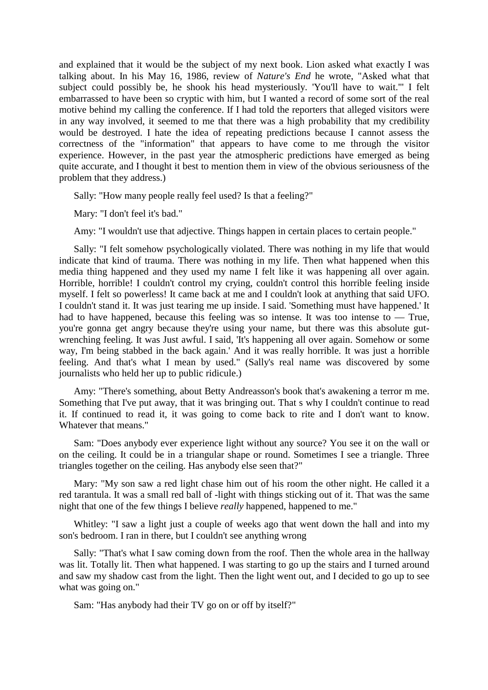and explained that it would be the subject of my next book. Lion asked what exactly I was talking about. In his May 16, 1986, review of *Nature's End* he wrote, "Asked what that subject could possibly be, he shook his head mysteriously. 'You'll have to wait."' I felt embarrassed to have been so cryptic with him, but I wanted a record of some sort of the real motive behind my calling the conference. If I had told the reporters that alleged visitors were in any way involved, it seemed to me that there was a high probability that my credibility would be destroyed. I hate the idea of repeating predictions because I cannot assess the correctness of the "information" that appears to have come to me through the visitor experience. However, in the past year the atmospheric predictions have emerged as being quite accurate, and I thought it best to mention them in view of the obvious seriousness of the problem that they address.)

Sally: "How many people really feel used? Is that a feeling?"

Mary: "I don't feel it's bad."

Amy: "I wouldn't use that adjective. Things happen in certain places to certain people."

Sally: "I felt somehow psychologically violated. There was nothing in my life that would indicate that kind of trauma. There was nothing in my life. Then what happened when this media thing happened and they used my name I felt like it was happening all over again. Horrible, horrible! I couldn't control my crying, couldn't control this horrible feeling inside myself. I felt so powerless! It came back at me and I couldn't look at anything that said UFO. I couldn't stand it. It was just tearing me up inside. I said. 'Something must have happened.' It had to have happened, because this feeling was so intense. It was too intense to — True, you're gonna get angry because they're using your name, but there was this absolute gutwrenching feeling. It was Just awful. I said, 'It's happening all over again. Somehow or some way, I'm being stabbed in the back again.' And it was really horrible. It was just a horrible feeling. And that's what I mean by used." (Sally's real name was discovered by some journalists who held her up to public ridicule.)

Amy: "There's something, about Betty Andreasson's book that's awakening a terror m me. Something that I've put away, that it was bringing out. That s why I couldn't continue to read it. If continued to read it, it was going to come back to rite and I don't want to know. Whatever that means."

Sam: "Does anybody ever experience light without any source? You see it on the wall or on the ceiling. It could be in a triangular shape or round. Sometimes I see a triangle. Three triangles together on the ceiling. Has anybody else seen that?"

Mary: "My son saw a red light chase him out of his room the other night. He called it a red tarantula. It was a small red ball of -light with things sticking out of it. That was the same night that one of the few things I believe *really* happened, happened to me."

Whitley: "I saw a light just a couple of weeks ago that went down the hall and into my son's bedroom. I ran in there, but I couldn't see anything wrong

Sally: "That's what I saw coming down from the roof. Then the whole area in the hallway was lit. Totally lit. Then what happened. I was starting to go up the stairs and I turned around and saw my shadow cast from the light. Then the light went out, and I decided to go up to see what was going on."

Sam: "Has anybody had their TV go on or off by itself?"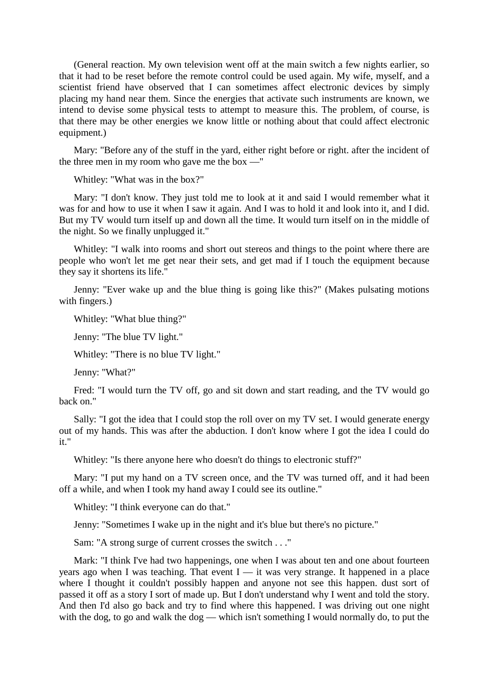(General reaction. My own television went off at the main switch a few nights earlier, so that it had to be reset before the remote control could be used again. My wife, myself, and a scientist friend have observed that I can sometimes affect electronic devices by simply placing my hand near them. Since the energies that activate such instruments are known, we intend to devise some physical tests to attempt to measure this. The problem, of course, is that there may be other energies we know little or nothing about that could affect electronic equipment.)

Mary: "Before any of the stuff in the yard, either right before or right. after the incident of the three men in my room who gave me the box —"

Whitley: "What was in the box?"

Mary: "I don't know. They just told me to look at it and said I would remember what it was for and how to use it when I saw it again. And I was to hold it and look into it, and I did. But my TV would turn itself up and down all the time. It would turn itself on in the middle of the night. So we finally unplugged it."

Whitley: "I walk into rooms and short out stereos and things to the point where there are people who won't let me get near their sets, and get mad if I touch the equipment because they say it shortens its life."

Jenny: "Ever wake up and the blue thing is going like this?" (Makes pulsating motions with fingers.)

Whitley: "What blue thing?"

Jenny: "The blue TV light."

Whitley: "There is no blue TV light."

Jenny: "What?"

Fred: "I would turn the TV off, go and sit down and start reading, and the TV would go back on."

Sally: "I got the idea that I could stop the roll over on my TV set. I would generate energy out of my hands. This was after the abduction. I don't know where I got the idea I could do it."

Whitley: "Is there anyone here who doesn't do things to electronic stuff?"

Mary: "I put my hand on a TV screen once, and the TV was turned off, and it had been off a while, and when I took my hand away I could see its outline."

Whitley: "I think everyone can do that."

Jenny: "Sometimes I wake up in the night and it's blue but there's no picture."

Sam: "A strong surge of current crosses the switch . . ."

Mark: "I think I've had two happenings, one when I was about ten and one about fourteen years ago when I was teaching. That event  $I - i$  twas very strange. It happened in a place where I thought it couldn't possibly happen and anyone not see this happen. dust sort of passed it off as a story I sort of made up. But I don't understand why I went and told the story. And then I'd also go back and try to find where this happened. I was driving out one night with the dog, to go and walk the dog — which isn't something I would normally do, to put the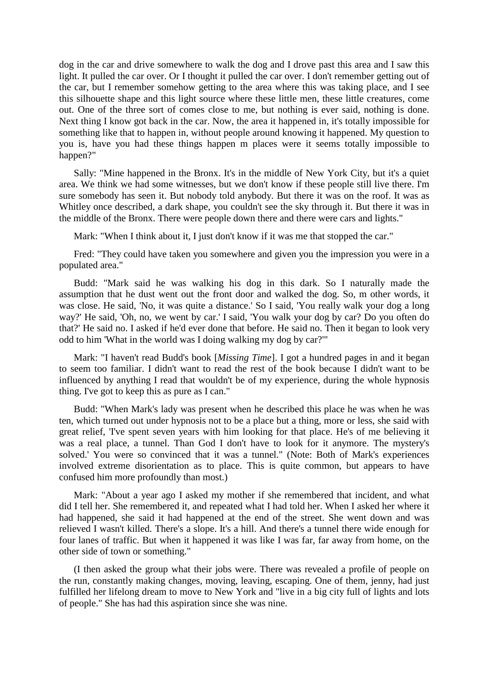dog in the car and drive somewhere to walk the dog and I drove past this area and I saw this light. It pulled the car over. Or I thought it pulled the car over. I don't remember getting out of the car, but I remember somehow getting to the area where this was taking place, and I see this silhouette shape and this light source where these little men, these little creatures, come out. One of the three sort of comes close to me, but nothing is ever said, nothing is done. Next thing I know got back in the car. Now, the area it happened in, it's totally impossible for something like that to happen in, without people around knowing it happened. My question to you is, have you had these things happen m places were it seems totally impossible to happen?"

Sally: "Mine happened in the Bronx. It's in the middle of New York City, but it's a quiet area. We think we had some witnesses, but we don't know if these people still live there. I'm sure somebody has seen it. But nobody told anybody. But there it was on the roof. It was as Whitley once described, a dark shape, you couldn't see the sky through it. But there it was in the middle of the Bronx. There were people down there and there were cars and lights."

Mark: "When I think about it, I just don't know if it was me that stopped the car."

Fred: "They could have taken you somewhere and given you the impression you were in a populated area."

Budd: "Mark said he was walking his dog in this dark. So I naturally made the assumption that he dust went out the front door and walked the dog. So, m other words, it was close. He said, 'No, it was quite a distance.' So I said, 'You really walk your dog a long way?' He said, 'Oh, no, we went by car.' I said, 'You walk your dog by car? Do you often do that?' He said no. I asked if he'd ever done that before. He said no. Then it began to look very odd to him 'What in the world was I doing walking my dog by car?'"

Mark: "I haven't read Budd's book [*Missing Time*]. I got a hundred pages in and it began to seem too familiar. I didn't want to read the rest of the book because I didn't want to be influenced by anything I read that wouldn't be of my experience, during the whole hypnosis thing. I've got to keep this as pure as I can."

Budd: "When Mark's lady was present when he described this place he was when he was ten, which turned out under hypnosis not to be a place but a thing, more or less, she said with great relief, 'I've spent seven years with him looking for that place. He's of me believing it was a real place, a tunnel. Than God I don't have to look for it anymore. The mystery's solved.' You were so convinced that it was a tunnel." (Note: Both of Mark's experiences involved extreme disorientation as to place. This is quite common, but appears to have confused him more profoundly than most.)

Mark: "About a year ago I asked my mother if she remembered that incident, and what did I tell her. She remembered it, and repeated what I had told her. When I asked her where it had happened, she said it had happened at the end of the street. She went down and was relieved I wasn't killed. There's a slope. It's a hill. And there's a tunnel there wide enough for four lanes of traffic. But when it happened it was like I was far, far away from home, on the other side of town or something."

(I then asked the group what their jobs were. There was revealed a profile of people on the run, constantly making changes, moving, leaving, escaping. One of them, jenny, had just fulfilled her lifelong dream to move to New York and "live in a big city full of lights and lots of people." She has had this aspiration since she was nine.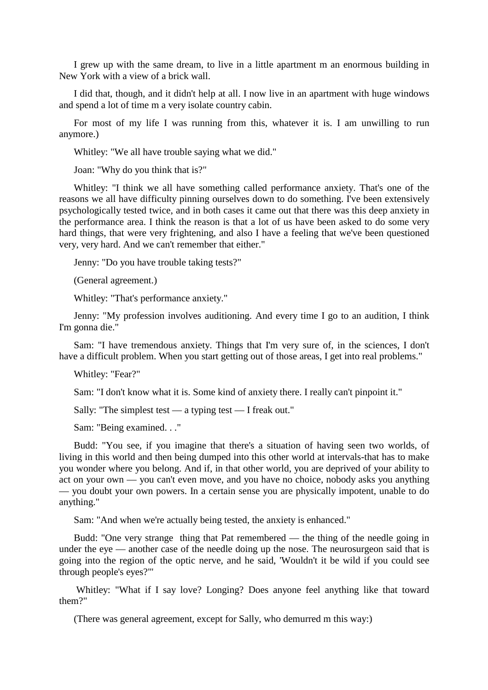I grew up with the same dream, to live in a little apartment m an enormous building in New York with a view of a brick wall.

I did that, though, and it didn't help at all. I now live in an apartment with huge windows and spend a lot of time m a very isolate country cabin.

For most of my life I was running from this, whatever it is. I am unwilling to run anymore.)

Whitley: "We all have trouble saying what we did."

Joan: "Why do you think that is?"

Whitley: "I think we all have something called performance anxiety. That's one of the reasons we all have difficulty pinning ourselves down to do something. I've been extensively psychologically tested twice, and in both cases it came out that there was this deep anxiety in the performance area. I think the reason is that a lot of us have been asked to do some very hard things, that were very frightening, and also I have a feeling that we've been questioned very, very hard. And we can't remember that either."

Jenny: "Do you have trouble taking tests?"

(General agreement.)

Whitley: "That's performance anxiety."

Jenny: "My profession involves auditioning. And every time I go to an audition, I think I'm gonna die."

Sam: "I have tremendous anxiety. Things that I'm very sure of, in the sciences, I don't have a difficult problem. When you start getting out of those areas, I get into real problems."

Whitley: "Fear?"

Sam: "I don't know what it is. Some kind of anxiety there. I really can't pinpoint it."

Sally: "The simplest test — a typing test — I freak out."

Sam: "Being examined. . ."

Budd: "You see, if you imagine that there's a situation of having seen two worlds, of living in this world and then being dumped into this other world at intervals-that has to make you wonder where you belong. And if, in that other world, you are deprived of your ability to act on your own — you can't even move, and you have no choice, nobody asks you anything — you doubt your own powers. In a certain sense you are physically impotent, unable to do anything."

Sam: "And when we're actually being tested, the anxiety is enhanced."

Budd: "One very strange thing that Pat remembered — the thing of the needle going in under the eye — another case of the needle doing up the nose. The neurosurgeon said that is going into the region of the optic nerve, and he said, 'Wouldn't it be wild if you could see through people's eyes?"'

 Whitley: "What if I say love? Longing? Does anyone feel anything like that toward them?"

(There was general agreement, except for Sally, who demurred m this way:)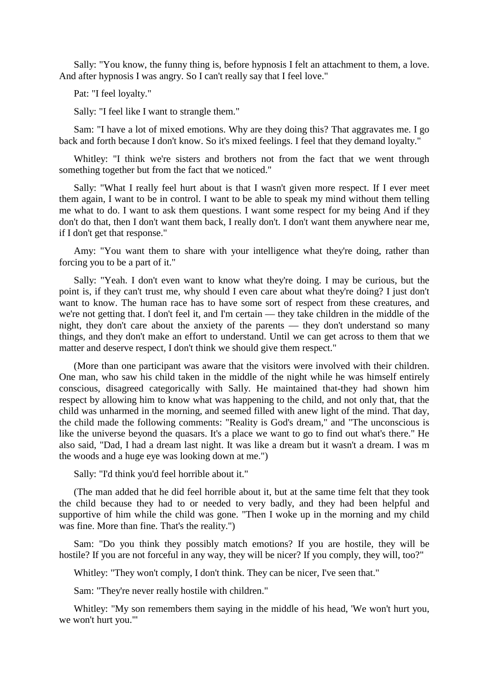Sally: "You know, the funny thing is, before hypnosis I felt an attachment to them, a love. And after hypnosis I was angry. So I can't really say that I feel love."

Pat: "I feel loyalty."

Sally: "I feel like I want to strangle them."

Sam: "I have a lot of mixed emotions. Why are they doing this? That aggravates me. I go back and forth because I don't know. So it's mixed feelings. I feel that they demand loyalty."

Whitley: "I think we're sisters and brothers not from the fact that we went through something together but from the fact that we noticed."

Sally: "What I really feel hurt about is that I wasn't given more respect. If I ever meet them again, I want to be in control. I want to be able to speak my mind without them telling me what to do. I want to ask them questions. I want some respect for my being And if they don't do that, then I don't want them back, I really don't. I don't want them anywhere near me, if I don't get that response."

Amy: "You want them to share with your intelligence what they're doing, rather than forcing you to be a part of it."

Sally: "Yeah. I don't even want to know what they're doing. I may be curious, but the point is, if they can't trust me, why should I even care about what they're doing? I just don't want to know. The human race has to have some sort of respect from these creatures, and we're not getting that. I don't feel it, and I'm certain — they take children in the middle of the night, they don't care about the anxiety of the parents — they don't understand so many things, and they don't make an effort to understand. Until we can get across to them that we matter and deserve respect, I don't think we should give them respect."

(More than one participant was aware that the visitors were involved with their children. One man, who saw his child taken in the middle of the night while he was himself entirely conscious, disagreed categorically with Sally. He maintained that-they had shown him respect by allowing him to know what was happening to the child, and not only that, that the child was unharmed in the morning, and seemed filled with anew light of the mind. That day, the child made the following comments: "Reality is God's dream," and "The unconscious is like the universe beyond the quasars. It's a place we want to go to find out what's there." He also said, "Dad, I had a dream last night. It was like a dream but it wasn't a dream. I was m the woods and a huge eye was looking down at me.")

Sally: "I'd think you'd feel horrible about it."

(The man added that he did feel horrible about it, but at the same time felt that they took the child because they had to or needed to very badly, and they had been helpful and supportive of him while the child was gone. "Then I woke up in the morning and my child was fine. More than fine. That's the reality.")

Sam: "Do you think they possibly match emotions? If you are hostile, they will be hostile? If you are not forceful in any way, they will be nicer? If you comply, they will, too?"

Whitley: "They won't comply, I don't think. They can be nicer, I've seen that."

Sam: "They're never really hostile with children."

Whitley: "My son remembers them saying in the middle of his head, 'We won't hurt you, we won't hurt you."'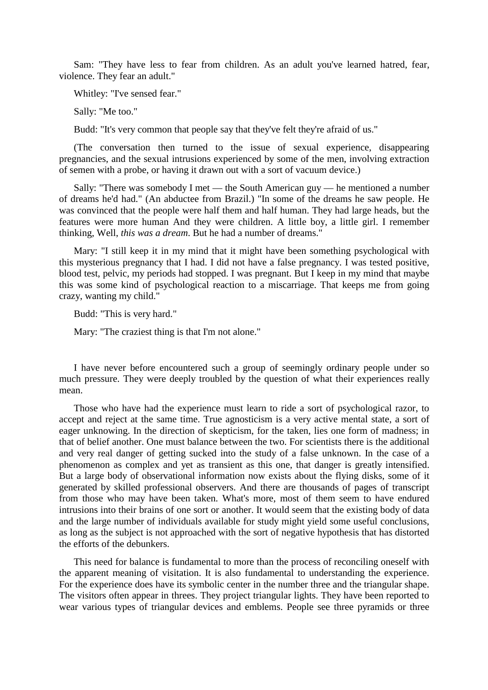Sam: "They have less to fear from children. As an adult you've learned hatred, fear, violence. They fear an adult."

Whitley: "I've sensed fear."

Sally: "Me too."

Budd: "It's very common that people say that they've felt they're afraid of us."

(The conversation then turned to the issue of sexual experience, disappearing pregnancies, and the sexual intrusions experienced by some of the men, involving extraction of semen with a probe, or having it drawn out with a sort of vacuum device.)

Sally: "There was somebody I met — the South American guy — he mentioned a number of dreams he'd had." (An abductee from Brazil.) "In some of the dreams he saw people. He was convinced that the people were half them and half human. They had large heads, but the features were more human And they were children. A little boy, a little girl. I remember thinking, Well, *this was a dream*. But he had a number of dreams."

Mary: "I still keep it in my mind that it might have been something psychological with this mysterious pregnancy that I had. I did not have a false pregnancy. I was tested positive, blood test, pelvic, my periods had stopped. I was pregnant. But I keep in my mind that maybe this was some kind of psychological reaction to a miscarriage. That keeps me from going crazy, wanting my child."

Budd: "This is very hard."

Mary: "The craziest thing is that I'm not alone."

I have never before encountered such a group of seemingly ordinary people under so much pressure. They were deeply troubled by the question of what their experiences really mean.

Those who have had the experience must learn to ride a sort of psychological razor, to accept and reject at the same time. True agnosticism is a very active mental state, a sort of eager unknowing. In the direction of skepticism, for the taken, lies one form of madness; in that of belief another. One must balance between the two. For scientists there is the additional and very real danger of getting sucked into the study of a false unknown. In the case of a phenomenon as complex and yet as transient as this one, that danger is greatly intensified. But a large body of observational information now exists about the flying disks, some of it generated by skilled professional observers. And there are thousands of pages of transcript from those who may have been taken. What's more, most of them seem to have endured intrusions into their brains of one sort or another. It would seem that the existing body of data and the large number of individuals available for study might yield some useful conclusions, as long as the subject is not approached with the sort of negative hypothesis that has distorted the efforts of the debunkers.

This need for balance is fundamental to more than the process of reconciling oneself with the apparent meaning of visitation. It is also fundamental to understanding the experience. For the experience does have its symbolic center in the number three and the triangular shape. The visitors often appear in threes. They project triangular lights. They have been reported to wear various types of triangular devices and emblems. People see three pyramids or three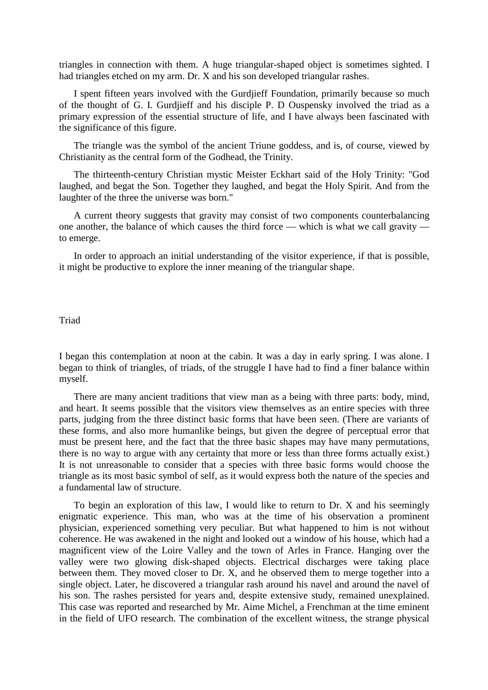triangles in connection with them. A huge triangular-shaped object is sometimes sighted. I had triangles etched on my arm. Dr. X and his son developed triangular rashes.

I spent fifteen years involved with the Gurdjieff Foundation, primarily because so much of the thought of G. I. Gurdjieff and his disciple P. D Ouspensky involved the triad as a primary expression of the essential structure of life, and I have always been fascinated with the significance of this figure.

The triangle was the symbol of the ancient Triune goddess, and is, of course, viewed by Christianity as the central form of the Godhead, the Trinity.

The thirteenth-century Christian mystic Meister Eckhart said of the Holy Trinity: "God laughed, and begat the Son. Together they laughed, and begat the Holy Spirit. And from the laughter of the three the universe was born."

A current theory suggests that gravity may consist of two components counterbalancing one another, the balance of which causes the third force — which is what we call gravity to emerge.

In order to approach an initial understanding of the visitor experience, if that is possible, it might be productive to explore the inner meaning of the triangular shape.

Triad

I began this contemplation at noon at the cabin. It was a day in early spring. I was alone. I began to think of triangles, of triads, of the struggle I have had to find a finer balance within myself.

There are many ancient traditions that view man as a being with three parts: body, mind, and heart. It seems possible that the visitors view themselves as an entire species with three parts, judging from the three distinct basic forms that have been seen. (There are variants of these forms, and also more humanlike beings, but given the degree of perceptual error that must be present here, and the fact that the three basic shapes may have many permutations, there is no way to argue with any certainty that more or less than three forms actually exist.) It is not unreasonable to consider that a species with three basic forms would choose the triangle as its most basic symbol of self, as it would express both the nature of the species and a fundamental law of structure.

To begin an exploration of this law, I would like to return to Dr. X and his seemingly enigmatic experience. This man, who was at the time of his observation a prominent physician, experienced something very peculiar. But what happened to him is not without coherence. He was awakened in the night and looked out a window of his house, which had a magnificent view of the Loire Valley and the town of Arles in France. Hanging over the valley were two glowing disk-shaped objects. Electrical discharges were taking place between them. They moved closer to Dr. X, and he observed them to merge together into a single object. Later, he discovered a triangular rash around his navel and around the navel of his son. The rashes persisted for years and, despite extensive study, remained unexplained. This case was reported and researched by Mr. Aime Michel, a Frenchman at the time eminent in the field of UFO research. The combination of the excellent witness, the strange physical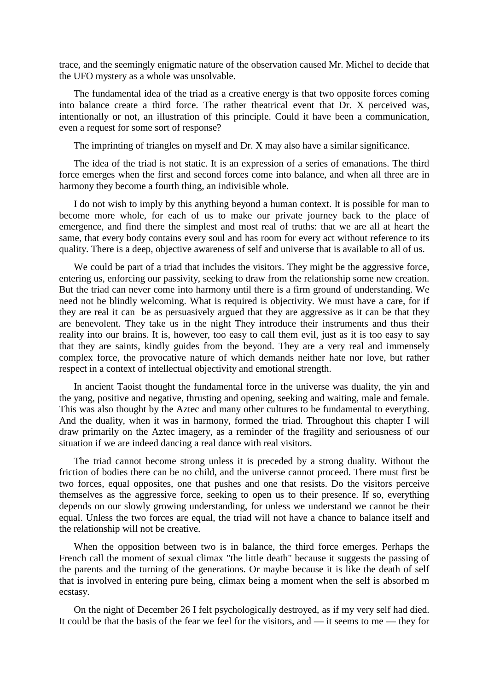trace, and the seemingly enigmatic nature of the observation caused Mr. Michel to decide that the UFO mystery as a whole was unsolvable.

The fundamental idea of the triad as a creative energy is that two opposite forces coming into balance create a third force. The rather theatrical event that Dr. X perceived was, intentionally or not, an illustration of this principle. Could it have been a communication, even a request for some sort of response?

The imprinting of triangles on myself and Dr. X may also have a similar significance.

The idea of the triad is not static. It is an expression of a series of emanations. The third force emerges when the first and second forces come into balance, and when all three are in harmony they become a fourth thing, an indivisible whole.

I do not wish to imply by this anything beyond a human context. It is possible for man to become more whole, for each of us to make our private journey back to the place of emergence, and find there the simplest and most real of truths: that we are all at heart the same, that every body contains every soul and has room for every act without reference to its quality. There is a deep, objective awareness of self and universe that is available to all of us.

We could be part of a triad that includes the visitors. They might be the aggressive force, entering us, enforcing our passivity, seeking to draw from the relationship some new creation. But the triad can never come into harmony until there is a firm ground of understanding. We need not be blindly welcoming. What is required is objectivity. We must have a care, for if they are real it can be as persuasively argued that they are aggressive as it can be that they are benevolent. They take us in the night They introduce their instruments and thus their reality into our brains. It is, however, too easy to call them evil, just as it is too easy to say that they are saints, kindly guides from the beyond. They are a very real and immensely complex force, the provocative nature of which demands neither hate nor love, but rather respect in a context of intellectual objectivity and emotional strength.

In ancient Taoist thought the fundamental force in the universe was duality, the yin and the yang, positive and negative, thrusting and opening, seeking and waiting, male and female. This was also thought by the Aztec and many other cultures to be fundamental to everything. And the duality, when it was in harmony, formed the triad. Throughout this chapter I will draw primarily on the Aztec imagery, as a reminder of the fragility and seriousness of our situation if we are indeed dancing a real dance with real visitors.

The triad cannot become strong unless it is preceded by a strong duality. Without the friction of bodies there can be no child, and the universe cannot proceed. There must first be two forces, equal opposites, one that pushes and one that resists. Do the visitors perceive themselves as the aggressive force, seeking to open us to their presence. If so, everything depends on our slowly growing understanding, for unless we understand we cannot be their equal. Unless the two forces are equal, the triad will not have a chance to balance itself and the relationship will not be creative.

When the opposition between two is in balance, the third force emerges. Perhaps the French call the moment of sexual climax "the little death" because it suggests the passing of the parents and the turning of the generations. Or maybe because it is like the death of self that is involved in entering pure being, climax being a moment when the self is absorbed m ecstasy.

On the night of December 26 I felt psychologically destroyed, as if my very self had died. It could be that the basis of the fear we feel for the visitors, and — it seems to me — they for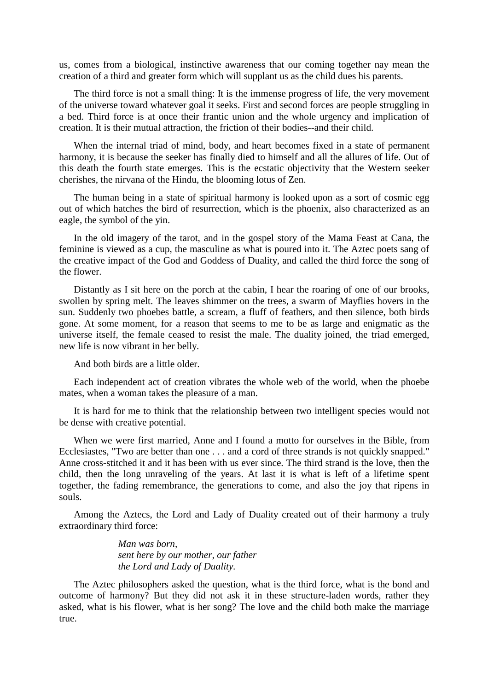us, comes from a biological, instinctive awareness that our coming together nay mean the creation of a third and greater form which will supplant us as the child dues his parents.

The third force is not a small thing: It is the immense progress of life, the very movement of the universe toward whatever goal it seeks. First and second forces are people struggling in a bed. Third force is at once their frantic union and the whole urgency and implication of creation. It is their mutual attraction, the friction of their bodies--and their child.

When the internal triad of mind, body, and heart becomes fixed in a state of permanent harmony, it is because the seeker has finally died to himself and all the allures of life. Out of this death the fourth state emerges. This is the ecstatic objectivity that the Western seeker cherishes, the nirvana of the Hindu, the blooming lotus of Zen.

The human being in a state of spiritual harmony is looked upon as a sort of cosmic egg out of which hatches the bird of resurrection, which is the phoenix, also characterized as an eagle, the symbol of the yin.

In the old imagery of the tarot, and in the gospel story of the Mama Feast at Cana, the feminine is viewed as a cup, the masculine as what is poured into it. The Aztec poets sang of the creative impact of the God and Goddess of Duality, and called the third force the song of the flower.

Distantly as I sit here on the porch at the cabin, I hear the roaring of one of our brooks, swollen by spring melt. The leaves shimmer on the trees, a swarm of Mayflies hovers in the sun. Suddenly two phoebes battle, a scream, a fluff of feathers, and then silence, both birds gone. At some moment, for a reason that seems to me to be as large and enigmatic as the universe itself, the female ceased to resist the male. The duality joined, the triad emerged, new life is now vibrant in her belly.

And both birds are a little older.

Each independent act of creation vibrates the whole web of the world, when the phoebe mates, when a woman takes the pleasure of a man.

It is hard for me to think that the relationship between two intelligent species would not be dense with creative potential.

When we were first married, Anne and I found a motto for ourselves in the Bible, from Ecclesiastes, "Two are better than one . . . and a cord of three strands is not quickly snapped." Anne cross-stitched it and it has been with us ever since. The third strand is the love, then the child, then the long unraveling of the years. At last it is what is left of a lifetime spent together, the fading remembrance, the generations to come, and also the joy that ripens in souls.

Among the Aztecs, the Lord and Lady of Duality created out of their harmony a truly extraordinary third force:

> *Man was born, sent here by our mother, our father the Lord and Lady of Duality.*

The Aztec philosophers asked the question, what is the third force, what is the bond and outcome of harmony? But they did not ask it in these structure-laden words, rather they asked, what is his flower, what is her song? The love and the child both make the marriage true.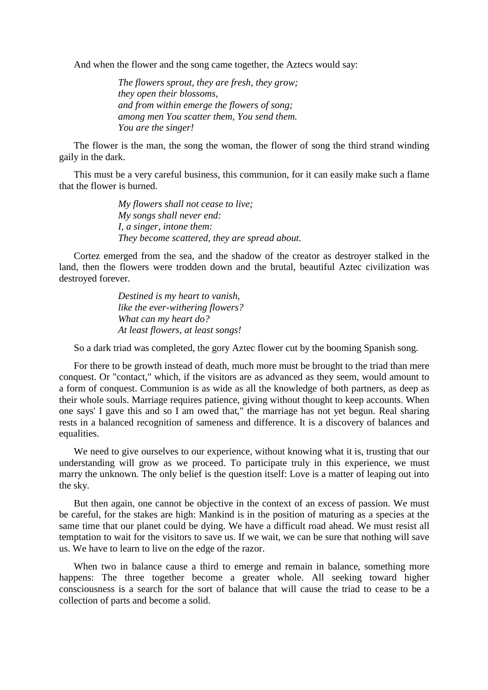And when the flower and the song came together, the Aztecs would say:

*The flowers sprout, they are fresh, they grow; they open their blossoms, and from within emerge the flowers of song; among men You scatter them, You send them. You are the singer!* 

The flower is the man, the song the woman, the flower of song the third strand winding gaily in the dark.

This must be a very careful business, this communion, for it can easily make such a flame that the flower is burned.

> *My flowers shall not cease to live; My songs shall never end: I, a singer, intone them: They become scattered, they are spread about.*

Cortez emerged from the sea, and the shadow of the creator as destroyer stalked in the land, then the flowers were trodden down and the brutal, beautiful Aztec civilization was destroyed forever.

> *Destined is my heart to vanish, like the ever-withering flowers? What can my heart do? At least flowers, at least songs!*

So a dark triad was completed, the gory Aztec flower cut by the booming Spanish song.

For there to be growth instead of death, much more must be brought to the triad than mere conquest. Or "contact," which, if the visitors are as advanced as they seem, would amount to a form of conquest. Communion is as wide as all the knowledge of both partners, as deep as their whole souls. Marriage requires patience, giving without thought to keep accounts. When one says' I gave this and so I am owed that," the marriage has not yet begun. Real sharing rests in a balanced recognition of sameness and difference. It is a discovery of balances and equalities.

We need to give ourselves to our experience, without knowing what it is, trusting that our understanding will grow as we proceed. To participate truly in this experience, we must marry the unknown. The only belief is the question itself: Love is a matter of leaping out into the sky.

But then again, one cannot be objective in the context of an excess of passion. We must be careful, for the stakes are high: Mankind is in the position of maturing as a species at the same time that our planet could be dying. We have a difficult road ahead. We must resist all temptation to wait for the visitors to save us. If we wait, we can be sure that nothing will save us. We have to learn to live on the edge of the razor.

When two in balance cause a third to emerge and remain in balance, something more happens: The three together become a greater whole. All seeking toward higher consciousness is a search for the sort of balance that will cause the triad to cease to be a collection of parts and become a solid.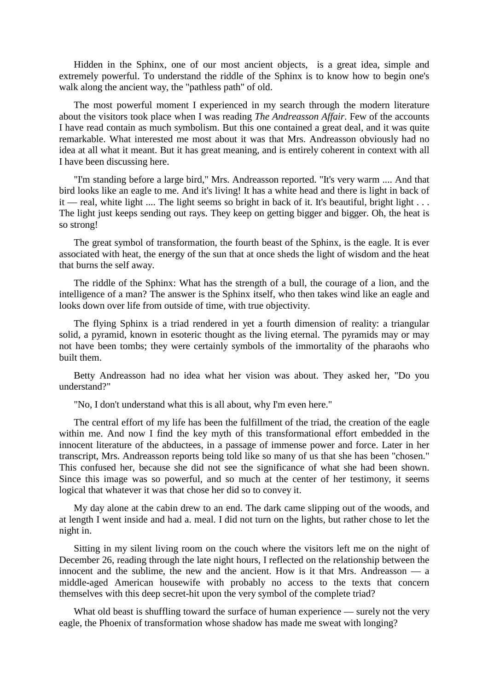Hidden in the Sphinx, one of our most ancient objects, is a great idea, simple and extremely powerful. To understand the riddle of the Sphinx is to know how to begin one's walk along the ancient way, the "pathless path" of old.

The most powerful moment I experienced in my search through the modern literature about the visitors took place when I was reading *The Andreasson Affair*. Few of the accounts I have read contain as much symbolism. But this one contained a great deal, and it was quite remarkable. What interested me most about it was that Mrs. Andreasson obviously had no idea at all what it meant. But it has great meaning, and is entirely coherent in context with all I have been discussing here.

"I'm standing before a large bird," Mrs. Andreasson reported. "It's very warm .... And that bird looks like an eagle to me. And it's living! It has a white head and there is light in back of it — real, white light .... The light seems so bright in back of it. It's beautiful, bright light ... The light just keeps sending out rays. They keep on getting bigger and bigger. Oh, the heat is so strong!

The great symbol of transformation, the fourth beast of the Sphinx, is the eagle. It is ever associated with heat, the energy of the sun that at once sheds the light of wisdom and the heat that burns the self away.

The riddle of the Sphinx: What has the strength of a bull, the courage of a lion, and the intelligence of a man? The answer is the Sphinx itself, who then takes wind like an eagle and looks down over life from outside of time, with true objectivity.

The flying Sphinx is a triad rendered in yet a fourth dimension of reality: a triangular solid, a pyramid, known in esoteric thought as the living eternal. The pyramids may or may not have been tombs; they were certainly symbols of the immortality of the pharaohs who built them.

Betty Andreasson had no idea what her vision was about. They asked her, "Do you understand?"

"No, I don't understand what this is all about, why I'm even here."

The central effort of my life has been the fulfillment of the triad, the creation of the eagle within me. And now I find the key myth of this transformational effort embedded in the innocent literature of the abductees, in a passage of immense power and force. Later in her transcript, Mrs. Andreasson reports being told like so many of us that she has been "chosen." This confused her, because she did not see the significance of what she had been shown. Since this image was so powerful, and so much at the center of her testimony, it seems logical that whatever it was that chose her did so to convey it.

My day alone at the cabin drew to an end. The dark came slipping out of the woods, and at length I went inside and had a. meal. I did not turn on the lights, but rather chose to let the night in.

Sitting in my silent living room on the couch where the visitors left me on the night of December 26, reading through the late night hours, I reflected on the relationship between the innocent and the sublime, the new and the ancient. How is it that Mrs. Andreasson — a middle-aged American housewife with probably no access to the texts that concern themselves with this deep secret-hit upon the very symbol of the complete triad?

What old beast is shuffling toward the surface of human experience — surely not the very eagle, the Phoenix of transformation whose shadow has made me sweat with longing?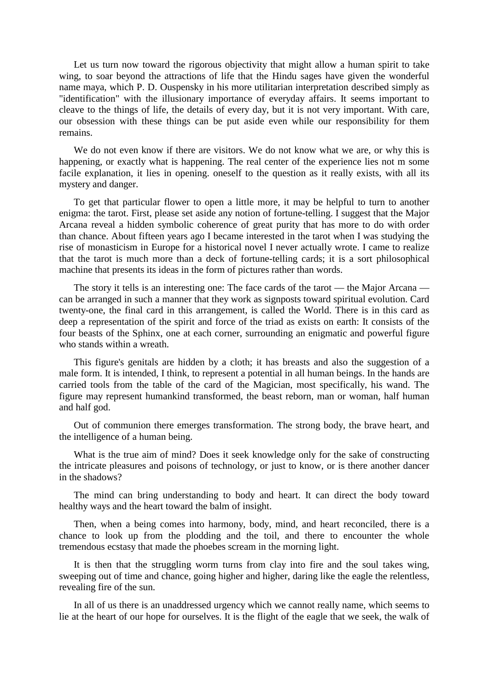Let us turn now toward the rigorous objectivity that might allow a human spirit to take wing, to soar beyond the attractions of life that the Hindu sages have given the wonderful name maya, which P. D. Ouspensky in his more utilitarian interpretation described simply as "identification" with the illusionary importance of everyday affairs. It seems important to cleave to the things of life, the details of every day, but it is not very important. With care, our obsession with these things can be put aside even while our responsibility for them remains.

We do not even know if there are visitors. We do not know what we are, or why this is happening, or exactly what is happening. The real center of the experience lies not m some facile explanation, it lies in opening. oneself to the question as it really exists, with all its mystery and danger.

To get that particular flower to open a little more, it may be helpful to turn to another enigma: the tarot. First, please set aside any notion of fortune-telling. I suggest that the Major Arcana reveal a hidden symbolic coherence of great purity that has more to do with order than chance. About fifteen years ago I became interested in the tarot when I was studying the rise of monasticism in Europe for a historical novel I never actually wrote. I came to realize that the tarot is much more than a deck of fortune-telling cards; it is a sort philosophical machine that presents its ideas in the form of pictures rather than words.

The story it tells is an interesting one: The face cards of the tarot — the Major Arcana can be arranged in such a manner that they work as signposts toward spiritual evolution. Card twenty-one, the final card in this arrangement, is called the World. There is in this card as deep a representation of the spirit and force of the triad as exists on earth: It consists of the four beasts of the Sphinx, one at each corner, surrounding an enigmatic and powerful figure who stands within a wreath.

This figure's genitals are hidden by a cloth; it has breasts and also the suggestion of a male form. It is intended, I think, to represent a potential in all human beings. In the hands are carried tools from the table of the card of the Magician, most specifically, his wand. The figure may represent humankind transformed, the beast reborn, man or woman, half human and half god.

Out of communion there emerges transformation. The strong body, the brave heart, and the intelligence of a human being.

What is the true aim of mind? Does it seek knowledge only for the sake of constructing the intricate pleasures and poisons of technology, or just to know, or is there another dancer in the shadows?

The mind can bring understanding to body and heart. It can direct the body toward healthy ways and the heart toward the balm of insight.

Then, when a being comes into harmony, body, mind, and heart reconciled, there is a chance to look up from the plodding and the toil, and there to encounter the whole tremendous ecstasy that made the phoebes scream in the morning light.

It is then that the struggling worm turns from clay into fire and the soul takes wing, sweeping out of time and chance, going higher and higher, daring like the eagle the relentless, revealing fire of the sun.

In all of us there is an unaddressed urgency which we cannot really name, which seems to lie at the heart of our hope for ourselves. It is the flight of the eagle that we seek, the walk of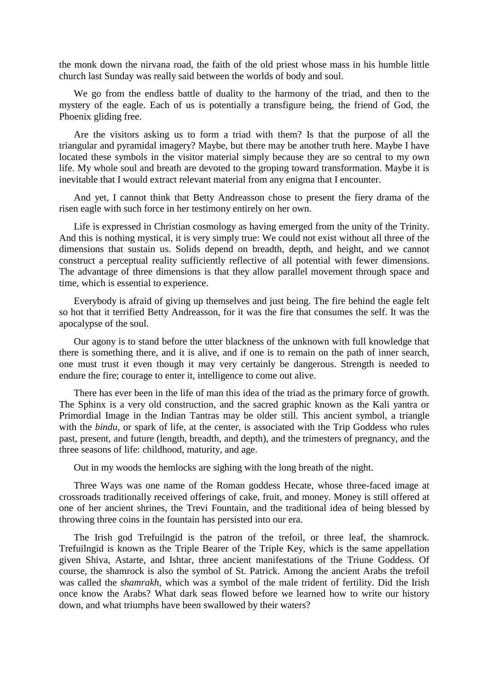the monk down the nirvana road, the faith of the old priest whose mass in his humble little church last Sunday was really said between the worlds of body and soul.

We go from the endless battle of duality to the harmony of the triad, and then to the mystery of the eagle. Each of us is potentially a transfigure being, the friend of God, the Phoenix gliding free.

Are the visitors asking us to form a triad with them? Is that the purpose of all the triangular and pyramidal imagery? Maybe, but there may be another truth here. Maybe I have located these symbols in the visitor material simply because they are so central to my own life. My whole soul and breath are devoted to the groping toward transformation. Maybe it is inevitable that I would extract relevant material from any enigma that I encounter.

And yet, I cannot think that Betty Andreasson chose to present the fiery drama of the risen eagle with such force in her testimony entirely on her own.

Life is expressed in Christian cosmology as having emerged from the unity of the Trinity. And this is nothing mystical, it is very simply true: We could not exist without all three of the dimensions that sustain us. Solids depend on breadth, depth, and height, and we cannot construct a perceptual reality sufficiently reflective of all potential with fewer dimensions. The advantage of three dimensions is that they allow parallel movement through space and time, which is essential to experience.

Everybody is afraid of giving up themselves and just being. The fire behind the eagle felt so hot that it terrified Betty Andreasson, for it was the fire that consumes the self. It was the apocalypse of the soul.

Our agony is to stand before the utter blackness of the unknown with full knowledge that there is something there, and it is alive, and if one is to remain on the path of inner search, one must trust it even though it may very certainly be dangerous. Strength is needed to endure the fire; courage to enter it, intelligence to come out alive.

There has ever been in the life of man this idea of the triad as the primary force of growth. The Sphinx is a very old construction, and the sacred graphic known as the Kali yantra or Primordial Image in the Indian Tantras may be older still. This ancient symbol, a triangle with the *bindu*, or spark of life, at the center, is associated with the Trip Goddess who rules past, present, and future (length, breadth, and depth), and the trimesters of pregnancy, and the three seasons of life: childhood, maturity, and age.

Out in my woods the hemlocks are sighing with the long breath of the night.

Three Ways was one name of the Roman goddess Hecate, whose three-faced image at crossroads traditionally received offerings of cake, fruit, and money. Money is still offered at one of her ancient shrines, the Trevi Fountain, and the traditional idea of being blessed by throwing three coins in the fountain has persisted into our era.

The Irish god Trefuilngid is the patron of the trefoil, or three leaf, the shamrock. Trefuilngid is known as the Triple Bearer of the Triple Key, which is the same appellation given Shiva, Astarte, and Ishtar, three ancient manifestations of the Triune Goddess. Of course, the shamrock is also the symbol of St. Patrick. Among the ancient Arabs the trefoil was called the *shamrakh*, which was a symbol of the male trident of fertility. Did the Irish once know the Arabs? What dark seas flowed before we learned how to write our history down, and what triumphs have been swallowed by their waters?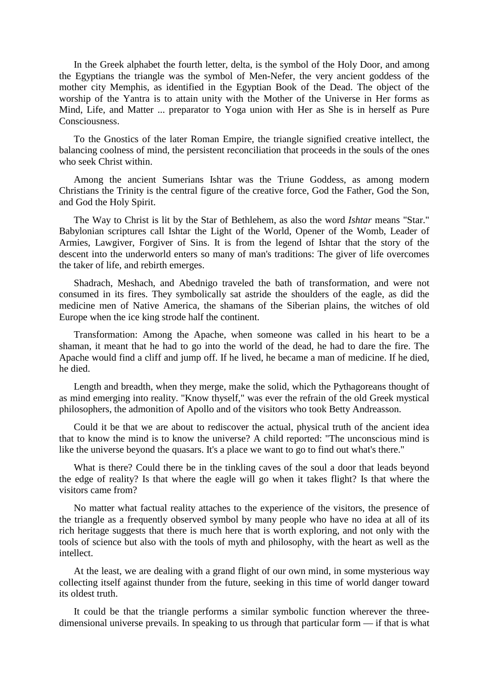In the Greek alphabet the fourth letter, delta, is the symbol of the Holy Door, and among the Egyptians the triangle was the symbol of Men-Nefer, the very ancient goddess of the mother city Memphis, as identified in the Egyptian Book of the Dead. The object of the worship of the Yantra is to attain unity with the Mother of the Universe in Her forms as Mind, Life, and Matter ... preparator to Yoga union with Her as She is in herself as Pure Consciousness.

To the Gnostics of the later Roman Empire, the triangle signified creative intellect, the balancing coolness of mind, the persistent reconciliation that proceeds in the souls of the ones who seek Christ within.

Among the ancient Sumerians Ishtar was the Triune Goddess, as among modern Christians the Trinity is the central figure of the creative force, God the Father, God the Son, and God the Holy Spirit.

The Way to Christ is lit by the Star of Bethlehem, as also the word *Ishtar* means "Star." Babylonian scriptures call Ishtar the Light of the World, Opener of the Womb, Leader of Armies, Lawgiver, Forgiver of Sins. It is from the legend of Ishtar that the story of the descent into the underworld enters so many of man's traditions: The giver of life overcomes the taker of life, and rebirth emerges.

Shadrach, Meshach, and Abednigo traveled the bath of transformation, and were not consumed in its fires. They symbolically sat astride the shoulders of the eagle, as did the medicine men of Native America, the shamans of the Siberian plains, the witches of old Europe when the ice king strode half the continent.

Transformation: Among the Apache, when someone was called in his heart to be a shaman, it meant that he had to go into the world of the dead, he had to dare the fire. The Apache would find a cliff and jump off. If he lived, he became a man of medicine. If he died, he died.

Length and breadth, when they merge, make the solid, which the Pythagoreans thought of as mind emerging into reality. "Know thyself," was ever the refrain of the old Greek mystical philosophers, the admonition of Apollo and of the visitors who took Betty Andreasson.

Could it be that we are about to rediscover the actual, physical truth of the ancient idea that to know the mind is to know the universe? A child reported: "The unconscious mind is like the universe beyond the quasars. It's a place we want to go to find out what's there."

What is there? Could there be in the tinkling caves of the soul a door that leads beyond the edge of reality? Is that where the eagle will go when it takes flight? Is that where the visitors came from?

No matter what factual reality attaches to the experience of the visitors, the presence of the triangle as a frequently observed symbol by many people who have no idea at all of its rich heritage suggests that there is much here that is worth exploring, and not only with the tools of science but also with the tools of myth and philosophy, with the heart as well as the intellect.

At the least, we are dealing with a grand flight of our own mind, in some mysterious way collecting itself against thunder from the future, seeking in this time of world danger toward its oldest truth.

It could be that the triangle performs a similar symbolic function wherever the threedimensional universe prevails. In speaking to us through that particular form — if that is what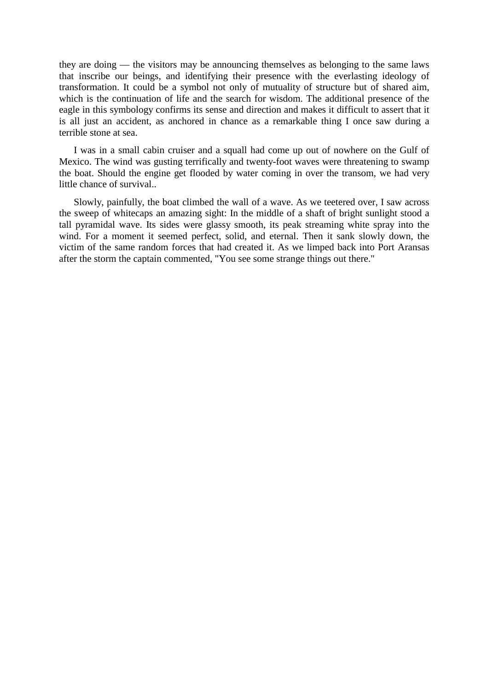they are doing — the visitors may be announcing themselves as belonging to the same laws that inscribe our beings, and identifying their presence with the everlasting ideology of transformation. It could be a symbol not only of mutuality of structure but of shared aim, which is the continuation of life and the search for wisdom. The additional presence of the eagle in this symbology confirms its sense and direction and makes it difficult to assert that it is all just an accident, as anchored in chance as a remarkable thing I once saw during a terrible stone at sea.

I was in a small cabin cruiser and a squall had come up out of nowhere on the Gulf of Mexico. The wind was gusting terrifically and twenty-foot waves were threatening to swamp the boat. Should the engine get flooded by water coming in over the transom, we had very little chance of survival..

Slowly, painfully, the boat climbed the wall of a wave. As we teetered over, I saw across the sweep of whitecaps an amazing sight: In the middle of a shaft of bright sunlight stood a tall pyramidal wave. Its sides were glassy smooth, its peak streaming white spray into the wind. For a moment it seemed perfect, solid, and eternal. Then it sank slowly down, the victim of the same random forces that had created it. As we limped back into Port Aransas after the storm the captain commented, "You see some strange things out there."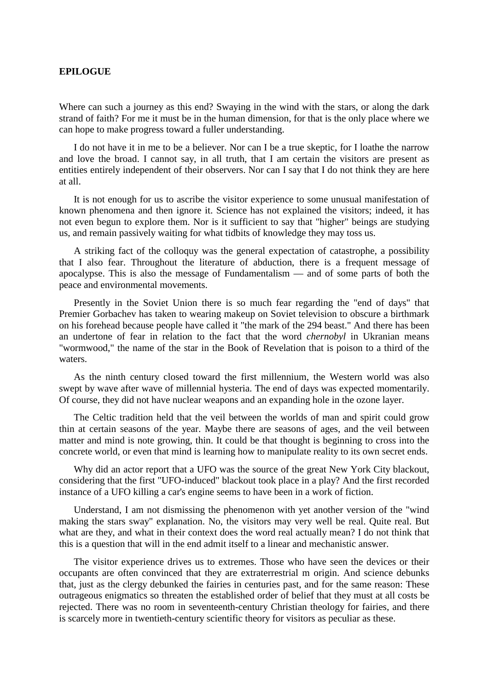## **EPILOGUE**

Where can such a journey as this end? Swaying in the wind with the stars, or along the dark strand of faith? For me it must be in the human dimension, for that is the only place where we can hope to make progress toward a fuller understanding.

I do not have it in me to be a believer. Nor can I be a true skeptic, for I loathe the narrow and love the broad. I cannot say, in all truth, that I am certain the visitors are present as entities entirely independent of their observers. Nor can I say that I do not think they are here at all.

It is not enough for us to ascribe the visitor experience to some unusual manifestation of known phenomena and then ignore it. Science has not explained the visitors; indeed, it has not even begun to explore them. Nor is it sufficient to say that "higher" beings are studying us, and remain passively waiting for what tidbits of knowledge they may toss us.

A striking fact of the colloquy was the general expectation of catastrophe, a possibility that I also fear. Throughout the literature of abduction, there is a frequent message of apocalypse. This is also the message of Fundamentalism — and of some parts of both the peace and environmental movements.

Presently in the Soviet Union there is so much fear regarding the "end of days" that Premier Gorbachev has taken to wearing makeup on Soviet television to obscure a birthmark on his forehead because people have called it "the mark of the 294 beast." And there has been an undertone of fear in relation to the fact that the word *chernobyl* in Ukranian means "wormwood," the name of the star in the Book of Revelation that is poison to a third of the waters.

As the ninth century closed toward the first millennium, the Western world was also swept by wave after wave of millennial hysteria. The end of days was expected momentarily. Of course, they did not have nuclear weapons and an expanding hole in the ozone layer.

The Celtic tradition held that the veil between the worlds of man and spirit could grow thin at certain seasons of the year. Maybe there are seasons of ages, and the veil between matter and mind is note growing, thin. It could be that thought is beginning to cross into the concrete world, or even that mind is learning how to manipulate reality to its own secret ends.

Why did an actor report that a UFO was the source of the great New York City blackout, considering that the first "UFO-induced" blackout took place in a play? And the first recorded instance of a UFO killing a car's engine seems to have been in a work of fiction.

Understand, I am not dismissing the phenomenon with yet another version of the "wind making the stars sway" explanation. No, the visitors may very well be real. Quite real. But what are they, and what in their context does the word real actually mean? I do not think that this is a question that will in the end admit itself to a linear and mechanistic answer.

The visitor experience drives us to extremes. Those who have seen the devices or their occupants are often convinced that they are extraterrestrial m origin. And science debunks that, just as the clergy debunked the fairies in centuries past, and for the same reason: These outrageous enigmatics so threaten the established order of belief that they must at all costs be rejected. There was no room in seventeenth-century Christian theology for fairies, and there is scarcely more in twentieth-century scientific theory for visitors as peculiar as these.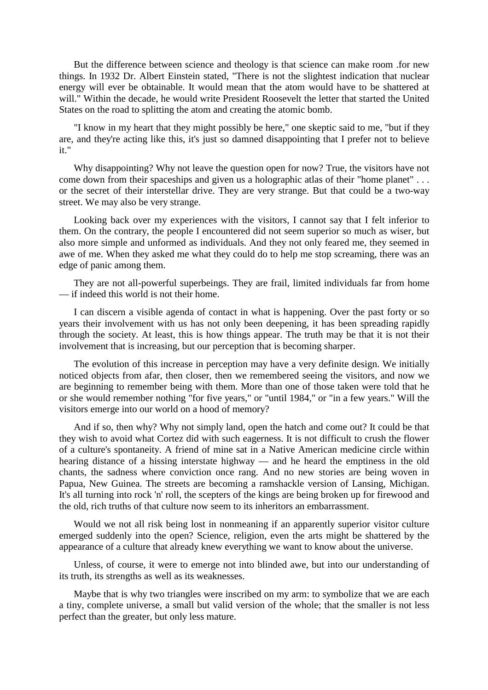But the difference between science and theology is that science can make room .for new things. In 1932 Dr. Albert Einstein stated, "There is not the slightest indication that nuclear energy will ever be obtainable. It would mean that the atom would have to be shattered at will." Within the decade, he would write President Roosevelt the letter that started the United States on the road to splitting the atom and creating the atomic bomb.

"I know in my heart that they might possibly be here," one skeptic said to me, "but if they are, and they're acting like this, it's just so damned disappointing that I prefer not to believe it."

Why disappointing? Why not leave the question open for now? True, the visitors have not come down from their spaceships and given us a holographic atlas of their "home planet" . . . or the secret of their interstellar drive. They are very strange. But that could be a two-way street. We may also be very strange.

Looking back over my experiences with the visitors, I cannot say that I felt inferior to them. On the contrary, the people I encountered did not seem superior so much as wiser, but also more simple and unformed as individuals. And they not only feared me, they seemed in awe of me. When they asked me what they could do to help me stop screaming, there was an edge of panic among them.

They are not all-powerful superbeings. They are frail, limited individuals far from home — if indeed this world is not their home.

I can discern a visible agenda of contact in what is happening. Over the past forty or so years their involvement with us has not only been deepening, it has been spreading rapidly through the society. At least, this is how things appear. The truth may be that it is not their involvement that is increasing, but our perception that is becoming sharper.

The evolution of this increase in perception may have a very definite design. We initially noticed objects from afar, then closer, then we remembered seeing the visitors, and now we are beginning to remember being with them. More than one of those taken were told that he or she would remember nothing "for five years," or "until 1984," or "in a few years." Will the visitors emerge into our world on a hood of memory?

And if so, then why? Why not simply land, open the hatch and come out? It could be that they wish to avoid what Cortez did with such eagerness. It is not difficult to crush the flower of a culture's spontaneity. A friend of mine sat in a Native American medicine circle within hearing distance of a hissing interstate highway — and he heard the emptiness in the old chants, the sadness where conviction once rang. And no new stories are being woven in Papua, New Guinea. The streets are becoming a ramshackle version of Lansing, Michigan. It's all turning into rock 'n' roll, the scepters of the kings are being broken up for firewood and the old, rich truths of that culture now seem to its inheritors an embarrassment.

Would we not all risk being lost in nonmeaning if an apparently superior visitor culture emerged suddenly into the open? Science, religion, even the arts might be shattered by the appearance of a culture that already knew everything we want to know about the universe.

Unless, of course, it were to emerge not into blinded awe, but into our understanding of its truth, its strengths as well as its weaknesses.

Maybe that is why two triangles were inscribed on my arm: to symbolize that we are each a tiny, complete universe, a small but valid version of the whole; that the smaller is not less perfect than the greater, but only less mature.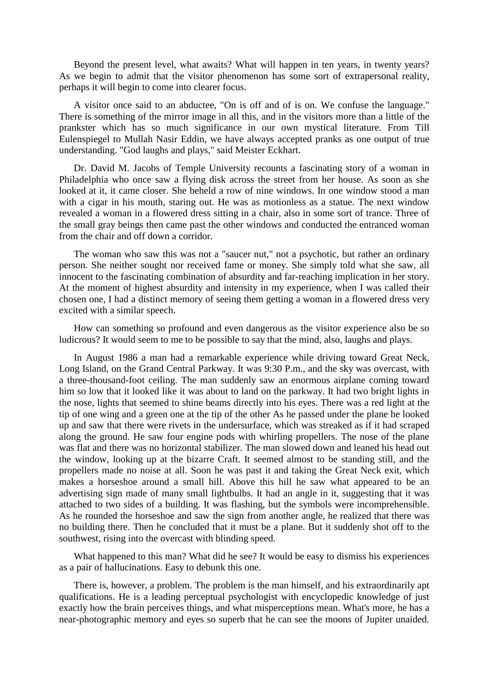Beyond the present level, what awaits? What will happen in ten years, in twenty years? As we begin to admit that the visitor phenomenon has some sort of extrapersonal reality, perhaps it will begin to come into clearer focus.

A visitor once said to an abductee, "On is off and of is on. We confuse the language." There is something of the mirror image in all this, and in the visitors more than a little of the prankster which has so much significance in our own mystical literature. From Till Eulenspiegel to Mullah Nasir Eddin, we have always accepted pranks as one output of true understanding. "God laughs and plays," said Meister Eckhart.

Dr. David M. Jacobs of Temple University recounts a fascinating story of a woman in Philadelphia who once saw a flying disk across the street from her house. As soon as she looked at it, it came closer. She beheld a row of nine windows. In one window stood a man with a cigar in his mouth, staring out. He was as motionless as a statue. The next window revealed a woman in a flowered dress sitting in a chair, also in some sort of trance. Three of the small gray beings then came past the other windows and conducted the entranced woman from the chair and off down a corridor.

The woman who saw this was not a "saucer nut," not a psychotic, but rather an ordinary person. She neither sought nor received fame or money. She simply told what she saw, all innocent to the fascinating combination of absurdity and far-reaching implication in her story. At the moment of highest absurdity and intensity in my experience, when I was called their chosen one, I had a distinct memory of seeing them getting a woman in a flowered dress very excited with a similar speech.

How can something so profound and even dangerous as the visitor experience also be so ludicrous? It would seem to me to be possible to say that the mind, also, laughs and plays.

In August 1986 a man had a remarkable experience while driving toward Great Neck, Long Island, on the Grand Central Parkway. It was 9:30 P.m., and the sky was overcast, with a three-thousand-foot ceiling. The man suddenly saw an enormous airplane coming toward him so low that it looked like it was about to land on the parkway. It had two bright lights in the nose, lights that seemed to shine beams directly into his eyes. There was a red light at the tip of one wing and a green one at the tip of the other As he passed under the plane he looked up and saw that there were rivets in the undersurface, which was streaked as if it had scraped along the ground. He saw four engine pods with whirling propellers. The nose of the plane was flat and there was no horizontal stabilizer. The man slowed down and leaned his head out the window, looking up at the bizarre Craft. It seemed almost to be standing still, and the propellers made no noise at all. Soon he was past it and taking the Great Neck exit, which makes a horseshoe around a small hill. Above this hill he saw what appeared to be an advertising sign made of many small lightbulbs. It had an angle in it, suggesting that it was attached to two sides of a building. It was flashing, but the symbols were incomprehensible. As he rounded the horseshoe and saw the sign from another angle, he realized that there was no building there. Then he concluded that it must be a plane. But it suddenly shot off to the southwest, rising into the overcast with blinding speed.

What happened to this man? What did he see? It would be easy to dismiss his experiences as a pair of hallucinations. Easy to debunk this one.

There is, however, a problem. The problem is the man himself, and his extraordinarily apt qualifications. He is a leading perceptual psychologist with encyclopedic knowledge of just exactly how the brain perceives things, and what misperceptions mean. What's more, he has a near-photographic memory and eyes so superb that he can see the moons of Jupiter unaided.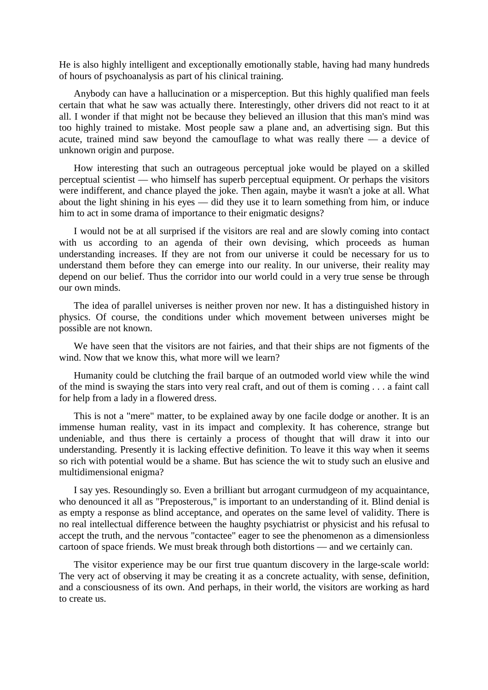He is also highly intelligent and exceptionally emotionally stable, having had many hundreds of hours of psychoanalysis as part of his clinical training.

Anybody can have a hallucination or a misperception. But this highly qualified man feels certain that what he saw was actually there. Interestingly, other drivers did not react to it at all. I wonder if that might not be because they believed an illusion that this man's mind was too highly trained to mistake. Most people saw a plane and, an advertising sign. But this acute, trained mind saw beyond the camouflage to what was really there — a device of unknown origin and purpose.

How interesting that such an outrageous perceptual joke would be played on a skilled perceptual scientist — who himself has superb perceptual equipment. Or perhaps the visitors were indifferent, and chance played the joke. Then again, maybe it wasn't a joke at all. What about the light shining in his eyes — did they use it to learn something from him, or induce him to act in some drama of importance to their enigmatic designs?

I would not be at all surprised if the visitors are real and are slowly coming into contact with us according to an agenda of their own devising, which proceeds as human understanding increases. If they are not from our universe it could be necessary for us to understand them before they can emerge into our reality. In our universe, their reality may depend on our belief. Thus the corridor into our world could in a very true sense be through our own minds.

The idea of parallel universes is neither proven nor new. It has a distinguished history in physics. Of course, the conditions under which movement between universes might be possible are not known.

We have seen that the visitors are not fairies, and that their ships are not figments of the wind. Now that we know this, what more will we learn?

Humanity could be clutching the frail barque of an outmoded world view while the wind of the mind is swaying the stars into very real craft, and out of them is coming . . . a faint call for help from a lady in a flowered dress.

This is not a "mere" matter, to be explained away by one facile dodge or another. It is an immense human reality, vast in its impact and complexity. It has coherence, strange but undeniable, and thus there is certainly a process of thought that will draw it into our understanding. Presently it is lacking effective definition. To leave it this way when it seems so rich with potential would be a shame. But has science the wit to study such an elusive and multidimensional enigma?

I say yes. Resoundingly so. Even a brilliant but arrogant curmudgeon of my acquaintance, who denounced it all as "Preposterous," is important to an understanding of it. Blind denial is as empty a response as blind acceptance, and operates on the same level of validity. There is no real intellectual difference between the haughty psychiatrist or physicist and his refusal to accept the truth, and the nervous "contactee" eager to see the phenomenon as a dimensionless cartoon of space friends. We must break through both distortions — and we certainly can.

The visitor experience may be our first true quantum discovery in the large-scale world: The very act of observing it may be creating it as a concrete actuality, with sense, definition, and a consciousness of its own. And perhaps, in their world, the visitors are working as hard to create us.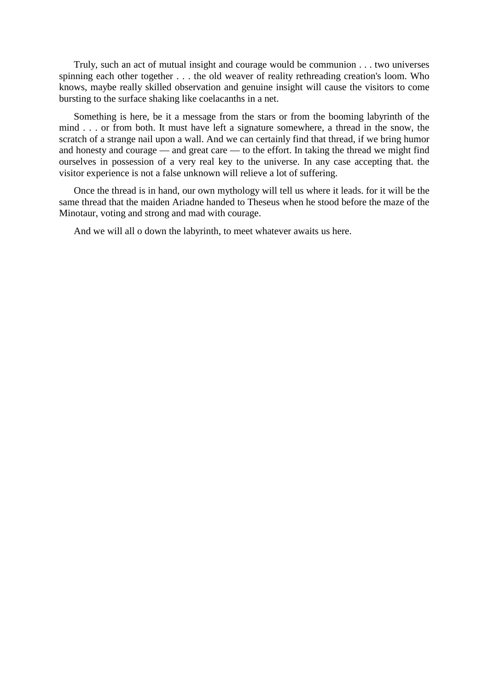Truly, such an act of mutual insight and courage would be communion . . . two universes spinning each other together . . . the old weaver of reality rethreading creation's loom. Who knows, maybe really skilled observation and genuine insight will cause the visitors to come bursting to the surface shaking like coelacanths in a net.

Something is here, be it a message from the stars or from the booming labyrinth of the mind . . . or from both. It must have left a signature somewhere, a thread in the snow, the scratch of a strange nail upon a wall. And we can certainly find that thread, if we bring humor and honesty and courage — and great care — to the effort. In taking the thread we might find ourselves in possession of a very real key to the universe. In any case accepting that, the visitor experience is not a false unknown will relieve a lot of suffering.

Once the thread is in hand, our own mythology will tell us where it leads. for it will be the same thread that the maiden Ariadne handed to Theseus when he stood before the maze of the Minotaur, voting and strong and mad with courage.

And we will all o down the labyrinth, to meet whatever awaits us here.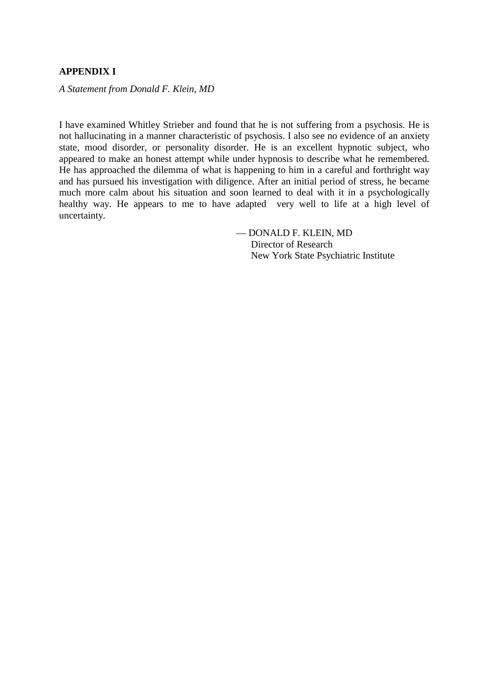## **APPENDIX I**

*A Statement from Donald F. Klein, MD* 

I have examined Whitley Strieber and found that he is not suffering from a psychosis. He is not hallucinating in a manner characteristic of psychosis. I also see no evidence of an anxiety state, mood disorder, or personality disorder. He is an excellent hypnotic subject, who appeared to make an honest attempt while under hypnosis to describe what he remembered. He has approached the dilemma of what is happening to him in a careful and forthright way and has pursued his investigation with diligence. After an initial period of stress, he became much more calm about his situation and soon learned to deal with it in a psychologically healthy way. He appears to me to have adapted very well to life at a high level of uncertainty.

> — DONALD F. KLEIN, MD Director of Research New York State Psychiatric Institute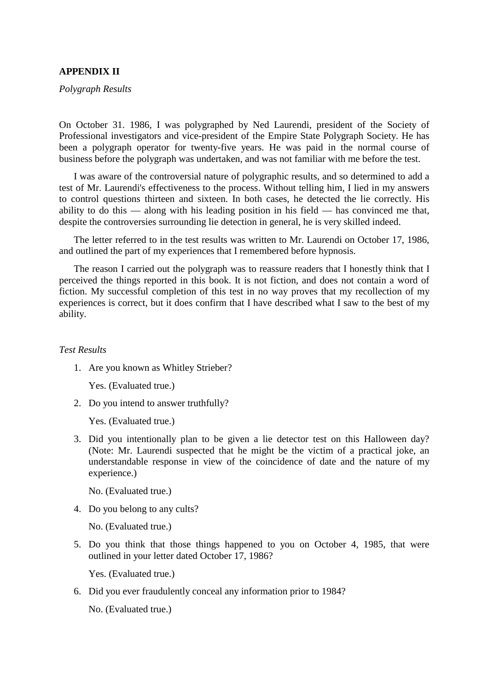## **APPENDIX II**

*Polygraph Results* 

On October 31. 1986, I was polygraphed by Ned Laurendi, president of the Society of Professional investigators and vice-president of the Empire State Polygraph Society. He has been a polygraph operator for twenty-five years. He was paid in the normal course of business before the polygraph was undertaken, and was not familiar with me before the test.

I was aware of the controversial nature of polygraphic results, and so determined to add a test of Mr. Laurendi's effectiveness to the process. Without telling him, I lied in my answers to control questions thirteen and sixteen. In both cases, he detected the lie correctly. His ability to do this — along with his leading position in his field — has convinced me that, despite the controversies surrounding lie detection in general, he is very skilled indeed.

The letter referred to in the test results was written to Mr. Laurendi on October 17, 1986, and outlined the part of my experiences that I remembered before hypnosis.

The reason I carried out the polygraph was to reassure readers that I honestly think that I perceived the things reported in this book. It is not fiction, and does not contain a word of fiction. My successful completion of this test in no way proves that my recollection of my experiences is correct, but it does confirm that I have described what I saw to the best of my ability.

## *Test Results*

1. Are you known as Whitley Strieber?

Yes. (Evaluated true.)

2. Do you intend to answer truthfully?

Yes. (Evaluated true.)

3. Did you intentionally plan to be given a lie detector test on this Halloween day? (Note: Mr. Laurendi suspected that he might be the victim of a practical joke, an understandable response in view of the coincidence of date and the nature of my experience.)

No. (Evaluated true.)

4. Do you belong to any cults?

No. (Evaluated true.)

5. Do you think that those things happened to you on October 4, 1985, that were outlined in your letter dated October 17, 1986?

Yes. (Evaluated true.)

6. Did you ever fraudulently conceal any information prior to 1984?

No. (Evaluated true.)